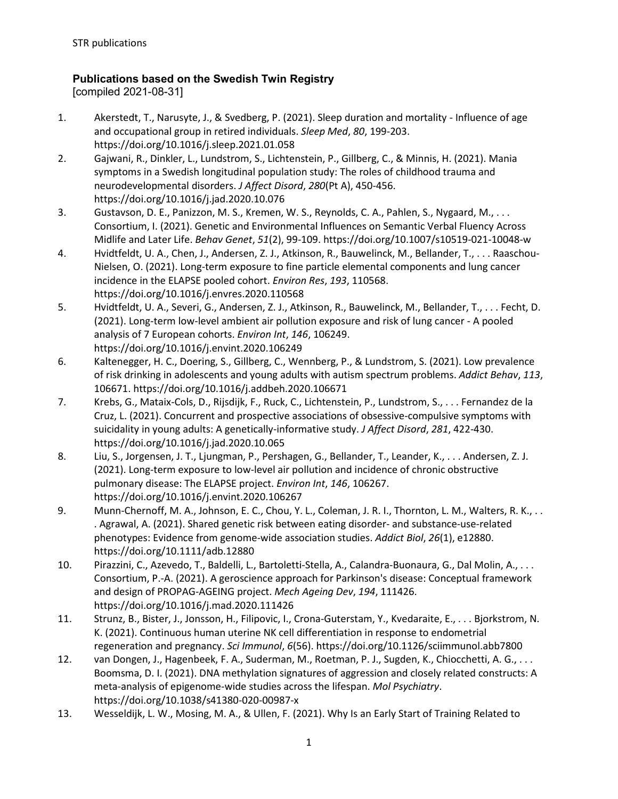## **Publications based on the Swedish Twin Registry**

[compiled 2021-08-31]

- 1. Akerstedt, T., Narusyte, J., & Svedberg, P. (2021). Sleep duration and mortality Influence of age and occupational group in retired individuals. *Sleep Med*, *80*, 199-203. https://doi.org/10.1016/j.sleep.2021.01.058
- 2. Gajwani, R., Dinkler, L., Lundstrom, S., Lichtenstein, P., Gillberg, C., & Minnis, H. (2021). Mania symptoms in a Swedish longitudinal population study: The roles of childhood trauma and neurodevelopmental disorders. *J Affect Disord*, *280*(Pt A), 450-456. https://doi.org/10.1016/j.jad.2020.10.076
- 3. Gustavson, D. E., Panizzon, M. S., Kremen, W. S., Reynolds, C. A., Pahlen, S., Nygaard, M., . . . Consortium, I. (2021). Genetic and Environmental Influences on Semantic Verbal Fluency Across Midlife and Later Life. *Behav Genet*, *51*(2), 99-109. https://doi.org/10.1007/s10519-021-10048-w
- 4. Hvidtfeldt, U. A., Chen, J., Andersen, Z. J., Atkinson, R., Bauwelinck, M., Bellander, T., . . . Raaschou-Nielsen, O. (2021). Long-term exposure to fine particle elemental components and lung cancer incidence in the ELAPSE pooled cohort. *Environ Res*, *193*, 110568. https://doi.org/10.1016/j.envres.2020.110568
- 5. Hvidtfeldt, U. A., Severi, G., Andersen, Z. J., Atkinson, R., Bauwelinck, M., Bellander, T., . . . Fecht, D. (2021). Long-term low-level ambient air pollution exposure and risk of lung cancer - A pooled analysis of 7 European cohorts. *Environ Int*, *146*, 106249. https://doi.org/10.1016/j.envint.2020.106249
- 6. Kaltenegger, H. C., Doering, S., Gillberg, C., Wennberg, P., & Lundstrom, S. (2021). Low prevalence of risk drinking in adolescents and young adults with autism spectrum problems. *Addict Behav*, *113*, 106671. https://doi.org/10.1016/j.addbeh.2020.106671
- 7. Krebs, G., Mataix-Cols, D., Rijsdijk, F., Ruck, C., Lichtenstein, P., Lundstrom, S., . . . Fernandez de la Cruz, L. (2021). Concurrent and prospective associations of obsessive-compulsive symptoms with suicidality in young adults: A genetically-informative study. *J Affect Disord*, *281*, 422-430. https://doi.org/10.1016/j.jad.2020.10.065
- 8. Liu, S., Jorgensen, J. T., Ljungman, P., Pershagen, G., Bellander, T., Leander, K., . . . Andersen, Z. J. (2021). Long-term exposure to low-level air pollution and incidence of chronic obstructive pulmonary disease: The ELAPSE project. *Environ Int*, *146*, 106267. https://doi.org/10.1016/j.envint.2020.106267
- 9. Munn-Chernoff, M. A., Johnson, E. C., Chou, Y. L., Coleman, J. R. I., Thornton, L. M., Walters, R. K., . . . Agrawal, A. (2021). Shared genetic risk between eating disorder- and substance-use-related phenotypes: Evidence from genome-wide association studies. *Addict Biol*, *26*(1), e12880. https://doi.org/10.1111/adb.12880
- 10. Pirazzini, C., Azevedo, T., Baldelli, L., Bartoletti-Stella, A., Calandra-Buonaura, G., Dal Molin, A., . . . Consortium, P.-A. (2021). A geroscience approach for Parkinson's disease: Conceptual framework and design of PROPAG-AGEING project. *Mech Ageing Dev*, *194*, 111426. https://doi.org/10.1016/j.mad.2020.111426
- 11. Strunz, B., Bister, J., Jonsson, H., Filipovic, I., Crona-Guterstam, Y., Kvedaraite, E., . . . Bjorkstrom, N. K. (2021). Continuous human uterine NK cell differentiation in response to endometrial regeneration and pregnancy. *Sci Immunol*, *6*(56). https://doi.org/10.1126/sciimmunol.abb7800
- 12. van Dongen, J., Hagenbeek, F. A., Suderman, M., Roetman, P. J., Sugden, K., Chiocchetti, A. G., . . . Boomsma, D. I. (2021). DNA methylation signatures of aggression and closely related constructs: A meta-analysis of epigenome-wide studies across the lifespan. *Mol Psychiatry*. https://doi.org/10.1038/s41380-020-00987-x
- 13. Wesseldijk, L. W., Mosing, M. A., & Ullen, F. (2021). Why Is an Early Start of Training Related to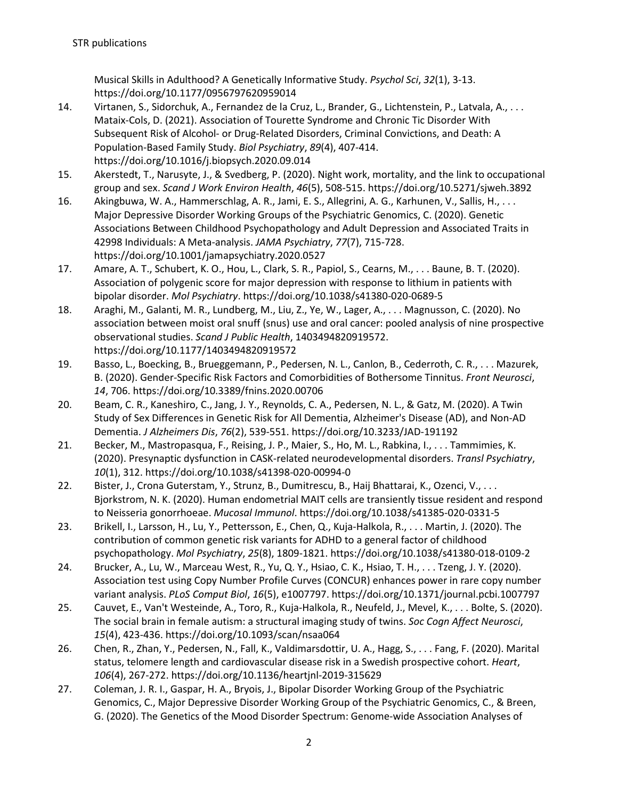Musical Skills in Adulthood? A Genetically Informative Study. *Psychol Sci*, *32*(1), 3-13. https://doi.org/10.1177/0956797620959014

- 14. Virtanen, S., Sidorchuk, A., Fernandez de la Cruz, L., Brander, G., Lichtenstein, P., Latvala, A., . . . Mataix-Cols, D. (2021). Association of Tourette Syndrome and Chronic Tic Disorder With Subsequent Risk of Alcohol- or Drug-Related Disorders, Criminal Convictions, and Death: A Population-Based Family Study. *Biol Psychiatry*, *89*(4), 407-414. https://doi.org/10.1016/j.biopsych.2020.09.014
- 15. Akerstedt, T., Narusyte, J., & Svedberg, P. (2020). Night work, mortality, and the link to occupational group and sex. *Scand J Work Environ Health*, *46*(5), 508-515. https://doi.org/10.5271/sjweh.3892
- 16. Akingbuwa, W. A., Hammerschlag, A. R., Jami, E. S., Allegrini, A. G., Karhunen, V., Sallis, H., . . . Major Depressive Disorder Working Groups of the Psychiatric Genomics, C. (2020). Genetic Associations Between Childhood Psychopathology and Adult Depression and Associated Traits in 42998 Individuals: A Meta-analysis. *JAMA Psychiatry*, *77*(7), 715-728. https://doi.org/10.1001/jamapsychiatry.2020.0527
- 17. Amare, A. T., Schubert, K. O., Hou, L., Clark, S. R., Papiol, S., Cearns, M., . . . Baune, B. T. (2020). Association of polygenic score for major depression with response to lithium in patients with bipolar disorder. *Mol Psychiatry*. https://doi.org/10.1038/s41380-020-0689-5
- 18. Araghi, M., Galanti, M. R., Lundberg, M., Liu, Z., Ye, W., Lager, A., . . . Magnusson, C. (2020). No association between moist oral snuff (snus) use and oral cancer: pooled analysis of nine prospective observational studies. *Scand J Public Health*, 1403494820919572. https://doi.org/10.1177/1403494820919572
- 19. Basso, L., Boecking, B., Brueggemann, P., Pedersen, N. L., Canlon, B., Cederroth, C. R., . . . Mazurek, B. (2020). Gender-Specific Risk Factors and Comorbidities of Bothersome Tinnitus. *Front Neurosci*, *14*, 706. https://doi.org/10.3389/fnins.2020.00706
- 20. Beam, C. R., Kaneshiro, C., Jang, J. Y., Reynolds, C. A., Pedersen, N. L., & Gatz, M. (2020). A Twin Study of Sex Differences in Genetic Risk for All Dementia, Alzheimer's Disease (AD), and Non-AD Dementia. *J Alzheimers Dis*, *76*(2), 539-551. https://doi.org/10.3233/JAD-191192
- 21. Becker, M., Mastropasqua, F., Reising, J. P., Maier, S., Ho, M. L., Rabkina, I., . . . Tammimies, K. (2020). Presynaptic dysfunction in CASK-related neurodevelopmental disorders. *Transl Psychiatry*, *10*(1), 312. https://doi.org/10.1038/s41398-020-00994-0
- 22. Bister, J., Crona Guterstam, Y., Strunz, B., Dumitrescu, B., Haij Bhattarai, K., Ozenci, V., . . . Bjorkstrom, N. K. (2020). Human endometrial MAIT cells are transiently tissue resident and respond to Neisseria gonorrhoeae. *Mucosal Immunol*. https://doi.org/10.1038/s41385-020-0331-5
- 23. Brikell, I., Larsson, H., Lu, Y., Pettersson, E., Chen, Q., Kuja-Halkola, R., . . . Martin, J. (2020). The contribution of common genetic risk variants for ADHD to a general factor of childhood psychopathology. *Mol Psychiatry*, *25*(8), 1809-1821. https://doi.org/10.1038/s41380-018-0109-2
- 24. Brucker, A., Lu, W., Marceau West, R., Yu, Q. Y., Hsiao, C. K., Hsiao, T. H., . . . Tzeng, J. Y. (2020). Association test using Copy Number Profile Curves (CONCUR) enhances power in rare copy number variant analysis. *PLoS Comput Biol*, *16*(5), e1007797. https://doi.org/10.1371/journal.pcbi.1007797
- 25. Cauvet, E., Van't Westeinde, A., Toro, R., Kuja-Halkola, R., Neufeld, J., Mevel, K., . . . Bolte, S. (2020). The social brain in female autism: a structural imaging study of twins. *Soc Cogn Affect Neurosci*, *15*(4), 423-436. https://doi.org/10.1093/scan/nsaa064
- 26. Chen, R., Zhan, Y., Pedersen, N., Fall, K., Valdimarsdottir, U. A., Hagg, S., . . . Fang, F. (2020). Marital status, telomere length and cardiovascular disease risk in a Swedish prospective cohort. *Heart*, *106*(4), 267-272. https://doi.org/10.1136/heartjnl-2019-315629
- 27. Coleman, J. R. I., Gaspar, H. A., Bryois, J., Bipolar Disorder Working Group of the Psychiatric Genomics, C., Major Depressive Disorder Working Group of the Psychiatric Genomics, C., & Breen, G. (2020). The Genetics of the Mood Disorder Spectrum: Genome-wide Association Analyses of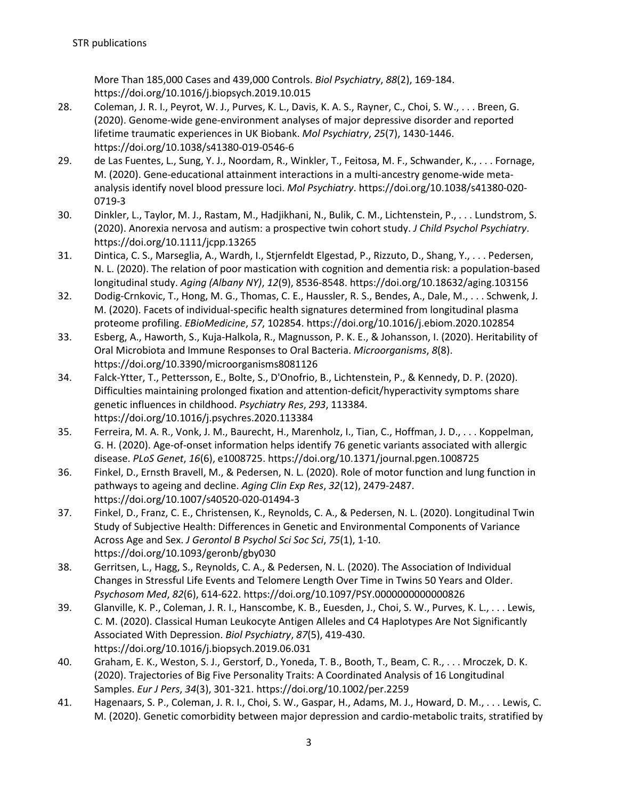More Than 185,000 Cases and 439,000 Controls. *Biol Psychiatry*, *88*(2), 169-184. https://doi.org/10.1016/j.biopsych.2019.10.015

- 28. Coleman, J. R. I., Peyrot, W. J., Purves, K. L., Davis, K. A. S., Rayner, C., Choi, S. W., . . . Breen, G. (2020). Genome-wide gene-environment analyses of major depressive disorder and reported lifetime traumatic experiences in UK Biobank. *Mol Psychiatry*, *25*(7), 1430-1446. https://doi.org/10.1038/s41380-019-0546-6
- 29. de Las Fuentes, L., Sung, Y. J., Noordam, R., Winkler, T., Feitosa, M. F., Schwander, K., . . . Fornage, M. (2020). Gene-educational attainment interactions in a multi-ancestry genome-wide metaanalysis identify novel blood pressure loci. *Mol Psychiatry*. https://doi.org/10.1038/s41380-020- 0719-3
- 30. Dinkler, L., Taylor, M. J., Rastam, M., Hadjikhani, N., Bulik, C. M., Lichtenstein, P., . . . Lundstrom, S. (2020). Anorexia nervosa and autism: a prospective twin cohort study. *J Child Psychol Psychiatry*. https://doi.org/10.1111/jcpp.13265
- 31. Dintica, C. S., Marseglia, A., Wardh, I., Stjernfeldt Elgestad, P., Rizzuto, D., Shang, Y., . . . Pedersen, N. L. (2020). The relation of poor mastication with cognition and dementia risk: a population-based longitudinal study. *Aging (Albany NY)*, *12*(9), 8536-8548. https://doi.org/10.18632/aging.103156
- 32. Dodig-Crnkovic, T., Hong, M. G., Thomas, C. E., Haussler, R. S., Bendes, A., Dale, M., . . . Schwenk, J. M. (2020). Facets of individual-specific health signatures determined from longitudinal plasma proteome profiling. *EBioMedicine*, *57*, 102854. https://doi.org/10.1016/j.ebiom.2020.102854
- 33. Esberg, A., Haworth, S., Kuja-Halkola, R., Magnusson, P. K. E., & Johansson, I. (2020). Heritability of Oral Microbiota and Immune Responses to Oral Bacteria. *Microorganisms*, *8*(8). https://doi.org/10.3390/microorganisms8081126
- 34. Falck-Ytter, T., Pettersson, E., Bolte, S., D'Onofrio, B., Lichtenstein, P., & Kennedy, D. P. (2020). Difficulties maintaining prolonged fixation and attention-deficit/hyperactivity symptoms share genetic influences in childhood. *Psychiatry Res*, *293*, 113384. https://doi.org/10.1016/j.psychres.2020.113384
- 35. Ferreira, M. A. R., Vonk, J. M., Baurecht, H., Marenholz, I., Tian, C., Hoffman, J. D., . . . Koppelman, G. H. (2020). Age-of-onset information helps identify 76 genetic variants associated with allergic disease. *PLoS Genet*, *16*(6), e1008725. https://doi.org/10.1371/journal.pgen.1008725
- 36. Finkel, D., Ernsth Bravell, M., & Pedersen, N. L. (2020). Role of motor function and lung function in pathways to ageing and decline. *Aging Clin Exp Res*, *32*(12), 2479-2487. https://doi.org/10.1007/s40520-020-01494-3
- 37. Finkel, D., Franz, C. E., Christensen, K., Reynolds, C. A., & Pedersen, N. L. (2020). Longitudinal Twin Study of Subjective Health: Differences in Genetic and Environmental Components of Variance Across Age and Sex. *J Gerontol B Psychol Sci Soc Sci*, *75*(1), 1-10. https://doi.org/10.1093/geronb/gby030
- 38. Gerritsen, L., Hagg, S., Reynolds, C. A., & Pedersen, N. L. (2020). The Association of Individual Changes in Stressful Life Events and Telomere Length Over Time in Twins 50 Years and Older. *Psychosom Med*, *82*(6), 614-622. https://doi.org/10.1097/PSY.0000000000000826
- 39. Glanville, K. P., Coleman, J. R. I., Hanscombe, K. B., Euesden, J., Choi, S. W., Purves, K. L., . . . Lewis, C. M. (2020). Classical Human Leukocyte Antigen Alleles and C4 Haplotypes Are Not Significantly Associated With Depression. *Biol Psychiatry*, *87*(5), 419-430. https://doi.org/10.1016/j.biopsych.2019.06.031
- 40. Graham, E. K., Weston, S. J., Gerstorf, D., Yoneda, T. B., Booth, T., Beam, C. R., . . . Mroczek, D. K. (2020). Trajectories of Big Five Personality Traits: A Coordinated Analysis of 16 Longitudinal Samples. *Eur J Pers*, *34*(3), 301-321. https://doi.org/10.1002/per.2259
- 41. Hagenaars, S. P., Coleman, J. R. I., Choi, S. W., Gaspar, H., Adams, M. J., Howard, D. M., . . . Lewis, C. M. (2020). Genetic comorbidity between major depression and cardio-metabolic traits, stratified by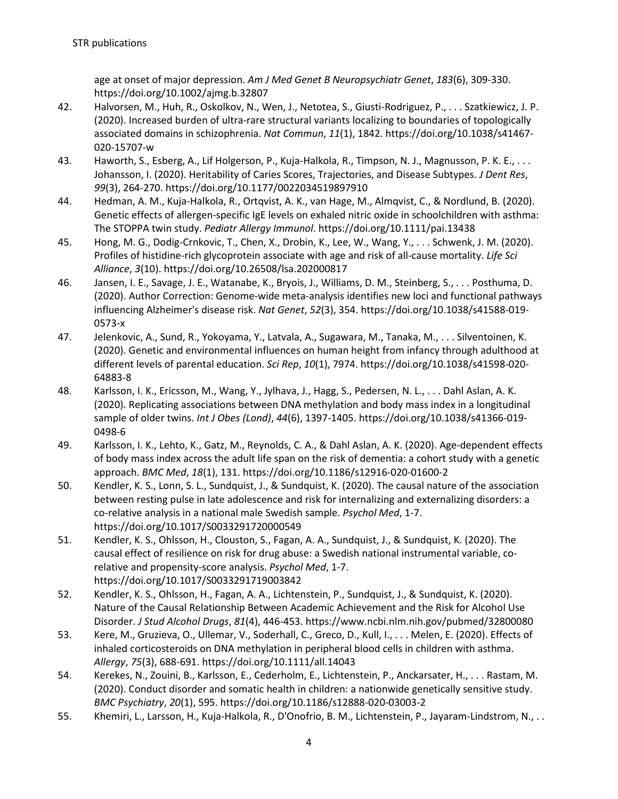age at onset of major depression. *Am J Med Genet B Neuropsychiatr Genet*, *183*(6), 309-330. https://doi.org/10.1002/ajmg.b.32807

- 42. Halvorsen, M., Huh, R., Oskolkov, N., Wen, J., Netotea, S., Giusti-Rodriguez, P., . . . Szatkiewicz, J. P. (2020). Increased burden of ultra-rare structural variants localizing to boundaries of topologically associated domains in schizophrenia. *Nat Commun*, *11*(1), 1842. https://doi.org/10.1038/s41467- 020-15707-w
- 43. Haworth, S., Esberg, A., Lif Holgerson, P., Kuja-Halkola, R., Timpson, N. J., Magnusson, P. K. E., . . . Johansson, I. (2020). Heritability of Caries Scores, Trajectories, and Disease Subtypes. *J Dent Res*, *99*(3), 264-270. https://doi.org/10.1177/0022034519897910
- 44. Hedman, A. M., Kuja-Halkola, R., Ortqvist, A. K., van Hage, M., Almqvist, C., & Nordlund, B. (2020). Genetic effects of allergen-specific IgE levels on exhaled nitric oxide in schoolchildren with asthma: The STOPPA twin study. *Pediatr Allergy Immunol*. https://doi.org/10.1111/pai.13438
- 45. Hong, M. G., Dodig-Crnkovic, T., Chen, X., Drobin, K., Lee, W., Wang, Y., . . . Schwenk, J. M. (2020). Profiles of histidine-rich glycoprotein associate with age and risk of all-cause mortality. *Life Sci Alliance*, *3*(10). https://doi.org/10.26508/lsa.202000817
- 46. Jansen, I. E., Savage, J. E., Watanabe, K., Bryois, J., Williams, D. M., Steinberg, S., . . . Posthuma, D. (2020). Author Correction: Genome-wide meta-analysis identifies new loci and functional pathways influencing Alzheimer's disease risk. *Nat Genet*, *52*(3), 354. https://doi.org/10.1038/s41588-019- 0573-x
- 47. Jelenkovic, A., Sund, R., Yokoyama, Y., Latvala, A., Sugawara, M., Tanaka, M., . . . Silventoinen, K. (2020). Genetic and environmental influences on human height from infancy through adulthood at different levels of parental education. *Sci Rep*, *10*(1), 7974. https://doi.org/10.1038/s41598-020- 64883-8
- 48. Karlsson, I. K., Ericsson, M., Wang, Y., Jylhava, J., Hagg, S., Pedersen, N. L., . . . Dahl Aslan, A. K. (2020). Replicating associations between DNA methylation and body mass index in a longitudinal sample of older twins. *Int J Obes (Lond)*, *44*(6), 1397-1405. https://doi.org/10.1038/s41366-019- 0498-6
- 49. Karlsson, I. K., Lehto, K., Gatz, M., Reynolds, C. A., & Dahl Aslan, A. K. (2020). Age-dependent effects of body mass index across the adult life span on the risk of dementia: a cohort study with a genetic approach. *BMC Med*, *18*(1), 131. https://doi.org/10.1186/s12916-020-01600-2
- 50. Kendler, K. S., Lonn, S. L., Sundquist, J., & Sundquist, K. (2020). The causal nature of the association between resting pulse in late adolescence and risk for internalizing and externalizing disorders: a co-relative analysis in a national male Swedish sample. *Psychol Med*, 1-7. https://doi.org/10.1017/S0033291720000549
- 51. Kendler, K. S., Ohlsson, H., Clouston, S., Fagan, A. A., Sundquist, J., & Sundquist, K. (2020). The causal effect of resilience on risk for drug abuse: a Swedish national instrumental variable, corelative and propensity-score analysis. *Psychol Med*, 1-7. https://doi.org/10.1017/S0033291719003842
- 52. Kendler, K. S., Ohlsson, H., Fagan, A. A., Lichtenstein, P., Sundquist, J., & Sundquist, K. (2020). Nature of the Causal Relationship Between Academic Achievement and the Risk for Alcohol Use Disorder. *J Stud Alcohol Drugs*, *81*(4), 446-453. https://www.ncbi.nlm.nih.gov/pubmed/32800080
- 53. Kere, M., Gruzieva, O., Ullemar, V., Soderhall, C., Greco, D., Kull, I., . . . Melen, E. (2020). Effects of inhaled corticosteroids on DNA methylation in peripheral blood cells in children with asthma. *Allergy*, *75*(3), 688-691. https://doi.org/10.1111/all.14043
- 54. Kerekes, N., Zouini, B., Karlsson, E., Cederholm, E., Lichtenstein, P., Anckarsater, H., . . . Rastam, M. (2020). Conduct disorder and somatic health in children: a nationwide genetically sensitive study. *BMC Psychiatry*, *20*(1), 595. https://doi.org/10.1186/s12888-020-03003-2
- 55. Khemiri, L., Larsson, H., Kuja-Halkola, R., D'Onofrio, B. M., Lichtenstein, P., Jayaram-Lindstrom, N., . .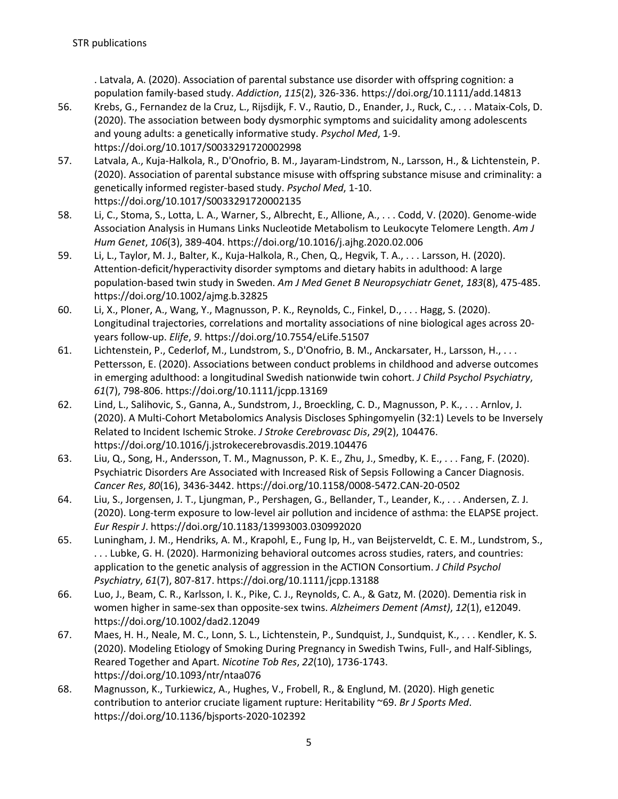. Latvala, A. (2020). Association of parental substance use disorder with offspring cognition: a population family-based study. *Addiction*, *115*(2), 326-336. https://doi.org/10.1111/add.14813

- 56. Krebs, G., Fernandez de la Cruz, L., Rijsdijk, F. V., Rautio, D., Enander, J., Ruck, C., . . . Mataix-Cols, D. (2020). The association between body dysmorphic symptoms and suicidality among adolescents and young adults: a genetically informative study. *Psychol Med*, 1-9. https://doi.org/10.1017/S0033291720002998
- 57. Latvala, A., Kuja-Halkola, R., D'Onofrio, B. M., Jayaram-Lindstrom, N., Larsson, H., & Lichtenstein, P. (2020). Association of parental substance misuse with offspring substance misuse and criminality: a genetically informed register-based study. *Psychol Med*, 1-10. https://doi.org/10.1017/S0033291720002135
- 58. Li, C., Stoma, S., Lotta, L. A., Warner, S., Albrecht, E., Allione, A., . . . Codd, V. (2020). Genome-wide Association Analysis in Humans Links Nucleotide Metabolism to Leukocyte Telomere Length. *Am J Hum Genet*, *106*(3), 389-404. https://doi.org/10.1016/j.ajhg.2020.02.006
- 59. Li, L., Taylor, M. J., Balter, K., Kuja-Halkola, R., Chen, Q., Hegvik, T. A., . . . Larsson, H. (2020). Attention-deficit/hyperactivity disorder symptoms and dietary habits in adulthood: A large population-based twin study in Sweden. *Am J Med Genet B Neuropsychiatr Genet*, *183*(8), 475-485. https://doi.org/10.1002/ajmg.b.32825
- 60. Li, X., Ploner, A., Wang, Y., Magnusson, P. K., Reynolds, C., Finkel, D., . . . Hagg, S. (2020). Longitudinal trajectories, correlations and mortality associations of nine biological ages across 20 years follow-up. *Elife*, *9*. https://doi.org/10.7554/eLife.51507
- 61. Lichtenstein, P., Cederlof, M., Lundstrom, S., D'Onofrio, B. M., Anckarsater, H., Larsson, H., ... Pettersson, E. (2020). Associations between conduct problems in childhood and adverse outcomes in emerging adulthood: a longitudinal Swedish nationwide twin cohort. *J Child Psychol Psychiatry*, *61*(7), 798-806. https://doi.org/10.1111/jcpp.13169
- 62. Lind, L., Salihovic, S., Ganna, A., Sundstrom, J., Broeckling, C. D., Magnusson, P. K., . . . Arnlov, J. (2020). A Multi-Cohort Metabolomics Analysis Discloses Sphingomyelin (32:1) Levels to be Inversely Related to Incident Ischemic Stroke. *J Stroke Cerebrovasc Dis*, *29*(2), 104476. https://doi.org/10.1016/j.jstrokecerebrovasdis.2019.104476
- 63. Liu, Q., Song, H., Andersson, T. M., Magnusson, P. K. E., Zhu, J., Smedby, K. E., . . . Fang, F. (2020). Psychiatric Disorders Are Associated with Increased Risk of Sepsis Following a Cancer Diagnosis. *Cancer Res*, *80*(16), 3436-3442. https://doi.org/10.1158/0008-5472.CAN-20-0502
- 64. Liu, S., Jorgensen, J. T., Ljungman, P., Pershagen, G., Bellander, T., Leander, K., . . . Andersen, Z. J. (2020). Long-term exposure to low-level air pollution and incidence of asthma: the ELAPSE project. *Eur Respir J*. https://doi.org/10.1183/13993003.030992020
- 65. Luningham, J. M., Hendriks, A. M., Krapohl, E., Fung Ip, H., van Beijsterveldt, C. E. M., Lundstrom, S., . . . Lubke, G. H. (2020). Harmonizing behavioral outcomes across studies, raters, and countries: application to the genetic analysis of aggression in the ACTION Consortium. *J Child Psychol Psychiatry*, *61*(7), 807-817. https://doi.org/10.1111/jcpp.13188
- 66. Luo, J., Beam, C. R., Karlsson, I. K., Pike, C. J., Reynolds, C. A., & Gatz, M. (2020). Dementia risk in women higher in same-sex than opposite-sex twins. *Alzheimers Dement (Amst)*, *12*(1), e12049. https://doi.org/10.1002/dad2.12049
- 67. Maes, H. H., Neale, M. C., Lonn, S. L., Lichtenstein, P., Sundquist, J., Sundquist, K., . . . Kendler, K. S. (2020). Modeling Etiology of Smoking During Pregnancy in Swedish Twins, Full-, and Half-Siblings, Reared Together and Apart. *Nicotine Tob Res*, *22*(10), 1736-1743. https://doi.org/10.1093/ntr/ntaa076
- 68. Magnusson, K., Turkiewicz, A., Hughes, V., Frobell, R., & Englund, M. (2020). High genetic contribution to anterior cruciate ligament rupture: Heritability ~69. *Br J Sports Med*. https://doi.org/10.1136/bjsports-2020-102392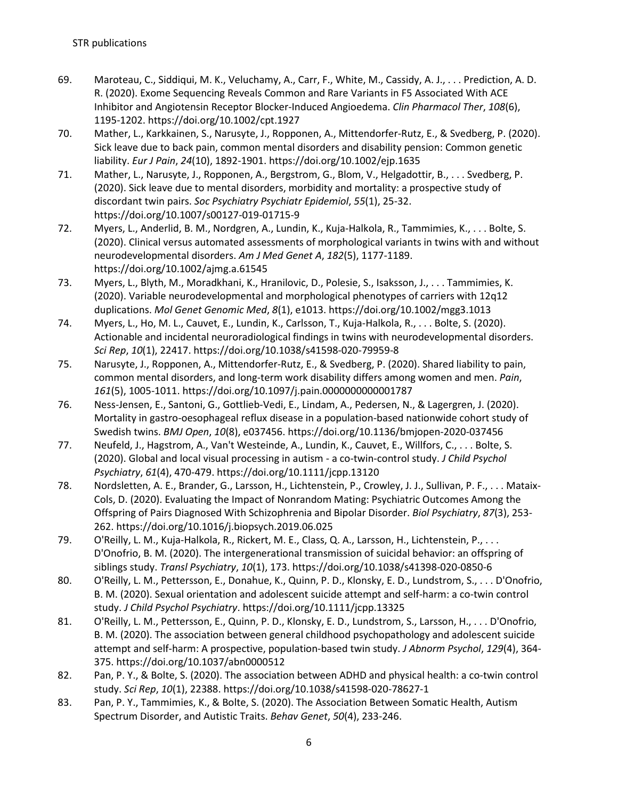- 69. Maroteau, C., Siddiqui, M. K., Veluchamy, A., Carr, F., White, M., Cassidy, A. J., . . . Prediction, A. D. R. (2020). Exome Sequencing Reveals Common and Rare Variants in F5 Associated With ACE Inhibitor and Angiotensin Receptor Blocker-Induced Angioedema. *Clin Pharmacol Ther*, *108*(6), 1195-1202. https://doi.org/10.1002/cpt.1927
- 70. Mather, L., Karkkainen, S., Narusyte, J., Ropponen, A., Mittendorfer-Rutz, E., & Svedberg, P. (2020). Sick leave due to back pain, common mental disorders and disability pension: Common genetic liability. *Eur J Pain*, *24*(10), 1892-1901. https://doi.org/10.1002/ejp.1635
- 71. Mather, L., Narusyte, J., Ropponen, A., Bergstrom, G., Blom, V., Helgadottir, B., . . . Svedberg, P. (2020). Sick leave due to mental disorders, morbidity and mortality: a prospective study of discordant twin pairs. *Soc Psychiatry Psychiatr Epidemiol*, *55*(1), 25-32. https://doi.org/10.1007/s00127-019-01715-9
- 72. Myers, L., Anderlid, B. M., Nordgren, A., Lundin, K., Kuja-Halkola, R., Tammimies, K., . . . Bolte, S. (2020). Clinical versus automated assessments of morphological variants in twins with and without neurodevelopmental disorders. *Am J Med Genet A*, *182*(5), 1177-1189. https://doi.org/10.1002/ajmg.a.61545
- 73. Myers, L., Blyth, M., Moradkhani, K., Hranilovic, D., Polesie, S., Isaksson, J., . . . Tammimies, K. (2020). Variable neurodevelopmental and morphological phenotypes of carriers with 12q12 duplications. *Mol Genet Genomic Med*, *8*(1), e1013. https://doi.org/10.1002/mgg3.1013
- 74. Myers, L., Ho, M. L., Cauvet, E., Lundin, K., Carlsson, T., Kuja-Halkola, R., . . . Bolte, S. (2020). Actionable and incidental neuroradiological findings in twins with neurodevelopmental disorders. *Sci Rep*, *10*(1), 22417. https://doi.org/10.1038/s41598-020-79959-8
- 75. Narusyte, J., Ropponen, A., Mittendorfer-Rutz, E., & Svedberg, P. (2020). Shared liability to pain, common mental disorders, and long-term work disability differs among women and men. *Pain*, *161*(5), 1005-1011. https://doi.org/10.1097/j.pain.0000000000001787
- 76. Ness-Jensen, E., Santoni, G., Gottlieb-Vedi, E., Lindam, A., Pedersen, N., & Lagergren, J. (2020). Mortality in gastro-oesophageal reflux disease in a population-based nationwide cohort study of Swedish twins. *BMJ Open*, *10*(8), e037456. https://doi.org/10.1136/bmjopen-2020-037456
- 77. Neufeld, J., Hagstrom, A., Van't Westeinde, A., Lundin, K., Cauvet, E., Willfors, C., . . . Bolte, S. (2020). Global and local visual processing in autism - a co-twin-control study. *J Child Psychol Psychiatry*, *61*(4), 470-479. https://doi.org/10.1111/jcpp.13120
- 78. Nordsletten, A. E., Brander, G., Larsson, H., Lichtenstein, P., Crowley, J. J., Sullivan, P. F., . . . Mataix-Cols, D. (2020). Evaluating the Impact of Nonrandom Mating: Psychiatric Outcomes Among the Offspring of Pairs Diagnosed With Schizophrenia and Bipolar Disorder. *Biol Psychiatry*, *87*(3), 253- 262. https://doi.org/10.1016/j.biopsych.2019.06.025
- 79. O'Reilly, L. M., Kuja-Halkola, R., Rickert, M. E., Class, Q. A., Larsson, H., Lichtenstein, P., . . . D'Onofrio, B. M. (2020). The intergenerational transmission of suicidal behavior: an offspring of siblings study. *Transl Psychiatry*, *10*(1), 173. https://doi.org/10.1038/s41398-020-0850-6
- 80. O'Reilly, L. M., Pettersson, E., Donahue, K., Quinn, P. D., Klonsky, E. D., Lundstrom, S., . . . D'Onofrio, B. M. (2020). Sexual orientation and adolescent suicide attempt and self-harm: a co-twin control study. *J Child Psychol Psychiatry*. https://doi.org/10.1111/jcpp.13325
- 81. O'Reilly, L. M., Pettersson, E., Quinn, P. D., Klonsky, E. D., Lundstrom, S., Larsson, H., . . . D'Onofrio, B. M. (2020). The association between general childhood psychopathology and adolescent suicide attempt and self-harm: A prospective, population-based twin study. *J Abnorm Psychol*, *129*(4), 364- 375. https://doi.org/10.1037/abn0000512
- 82. Pan, P. Y., & Bolte, S. (2020). The association between ADHD and physical health: a co-twin control study. *Sci Rep*, *10*(1), 22388. https://doi.org/10.1038/s41598-020-78627-1
- 83. Pan, P. Y., Tammimies, K., & Bolte, S. (2020). The Association Between Somatic Health, Autism Spectrum Disorder, and Autistic Traits. *Behav Genet*, *50*(4), 233-246.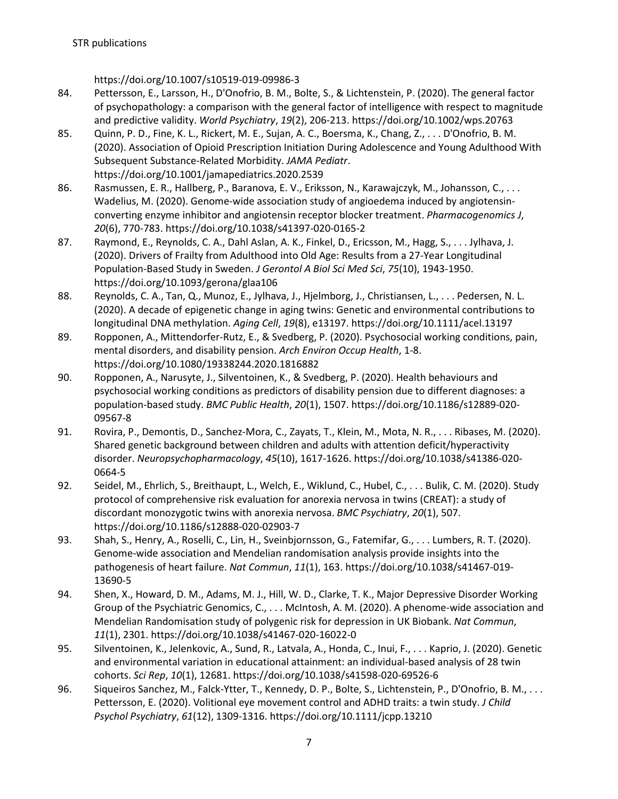https://doi.org/10.1007/s10519-019-09986-3

- 84. Pettersson, E., Larsson, H., D'Onofrio, B. M., Bolte, S., & Lichtenstein, P. (2020). The general factor of psychopathology: a comparison with the general factor of intelligence with respect to magnitude and predictive validity. *World Psychiatry*, *19*(2), 206-213. https://doi.org/10.1002/wps.20763
- 85. Quinn, P. D., Fine, K. L., Rickert, M. E., Sujan, A. C., Boersma, K., Chang, Z., . . . D'Onofrio, B. M. (2020). Association of Opioid Prescription Initiation During Adolescence and Young Adulthood With Subsequent Substance-Related Morbidity. *JAMA Pediatr*. https://doi.org/10.1001/jamapediatrics.2020.2539
- 86. Rasmussen, E. R., Hallberg, P., Baranova, E. V., Eriksson, N., Karawajczyk, M., Johansson, C., . . . Wadelius, M. (2020). Genome-wide association study of angioedema induced by angiotensinconverting enzyme inhibitor and angiotensin receptor blocker treatment. *Pharmacogenomics J*, *20*(6), 770-783. https://doi.org/10.1038/s41397-020-0165-2
- 87. Raymond, E., Reynolds, C. A., Dahl Aslan, A. K., Finkel, D., Ericsson, M., Hagg, S., . . . Jylhava, J. (2020). Drivers of Frailty from Adulthood into Old Age: Results from a 27-Year Longitudinal Population-Based Study in Sweden. *J Gerontol A Biol Sci Med Sci*, *75*(10), 1943-1950. https://doi.org/10.1093/gerona/glaa106
- 88. Reynolds, C. A., Tan, Q., Munoz, E., Jylhava, J., Hjelmborg, J., Christiansen, L., . . . Pedersen, N. L. (2020). A decade of epigenetic change in aging twins: Genetic and environmental contributions to longitudinal DNA methylation. *Aging Cell*, *19*(8), e13197. https://doi.org/10.1111/acel.13197
- 89. Ropponen, A., Mittendorfer-Rutz, E., & Svedberg, P. (2020). Psychosocial working conditions, pain, mental disorders, and disability pension. *Arch Environ Occup Health*, 1-8. https://doi.org/10.1080/19338244.2020.1816882
- 90. Ropponen, A., Narusyte, J., Silventoinen, K., & Svedberg, P. (2020). Health behaviours and psychosocial working conditions as predictors of disability pension due to different diagnoses: a population-based study. *BMC Public Health*, *20*(1), 1507. https://doi.org/10.1186/s12889-020- 09567-8
- 91. Rovira, P., Demontis, D., Sanchez-Mora, C., Zayats, T., Klein, M., Mota, N. R., . . . Ribases, M. (2020). Shared genetic background between children and adults with attention deficit/hyperactivity disorder. *Neuropsychopharmacology*, *45*(10), 1617-1626. https://doi.org/10.1038/s41386-020- 0664-5
- 92. Seidel, M., Ehrlich, S., Breithaupt, L., Welch, E., Wiklund, C., Hubel, C., . . . Bulik, C. M. (2020). Study protocol of comprehensive risk evaluation for anorexia nervosa in twins (CREAT): a study of discordant monozygotic twins with anorexia nervosa. *BMC Psychiatry*, *20*(1), 507. https://doi.org/10.1186/s12888-020-02903-7
- 93. Shah, S., Henry, A., Roselli, C., Lin, H., Sveinbjornsson, G., Fatemifar, G., . . . Lumbers, R. T. (2020). Genome-wide association and Mendelian randomisation analysis provide insights into the pathogenesis of heart failure. *Nat Commun*, *11*(1), 163. https://doi.org/10.1038/s41467-019- 13690-5
- 94. Shen, X., Howard, D. M., Adams, M. J., Hill, W. D., Clarke, T. K., Major Depressive Disorder Working Group of the Psychiatric Genomics, C., . . . McIntosh, A. M. (2020). A phenome-wide association and Mendelian Randomisation study of polygenic risk for depression in UK Biobank. *Nat Commun*, *11*(1), 2301. https://doi.org/10.1038/s41467-020-16022-0
- 95. Silventoinen, K., Jelenkovic, A., Sund, R., Latvala, A., Honda, C., Inui, F., ... Kaprio, J. (2020). Genetic and environmental variation in educational attainment: an individual-based analysis of 28 twin cohorts. *Sci Rep*, *10*(1), 12681. https://doi.org/10.1038/s41598-020-69526-6
- 96. Siqueiros Sanchez, M., Falck-Ytter, T., Kennedy, D. P., Bolte, S., Lichtenstein, P., D'Onofrio, B. M., . . . Pettersson, E. (2020). Volitional eye movement control and ADHD traits: a twin study. *J Child Psychol Psychiatry*, *61*(12), 1309-1316. https://doi.org/10.1111/jcpp.13210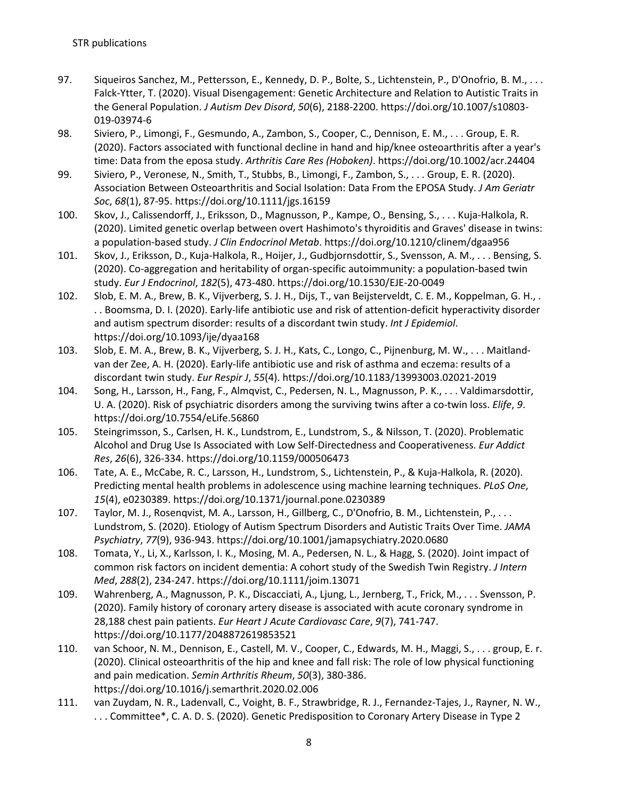- 97. Siqueiros Sanchez, M., Pettersson, E., Kennedy, D. P., Bolte, S., Lichtenstein, P., D'Onofrio, B. M., ... Falck-Ytter, T. (2020). Visual Disengagement: Genetic Architecture and Relation to Autistic Traits in the General Population. *J Autism Dev Disord*, *50*(6), 2188-2200. https://doi.org/10.1007/s10803- 019-03974-6
- 98. Siviero, P., Limongi, F., Gesmundo, A., Zambon, S., Cooper, C., Dennison, E. M., . . . Group, E. R. (2020). Factors associated with functional decline in hand and hip/knee osteoarthritis after a year's time: Data from the eposa study. *Arthritis Care Res (Hoboken)*. https://doi.org/10.1002/acr.24404
- 99. Siviero, P., Veronese, N., Smith, T., Stubbs, B., Limongi, F., Zambon, S., . . . Group, E. R. (2020). Association Between Osteoarthritis and Social Isolation: Data From the EPOSA Study. *J Am Geriatr Soc*, *68*(1), 87-95. https://doi.org/10.1111/jgs.16159
- 100. Skov, J., Calissendorff, J., Eriksson, D., Magnusson, P., Kampe, O., Bensing, S., . . . Kuja-Halkola, R. (2020). Limited genetic overlap between overt Hashimoto's thyroiditis and Graves' disease in twins: a population-based study. *J Clin Endocrinol Metab*. https://doi.org/10.1210/clinem/dgaa956
- 101. Skov, J., Eriksson, D., Kuja-Halkola, R., Hoijer, J., Gudbjornsdottir, S., Svensson, A. M., . . . Bensing, S. (2020). Co-aggregation and heritability of organ-specific autoimmunity: a population-based twin study. *Eur J Endocrinol*, *182*(5), 473-480. https://doi.org/10.1530/EJE-20-0049
- 102. Slob, E. M. A., Brew, B. K., Vijverberg, S. J. H., Dijs, T., van Beijsterveldt, C. E. M., Koppelman, G. H., . . . Boomsma, D. I. (2020). Early-life antibiotic use and risk of attention-deficit hyperactivity disorder and autism spectrum disorder: results of a discordant twin study. *Int J Epidemiol*. https://doi.org/10.1093/ije/dyaa168
- 103. Slob, E. M. A., Brew, B. K., Vijverberg, S. J. H., Kats, C., Longo, C., Pijnenburg, M. W., . . . Maitlandvan der Zee, A. H. (2020). Early-life antibiotic use and risk of asthma and eczema: results of a discordant twin study. *Eur Respir J*, *55*(4). https://doi.org/10.1183/13993003.02021-2019
- 104. Song, H., Larsson, H., Fang, F., Almqvist, C., Pedersen, N. L., Magnusson, P. K., . . . Valdimarsdottir, U. A. (2020). Risk of psychiatric disorders among the surviving twins after a co-twin loss. *Elife*, *9*. https://doi.org/10.7554/eLife.56860
- 105. Steingrimsson, S., Carlsen, H. K., Lundstrom, E., Lundstrom, S., & Nilsson, T. (2020). Problematic Alcohol and Drug Use Is Associated with Low Self-Directedness and Cooperativeness. *Eur Addict Res*, *26*(6), 326-334. https://doi.org/10.1159/000506473
- 106. Tate, A. E., McCabe, R. C., Larsson, H., Lundstrom, S., Lichtenstein, P., & Kuja-Halkola, R. (2020). Predicting mental health problems in adolescence using machine learning techniques. *PLoS One*, *15*(4), e0230389. https://doi.org/10.1371/journal.pone.0230389
- 107. Taylor, M. J., Rosenqvist, M. A., Larsson, H., Gillberg, C., D'Onofrio, B. M., Lichtenstein, P., . . . Lundstrom, S. (2020). Etiology of Autism Spectrum Disorders and Autistic Traits Over Time. *JAMA Psychiatry*, *77*(9), 936-943. https://doi.org/10.1001/jamapsychiatry.2020.0680
- 108. Tomata, Y., Li, X., Karlsson, I. K., Mosing, M. A., Pedersen, N. L., & Hagg, S. (2020). Joint impact of common risk factors on incident dementia: A cohort study of the Swedish Twin Registry. *J Intern Med*, *288*(2), 234-247. https://doi.org/10.1111/joim.13071
- 109. Wahrenberg, A., Magnusson, P. K., Discacciati, A., Ljung, L., Jernberg, T., Frick, M., . . . Svensson, P. (2020). Family history of coronary artery disease is associated with acute coronary syndrome in 28,188 chest pain patients. *Eur Heart J Acute Cardiovasc Care*, *9*(7), 741-747. https://doi.org/10.1177/2048872619853521
- 110. van Schoor, N. M., Dennison, E., Castell, M. V., Cooper, C., Edwards, M. H., Maggi, S., . . . group, E. r. (2020). Clinical osteoarthritis of the hip and knee and fall risk: The role of low physical functioning and pain medication. *Semin Arthritis Rheum*, *50*(3), 380-386. https://doi.org/10.1016/j.semarthrit.2020.02.006
- 111. van Zuydam, N. R., Ladenvall, C., Voight, B. F., Strawbridge, R. J., Fernandez-Tajes, J., Rayner, N. W., . . . Committee\*, C. A. D. S. (2020). Genetic Predisposition to Coronary Artery Disease in Type 2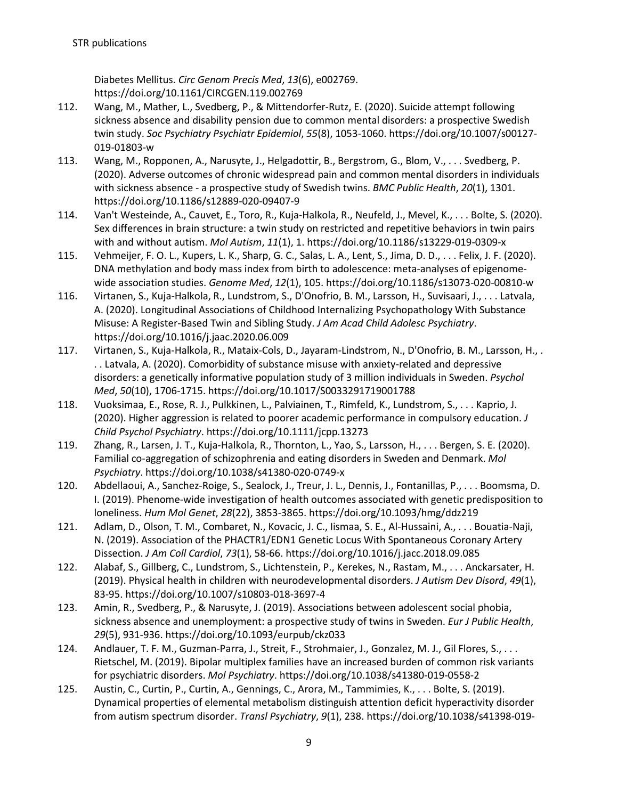Diabetes Mellitus. *Circ Genom Precis Med*, *13*(6), e002769. https://doi.org/10.1161/CIRCGEN.119.002769

- 112. Wang, M., Mather, L., Svedberg, P., & Mittendorfer-Rutz, E. (2020). Suicide attempt following sickness absence and disability pension due to common mental disorders: a prospective Swedish twin study. *Soc Psychiatry Psychiatr Epidemiol*, *55*(8), 1053-1060. https://doi.org/10.1007/s00127- 019-01803-w
- 113. Wang, M., Ropponen, A., Narusyte, J., Helgadottir, B., Bergstrom, G., Blom, V., . . . Svedberg, P. (2020). Adverse outcomes of chronic widespread pain and common mental disorders in individuals with sickness absence - a prospective study of Swedish twins. *BMC Public Health*, *20*(1), 1301. https://doi.org/10.1186/s12889-020-09407-9
- 114. Van't Westeinde, A., Cauvet, E., Toro, R., Kuja-Halkola, R., Neufeld, J., Mevel, K., . . . Bolte, S. (2020). Sex differences in brain structure: a twin study on restricted and repetitive behaviors in twin pairs with and without autism. *Mol Autism*, *11*(1), 1. https://doi.org/10.1186/s13229-019-0309-x
- 115. Vehmeijer, F. O. L., Kupers, L. K., Sharp, G. C., Salas, L. A., Lent, S., Jima, D. D., . . . Felix, J. F. (2020). DNA methylation and body mass index from birth to adolescence: meta-analyses of epigenomewide association studies. *Genome Med*, *12*(1), 105. https://doi.org/10.1186/s13073-020-00810-w
- 116. Virtanen, S., Kuja-Halkola, R., Lundstrom, S., D'Onofrio, B. M., Larsson, H., Suvisaari, J., . . . Latvala, A. (2020). Longitudinal Associations of Childhood Internalizing Psychopathology With Substance Misuse: A Register-Based Twin and Sibling Study. *J Am Acad Child Adolesc Psychiatry*. https://doi.org/10.1016/j.jaac.2020.06.009
- 117. Virtanen, S., Kuja-Halkola, R., Mataix-Cols, D., Jayaram-Lindstrom, N., D'Onofrio, B. M., Larsson, H., . . . Latvala, A. (2020). Comorbidity of substance misuse with anxiety-related and depressive disorders: a genetically informative population study of 3 million individuals in Sweden. *Psychol Med*, *50*(10), 1706-1715. https://doi.org/10.1017/S0033291719001788
- 118. Vuoksimaa, E., Rose, R. J., Pulkkinen, L., Palviainen, T., Rimfeld, K., Lundstrom, S., . . . Kaprio, J. (2020). Higher aggression is related to poorer academic performance in compulsory education. *J Child Psychol Psychiatry*. https://doi.org/10.1111/jcpp.13273
- 119. Zhang, R., Larsen, J. T., Kuja-Halkola, R., Thornton, L., Yao, S., Larsson, H., . . . Bergen, S. E. (2020). Familial co-aggregation of schizophrenia and eating disorders in Sweden and Denmark. *Mol Psychiatry*. https://doi.org/10.1038/s41380-020-0749-x
- 120. Abdellaoui, A., Sanchez-Roige, S., Sealock, J., Treur, J. L., Dennis, J., Fontanillas, P., . . . Boomsma, D. I. (2019). Phenome-wide investigation of health outcomes associated with genetic predisposition to loneliness. *Hum Mol Genet*, *28*(22), 3853-3865. https://doi.org/10.1093/hmg/ddz219
- 121. Adlam, D., Olson, T. M., Combaret, N., Kovacic, J. C., Iismaa, S. E., Al-Hussaini, A., . . . Bouatia-Naji, N. (2019). Association of the PHACTR1/EDN1 Genetic Locus With Spontaneous Coronary Artery Dissection. *J Am Coll Cardiol*, *73*(1), 58-66. https://doi.org/10.1016/j.jacc.2018.09.085
- 122. Alabaf, S., Gillberg, C., Lundstrom, S., Lichtenstein, P., Kerekes, N., Rastam, M., . . . Anckarsater, H. (2019). Physical health in children with neurodevelopmental disorders. *J Autism Dev Disord*, *49*(1), 83-95. https://doi.org/10.1007/s10803-018-3697-4
- 123. Amin, R., Svedberg, P., & Narusyte, J. (2019). Associations between adolescent social phobia, sickness absence and unemployment: a prospective study of twins in Sweden. *Eur J Public Health*, *29*(5), 931-936. https://doi.org/10.1093/eurpub/ckz033
- 124. Andlauer, T. F. M., Guzman-Parra, J., Streit, F., Strohmaier, J., Gonzalez, M. J., Gil Flores, S., . . . Rietschel, M. (2019). Bipolar multiplex families have an increased burden of common risk variants for psychiatric disorders. *Mol Psychiatry*. https://doi.org/10.1038/s41380-019-0558-2
- 125. Austin, C., Curtin, P., Curtin, A., Gennings, C., Arora, M., Tammimies, K., . . . Bolte, S. (2019). Dynamical properties of elemental metabolism distinguish attention deficit hyperactivity disorder from autism spectrum disorder. *Transl Psychiatry*, *9*(1), 238. https://doi.org/10.1038/s41398-019-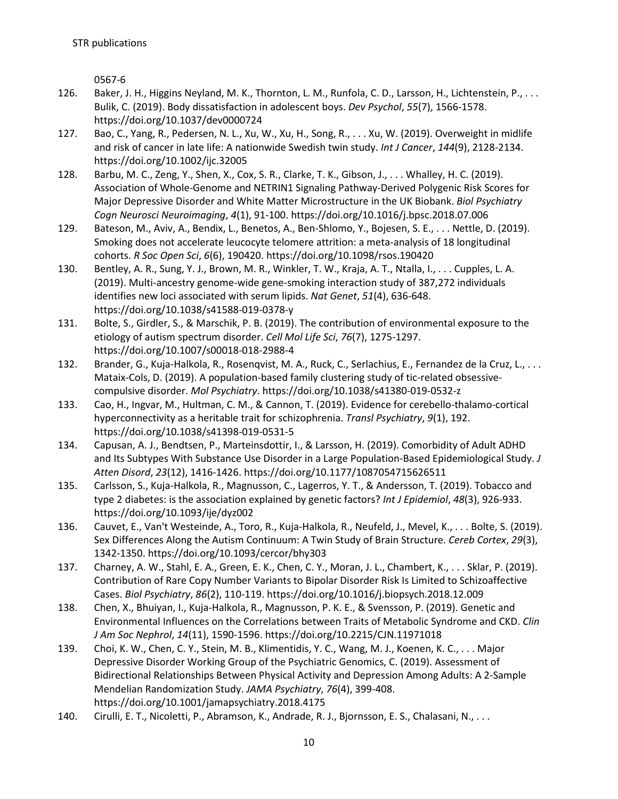0567-6

- 126. Baker, J. H., Higgins Neyland, M. K., Thornton, L. M., Runfola, C. D., Larsson, H., Lichtenstein, P., . . . Bulik, C. (2019). Body dissatisfaction in adolescent boys. *Dev Psychol*, *55*(7), 1566-1578. https://doi.org/10.1037/dev0000724
- 127. Bao, C., Yang, R., Pedersen, N. L., Xu, W., Xu, H., Song, R., . . . Xu, W. (2019). Overweight in midlife and risk of cancer in late life: A nationwide Swedish twin study. *Int J Cancer*, *144*(9), 2128-2134. https://doi.org/10.1002/ijc.32005
- 128. Barbu, M. C., Zeng, Y., Shen, X., Cox, S. R., Clarke, T. K., Gibson, J., . . . Whalley, H. C. (2019). Association of Whole-Genome and NETRIN1 Signaling Pathway-Derived Polygenic Risk Scores for Major Depressive Disorder and White Matter Microstructure in the UK Biobank. *Biol Psychiatry Cogn Neurosci Neuroimaging*, *4*(1), 91-100. https://doi.org/10.1016/j.bpsc.2018.07.006
- 129. Bateson, M., Aviv, A., Bendix, L., Benetos, A., Ben-Shlomo, Y., Bojesen, S. E., . . . Nettle, D. (2019). Smoking does not accelerate leucocyte telomere attrition: a meta-analysis of 18 longitudinal cohorts. *R Soc Open Sci*, *6*(6), 190420. https://doi.org/10.1098/rsos.190420
- 130. Bentley, A. R., Sung, Y. J., Brown, M. R., Winkler, T. W., Kraja, A. T., Ntalla, I., . . . Cupples, L. A. (2019). Multi-ancestry genome-wide gene-smoking interaction study of 387,272 individuals identifies new loci associated with serum lipids. *Nat Genet*, *51*(4), 636-648. https://doi.org/10.1038/s41588-019-0378-y
- 131. Bolte, S., Girdler, S., & Marschik, P. B. (2019). The contribution of environmental exposure to the etiology of autism spectrum disorder. *Cell Mol Life Sci*, *76*(7), 1275-1297. https://doi.org/10.1007/s00018-018-2988-4
- 132. Brander, G., Kuja-Halkola, R., Rosenqvist, M. A., Ruck, C., Serlachius, E., Fernandez de la Cruz, L., . . . Mataix-Cols, D. (2019). A population-based family clustering study of tic-related obsessivecompulsive disorder. *Mol Psychiatry*. https://doi.org/10.1038/s41380-019-0532-z
- 133. Cao, H., Ingvar, M., Hultman, C. M., & Cannon, T. (2019). Evidence for cerebello-thalamo-cortical hyperconnectivity as a heritable trait for schizophrenia. *Transl Psychiatry*, *9*(1), 192. https://doi.org/10.1038/s41398-019-0531-5
- 134. Capusan, A. J., Bendtsen, P., Marteinsdottir, I., & Larsson, H. (2019). Comorbidity of Adult ADHD and Its Subtypes With Substance Use Disorder in a Large Population-Based Epidemiological Study. *J Atten Disord*, *23*(12), 1416-1426. https://doi.org/10.1177/1087054715626511
- 135. Carlsson, S., Kuja-Halkola, R., Magnusson, C., Lagerros, Y. T., & Andersson, T. (2019). Tobacco and type 2 diabetes: is the association explained by genetic factors? *Int J Epidemiol*, *48*(3), 926-933. https://doi.org/10.1093/ije/dyz002
- 136. Cauvet, E., Van't Westeinde, A., Toro, R., Kuja-Halkola, R., Neufeld, J., Mevel, K., . . . Bolte, S. (2019). Sex Differences Along the Autism Continuum: A Twin Study of Brain Structure. *Cereb Cortex*, *29*(3), 1342-1350. https://doi.org/10.1093/cercor/bhy303
- 137. Charney, A. W., Stahl, E. A., Green, E. K., Chen, C. Y., Moran, J. L., Chambert, K., . . . Sklar, P. (2019). Contribution of Rare Copy Number Variants to Bipolar Disorder Risk Is Limited to Schizoaffective Cases. *Biol Psychiatry*, *86*(2), 110-119. https://doi.org/10.1016/j.biopsych.2018.12.009
- 138. Chen, X., Bhuiyan, I., Kuja-Halkola, R., Magnusson, P. K. E., & Svensson, P. (2019). Genetic and Environmental Influences on the Correlations between Traits of Metabolic Syndrome and CKD. *Clin J Am Soc Nephrol*, *14*(11), 1590-1596. https://doi.org/10.2215/CJN.11971018
- 139. Choi, K. W., Chen, C. Y., Stein, M. B., Klimentidis, Y. C., Wang, M. J., Koenen, K. C., . . . Major Depressive Disorder Working Group of the Psychiatric Genomics, C. (2019). Assessment of Bidirectional Relationships Between Physical Activity and Depression Among Adults: A 2-Sample Mendelian Randomization Study. *JAMA Psychiatry*, *76*(4), 399-408. https://doi.org/10.1001/jamapsychiatry.2018.4175
- 140. Cirulli, E. T., Nicoletti, P., Abramson, K., Andrade, R. J., Bjornsson, E. S., Chalasani, N., ...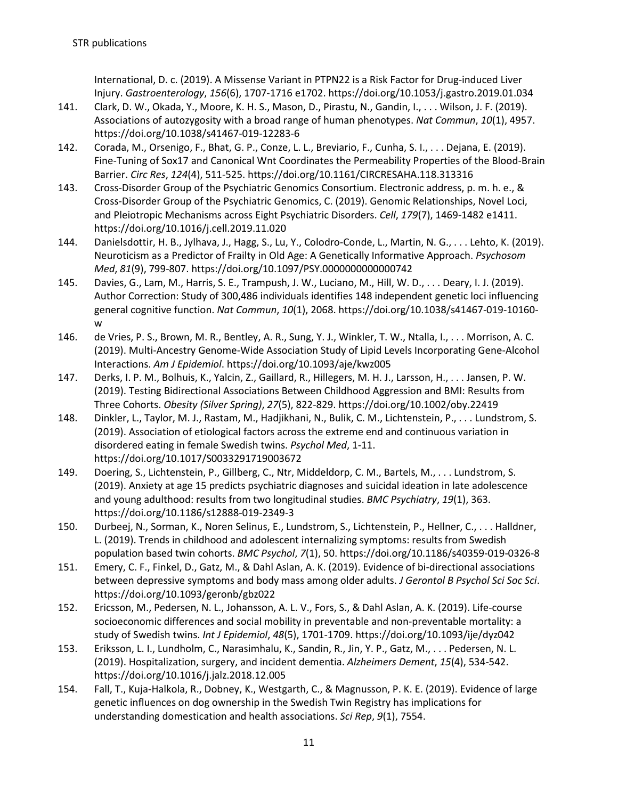International, D. c. (2019). A Missense Variant in PTPN22 is a Risk Factor for Drug-induced Liver Injury. *Gastroenterology*, *156*(6), 1707-1716 e1702. https://doi.org/10.1053/j.gastro.2019.01.034

- 141. Clark, D. W., Okada, Y., Moore, K. H. S., Mason, D., Pirastu, N., Gandin, I., . . . Wilson, J. F. (2019). Associations of autozygosity with a broad range of human phenotypes. *Nat Commun*, *10*(1), 4957. https://doi.org/10.1038/s41467-019-12283-6
- 142. Corada, M., Orsenigo, F., Bhat, G. P., Conze, L. L., Breviario, F., Cunha, S. I., . . . Dejana, E. (2019). Fine-Tuning of Sox17 and Canonical Wnt Coordinates the Permeability Properties of the Blood-Brain Barrier. *Circ Res*, *124*(4), 511-525. https://doi.org/10.1161/CIRCRESAHA.118.313316
- 143. Cross-Disorder Group of the Psychiatric Genomics Consortium. Electronic address, p. m. h. e., & Cross-Disorder Group of the Psychiatric Genomics, C. (2019). Genomic Relationships, Novel Loci, and Pleiotropic Mechanisms across Eight Psychiatric Disorders. *Cell*, *179*(7), 1469-1482 e1411. https://doi.org/10.1016/j.cell.2019.11.020
- 144. Danielsdottir, H. B., Jylhava, J., Hagg, S., Lu, Y., Colodro-Conde, L., Martin, N. G., . . . Lehto, K. (2019). Neuroticism as a Predictor of Frailty in Old Age: A Genetically Informative Approach. *Psychosom Med*, *81*(9), 799-807. https://doi.org/10.1097/PSY.0000000000000742
- 145. Davies, G., Lam, M., Harris, S. E., Trampush, J. W., Luciano, M., Hill, W. D., . . . Deary, I. J. (2019). Author Correction: Study of 300,486 individuals identifies 148 independent genetic loci influencing general cognitive function. *Nat Commun*, *10*(1), 2068. https://doi.org/10.1038/s41467-019-10160 w
- 146. de Vries, P. S., Brown, M. R., Bentley, A. R., Sung, Y. J., Winkler, T. W., Ntalla, I., . . . Morrison, A. C. (2019). Multi-Ancestry Genome-Wide Association Study of Lipid Levels Incorporating Gene-Alcohol Interactions. *Am J Epidemiol*. https://doi.org/10.1093/aje/kwz005
- 147. Derks, I. P. M., Bolhuis, K., Yalcin, Z., Gaillard, R., Hillegers, M. H. J., Larsson, H., . . . Jansen, P. W. (2019). Testing Bidirectional Associations Between Childhood Aggression and BMI: Results from Three Cohorts. *Obesity (Silver Spring)*, *27*(5), 822-829. https://doi.org/10.1002/oby.22419
- 148. Dinkler, L., Taylor, M. J., Rastam, M., Hadjikhani, N., Bulik, C. M., Lichtenstein, P., . . . Lundstrom, S. (2019). Association of etiological factors across the extreme end and continuous variation in disordered eating in female Swedish twins. *Psychol Med*, 1-11. https://doi.org/10.1017/S0033291719003672
- 149. Doering, S., Lichtenstein, P., Gillberg, C., Ntr, Middeldorp, C. M., Bartels, M., . . . Lundstrom, S. (2019). Anxiety at age 15 predicts psychiatric diagnoses and suicidal ideation in late adolescence and young adulthood: results from two longitudinal studies. *BMC Psychiatry*, *19*(1), 363. https://doi.org/10.1186/s12888-019-2349-3
- 150. Durbeej, N., Sorman, K., Noren Selinus, E., Lundstrom, S., Lichtenstein, P., Hellner, C., . . . Halldner, L. (2019). Trends in childhood and adolescent internalizing symptoms: results from Swedish population based twin cohorts. *BMC Psychol*, *7*(1), 50. https://doi.org/10.1186/s40359-019-0326-8
- 151. Emery, C. F., Finkel, D., Gatz, M., & Dahl Aslan, A. K. (2019). Evidence of bi-directional associations between depressive symptoms and body mass among older adults. *J Gerontol B Psychol Sci Soc Sci*. https://doi.org/10.1093/geronb/gbz022
- 152. Ericsson, M., Pedersen, N. L., Johansson, A. L. V., Fors, S., & Dahl Aslan, A. K. (2019). Life-course socioeconomic differences and social mobility in preventable and non-preventable mortality: a study of Swedish twins. *Int J Epidemiol*, *48*(5), 1701-1709. https://doi.org/10.1093/ije/dyz042
- 153. Eriksson, L. I., Lundholm, C., Narasimhalu, K., Sandin, R., Jin, Y. P., Gatz, M., . . . Pedersen, N. L. (2019). Hospitalization, surgery, and incident dementia. *Alzheimers Dement*, *15*(4), 534-542. https://doi.org/10.1016/j.jalz.2018.12.005
- 154. Fall, T., Kuja-Halkola, R., Dobney, K., Westgarth, C., & Magnusson, P. K. E. (2019). Evidence of large genetic influences on dog ownership in the Swedish Twin Registry has implications for understanding domestication and health associations. *Sci Rep*, *9*(1), 7554.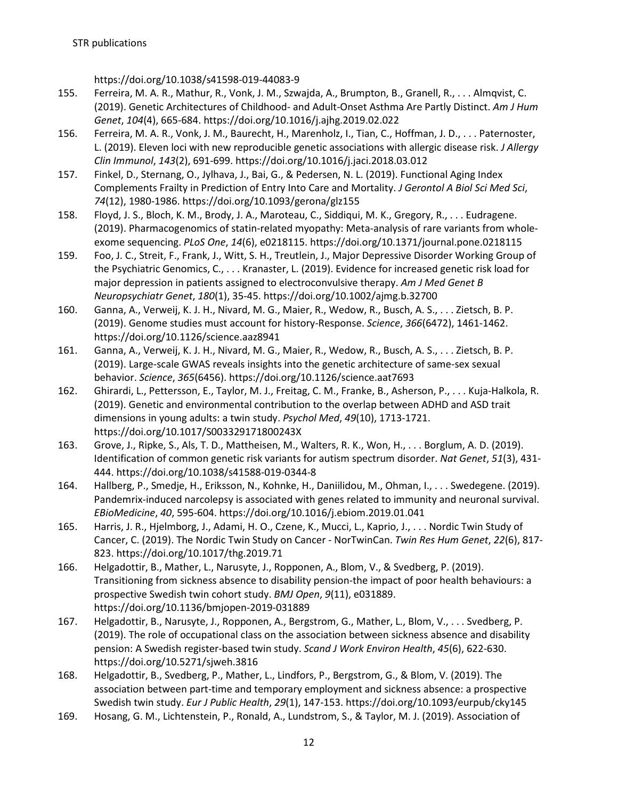https://doi.org/10.1038/s41598-019-44083-9

- 155. Ferreira, M. A. R., Mathur, R., Vonk, J. M., Szwajda, A., Brumpton, B., Granell, R., . . . Almqvist, C. (2019). Genetic Architectures of Childhood- and Adult-Onset Asthma Are Partly Distinct. *Am J Hum Genet*, *104*(4), 665-684. https://doi.org/10.1016/j.ajhg.2019.02.022
- 156. Ferreira, M. A. R., Vonk, J. M., Baurecht, H., Marenholz, I., Tian, C., Hoffman, J. D., . . . Paternoster, L. (2019). Eleven loci with new reproducible genetic associations with allergic disease risk. *J Allergy Clin Immunol*, *143*(2), 691-699. https://doi.org/10.1016/j.jaci.2018.03.012
- 157. Finkel, D., Sternang, O., Jylhava, J., Bai, G., & Pedersen, N. L. (2019). Functional Aging Index Complements Frailty in Prediction of Entry Into Care and Mortality. *J Gerontol A Biol Sci Med Sci*, *74*(12), 1980-1986. https://doi.org/10.1093/gerona/glz155
- 158. Floyd, J. S., Bloch, K. M., Brody, J. A., Maroteau, C., Siddiqui, M. K., Gregory, R., . . . Eudragene. (2019). Pharmacogenomics of statin-related myopathy: Meta-analysis of rare variants from wholeexome sequencing. *PLoS One*, *14*(6), e0218115. https://doi.org/10.1371/journal.pone.0218115
- 159. Foo, J. C., Streit, F., Frank, J., Witt, S. H., Treutlein, J., Major Depressive Disorder Working Group of the Psychiatric Genomics, C., . . . Kranaster, L. (2019). Evidence for increased genetic risk load for major depression in patients assigned to electroconvulsive therapy. *Am J Med Genet B Neuropsychiatr Genet*, *180*(1), 35-45. https://doi.org/10.1002/ajmg.b.32700
- 160. Ganna, A., Verweij, K. J. H., Nivard, M. G., Maier, R., Wedow, R., Busch, A. S., . . . Zietsch, B. P. (2019). Genome studies must account for history-Response. *Science*, *366*(6472), 1461-1462. https://doi.org/10.1126/science.aaz8941
- 161. Ganna, A., Verweij, K. J. H., Nivard, M. G., Maier, R., Wedow, R., Busch, A. S., . . . Zietsch, B. P. (2019). Large-scale GWAS reveals insights into the genetic architecture of same-sex sexual behavior. *Science*, *365*(6456). https://doi.org/10.1126/science.aat7693
- 162. Ghirardi, L., Pettersson, E., Taylor, M. J., Freitag, C. M., Franke, B., Asherson, P., . . . Kuja-Halkola, R. (2019). Genetic and environmental contribution to the overlap between ADHD and ASD trait dimensions in young adults: a twin study. *Psychol Med*, *49*(10), 1713-1721. https://doi.org/10.1017/S003329171800243X
- 163. Grove, J., Ripke, S., Als, T. D., Mattheisen, M., Walters, R. K., Won, H., . . . Borglum, A. D. (2019). Identification of common genetic risk variants for autism spectrum disorder. *Nat Genet*, *51*(3), 431- 444. https://doi.org/10.1038/s41588-019-0344-8
- 164. Hallberg, P., Smedje, H., Eriksson, N., Kohnke, H., Daniilidou, M., Ohman, I., . . . Swedegene. (2019). Pandemrix-induced narcolepsy is associated with genes related to immunity and neuronal survival. *EBioMedicine*, *40*, 595-604. https://doi.org/10.1016/j.ebiom.2019.01.041
- 165. Harris, J. R., Hjelmborg, J., Adami, H. O., Czene, K., Mucci, L., Kaprio, J., . . . Nordic Twin Study of Cancer, C. (2019). The Nordic Twin Study on Cancer - NorTwinCan. *Twin Res Hum Genet*, *22*(6), 817- 823. https://doi.org/10.1017/thg.2019.71
- 166. Helgadottir, B., Mather, L., Narusyte, J., Ropponen, A., Blom, V., & Svedberg, P. (2019). Transitioning from sickness absence to disability pension-the impact of poor health behaviours: a prospective Swedish twin cohort study. *BMJ Open*, *9*(11), e031889. https://doi.org/10.1136/bmjopen-2019-031889
- 167. Helgadottir, B., Narusyte, J., Ropponen, A., Bergstrom, G., Mather, L., Blom, V., . . . Svedberg, P. (2019). The role of occupational class on the association between sickness absence and disability pension: A Swedish register-based twin study. *Scand J Work Environ Health*, *45*(6), 622-630. https://doi.org/10.5271/sjweh.3816
- 168. Helgadottir, B., Svedberg, P., Mather, L., Lindfors, P., Bergstrom, G., & Blom, V. (2019). The association between part-time and temporary employment and sickness absence: a prospective Swedish twin study. *Eur J Public Health*, *29*(1), 147-153. https://doi.org/10.1093/eurpub/cky145
- 169. Hosang, G. M., Lichtenstein, P., Ronald, A., Lundstrom, S., & Taylor, M. J. (2019). Association of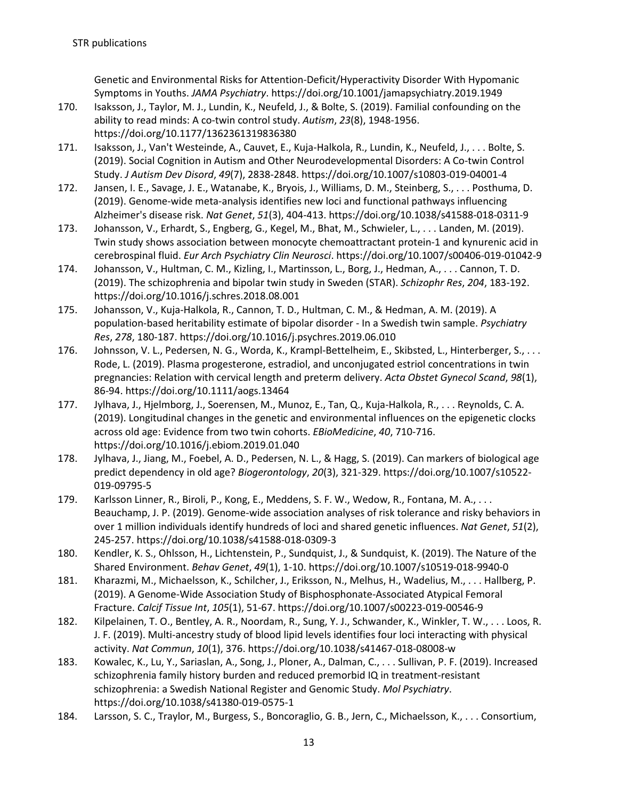Genetic and Environmental Risks for Attention-Deficit/Hyperactivity Disorder With Hypomanic Symptoms in Youths. *JAMA Psychiatry*. https://doi.org/10.1001/jamapsychiatry.2019.1949

- 170. Isaksson, J., Taylor, M. J., Lundin, K., Neufeld, J., & Bolte, S. (2019). Familial confounding on the ability to read minds: A co-twin control study. *Autism*, *23*(8), 1948-1956. https://doi.org/10.1177/1362361319836380
- 171. Isaksson, J., Van't Westeinde, A., Cauvet, E., Kuja-Halkola, R., Lundin, K., Neufeld, J., . . . Bolte, S. (2019). Social Cognition in Autism and Other Neurodevelopmental Disorders: A Co-twin Control Study. *J Autism Dev Disord*, *49*(7), 2838-2848. https://doi.org/10.1007/s10803-019-04001-4
- 172. Jansen, I. E., Savage, J. E., Watanabe, K., Bryois, J., Williams, D. M., Steinberg, S., . . . Posthuma, D. (2019). Genome-wide meta-analysis identifies new loci and functional pathways influencing Alzheimer's disease risk. *Nat Genet*, *51*(3), 404-413. https://doi.org/10.1038/s41588-018-0311-9
- 173. Johansson, V., Erhardt, S., Engberg, G., Kegel, M., Bhat, M., Schwieler, L., . . . Landen, M. (2019). Twin study shows association between monocyte chemoattractant protein-1 and kynurenic acid in cerebrospinal fluid. *Eur Arch Psychiatry Clin Neurosci*. https://doi.org/10.1007/s00406-019-01042-9
- 174. Johansson, V., Hultman, C. M., Kizling, I., Martinsson, L., Borg, J., Hedman, A., . . . Cannon, T. D. (2019). The schizophrenia and bipolar twin study in Sweden (STAR). *Schizophr Res*, *204*, 183-192. https://doi.org/10.1016/j.schres.2018.08.001
- 175. Johansson, V., Kuja-Halkola, R., Cannon, T. D., Hultman, C. M., & Hedman, A. M. (2019). A population-based heritability estimate of bipolar disorder - In a Swedish twin sample. *Psychiatry Res*, *278*, 180-187. https://doi.org/10.1016/j.psychres.2019.06.010
- 176. Johnsson, V. L., Pedersen, N. G., Worda, K., Krampl-Bettelheim, E., Skibsted, L., Hinterberger, S., . . . Rode, L. (2019). Plasma progesterone, estradiol, and unconjugated estriol concentrations in twin pregnancies: Relation with cervical length and preterm delivery. *Acta Obstet Gynecol Scand*, *98*(1), 86-94. https://doi.org/10.1111/aogs.13464
- 177. Jylhava, J., Hjelmborg, J., Soerensen, M., Munoz, E., Tan, Q., Kuja-Halkola, R., . . . Reynolds, C. A. (2019). Longitudinal changes in the genetic and environmental influences on the epigenetic clocks across old age: Evidence from two twin cohorts. *EBioMedicine*, *40*, 710-716. https://doi.org/10.1016/j.ebiom.2019.01.040
- 178. Jylhava, J., Jiang, M., Foebel, A. D., Pedersen, N. L., & Hagg, S. (2019). Can markers of biological age predict dependency in old age? *Biogerontology*, *20*(3), 321-329. https://doi.org/10.1007/s10522- 019-09795-5
- 179. Karlsson Linner, R., Biroli, P., Kong, E., Meddens, S. F. W., Wedow, R., Fontana, M. A., ... Beauchamp, J. P. (2019). Genome-wide association analyses of risk tolerance and risky behaviors in over 1 million individuals identify hundreds of loci and shared genetic influences. *Nat Genet*, *51*(2), 245-257. https://doi.org/10.1038/s41588-018-0309-3
- 180. Kendler, K. S., Ohlsson, H., Lichtenstein, P., Sundquist, J., & Sundquist, K. (2019). The Nature of the Shared Environment. *Behav Genet*, *49*(1), 1-10. https://doi.org/10.1007/s10519-018-9940-0
- 181. Kharazmi, M., Michaelsson, K., Schilcher, J., Eriksson, N., Melhus, H., Wadelius, M., . . . Hallberg, P. (2019). A Genome-Wide Association Study of Bisphosphonate-Associated Atypical Femoral Fracture. *Calcif Tissue Int*, *105*(1), 51-67. https://doi.org/10.1007/s00223-019-00546-9
- 182. Kilpelainen, T. O., Bentley, A. R., Noordam, R., Sung, Y. J., Schwander, K., Winkler, T. W., . . . Loos, R. J. F. (2019). Multi-ancestry study of blood lipid levels identifies four loci interacting with physical activity. *Nat Commun*, *10*(1), 376. https://doi.org/10.1038/s41467-018-08008-w
- 183. Kowalec, K., Lu, Y., Sariaslan, A., Song, J., Ploner, A., Dalman, C., . . . Sullivan, P. F. (2019). Increased schizophrenia family history burden and reduced premorbid IQ in treatment-resistant schizophrenia: a Swedish National Register and Genomic Study. *Mol Psychiatry*. https://doi.org/10.1038/s41380-019-0575-1
- 184. Larsson, S. C., Traylor, M., Burgess, S., Boncoraglio, G. B., Jern, C., Michaelsson, K., . . . Consortium,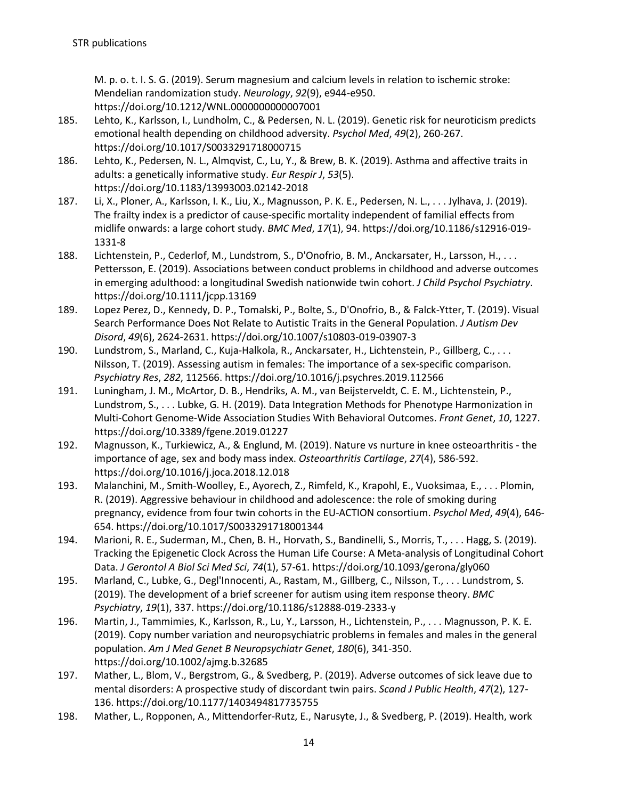M. p. o. t. I. S. G. (2019). Serum magnesium and calcium levels in relation to ischemic stroke: Mendelian randomization study. *Neurology*, *92*(9), e944-e950. https://doi.org/10.1212/WNL.0000000000007001

- 185. Lehto, K., Karlsson, I., Lundholm, C., & Pedersen, N. L. (2019). Genetic risk for neuroticism predicts emotional health depending on childhood adversity. *Psychol Med*, *49*(2), 260-267. https://doi.org/10.1017/S0033291718000715
- 186. Lehto, K., Pedersen, N. L., Almqvist, C., Lu, Y., & Brew, B. K. (2019). Asthma and affective traits in adults: a genetically informative study. *Eur Respir J*, *53*(5). https://doi.org/10.1183/13993003.02142-2018
- 187. Li, X., Ploner, A., Karlsson, I. K., Liu, X., Magnusson, P. K. E., Pedersen, N. L., . . . Jylhava, J. (2019). The frailty index is a predictor of cause-specific mortality independent of familial effects from midlife onwards: a large cohort study. *BMC Med*, *17*(1), 94. https://doi.org/10.1186/s12916-019- 1331-8
- 188. Lichtenstein, P., Cederlof, M., Lundstrom, S., D'Onofrio, B. M., Anckarsater, H., Larsson, H., . . . Pettersson, E. (2019). Associations between conduct problems in childhood and adverse outcomes in emerging adulthood: a longitudinal Swedish nationwide twin cohort. *J Child Psychol Psychiatry*. https://doi.org/10.1111/jcpp.13169
- 189. Lopez Perez, D., Kennedy, D. P., Tomalski, P., Bolte, S., D'Onofrio, B., & Falck-Ytter, T. (2019). Visual Search Performance Does Not Relate to Autistic Traits in the General Population. *J Autism Dev Disord*, *49*(6), 2624-2631. https://doi.org/10.1007/s10803-019-03907-3
- 190. Lundstrom, S., Marland, C., Kuja-Halkola, R., Anckarsater, H., Lichtenstein, P., Gillberg, C., . . . Nilsson, T. (2019). Assessing autism in females: The importance of a sex-specific comparison. *Psychiatry Res*, *282*, 112566. https://doi.org/10.1016/j.psychres.2019.112566
- 191. Luningham, J. M., McArtor, D. B., Hendriks, A. M., van Beijsterveldt, C. E. M., Lichtenstein, P., Lundstrom, S., . . . Lubke, G. H. (2019). Data Integration Methods for Phenotype Harmonization in Multi-Cohort Genome-Wide Association Studies With Behavioral Outcomes. *Front Genet*, *10*, 1227. https://doi.org/10.3389/fgene.2019.01227
- 192. Magnusson, K., Turkiewicz, A., & Englund, M. (2019). Nature vs nurture in knee osteoarthritis the importance of age, sex and body mass index. *Osteoarthritis Cartilage*, *27*(4), 586-592. https://doi.org/10.1016/j.joca.2018.12.018
- 193. Malanchini, M., Smith-Woolley, E., Ayorech, Z., Rimfeld, K., Krapohl, E., Vuoksimaa, E., . . . Plomin, R. (2019). Aggressive behaviour in childhood and adolescence: the role of smoking during pregnancy, evidence from four twin cohorts in the EU-ACTION consortium. *Psychol Med*, *49*(4), 646- 654. https://doi.org/10.1017/S0033291718001344
- 194. Marioni, R. E., Suderman, M., Chen, B. H., Horvath, S., Bandinelli, S., Morris, T., . . . Hagg, S. (2019). Tracking the Epigenetic Clock Across the Human Life Course: A Meta-analysis of Longitudinal Cohort Data. *J Gerontol A Biol Sci Med Sci*, *74*(1), 57-61. https://doi.org/10.1093/gerona/gly060
- 195. Marland, C., Lubke, G., Degl'Innocenti, A., Rastam, M., Gillberg, C., Nilsson, T., . . . Lundstrom, S. (2019). The development of a brief screener for autism using item response theory. *BMC Psychiatry*, *19*(1), 337. https://doi.org/10.1186/s12888-019-2333-y
- 196. Martin, J., Tammimies, K., Karlsson, R., Lu, Y., Larsson, H., Lichtenstein, P., . . . Magnusson, P. K. E. (2019). Copy number variation and neuropsychiatric problems in females and males in the general population. *Am J Med Genet B Neuropsychiatr Genet*, *180*(6), 341-350. https://doi.org/10.1002/ajmg.b.32685
- 197. Mather, L., Blom, V., Bergstrom, G., & Svedberg, P. (2019). Adverse outcomes of sick leave due to mental disorders: A prospective study of discordant twin pairs. *Scand J Public Health*, *47*(2), 127- 136. https://doi.org/10.1177/1403494817735755
- 198. Mather, L., Ropponen, A., Mittendorfer-Rutz, E., Narusyte, J., & Svedberg, P. (2019). Health, work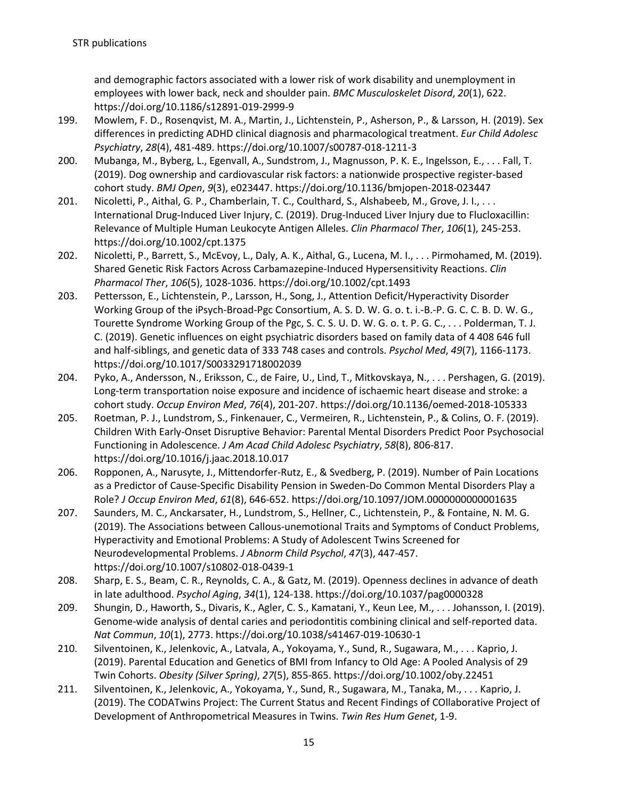and demographic factors associated with a lower risk of work disability and unemployment in employees with lower back, neck and shoulder pain. *BMC Musculoskelet Disord*, *20*(1), 622. https://doi.org/10.1186/s12891-019-2999-9

- 199. Mowlem, F. D., Rosenqvist, M. A., Martin, J., Lichtenstein, P., Asherson, P., & Larsson, H. (2019). Sex differences in predicting ADHD clinical diagnosis and pharmacological treatment. *Eur Child Adolesc Psychiatry*, *28*(4), 481-489. https://doi.org/10.1007/s00787-018-1211-3
- 200. Mubanga, M., Byberg, L., Egenvall, A., Sundstrom, J., Magnusson, P. K. E., Ingelsson, E., . . . Fall, T. (2019). Dog ownership and cardiovascular risk factors: a nationwide prospective register-based cohort study. *BMJ Open*, *9*(3), e023447. https://doi.org/10.1136/bmjopen-2018-023447
- 201. Nicoletti, P., Aithal, G. P., Chamberlain, T. C., Coulthard, S., Alshabeeb, M., Grove, J. I., . . . International Drug-Induced Liver Injury, C. (2019). Drug-Induced Liver Injury due to Flucloxacillin: Relevance of Multiple Human Leukocyte Antigen Alleles. *Clin Pharmacol Ther*, *106*(1), 245-253. https://doi.org/10.1002/cpt.1375
- 202. Nicoletti, P., Barrett, S., McEvoy, L., Daly, A. K., Aithal, G., Lucena, M. I., . . . Pirmohamed, M. (2019). Shared Genetic Risk Factors Across Carbamazepine-Induced Hypersensitivity Reactions. *Clin Pharmacol Ther*, *106*(5), 1028-1036. https://doi.org/10.1002/cpt.1493
- 203. Pettersson, E., Lichtenstein, P., Larsson, H., Song, J., Attention Deficit/Hyperactivity Disorder Working Group of the iPsych-Broad-Pgc Consortium, A. S. D. W. G. o. t. i.-B.-P. G. C. C. B. D. W. G., Tourette Syndrome Working Group of the Pgc, S. C. S. U. D. W. G. o. t. P. G. C., . . . Polderman, T. J. C. (2019). Genetic influences on eight psychiatric disorders based on family data of 4 408 646 full and half-siblings, and genetic data of 333 748 cases and controls. *Psychol Med*, *49*(7), 1166-1173. https://doi.org/10.1017/S0033291718002039
- 204. Pyko, A., Andersson, N., Eriksson, C., de Faire, U., Lind, T., Mitkovskaya, N., . . . Pershagen, G. (2019). Long-term transportation noise exposure and incidence of ischaemic heart disease and stroke: a cohort study. *Occup Environ Med*, *76*(4), 201-207. https://doi.org/10.1136/oemed-2018-105333
- 205. Roetman, P. J., Lundstrom, S., Finkenauer, C., Vermeiren, R., Lichtenstein, P., & Colins, O. F. (2019). Children With Early-Onset Disruptive Behavior: Parental Mental Disorders Predict Poor Psychosocial Functioning in Adolescence. *J Am Acad Child Adolesc Psychiatry*, *58*(8), 806-817. https://doi.org/10.1016/j.jaac.2018.10.017
- 206. Ropponen, A., Narusyte, J., Mittendorfer-Rutz, E., & Svedberg, P. (2019). Number of Pain Locations as a Predictor of Cause-Specific Disability Pension in Sweden-Do Common Mental Disorders Play a Role? *J Occup Environ Med*, *61*(8), 646-652. https://doi.org/10.1097/JOM.0000000000001635
- 207. Saunders, M. C., Anckarsater, H., Lundstrom, S., Hellner, C., Lichtenstein, P., & Fontaine, N. M. G. (2019). The Associations between Callous-unemotional Traits and Symptoms of Conduct Problems, Hyperactivity and Emotional Problems: A Study of Adolescent Twins Screened for Neurodevelopmental Problems. *J Abnorm Child Psychol*, *47*(3), 447-457. https://doi.org/10.1007/s10802-018-0439-1
- 208. Sharp, E. S., Beam, C. R., Reynolds, C. A., & Gatz, M. (2019). Openness declines in advance of death in late adulthood. *Psychol Aging*, *34*(1), 124-138. https://doi.org/10.1037/pag0000328
- 209. Shungin, D., Haworth, S., Divaris, K., Agler, C. S., Kamatani, Y., Keun Lee, M., . . . Johansson, I. (2019). Genome-wide analysis of dental caries and periodontitis combining clinical and self-reported data. *Nat Commun*, *10*(1), 2773. https://doi.org/10.1038/s41467-019-10630-1
- 210. Silventoinen, K., Jelenkovic, A., Latvala, A., Yokoyama, Y., Sund, R., Sugawara, M., . . . Kaprio, J. (2019). Parental Education and Genetics of BMI from Infancy to Old Age: A Pooled Analysis of 29 Twin Cohorts. *Obesity (Silver Spring)*, *27*(5), 855-865. https://doi.org/10.1002/oby.22451
- 211. Silventoinen, K., Jelenkovic, A., Yokoyama, Y., Sund, R., Sugawara, M., Tanaka, M., . . . Kaprio, J. (2019). The CODATwins Project: The Current Status and Recent Findings of COllaborative Project of Development of Anthropometrical Measures in Twins. *Twin Res Hum Genet*, 1-9.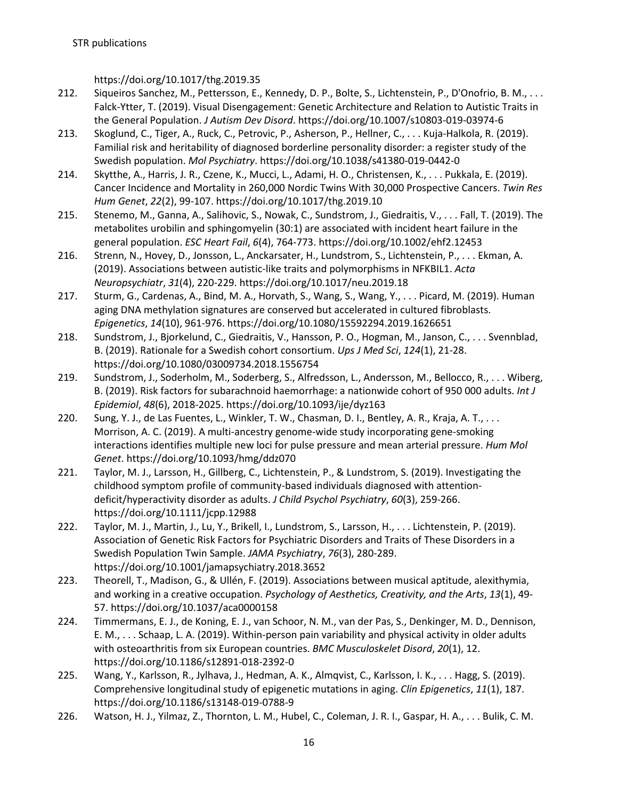https://doi.org/10.1017/thg.2019.35

- 212. Siqueiros Sanchez, M., Pettersson, E., Kennedy, D. P., Bolte, S., Lichtenstein, P., D'Onofrio, B. M., . . . Falck-Ytter, T. (2019). Visual Disengagement: Genetic Architecture and Relation to Autistic Traits in the General Population. *J Autism Dev Disord*. https://doi.org/10.1007/s10803-019-03974-6
- 213. Skoglund, C., Tiger, A., Ruck, C., Petrovic, P., Asherson, P., Hellner, C., . . . Kuja-Halkola, R. (2019). Familial risk and heritability of diagnosed borderline personality disorder: a register study of the Swedish population. *Mol Psychiatry*. https://doi.org/10.1038/s41380-019-0442-0
- 214. Skytthe, A., Harris, J. R., Czene, K., Mucci, L., Adami, H. O., Christensen, K., . . . Pukkala, E. (2019). Cancer Incidence and Mortality in 260,000 Nordic Twins With 30,000 Prospective Cancers. *Twin Res Hum Genet*, *22*(2), 99-107. https://doi.org/10.1017/thg.2019.10
- 215. Stenemo, M., Ganna, A., Salihovic, S., Nowak, C., Sundstrom, J., Giedraitis, V., . . . Fall, T. (2019). The metabolites urobilin and sphingomyelin (30:1) are associated with incident heart failure in the general population. *ESC Heart Fail*, *6*(4), 764-773. https://doi.org/10.1002/ehf2.12453
- 216. Strenn, N., Hovey, D., Jonsson, L., Anckarsater, H., Lundstrom, S., Lichtenstein, P., . . . Ekman, A. (2019). Associations between autistic-like traits and polymorphisms in NFKBIL1. *Acta Neuropsychiatr*, *31*(4), 220-229. https://doi.org/10.1017/neu.2019.18
- 217. Sturm, G., Cardenas, A., Bind, M. A., Horvath, S., Wang, S., Wang, Y., . . . Picard, M. (2019). Human aging DNA methylation signatures are conserved but accelerated in cultured fibroblasts. *Epigenetics*, *14*(10), 961-976. https://doi.org/10.1080/15592294.2019.1626651
- 218. Sundstrom, J., Bjorkelund, C., Giedraitis, V., Hansson, P. O., Hogman, M., Janson, C., . . . Svennblad, B. (2019). Rationale for a Swedish cohort consortium. *Ups J Med Sci*, *124*(1), 21-28. https://doi.org/10.1080/03009734.2018.1556754
- 219. Sundstrom, J., Soderholm, M., Soderberg, S., Alfredsson, L., Andersson, M., Bellocco, R., . . . Wiberg, B. (2019). Risk factors for subarachnoid haemorrhage: a nationwide cohort of 950 000 adults. *Int J Epidemiol*, *48*(6), 2018-2025. https://doi.org/10.1093/ije/dyz163
- 220. Sung, Y. J., de Las Fuentes, L., Winkler, T. W., Chasman, D. I., Bentley, A. R., Kraja, A. T., . . . Morrison, A. C. (2019). A multi-ancestry genome-wide study incorporating gene-smoking interactions identifies multiple new loci for pulse pressure and mean arterial pressure. *Hum Mol Genet*. https://doi.org/10.1093/hmg/ddz070
- 221. Taylor, M. J., Larsson, H., Gillberg, C., Lichtenstein, P., & Lundstrom, S. (2019). Investigating the childhood symptom profile of community-based individuals diagnosed with attentiondeficit/hyperactivity disorder as adults. *J Child Psychol Psychiatry*, *60*(3), 259-266. https://doi.org/10.1111/jcpp.12988
- 222. Taylor, M. J., Martin, J., Lu, Y., Brikell, I., Lundstrom, S., Larsson, H., . . . Lichtenstein, P. (2019). Association of Genetic Risk Factors for Psychiatric Disorders and Traits of These Disorders in a Swedish Population Twin Sample. *JAMA Psychiatry*, *76*(3), 280-289. https://doi.org/10.1001/jamapsychiatry.2018.3652
- 223. Theorell, T., Madison, G., & Ullén, F. (2019). Associations between musical aptitude, alexithymia, and working in a creative occupation. *Psychology of Aesthetics, Creativity, and the Arts*, *13*(1), 49- 57. https://doi.org/10.1037/aca0000158
- 224. Timmermans, E. J., de Koning, E. J., van Schoor, N. M., van der Pas, S., Denkinger, M. D., Dennison, E. M., . . . Schaap, L. A. (2019). Within-person pain variability and physical activity in older adults with osteoarthritis from six European countries. *BMC Musculoskelet Disord*, *20*(1), 12. https://doi.org/10.1186/s12891-018-2392-0
- 225. Wang, Y., Karlsson, R., Jylhava, J., Hedman, A. K., Almqvist, C., Karlsson, I. K., . . . Hagg, S. (2019). Comprehensive longitudinal study of epigenetic mutations in aging. *Clin Epigenetics*, *11*(1), 187. https://doi.org/10.1186/s13148-019-0788-9
- 226. Watson, H. J., Yilmaz, Z., Thornton, L. M., Hubel, C., Coleman, J. R. I., Gaspar, H. A., . . . Bulik, C. M.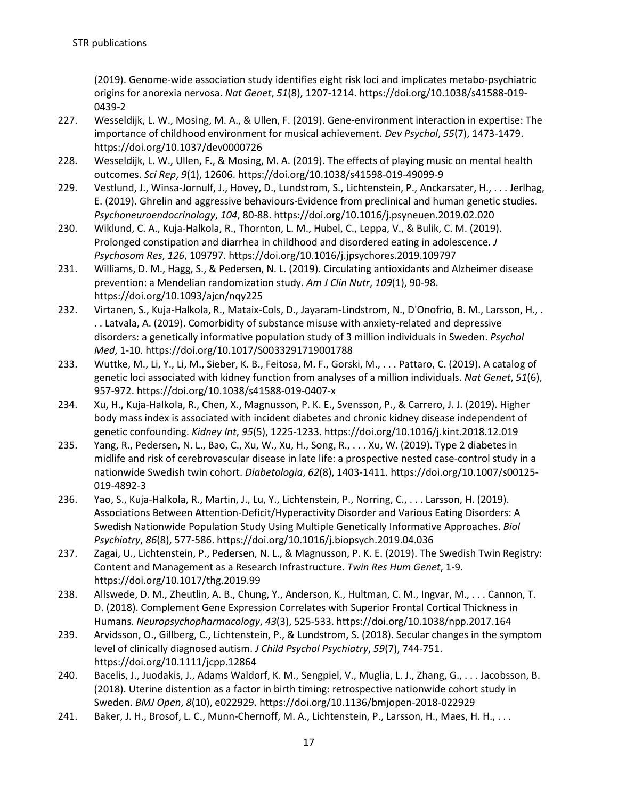(2019). Genome-wide association study identifies eight risk loci and implicates metabo-psychiatric origins for anorexia nervosa. *Nat Genet*, *51*(8), 1207-1214. https://doi.org/10.1038/s41588-019- 0439-2

- 227. Wesseldijk, L. W., Mosing, M. A., & Ullen, F. (2019). Gene-environment interaction in expertise: The importance of childhood environment for musical achievement. *Dev Psychol*, *55*(7), 1473-1479. https://doi.org/10.1037/dev0000726
- 228. Wesseldijk, L. W., Ullen, F., & Mosing, M. A. (2019). The effects of playing music on mental health outcomes. *Sci Rep*, *9*(1), 12606. https://doi.org/10.1038/s41598-019-49099-9
- 229. Vestlund, J., Winsa-Jornulf, J., Hovey, D., Lundstrom, S., Lichtenstein, P., Anckarsater, H., . . . Jerlhag, E. (2019). Ghrelin and aggressive behaviours-Evidence from preclinical and human genetic studies. *Psychoneuroendocrinology*, *104*, 80-88. https://doi.org/10.1016/j.psyneuen.2019.02.020
- 230. Wiklund, C. A., Kuja-Halkola, R., Thornton, L. M., Hubel, C., Leppa, V., & Bulik, C. M. (2019). Prolonged constipation and diarrhea in childhood and disordered eating in adolescence. *J Psychosom Res*, *126*, 109797. https://doi.org/10.1016/j.jpsychores.2019.109797
- 231. Williams, D. M., Hagg, S., & Pedersen, N. L. (2019). Circulating antioxidants and Alzheimer disease prevention: a Mendelian randomization study. *Am J Clin Nutr*, *109*(1), 90-98. https://doi.org/10.1093/ajcn/nqy225
- 232. Virtanen, S., Kuja-Halkola, R., Mataix-Cols, D., Jayaram-Lindstrom, N., D'Onofrio, B. M., Larsson, H., . . . Latvala, A. (2019). Comorbidity of substance misuse with anxiety-related and depressive disorders: a genetically informative population study of 3 million individuals in Sweden. *Psychol Med*, 1-10. https://doi.org/10.1017/S0033291719001788
- 233. Wuttke, M., Li, Y., Li, M., Sieber, K. B., Feitosa, M. F., Gorski, M., . . . Pattaro, C. (2019). A catalog of genetic loci associated with kidney function from analyses of a million individuals. *Nat Genet*, *51*(6), 957-972. https://doi.org/10.1038/s41588-019-0407-x
- 234. Xu, H., Kuja-Halkola, R., Chen, X., Magnusson, P. K. E., Svensson, P., & Carrero, J. J. (2019). Higher body mass index is associated with incident diabetes and chronic kidney disease independent of genetic confounding. *Kidney Int*, *95*(5), 1225-1233. https://doi.org/10.1016/j.kint.2018.12.019
- 235. Yang, R., Pedersen, N. L., Bao, C., Xu, W., Xu, H., Song, R., . . . Xu, W. (2019). Type 2 diabetes in midlife and risk of cerebrovascular disease in late life: a prospective nested case-control study in a nationwide Swedish twin cohort. *Diabetologia*, *62*(8), 1403-1411. https://doi.org/10.1007/s00125- 019-4892-3
- 236. Yao, S., Kuja-Halkola, R., Martin, J., Lu, Y., Lichtenstein, P., Norring, C., . . . Larsson, H. (2019). Associations Between Attention-Deficit/Hyperactivity Disorder and Various Eating Disorders: A Swedish Nationwide Population Study Using Multiple Genetically Informative Approaches. *Biol Psychiatry*, *86*(8), 577-586. https://doi.org/10.1016/j.biopsych.2019.04.036
- 237. Zagai, U., Lichtenstein, P., Pedersen, N. L., & Magnusson, P. K. E. (2019). The Swedish Twin Registry: Content and Management as a Research Infrastructure. *Twin Res Hum Genet*, 1-9. https://doi.org/10.1017/thg.2019.99
- 238. Allswede, D. M., Zheutlin, A. B., Chung, Y., Anderson, K., Hultman, C. M., Ingvar, M., . . . Cannon, T. D. (2018). Complement Gene Expression Correlates with Superior Frontal Cortical Thickness in Humans. *Neuropsychopharmacology*, *43*(3), 525-533. https://doi.org/10.1038/npp.2017.164
- 239. Arvidsson, O., Gillberg, C., Lichtenstein, P., & Lundstrom, S. (2018). Secular changes in the symptom level of clinically diagnosed autism. *J Child Psychol Psychiatry*, *59*(7), 744-751. https://doi.org/10.1111/jcpp.12864
- 240. Bacelis, J., Juodakis, J., Adams Waldorf, K. M., Sengpiel, V., Muglia, L. J., Zhang, G., . . . Jacobsson, B. (2018). Uterine distention as a factor in birth timing: retrospective nationwide cohort study in Sweden. *BMJ Open*, *8*(10), e022929. https://doi.org/10.1136/bmjopen-2018-022929
- 241. Baker, J. H., Brosof, L. C., Munn-Chernoff, M. A., Lichtenstein, P., Larsson, H., Maes, H. H., . . .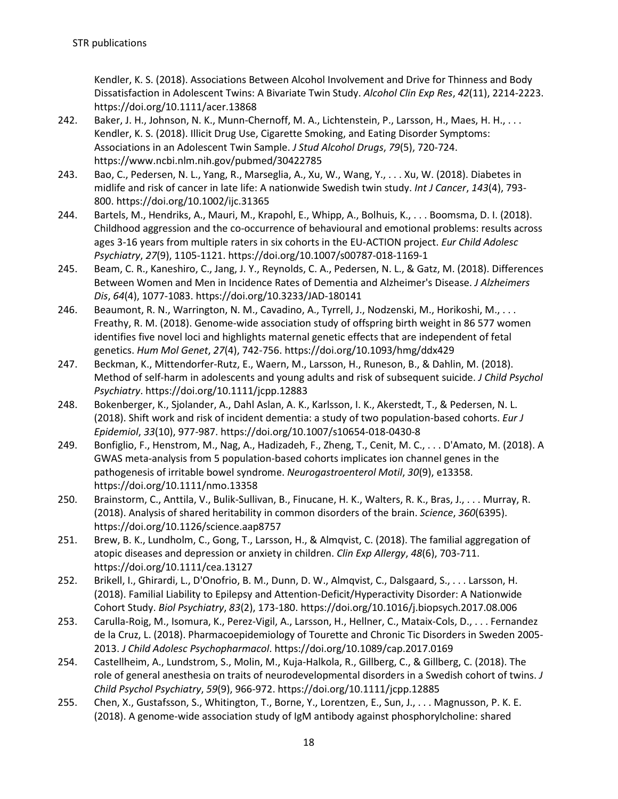Kendler, K. S. (2018). Associations Between Alcohol Involvement and Drive for Thinness and Body Dissatisfaction in Adolescent Twins: A Bivariate Twin Study. *Alcohol Clin Exp Res*, *42*(11), 2214-2223. https://doi.org/10.1111/acer.13868

- 242. Baker, J. H., Johnson, N. K., Munn-Chernoff, M. A., Lichtenstein, P., Larsson, H., Maes, H. H., . . . Kendler, K. S. (2018). Illicit Drug Use, Cigarette Smoking, and Eating Disorder Symptoms: Associations in an Adolescent Twin Sample. *J Stud Alcohol Drugs*, *79*(5), 720-724. https://www.ncbi.nlm.nih.gov/pubmed/30422785
- 243. Bao, C., Pedersen, N. L., Yang, R., Marseglia, A., Xu, W., Wang, Y., . . . Xu, W. (2018). Diabetes in midlife and risk of cancer in late life: A nationwide Swedish twin study. *Int J Cancer*, *143*(4), 793- 800. https://doi.org/10.1002/ijc.31365
- 244. Bartels, M., Hendriks, A., Mauri, M., Krapohl, E., Whipp, A., Bolhuis, K., . . . Boomsma, D. I. (2018). Childhood aggression and the co-occurrence of behavioural and emotional problems: results across ages 3-16 years from multiple raters in six cohorts in the EU-ACTION project. *Eur Child Adolesc Psychiatry*, *27*(9), 1105-1121. https://doi.org/10.1007/s00787-018-1169-1
- 245. Beam, C. R., Kaneshiro, C., Jang, J. Y., Reynolds, C. A., Pedersen, N. L., & Gatz, M. (2018). Differences Between Women and Men in Incidence Rates of Dementia and Alzheimer's Disease. *J Alzheimers Dis*, *64*(4), 1077-1083. https://doi.org/10.3233/JAD-180141
- 246. Beaumont, R. N., Warrington, N. M., Cavadino, A., Tyrrell, J., Nodzenski, M., Horikoshi, M., . . . Freathy, R. M. (2018). Genome-wide association study of offspring birth weight in 86 577 women identifies five novel loci and highlights maternal genetic effects that are independent of fetal genetics. *Hum Mol Genet*, *27*(4), 742-756. https://doi.org/10.1093/hmg/ddx429
- 247. Beckman, K., Mittendorfer-Rutz, E., Waern, M., Larsson, H., Runeson, B., & Dahlin, M. (2018). Method of self-harm in adolescents and young adults and risk of subsequent suicide. *J Child Psychol Psychiatry*. https://doi.org/10.1111/jcpp.12883
- 248. Bokenberger, K., Sjolander, A., Dahl Aslan, A. K., Karlsson, I. K., Akerstedt, T., & Pedersen, N. L. (2018). Shift work and risk of incident dementia: a study of two population-based cohorts. *Eur J Epidemiol*, *33*(10), 977-987. https://doi.org/10.1007/s10654-018-0430-8
- 249. Bonfiglio, F., Henstrom, M., Nag, A., Hadizadeh, F., Zheng, T., Cenit, M. C., . . . D'Amato, M. (2018). A GWAS meta-analysis from 5 population-based cohorts implicates ion channel genes in the pathogenesis of irritable bowel syndrome. *Neurogastroenterol Motil*, *30*(9), e13358. https://doi.org/10.1111/nmo.13358
- 250. Brainstorm, C., Anttila, V., Bulik-Sullivan, B., Finucane, H. K., Walters, R. K., Bras, J., . . . Murray, R. (2018). Analysis of shared heritability in common disorders of the brain. *Science*, *360*(6395). https://doi.org/10.1126/science.aap8757
- 251. Brew, B. K., Lundholm, C., Gong, T., Larsson, H., & Almqvist, C. (2018). The familial aggregation of atopic diseases and depression or anxiety in children. *Clin Exp Allergy*, *48*(6), 703-711. https://doi.org/10.1111/cea.13127
- 252. Brikell, I., Ghirardi, L., D'Onofrio, B. M., Dunn, D. W., Almqvist, C., Dalsgaard, S., . . . Larsson, H. (2018). Familial Liability to Epilepsy and Attention-Deficit/Hyperactivity Disorder: A Nationwide Cohort Study. *Biol Psychiatry*, *83*(2), 173-180. https://doi.org/10.1016/j.biopsych.2017.08.006
- 253. Carulla-Roig, M., Isomura, K., Perez-Vigil, A., Larsson, H., Hellner, C., Mataix-Cols, D., . . . Fernandez de la Cruz, L. (2018). Pharmacoepidemiology of Tourette and Chronic Tic Disorders in Sweden 2005- 2013. *J Child Adolesc Psychopharmacol*. https://doi.org/10.1089/cap.2017.0169
- 254. Castellheim, A., Lundstrom, S., Molin, M., Kuja-Halkola, R., Gillberg, C., & Gillberg, C. (2018). The role of general anesthesia on traits of neurodevelopmental disorders in a Swedish cohort of twins. *J Child Psychol Psychiatry*, *59*(9), 966-972. https://doi.org/10.1111/jcpp.12885
- 255. Chen, X., Gustafsson, S., Whitington, T., Borne, Y., Lorentzen, E., Sun, J., . . . Magnusson, P. K. E. (2018). A genome-wide association study of IgM antibody against phosphorylcholine: shared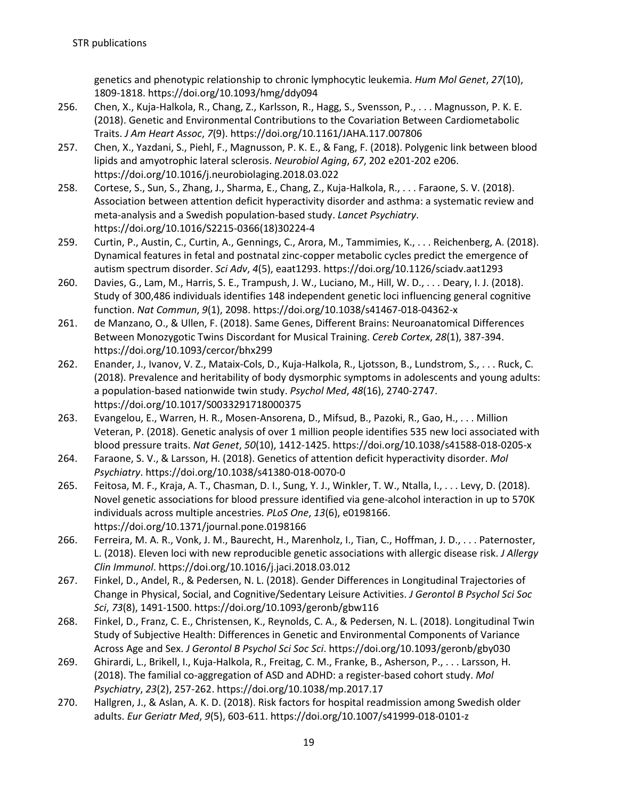genetics and phenotypic relationship to chronic lymphocytic leukemia. *Hum Mol Genet*, *27*(10), 1809-1818. https://doi.org/10.1093/hmg/ddy094

- 256. Chen, X., Kuja-Halkola, R., Chang, Z., Karlsson, R., Hagg, S., Svensson, P., . . . Magnusson, P. K. E. (2018). Genetic and Environmental Contributions to the Covariation Between Cardiometabolic Traits. *J Am Heart Assoc*, *7*(9). https://doi.org/10.1161/JAHA.117.007806
- 257. Chen, X., Yazdani, S., Piehl, F., Magnusson, P. K. E., & Fang, F. (2018). Polygenic link between blood lipids and amyotrophic lateral sclerosis. *Neurobiol Aging*, *67*, 202 e201-202 e206. https://doi.org/10.1016/j.neurobiolaging.2018.03.022
- 258. Cortese, S., Sun, S., Zhang, J., Sharma, E., Chang, Z., Kuja-Halkola, R., . . . Faraone, S. V. (2018). Association between attention deficit hyperactivity disorder and asthma: a systematic review and meta-analysis and a Swedish population-based study. *Lancet Psychiatry*. https://doi.org/10.1016/S2215-0366(18)30224-4
- 259. Curtin, P., Austin, C., Curtin, A., Gennings, C., Arora, M., Tammimies, K., . . . Reichenberg, A. (2018). Dynamical features in fetal and postnatal zinc-copper metabolic cycles predict the emergence of autism spectrum disorder. *Sci Adv*, *4*(5), eaat1293. https://doi.org/10.1126/sciadv.aat1293
- 260. Davies, G., Lam, M., Harris, S. E., Trampush, J. W., Luciano, M., Hill, W. D., . . . Deary, I. J. (2018). Study of 300,486 individuals identifies 148 independent genetic loci influencing general cognitive function. *Nat Commun*, *9*(1), 2098. https://doi.org/10.1038/s41467-018-04362-x
- 261. de Manzano, O., & Ullen, F. (2018). Same Genes, Different Brains: Neuroanatomical Differences Between Monozygotic Twins Discordant for Musical Training. *Cereb Cortex*, *28*(1), 387-394. https://doi.org/10.1093/cercor/bhx299
- 262. Enander, J., Ivanov, V. Z., Mataix-Cols, D., Kuja-Halkola, R., Ljotsson, B., Lundstrom, S., . . . Ruck, C. (2018). Prevalence and heritability of body dysmorphic symptoms in adolescents and young adults: a population-based nationwide twin study. *Psychol Med*, *48*(16), 2740-2747. https://doi.org/10.1017/S0033291718000375
- 263. Evangelou, E., Warren, H. R., Mosen-Ansorena, D., Mifsud, B., Pazoki, R., Gao, H., . . . Million Veteran, P. (2018). Genetic analysis of over 1 million people identifies 535 new loci associated with blood pressure traits. *Nat Genet*, *50*(10), 1412-1425. https://doi.org/10.1038/s41588-018-0205-x
- 264. Faraone, S. V., & Larsson, H. (2018). Genetics of attention deficit hyperactivity disorder. *Mol Psychiatry*. https://doi.org/10.1038/s41380-018-0070-0
- 265. Feitosa, M. F., Kraja, A. T., Chasman, D. I., Sung, Y. J., Winkler, T. W., Ntalla, I., . . . Levy, D. (2018). Novel genetic associations for blood pressure identified via gene-alcohol interaction in up to 570K individuals across multiple ancestries. *PLoS One*, *13*(6), e0198166. https://doi.org/10.1371/journal.pone.0198166
- 266. Ferreira, M. A. R., Vonk, J. M., Baurecht, H., Marenholz, I., Tian, C., Hoffman, J. D., . . . Paternoster, L. (2018). Eleven loci with new reproducible genetic associations with allergic disease risk. *J Allergy Clin Immunol*. https://doi.org/10.1016/j.jaci.2018.03.012
- 267. Finkel, D., Andel, R., & Pedersen, N. L. (2018). Gender Differences in Longitudinal Trajectories of Change in Physical, Social, and Cognitive/Sedentary Leisure Activities. *J Gerontol B Psychol Sci Soc Sci*, *73*(8), 1491-1500. https://doi.org/10.1093/geronb/gbw116
- 268. Finkel, D., Franz, C. E., Christensen, K., Reynolds, C. A., & Pedersen, N. L. (2018). Longitudinal Twin Study of Subjective Health: Differences in Genetic and Environmental Components of Variance Across Age and Sex. *J Gerontol B Psychol Sci Soc Sci*. https://doi.org/10.1093/geronb/gby030
- 269. Ghirardi, L., Brikell, I., Kuja-Halkola, R., Freitag, C. M., Franke, B., Asherson, P., . . . Larsson, H. (2018). The familial co-aggregation of ASD and ADHD: a register-based cohort study. *Mol Psychiatry*, *23*(2), 257-262. https://doi.org/10.1038/mp.2017.17
- 270. Hallgren, J., & Aslan, A. K. D. (2018). Risk factors for hospital readmission among Swedish older adults. *Eur Geriatr Med*, *9*(5), 603-611. https://doi.org/10.1007/s41999-018-0101-z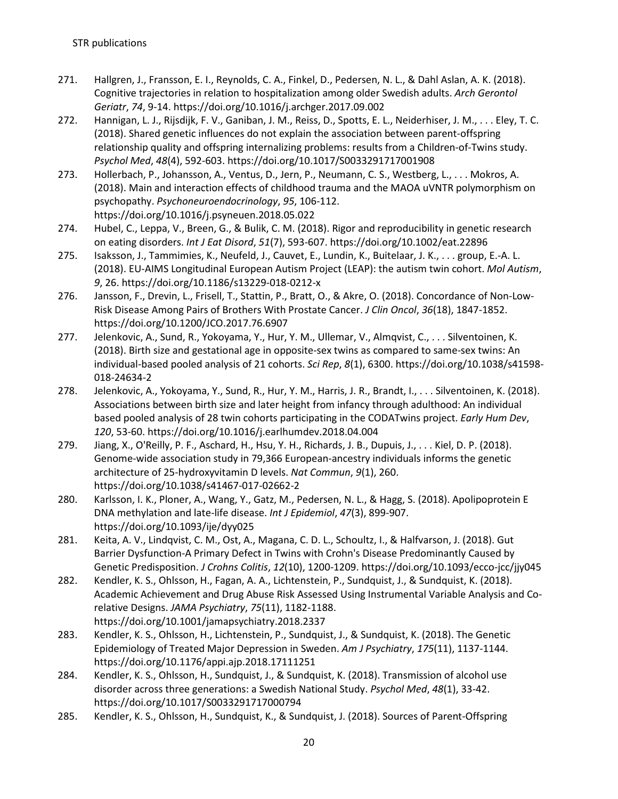- 271. Hallgren, J., Fransson, E. I., Reynolds, C. A., Finkel, D., Pedersen, N. L., & Dahl Aslan, A. K. (2018). Cognitive trajectories in relation to hospitalization among older Swedish adults. *Arch Gerontol Geriatr*, *74*, 9-14. https://doi.org/10.1016/j.archger.2017.09.002
- 272. Hannigan, L. J., Rijsdijk, F. V., Ganiban, J. M., Reiss, D., Spotts, E. L., Neiderhiser, J. M., . . . Eley, T. C. (2018). Shared genetic influences do not explain the association between parent-offspring relationship quality and offspring internalizing problems: results from a Children-of-Twins study. *Psychol Med*, *48*(4), 592-603. https://doi.org/10.1017/S0033291717001908
- 273. Hollerbach, P., Johansson, A., Ventus, D., Jern, P., Neumann, C. S., Westberg, L., . . . Mokros, A. (2018). Main and interaction effects of childhood trauma and the MAOA uVNTR polymorphism on psychopathy. *Psychoneuroendocrinology*, *95*, 106-112. https://doi.org/10.1016/j.psyneuen.2018.05.022
- 274. Hubel, C., Leppa, V., Breen, G., & Bulik, C. M. (2018). Rigor and reproducibility in genetic research on eating disorders. *Int J Eat Disord*, *51*(7), 593-607. https://doi.org/10.1002/eat.22896
- 275. Isaksson, J., Tammimies, K., Neufeld, J., Cauvet, E., Lundin, K., Buitelaar, J. K., . . . group, E.-A. L. (2018). EU-AIMS Longitudinal European Autism Project (LEAP): the autism twin cohort. *Mol Autism*, *9*, 26. https://doi.org/10.1186/s13229-018-0212-x
- 276. Jansson, F., Drevin, L., Frisell, T., Stattin, P., Bratt, O., & Akre, O. (2018). Concordance of Non-Low-Risk Disease Among Pairs of Brothers With Prostate Cancer. *J Clin Oncol*, *36*(18), 1847-1852. https://doi.org/10.1200/JCO.2017.76.6907
- 277. Jelenkovic, A., Sund, R., Yokoyama, Y., Hur, Y. M., Ullemar, V., Almqvist, C., . . . Silventoinen, K. (2018). Birth size and gestational age in opposite-sex twins as compared to same-sex twins: An individual-based pooled analysis of 21 cohorts. *Sci Rep*, *8*(1), 6300. https://doi.org/10.1038/s41598- 018-24634-2
- 278. Jelenkovic, A., Yokoyama, Y., Sund, R., Hur, Y. M., Harris, J. R., Brandt, I., . . . Silventoinen, K. (2018). Associations between birth size and later height from infancy through adulthood: An individual based pooled analysis of 28 twin cohorts participating in the CODATwins project. *Early Hum Dev*, *120*, 53-60. https://doi.org/10.1016/j.earlhumdev.2018.04.004
- 279. Jiang, X., O'Reilly, P. F., Aschard, H., Hsu, Y. H., Richards, J. B., Dupuis, J., . . . Kiel, D. P. (2018). Genome-wide association study in 79,366 European-ancestry individuals informs the genetic architecture of 25-hydroxyvitamin D levels. *Nat Commun*, *9*(1), 260. https://doi.org/10.1038/s41467-017-02662-2
- 280. Karlsson, I. K., Ploner, A., Wang, Y., Gatz, M., Pedersen, N. L., & Hagg, S. (2018). Apolipoprotein E DNA methylation and late-life disease. *Int J Epidemiol*, *47*(3), 899-907. https://doi.org/10.1093/ije/dyy025
- 281. Keita, A. V., Lindqvist, C. M., Ost, A., Magana, C. D. L., Schoultz, I., & Halfvarson, J. (2018). Gut Barrier Dysfunction-A Primary Defect in Twins with Crohn's Disease Predominantly Caused by Genetic Predisposition. *J Crohns Colitis*, *12*(10), 1200-1209. https://doi.org/10.1093/ecco-jcc/jjy045
- 282. Kendler, K. S., Ohlsson, H., Fagan, A. A., Lichtenstein, P., Sundquist, J., & Sundquist, K. (2018). Academic Achievement and Drug Abuse Risk Assessed Using Instrumental Variable Analysis and Corelative Designs. *JAMA Psychiatry*, *75*(11), 1182-1188. https://doi.org/10.1001/jamapsychiatry.2018.2337
- 283. Kendler, K. S., Ohlsson, H., Lichtenstein, P., Sundquist, J., & Sundquist, K. (2018). The Genetic Epidemiology of Treated Major Depression in Sweden. *Am J Psychiatry*, *175*(11), 1137-1144. https://doi.org/10.1176/appi.ajp.2018.17111251
- 284. Kendler, K. S., Ohlsson, H., Sundquist, J., & Sundquist, K. (2018). Transmission of alcohol use disorder across three generations: a Swedish National Study. *Psychol Med*, *48*(1), 33-42. https://doi.org/10.1017/S0033291717000794
- 285. Kendler, K. S., Ohlsson, H., Sundquist, K., & Sundquist, J. (2018). Sources of Parent-Offspring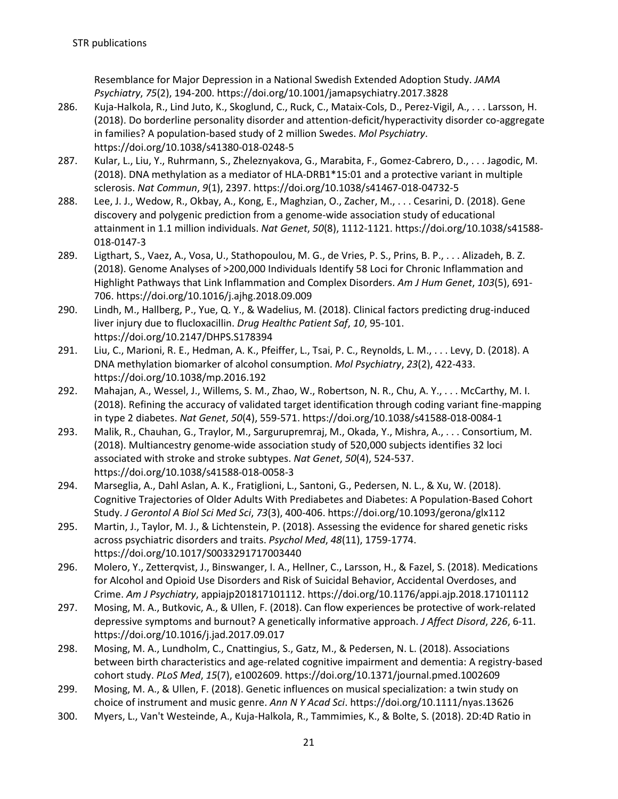Resemblance for Major Depression in a National Swedish Extended Adoption Study. *JAMA Psychiatry*, *75*(2), 194-200. https://doi.org/10.1001/jamapsychiatry.2017.3828

- 286. Kuja-Halkola, R., Lind Juto, K., Skoglund, C., Ruck, C., Mataix-Cols, D., Perez-Vigil, A., . . . Larsson, H. (2018). Do borderline personality disorder and attention-deficit/hyperactivity disorder co-aggregate in families? A population-based study of 2 million Swedes. *Mol Psychiatry*. https://doi.org/10.1038/s41380-018-0248-5
- 287. Kular, L., Liu, Y., Ruhrmann, S., Zheleznyakova, G., Marabita, F., Gomez-Cabrero, D., . . . Jagodic, M. (2018). DNA methylation as a mediator of HLA-DRB1\*15:01 and a protective variant in multiple sclerosis. *Nat Commun*, *9*(1), 2397. https://doi.org/10.1038/s41467-018-04732-5
- 288. Lee, J. J., Wedow, R., Okbay, A., Kong, E., Maghzian, O., Zacher, M., . . . Cesarini, D. (2018). Gene discovery and polygenic prediction from a genome-wide association study of educational attainment in 1.1 million individuals. *Nat Genet*, *50*(8), 1112-1121. https://doi.org/10.1038/s41588- 018-0147-3
- 289. Ligthart, S., Vaez, A., Vosa, U., Stathopoulou, M. G., de Vries, P. S., Prins, B. P., . . . Alizadeh, B. Z. (2018). Genome Analyses of >200,000 Individuals Identify 58 Loci for Chronic Inflammation and Highlight Pathways that Link Inflammation and Complex Disorders. *Am J Hum Genet*, *103*(5), 691- 706. https://doi.org/10.1016/j.ajhg.2018.09.009
- 290. Lindh, M., Hallberg, P., Yue, Q. Y., & Wadelius, M. (2018). Clinical factors predicting drug-induced liver injury due to flucloxacillin. *Drug Healthc Patient Saf*, *10*, 95-101. https://doi.org/10.2147/DHPS.S178394
- 291. Liu, C., Marioni, R. E., Hedman, A. K., Pfeiffer, L., Tsai, P. C., Reynolds, L. M., . . . Levy, D. (2018). A DNA methylation biomarker of alcohol consumption. *Mol Psychiatry*, *23*(2), 422-433. https://doi.org/10.1038/mp.2016.192
- 292. Mahajan, A., Wessel, J., Willems, S. M., Zhao, W., Robertson, N. R., Chu, A. Y., . . . McCarthy, M. I. (2018). Refining the accuracy of validated target identification through coding variant fine-mapping in type 2 diabetes. *Nat Genet*, *50*(4), 559-571. https://doi.org/10.1038/s41588-018-0084-1
- 293. Malik, R., Chauhan, G., Traylor, M., Sargurupremraj, M., Okada, Y., Mishra, A., . . . Consortium, M. (2018). Multiancestry genome-wide association study of 520,000 subjects identifies 32 loci associated with stroke and stroke subtypes. *Nat Genet*, *50*(4), 524-537. https://doi.org/10.1038/s41588-018-0058-3
- 294. Marseglia, A., Dahl Aslan, A. K., Fratiglioni, L., Santoni, G., Pedersen, N. L., & Xu, W. (2018). Cognitive Trajectories of Older Adults With Prediabetes and Diabetes: A Population-Based Cohort Study. *J Gerontol A Biol Sci Med Sci*, *73*(3), 400-406. https://doi.org/10.1093/gerona/glx112
- 295. Martin, J., Taylor, M. J., & Lichtenstein, P. (2018). Assessing the evidence for shared genetic risks across psychiatric disorders and traits. *Psychol Med*, *48*(11), 1759-1774. https://doi.org/10.1017/S0033291717003440
- 296. Molero, Y., Zetterqvist, J., Binswanger, I. A., Hellner, C., Larsson, H., & Fazel, S. (2018). Medications for Alcohol and Opioid Use Disorders and Risk of Suicidal Behavior, Accidental Overdoses, and Crime. *Am J Psychiatry*, appiajp201817101112. https://doi.org/10.1176/appi.ajp.2018.17101112
- 297. Mosing, M. A., Butkovic, A., & Ullen, F. (2018). Can flow experiences be protective of work-related depressive symptoms and burnout? A genetically informative approach. *J Affect Disord*, *226*, 6-11. https://doi.org/10.1016/j.jad.2017.09.017
- 298. Mosing, M. A., Lundholm, C., Cnattingius, S., Gatz, M., & Pedersen, N. L. (2018). Associations between birth characteristics and age-related cognitive impairment and dementia: A registry-based cohort study. *PLoS Med*, *15*(7), e1002609. https://doi.org/10.1371/journal.pmed.1002609
- 299. Mosing, M. A., & Ullen, F. (2018). Genetic influences on musical specialization: a twin study on choice of instrument and music genre. *Ann N Y Acad Sci*. https://doi.org/10.1111/nyas.13626
- 300. Myers, L., Van't Westeinde, A., Kuja-Halkola, R., Tammimies, K., & Bolte, S. (2018). 2D:4D Ratio in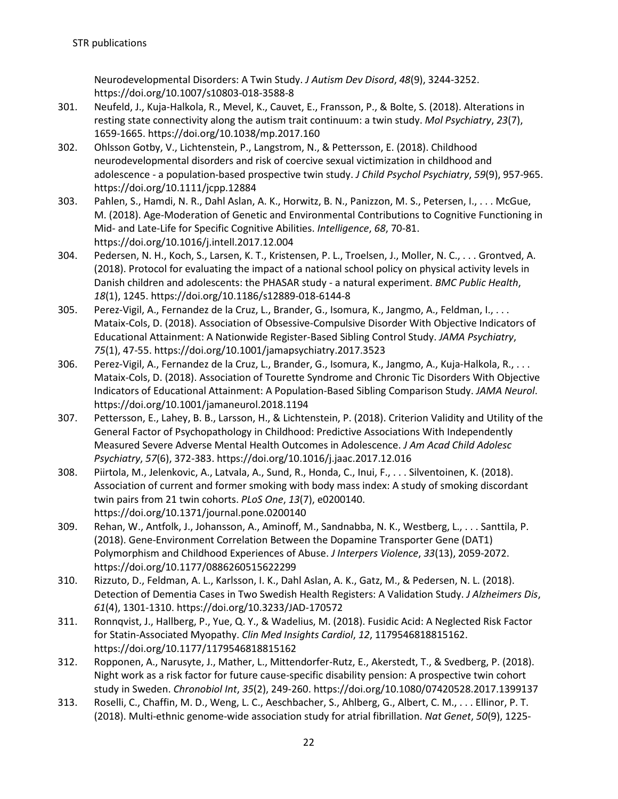Neurodevelopmental Disorders: A Twin Study. *J Autism Dev Disord*, *48*(9), 3244-3252. https://doi.org/10.1007/s10803-018-3588-8

- 301. Neufeld, J., Kuja-Halkola, R., Mevel, K., Cauvet, E., Fransson, P., & Bolte, S. (2018). Alterations in resting state connectivity along the autism trait continuum: a twin study. *Mol Psychiatry*, *23*(7), 1659-1665. https://doi.org/10.1038/mp.2017.160
- 302. Ohlsson Gotby, V., Lichtenstein, P., Langstrom, N., & Pettersson, E. (2018). Childhood neurodevelopmental disorders and risk of coercive sexual victimization in childhood and adolescence - a population-based prospective twin study. *J Child Psychol Psychiatry*, *59*(9), 957-965. https://doi.org/10.1111/jcpp.12884
- 303. Pahlen, S., Hamdi, N. R., Dahl Aslan, A. K., Horwitz, B. N., Panizzon, M. S., Petersen, I., . . . McGue, M. (2018). Age-Moderation of Genetic and Environmental Contributions to Cognitive Functioning in Mid- and Late-Life for Specific Cognitive Abilities. *Intelligence*, *68*, 70-81. https://doi.org/10.1016/j.intell.2017.12.004
- 304. Pedersen, N. H., Koch, S., Larsen, K. T., Kristensen, P. L., Troelsen, J., Moller, N. C., . . . Grontved, A. (2018). Protocol for evaluating the impact of a national school policy on physical activity levels in Danish children and adolescents: the PHASAR study - a natural experiment. *BMC Public Health*, *18*(1), 1245. https://doi.org/10.1186/s12889-018-6144-8
- 305. Perez-Vigil, A., Fernandez de la Cruz, L., Brander, G., Isomura, K., Jangmo, A., Feldman, I., . . . Mataix-Cols, D. (2018). Association of Obsessive-Compulsive Disorder With Objective Indicators of Educational Attainment: A Nationwide Register-Based Sibling Control Study. *JAMA Psychiatry*, *75*(1), 47-55. https://doi.org/10.1001/jamapsychiatry.2017.3523
- 306. Perez-Vigil, A., Fernandez de la Cruz, L., Brander, G., Isomura, K., Jangmo, A., Kuja-Halkola, R., . . . Mataix-Cols, D. (2018). Association of Tourette Syndrome and Chronic Tic Disorders With Objective Indicators of Educational Attainment: A Population-Based Sibling Comparison Study. *JAMA Neurol*. https://doi.org/10.1001/jamaneurol.2018.1194
- 307. Pettersson, E., Lahey, B. B., Larsson, H., & Lichtenstein, P. (2018). Criterion Validity and Utility of the General Factor of Psychopathology in Childhood: Predictive Associations With Independently Measured Severe Adverse Mental Health Outcomes in Adolescence. *J Am Acad Child Adolesc Psychiatry*, *57*(6), 372-383. https://doi.org/10.1016/j.jaac.2017.12.016
- 308. Piirtola, M., Jelenkovic, A., Latvala, A., Sund, R., Honda, C., Inui, F., . . . Silventoinen, K. (2018). Association of current and former smoking with body mass index: A study of smoking discordant twin pairs from 21 twin cohorts. *PLoS One*, *13*(7), e0200140. https://doi.org/10.1371/journal.pone.0200140
- 309. Rehan, W., Antfolk, J., Johansson, A., Aminoff, M., Sandnabba, N. K., Westberg, L., . . . Santtila, P. (2018). Gene-Environment Correlation Between the Dopamine Transporter Gene (DAT1) Polymorphism and Childhood Experiences of Abuse. *J Interpers Violence*, *33*(13), 2059-2072. https://doi.org/10.1177/0886260515622299
- 310. Rizzuto, D., Feldman, A. L., Karlsson, I. K., Dahl Aslan, A. K., Gatz, M., & Pedersen, N. L. (2018). Detection of Dementia Cases in Two Swedish Health Registers: A Validation Study. *J Alzheimers Dis*, *61*(4), 1301-1310. https://doi.org/10.3233/JAD-170572
- 311. Ronnqvist, J., Hallberg, P., Yue, Q. Y., & Wadelius, M. (2018). Fusidic Acid: A Neglected Risk Factor for Statin-Associated Myopathy. *Clin Med Insights Cardiol*, *12*, 1179546818815162. https://doi.org/10.1177/1179546818815162
- 312. Ropponen, A., Narusyte, J., Mather, L., Mittendorfer-Rutz, E., Akerstedt, T., & Svedberg, P. (2018). Night work as a risk factor for future cause-specific disability pension: A prospective twin cohort study in Sweden. *Chronobiol Int*, *35*(2), 249-260. https://doi.org/10.1080/07420528.2017.1399137
- 313. Roselli, C., Chaffin, M. D., Weng, L. C., Aeschbacher, S., Ahlberg, G., Albert, C. M., . . . Ellinor, P. T. (2018). Multi-ethnic genome-wide association study for atrial fibrillation. *Nat Genet*, *50*(9), 1225-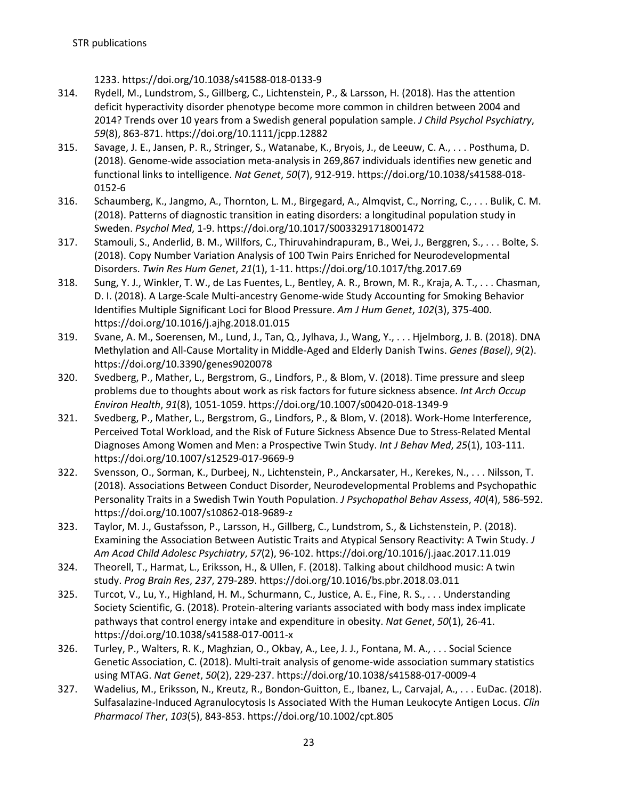1233. https://doi.org/10.1038/s41588-018-0133-9

- 314. Rydell, M., Lundstrom, S., Gillberg, C., Lichtenstein, P., & Larsson, H. (2018). Has the attention deficit hyperactivity disorder phenotype become more common in children between 2004 and 2014? Trends over 10 years from a Swedish general population sample. *J Child Psychol Psychiatry*, *59*(8), 863-871. https://doi.org/10.1111/jcpp.12882
- 315. Savage, J. E., Jansen, P. R., Stringer, S., Watanabe, K., Bryois, J., de Leeuw, C. A., . . . Posthuma, D. (2018). Genome-wide association meta-analysis in 269,867 individuals identifies new genetic and functional links to intelligence. *Nat Genet*, *50*(7), 912-919. https://doi.org/10.1038/s41588-018- 0152-6
- 316. Schaumberg, K., Jangmo, A., Thornton, L. M., Birgegard, A., Almqvist, C., Norring, C., . . . Bulik, C. M. (2018). Patterns of diagnostic transition in eating disorders: a longitudinal population study in Sweden. *Psychol Med*, 1-9. https://doi.org/10.1017/S0033291718001472
- 317. Stamouli, S., Anderlid, B. M., Willfors, C., Thiruvahindrapuram, B., Wei, J., Berggren, S., . . . Bolte, S. (2018). Copy Number Variation Analysis of 100 Twin Pairs Enriched for Neurodevelopmental Disorders. *Twin Res Hum Genet*, *21*(1), 1-11. https://doi.org/10.1017/thg.2017.69
- 318. Sung, Y. J., Winkler, T. W., de Las Fuentes, L., Bentley, A. R., Brown, M. R., Kraja, A. T., . . . Chasman, D. I. (2018). A Large-Scale Multi-ancestry Genome-wide Study Accounting for Smoking Behavior Identifies Multiple Significant Loci for Blood Pressure. *Am J Hum Genet*, *102*(3), 375-400. https://doi.org/10.1016/j.ajhg.2018.01.015
- 319. Svane, A. M., Soerensen, M., Lund, J., Tan, Q., Jylhava, J., Wang, Y., . . . Hjelmborg, J. B. (2018). DNA Methylation and All-Cause Mortality in Middle-Aged and Elderly Danish Twins. *Genes (Basel)*, *9*(2). https://doi.org/10.3390/genes9020078
- 320. Svedberg, P., Mather, L., Bergstrom, G., Lindfors, P., & Blom, V. (2018). Time pressure and sleep problems due to thoughts about work as risk factors for future sickness absence. *Int Arch Occup Environ Health*, *91*(8), 1051-1059. https://doi.org/10.1007/s00420-018-1349-9
- 321. Svedberg, P., Mather, L., Bergstrom, G., Lindfors, P., & Blom, V. (2018). Work-Home Interference, Perceived Total Workload, and the Risk of Future Sickness Absence Due to Stress-Related Mental Diagnoses Among Women and Men: a Prospective Twin Study. *Int J Behav Med*, *25*(1), 103-111. https://doi.org/10.1007/s12529-017-9669-9
- 322. Svensson, O., Sorman, K., Durbeej, N., Lichtenstein, P., Anckarsater, H., Kerekes, N., . . . Nilsson, T. (2018). Associations Between Conduct Disorder, Neurodevelopmental Problems and Psychopathic Personality Traits in a Swedish Twin Youth Population. *J Psychopathol Behav Assess*, *40*(4), 586-592. https://doi.org/10.1007/s10862-018-9689-z
- 323. Taylor, M. J., Gustafsson, P., Larsson, H., Gillberg, C., Lundstrom, S., & Lichstenstein, P. (2018). Examining the Association Between Autistic Traits and Atypical Sensory Reactivity: A Twin Study. *J Am Acad Child Adolesc Psychiatry*, *57*(2), 96-102. https://doi.org/10.1016/j.jaac.2017.11.019
- 324. Theorell, T., Harmat, L., Eriksson, H., & Ullen, F. (2018). Talking about childhood music: A twin study. *Prog Brain Res*, *237*, 279-289. https://doi.org/10.1016/bs.pbr.2018.03.011
- 325. Turcot, V., Lu, Y., Highland, H. M., Schurmann, C., Justice, A. E., Fine, R. S., . . . Understanding Society Scientific, G. (2018). Protein-altering variants associated with body mass index implicate pathways that control energy intake and expenditure in obesity. *Nat Genet*, *50*(1), 26-41. https://doi.org/10.1038/s41588-017-0011-x
- 326. Turley, P., Walters, R. K., Maghzian, O., Okbay, A., Lee, J. J., Fontana, M. A., . . . Social Science Genetic Association, C. (2018). Multi-trait analysis of genome-wide association summary statistics using MTAG. *Nat Genet*, *50*(2), 229-237. https://doi.org/10.1038/s41588-017-0009-4
- 327. Wadelius, M., Eriksson, N., Kreutz, R., Bondon-Guitton, E., Ibanez, L., Carvajal, A., . . . EuDac. (2018). Sulfasalazine-Induced Agranulocytosis Is Associated With the Human Leukocyte Antigen Locus. *Clin Pharmacol Ther*, *103*(5), 843-853. https://doi.org/10.1002/cpt.805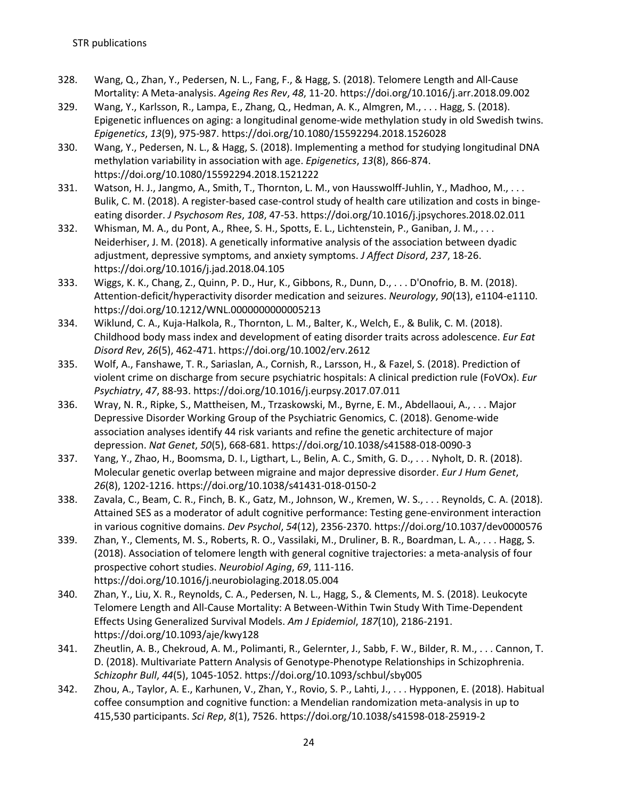- 328. Wang, Q., Zhan, Y., Pedersen, N. L., Fang, F., & Hagg, S. (2018). Telomere Length and All-Cause Mortality: A Meta-analysis. *Ageing Res Rev*, *48*, 11-20. https://doi.org/10.1016/j.arr.2018.09.002
- 329. Wang, Y., Karlsson, R., Lampa, E., Zhang, Q., Hedman, A. K., Almgren, M., . . . Hagg, S. (2018). Epigenetic influences on aging: a longitudinal genome-wide methylation study in old Swedish twins. *Epigenetics*, *13*(9), 975-987. https://doi.org/10.1080/15592294.2018.1526028
- 330. Wang, Y., Pedersen, N. L., & Hagg, S. (2018). Implementing a method for studying longitudinal DNA methylation variability in association with age. *Epigenetics*, *13*(8), 866-874. https://doi.org/10.1080/15592294.2018.1521222
- 331. Watson, H. J., Jangmo, A., Smith, T., Thornton, L. M., von Hausswolff-Juhlin, Y., Madhoo, M., ... Bulik, C. M. (2018). A register-based case-control study of health care utilization and costs in bingeeating disorder. *J Psychosom Res*, *108*, 47-53. https://doi.org/10.1016/j.jpsychores.2018.02.011
- 332. Whisman, M. A., du Pont, A., Rhee, S. H., Spotts, E. L., Lichtenstein, P., Ganiban, J. M., . . . Neiderhiser, J. M. (2018). A genetically informative analysis of the association between dyadic adjustment, depressive symptoms, and anxiety symptoms. *J Affect Disord*, *237*, 18-26. https://doi.org/10.1016/j.jad.2018.04.105
- 333. Wiggs, K. K., Chang, Z., Quinn, P. D., Hur, K., Gibbons, R., Dunn, D., . . . D'Onofrio, B. M. (2018). Attention-deficit/hyperactivity disorder medication and seizures. *Neurology*, *90*(13), e1104-e1110. https://doi.org/10.1212/WNL.0000000000005213
- 334. Wiklund, C. A., Kuja-Halkola, R., Thornton, L. M., Balter, K., Welch, E., & Bulik, C. M. (2018). Childhood body mass index and development of eating disorder traits across adolescence. *Eur Eat Disord Rev*, *26*(5), 462-471. https://doi.org/10.1002/erv.2612
- 335. Wolf, A., Fanshawe, T. R., Sariaslan, A., Cornish, R., Larsson, H., & Fazel, S. (2018). Prediction of violent crime on discharge from secure psychiatric hospitals: A clinical prediction rule (FoVOx). *Eur Psychiatry*, *47*, 88-93. https://doi.org/10.1016/j.eurpsy.2017.07.011
- 336. Wray, N. R., Ripke, S., Mattheisen, M., Trzaskowski, M., Byrne, E. M., Abdellaoui, A., . . . Major Depressive Disorder Working Group of the Psychiatric Genomics, C. (2018). Genome-wide association analyses identify 44 risk variants and refine the genetic architecture of major depression. *Nat Genet*, *50*(5), 668-681. https://doi.org/10.1038/s41588-018-0090-3
- 337. Yang, Y., Zhao, H., Boomsma, D. I., Ligthart, L., Belin, A. C., Smith, G. D., . . . Nyholt, D. R. (2018). Molecular genetic overlap between migraine and major depressive disorder. *Eur J Hum Genet*, *26*(8), 1202-1216. https://doi.org/10.1038/s41431-018-0150-2
- 338. Zavala, C., Beam, C. R., Finch, B. K., Gatz, M., Johnson, W., Kremen, W. S., . . . Reynolds, C. A. (2018). Attained SES as a moderator of adult cognitive performance: Testing gene-environment interaction in various cognitive domains. *Dev Psychol*, *54*(12), 2356-2370. https://doi.org/10.1037/dev0000576
- 339. Zhan, Y., Clements, M. S., Roberts, R. O., Vassilaki, M., Druliner, B. R., Boardman, L. A., . . . Hagg, S. (2018). Association of telomere length with general cognitive trajectories: a meta-analysis of four prospective cohort studies. *Neurobiol Aging*, *69*, 111-116. https://doi.org/10.1016/j.neurobiolaging.2018.05.004
- 340. Zhan, Y., Liu, X. R., Reynolds, C. A., Pedersen, N. L., Hagg, S., & Clements, M. S. (2018). Leukocyte Telomere Length and All-Cause Mortality: A Between-Within Twin Study With Time-Dependent Effects Using Generalized Survival Models. *Am J Epidemiol*, *187*(10), 2186-2191. https://doi.org/10.1093/aje/kwy128
- 341. Zheutlin, A. B., Chekroud, A. M., Polimanti, R., Gelernter, J., Sabb, F. W., Bilder, R. M., . . . Cannon, T. D. (2018). Multivariate Pattern Analysis of Genotype-Phenotype Relationships in Schizophrenia. *Schizophr Bull*, *44*(5), 1045-1052. https://doi.org/10.1093/schbul/sby005
- 342. Zhou, A., Taylor, A. E., Karhunen, V., Zhan, Y., Rovio, S. P., Lahti, J., . . . Hypponen, E. (2018). Habitual coffee consumption and cognitive function: a Mendelian randomization meta-analysis in up to 415,530 participants. *Sci Rep*, *8*(1), 7526. https://doi.org/10.1038/s41598-018-25919-2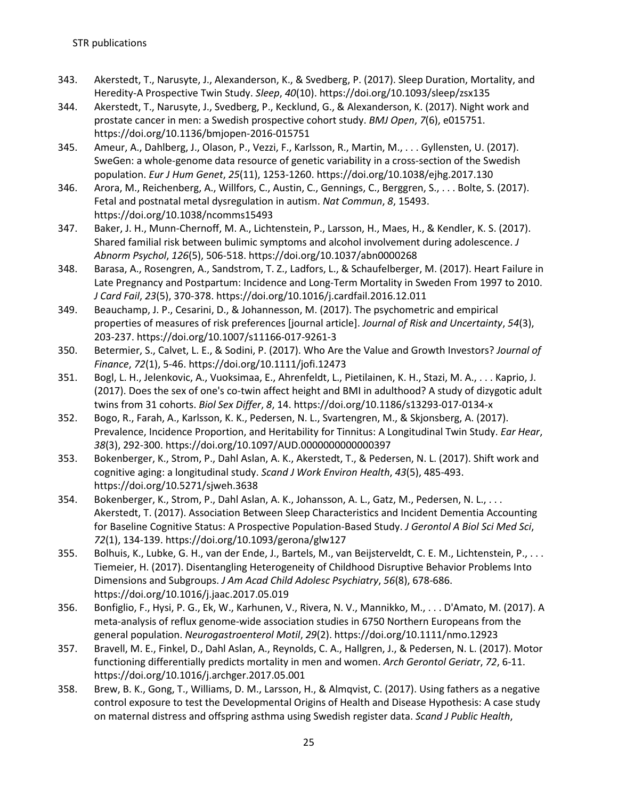- 343. Akerstedt, T., Narusyte, J., Alexanderson, K., & Svedberg, P. (2017). Sleep Duration, Mortality, and Heredity-A Prospective Twin Study. *Sleep*, *40*(10). https://doi.org/10.1093/sleep/zsx135
- 344. Akerstedt, T., Narusyte, J., Svedberg, P., Kecklund, G., & Alexanderson, K. (2017). Night work and prostate cancer in men: a Swedish prospective cohort study. *BMJ Open*, *7*(6), e015751. https://doi.org/10.1136/bmjopen-2016-015751
- 345. Ameur, A., Dahlberg, J., Olason, P., Vezzi, F., Karlsson, R., Martin, M., . . . Gyllensten, U. (2017). SweGen: a whole-genome data resource of genetic variability in a cross-section of the Swedish population. *Eur J Hum Genet*, *25*(11), 1253-1260. https://doi.org/10.1038/ejhg.2017.130
- 346. Arora, M., Reichenberg, A., Willfors, C., Austin, C., Gennings, C., Berggren, S., . . . Bolte, S. (2017). Fetal and postnatal metal dysregulation in autism. *Nat Commun*, *8*, 15493. https://doi.org/10.1038/ncomms15493
- 347. Baker, J. H., Munn-Chernoff, M. A., Lichtenstein, P., Larsson, H., Maes, H., & Kendler, K. S. (2017). Shared familial risk between bulimic symptoms and alcohol involvement during adolescence. *J Abnorm Psychol*, *126*(5), 506-518. https://doi.org/10.1037/abn0000268
- 348. Barasa, A., Rosengren, A., Sandstrom, T. Z., Ladfors, L., & Schaufelberger, M. (2017). Heart Failure in Late Pregnancy and Postpartum: Incidence and Long-Term Mortality in Sweden From 1997 to 2010. *J Card Fail*, *23*(5), 370-378. https://doi.org/10.1016/j.cardfail.2016.12.011
- 349. Beauchamp, J. P., Cesarini, D., & Johannesson, M. (2017). The psychometric and empirical properties of measures of risk preferences [journal article]. *Journal of Risk and Uncertainty*, *54*(3), 203-237. https://doi.org/10.1007/s11166-017-9261-3
- 350. Betermier, S., Calvet, L. E., & Sodini, P. (2017). Who Are the Value and Growth Investors? *Journal of Finance*, *72*(1), 5-46. https://doi.org/10.1111/jofi.12473
- 351. Bogl, L. H., Jelenkovic, A., Vuoksimaa, E., Ahrenfeldt, L., Pietilainen, K. H., Stazi, M. A., . . . Kaprio, J. (2017). Does the sex of one's co-twin affect height and BMI in adulthood? A study of dizygotic adult twins from 31 cohorts. *Biol Sex Differ*, *8*, 14. https://doi.org/10.1186/s13293-017-0134-x
- 352. Bogo, R., Farah, A., Karlsson, K. K., Pedersen, N. L., Svartengren, M., & Skjonsberg, A. (2017). Prevalence, Incidence Proportion, and Heritability for Tinnitus: A Longitudinal Twin Study. *Ear Hear*, *38*(3), 292-300. https://doi.org/10.1097/AUD.0000000000000397
- 353. Bokenberger, K., Strom, P., Dahl Aslan, A. K., Akerstedt, T., & Pedersen, N. L. (2017). Shift work and cognitive aging: a longitudinal study. *Scand J Work Environ Health*, *43*(5), 485-493. https://doi.org/10.5271/sjweh.3638
- 354. Bokenberger, K., Strom, P., Dahl Aslan, A. K., Johansson, A. L., Gatz, M., Pedersen, N. L., . . . Akerstedt, T. (2017). Association Between Sleep Characteristics and Incident Dementia Accounting for Baseline Cognitive Status: A Prospective Population-Based Study. *J Gerontol A Biol Sci Med Sci*, *72*(1), 134-139. https://doi.org/10.1093/gerona/glw127
- 355. Bolhuis, K., Lubke, G. H., van der Ende, J., Bartels, M., van Beijsterveldt, C. E. M., Lichtenstein, P., . . . Tiemeier, H. (2017). Disentangling Heterogeneity of Childhood Disruptive Behavior Problems Into Dimensions and Subgroups. *J Am Acad Child Adolesc Psychiatry*, *56*(8), 678-686. https://doi.org/10.1016/j.jaac.2017.05.019
- 356. Bonfiglio, F., Hysi, P. G., Ek, W., Karhunen, V., Rivera, N. V., Mannikko, M., . . . D'Amato, M. (2017). A meta-analysis of reflux genome-wide association studies in 6750 Northern Europeans from the general population. *Neurogastroenterol Motil*, *29*(2). https://doi.org/10.1111/nmo.12923
- 357. Bravell, M. E., Finkel, D., Dahl Aslan, A., Reynolds, C. A., Hallgren, J., & Pedersen, N. L. (2017). Motor functioning differentially predicts mortality in men and women. *Arch Gerontol Geriatr*, *72*, 6-11. https://doi.org/10.1016/j.archger.2017.05.001
- 358. Brew, B. K., Gong, T., Williams, D. M., Larsson, H., & Almqvist, C. (2017). Using fathers as a negative control exposure to test the Developmental Origins of Health and Disease Hypothesis: A case study on maternal distress and offspring asthma using Swedish register data. *Scand J Public Health*,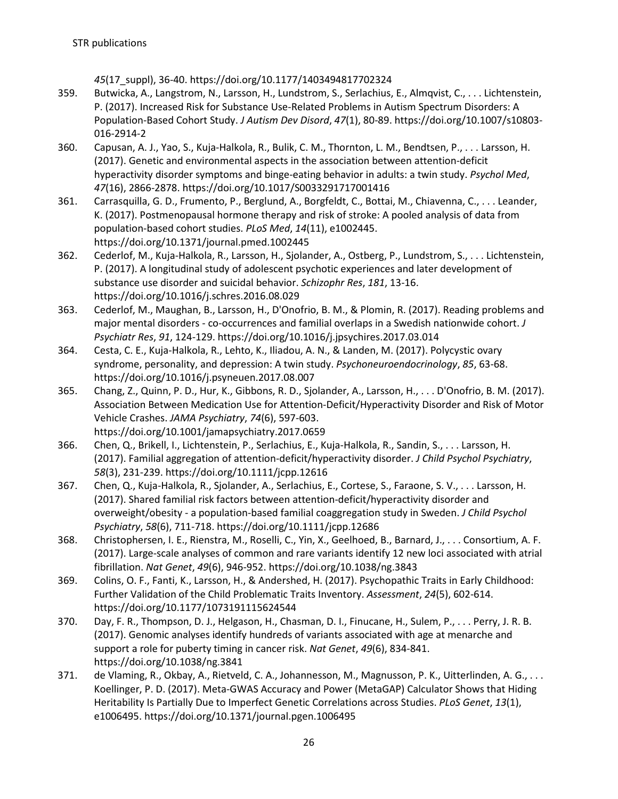*45*(17\_suppl), 36-40. https://doi.org/10.1177/1403494817702324

- 359. Butwicka, A., Langstrom, N., Larsson, H., Lundstrom, S., Serlachius, E., Almqvist, C., . . . Lichtenstein, P. (2017). Increased Risk for Substance Use-Related Problems in Autism Spectrum Disorders: A Population-Based Cohort Study. *J Autism Dev Disord*, *47*(1), 80-89. https://doi.org/10.1007/s10803- 016-2914-2
- 360. Capusan, A. J., Yao, S., Kuja-Halkola, R., Bulik, C. M., Thornton, L. M., Bendtsen, P., . . . Larsson, H. (2017). Genetic and environmental aspects in the association between attention-deficit hyperactivity disorder symptoms and binge-eating behavior in adults: a twin study. *Psychol Med*, *47*(16), 2866-2878. https://doi.org/10.1017/S0033291717001416
- 361. Carrasquilla, G. D., Frumento, P., Berglund, A., Borgfeldt, C., Bottai, M., Chiavenna, C., . . . Leander, K. (2017). Postmenopausal hormone therapy and risk of stroke: A pooled analysis of data from population-based cohort studies. *PLoS Med*, *14*(11), e1002445. https://doi.org/10.1371/journal.pmed.1002445
- 362. Cederlof, M., Kuja-Halkola, R., Larsson, H., Sjolander, A., Ostberg, P., Lundstrom, S., . . . Lichtenstein, P. (2017). A longitudinal study of adolescent psychotic experiences and later development of substance use disorder and suicidal behavior. *Schizophr Res*, *181*, 13-16. https://doi.org/10.1016/j.schres.2016.08.029
- 363. Cederlof, M., Maughan, B., Larsson, H., D'Onofrio, B. M., & Plomin, R. (2017). Reading problems and major mental disorders - co-occurrences and familial overlaps in a Swedish nationwide cohort. *J Psychiatr Res*, *91*, 124-129. https://doi.org/10.1016/j.jpsychires.2017.03.014
- 364. Cesta, C. E., Kuja-Halkola, R., Lehto, K., Iliadou, A. N., & Landen, M. (2017). Polycystic ovary syndrome, personality, and depression: A twin study. *Psychoneuroendocrinology*, *85*, 63-68. https://doi.org/10.1016/j.psyneuen.2017.08.007
- 365. Chang, Z., Quinn, P. D., Hur, K., Gibbons, R. D., Sjolander, A., Larsson, H., . . . D'Onofrio, B. M. (2017). Association Between Medication Use for Attention-Deficit/Hyperactivity Disorder and Risk of Motor Vehicle Crashes. *JAMA Psychiatry*, *74*(6), 597-603. https://doi.org/10.1001/jamapsychiatry.2017.0659
- 366. Chen, Q., Brikell, I., Lichtenstein, P., Serlachius, E., Kuja-Halkola, R., Sandin, S., . . . Larsson, H. (2017). Familial aggregation of attention-deficit/hyperactivity disorder. *J Child Psychol Psychiatry*, *58*(3), 231-239. https://doi.org/10.1111/jcpp.12616
- 367. Chen, Q., Kuja-Halkola, R., Sjolander, A., Serlachius, E., Cortese, S., Faraone, S. V., . . . Larsson, H. (2017). Shared familial risk factors between attention-deficit/hyperactivity disorder and overweight/obesity - a population-based familial coaggregation study in Sweden. *J Child Psychol Psychiatry*, *58*(6), 711-718. https://doi.org/10.1111/jcpp.12686
- 368. Christophersen, I. E., Rienstra, M., Roselli, C., Yin, X., Geelhoed, B., Barnard, J., . . . Consortium, A. F. (2017). Large-scale analyses of common and rare variants identify 12 new loci associated with atrial fibrillation. *Nat Genet*, *49*(6), 946-952. https://doi.org/10.1038/ng.3843
- 369. Colins, O. F., Fanti, K., Larsson, H., & Andershed, H. (2017). Psychopathic Traits in Early Childhood: Further Validation of the Child Problematic Traits Inventory. *Assessment*, *24*(5), 602-614. https://doi.org/10.1177/1073191115624544
- 370. Day, F. R., Thompson, D. J., Helgason, H., Chasman, D. I., Finucane, H., Sulem, P., . . . Perry, J. R. B. (2017). Genomic analyses identify hundreds of variants associated with age at menarche and support a role for puberty timing in cancer risk. *Nat Genet*, *49*(6), 834-841. https://doi.org/10.1038/ng.3841
- 371. de Vlaming, R., Okbay, A., Rietveld, C. A., Johannesson, M., Magnusson, P. K., Uitterlinden, A. G., . . . Koellinger, P. D. (2017). Meta-GWAS Accuracy and Power (MetaGAP) Calculator Shows that Hiding Heritability Is Partially Due to Imperfect Genetic Correlations across Studies. *PLoS Genet*, *13*(1), e1006495. https://doi.org/10.1371/journal.pgen.1006495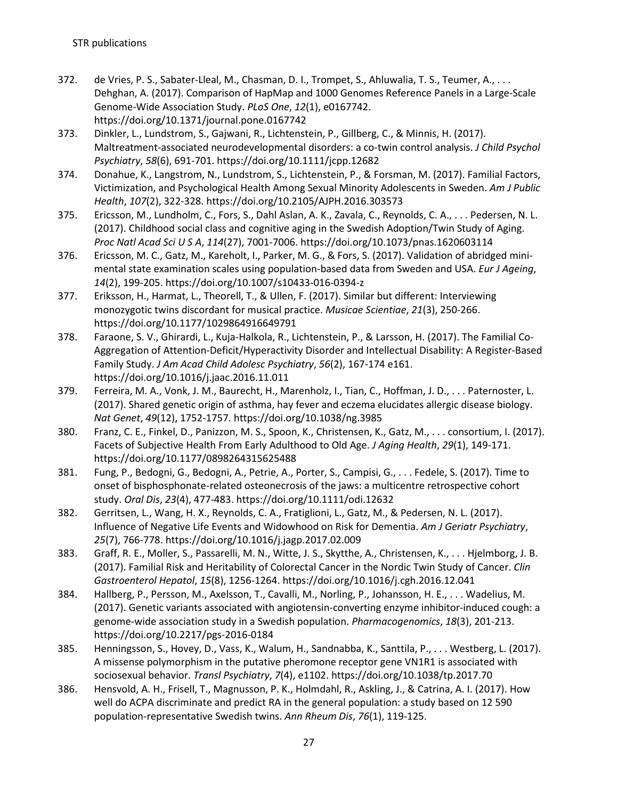- 372. de Vries, P. S., Sabater-Lleal, M., Chasman, D. I., Trompet, S., Ahluwalia, T. S., Teumer, A., . . . Dehghan, A. (2017). Comparison of HapMap and 1000 Genomes Reference Panels in a Large-Scale Genome-Wide Association Study. *PLoS One*, *12*(1), e0167742. https://doi.org/10.1371/journal.pone.0167742
- 373. Dinkler, L., Lundstrom, S., Gajwani, R., Lichtenstein, P., Gillberg, C., & Minnis, H. (2017). Maltreatment-associated neurodevelopmental disorders: a co-twin control analysis. *J Child Psychol Psychiatry*, *58*(6), 691-701. https://doi.org/10.1111/jcpp.12682
- 374. Donahue, K., Langstrom, N., Lundstrom, S., Lichtenstein, P., & Forsman, M. (2017). Familial Factors, Victimization, and Psychological Health Among Sexual Minority Adolescents in Sweden. *Am J Public Health*, *107*(2), 322-328. https://doi.org/10.2105/AJPH.2016.303573
- 375. Ericsson, M., Lundholm, C., Fors, S., Dahl Aslan, A. K., Zavala, C., Reynolds, C. A., . . . Pedersen, N. L. (2017). Childhood social class and cognitive aging in the Swedish Adoption/Twin Study of Aging. *Proc Natl Acad Sci U S A*, *114*(27), 7001-7006. https://doi.org/10.1073/pnas.1620603114
- 376. Ericsson, M. C., Gatz, M., Kareholt, I., Parker, M. G., & Fors, S. (2017). Validation of abridged minimental state examination scales using population-based data from Sweden and USA. *Eur J Ageing*, *14*(2), 199-205. https://doi.org/10.1007/s10433-016-0394-z
- 377. Eriksson, H., Harmat, L., Theorell, T., & Ullen, F. (2017). Similar but different: Interviewing monozygotic twins discordant for musical practice. *Musicae Scientiae*, *21*(3), 250-266. https://doi.org/10.1177/1029864916649791
- 378. Faraone, S. V., Ghirardi, L., Kuja-Halkola, R., Lichtenstein, P., & Larsson, H. (2017). The Familial Co-Aggregation of Attention-Deficit/Hyperactivity Disorder and Intellectual Disability: A Register-Based Family Study. *J Am Acad Child Adolesc Psychiatry*, *56*(2), 167-174 e161. https://doi.org/10.1016/j.jaac.2016.11.011
- 379. Ferreira, M. A., Vonk, J. M., Baurecht, H., Marenholz, I., Tian, C., Hoffman, J. D., . . . Paternoster, L. (2017). Shared genetic origin of asthma, hay fever and eczema elucidates allergic disease biology. *Nat Genet*, *49*(12), 1752-1757. https://doi.org/10.1038/ng.3985
- 380. Franz, C. E., Finkel, D., Panizzon, M. S., Spoon, K., Christensen, K., Gatz, M., . . . consortium, I. (2017). Facets of Subjective Health From Early Adulthood to Old Age. *J Aging Health*, *29*(1), 149-171. https://doi.org/10.1177/0898264315625488
- 381. Fung, P., Bedogni, G., Bedogni, A., Petrie, A., Porter, S., Campisi, G., . . . Fedele, S. (2017). Time to onset of bisphosphonate-related osteonecrosis of the jaws: a multicentre retrospective cohort study. *Oral Dis*, *23*(4), 477-483. https://doi.org/10.1111/odi.12632
- 382. Gerritsen, L., Wang, H. X., Reynolds, C. A., Fratiglioni, L., Gatz, M., & Pedersen, N. L. (2017). Influence of Negative Life Events and Widowhood on Risk for Dementia. *Am J Geriatr Psychiatry*, *25*(7), 766-778. https://doi.org/10.1016/j.jagp.2017.02.009
- 383. Graff, R. E., Moller, S., Passarelli, M. N., Witte, J. S., Skytthe, A., Christensen, K., . . . Hjelmborg, J. B. (2017). Familial Risk and Heritability of Colorectal Cancer in the Nordic Twin Study of Cancer. *Clin Gastroenterol Hepatol*, *15*(8), 1256-1264. https://doi.org/10.1016/j.cgh.2016.12.041
- 384. Hallberg, P., Persson, M., Axelsson, T., Cavalli, M., Norling, P., Johansson, H. E., . . . Wadelius, M. (2017). Genetic variants associated with angiotensin-converting enzyme inhibitor-induced cough: a genome-wide association study in a Swedish population. *Pharmacogenomics*, *18*(3), 201-213. https://doi.org/10.2217/pgs-2016-0184
- 385. Henningsson, S., Hovey, D., Vass, K., Walum, H., Sandnabba, K., Santtila, P., . . . Westberg, L. (2017). A missense polymorphism in the putative pheromone receptor gene VN1R1 is associated with sociosexual behavior. *Transl Psychiatry*, *7*(4), e1102. https://doi.org/10.1038/tp.2017.70
- 386. Hensvold, A. H., Frisell, T., Magnusson, P. K., Holmdahl, R., Askling, J., & Catrina, A. I. (2017). How well do ACPA discriminate and predict RA in the general population: a study based on 12 590 population-representative Swedish twins. *Ann Rheum Dis*, *76*(1), 119-125.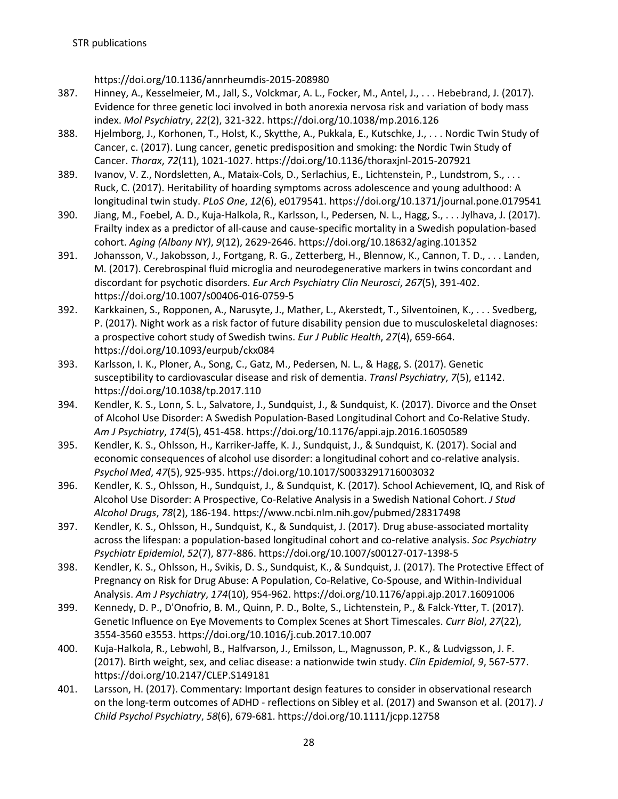https://doi.org/10.1136/annrheumdis-2015-208980

- 387. Hinney, A., Kesselmeier, M., Jall, S., Volckmar, A. L., Focker, M., Antel, J., . . . Hebebrand, J. (2017). Evidence for three genetic loci involved in both anorexia nervosa risk and variation of body mass index. *Mol Psychiatry*, *22*(2), 321-322. https://doi.org/10.1038/mp.2016.126
- 388. Hjelmborg, J., Korhonen, T., Holst, K., Skytthe, A., Pukkala, E., Kutschke, J., . . . Nordic Twin Study of Cancer, c. (2017). Lung cancer, genetic predisposition and smoking: the Nordic Twin Study of Cancer. *Thorax*, *72*(11), 1021-1027. https://doi.org/10.1136/thoraxjnl-2015-207921
- 389. Ivanov, V. Z., Nordsletten, A., Mataix-Cols, D., Serlachius, E., Lichtenstein, P., Lundstrom, S., . . . Ruck, C. (2017). Heritability of hoarding symptoms across adolescence and young adulthood: A longitudinal twin study. *PLoS One*, *12*(6), e0179541. https://doi.org/10.1371/journal.pone.0179541
- 390. Jiang, M., Foebel, A. D., Kuja-Halkola, R., Karlsson, I., Pedersen, N. L., Hagg, S., . . . Jylhava, J. (2017). Frailty index as a predictor of all-cause and cause-specific mortality in a Swedish population-based cohort. *Aging (Albany NY)*, *9*(12), 2629-2646. https://doi.org/10.18632/aging.101352
- 391. Johansson, V., Jakobsson, J., Fortgang, R. G., Zetterberg, H., Blennow, K., Cannon, T. D., . . . Landen, M. (2017). Cerebrospinal fluid microglia and neurodegenerative markers in twins concordant and discordant for psychotic disorders. *Eur Arch Psychiatry Clin Neurosci*, *267*(5), 391-402. https://doi.org/10.1007/s00406-016-0759-5
- 392. Karkkainen, S., Ropponen, A., Narusyte, J., Mather, L., Akerstedt, T., Silventoinen, K., . . . Svedberg, P. (2017). Night work as a risk factor of future disability pension due to musculoskeletal diagnoses: a prospective cohort study of Swedish twins. *Eur J Public Health*, *27*(4), 659-664. https://doi.org/10.1093/eurpub/ckx084
- 393. Karlsson, I. K., Ploner, A., Song, C., Gatz, M., Pedersen, N. L., & Hagg, S. (2017). Genetic susceptibility to cardiovascular disease and risk of dementia. *Transl Psychiatry*, *7*(5), e1142. https://doi.org/10.1038/tp.2017.110
- 394. Kendler, K. S., Lonn, S. L., Salvatore, J., Sundquist, J., & Sundquist, K. (2017). Divorce and the Onset of Alcohol Use Disorder: A Swedish Population-Based Longitudinal Cohort and Co-Relative Study. *Am J Psychiatry*, *174*(5), 451-458. https://doi.org/10.1176/appi.ajp.2016.16050589
- 395. Kendler, K. S., Ohlsson, H., Karriker-Jaffe, K. J., Sundquist, J., & Sundquist, K. (2017). Social and economic consequences of alcohol use disorder: a longitudinal cohort and co-relative analysis. *Psychol Med*, *47*(5), 925-935. https://doi.org/10.1017/S0033291716003032
- 396. Kendler, K. S., Ohlsson, H., Sundquist, J., & Sundquist, K. (2017). School Achievement, IQ, and Risk of Alcohol Use Disorder: A Prospective, Co-Relative Analysis in a Swedish National Cohort. *J Stud Alcohol Drugs*, *78*(2), 186-194. https://www.ncbi.nlm.nih.gov/pubmed/28317498
- 397. Kendler, K. S., Ohlsson, H., Sundquist, K., & Sundquist, J. (2017). Drug abuse-associated mortality across the lifespan: a population-based longitudinal cohort and co-relative analysis. *Soc Psychiatry Psychiatr Epidemiol*, *52*(7), 877-886. https://doi.org/10.1007/s00127-017-1398-5
- 398. Kendler, K. S., Ohlsson, H., Svikis, D. S., Sundquist, K., & Sundquist, J. (2017). The Protective Effect of Pregnancy on Risk for Drug Abuse: A Population, Co-Relative, Co-Spouse, and Within-Individual Analysis. *Am J Psychiatry*, *174*(10), 954-962. https://doi.org/10.1176/appi.ajp.2017.16091006
- 399. Kennedy, D. P., D'Onofrio, B. M., Quinn, P. D., Bolte, S., Lichtenstein, P., & Falck-Ytter, T. (2017). Genetic Influence on Eye Movements to Complex Scenes at Short Timescales. *Curr Biol*, *27*(22), 3554-3560 e3553. https://doi.org/10.1016/j.cub.2017.10.007
- 400. Kuja-Halkola, R., Lebwohl, B., Halfvarson, J., Emilsson, L., Magnusson, P. K., & Ludvigsson, J. F. (2017). Birth weight, sex, and celiac disease: a nationwide twin study. *Clin Epidemiol*, *9*, 567-577. https://doi.org/10.2147/CLEP.S149181
- 401. Larsson, H. (2017). Commentary: Important design features to consider in observational research on the long-term outcomes of ADHD - reflections on Sibley et al. (2017) and Swanson et al. (2017). *J Child Psychol Psychiatry*, *58*(6), 679-681. https://doi.org/10.1111/jcpp.12758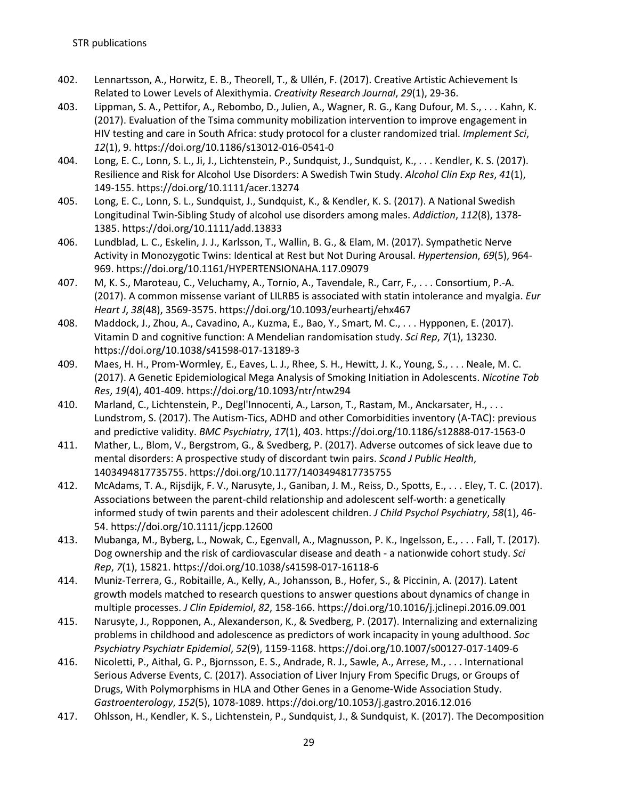- 402. Lennartsson, A., Horwitz, E. B., Theorell, T., & Ullén, F. (2017). Creative Artistic Achievement Is Related to Lower Levels of Alexithymia. *Creativity Research Journal*, *29*(1), 29-36.
- 403. Lippman, S. A., Pettifor, A., Rebombo, D., Julien, A., Wagner, R. G., Kang Dufour, M. S., . . . Kahn, K. (2017). Evaluation of the Tsima community mobilization intervention to improve engagement in HIV testing and care in South Africa: study protocol for a cluster randomized trial. *Implement Sci*, *12*(1), 9. https://doi.org/10.1186/s13012-016-0541-0
- 404. Long, E. C., Lonn, S. L., Ji, J., Lichtenstein, P., Sundquist, J., Sundquist, K., . . . Kendler, K. S. (2017). Resilience and Risk for Alcohol Use Disorders: A Swedish Twin Study. *Alcohol Clin Exp Res*, *41*(1), 149-155. https://doi.org/10.1111/acer.13274
- 405. Long, E. C., Lonn, S. L., Sundquist, J., Sundquist, K., & Kendler, K. S. (2017). A National Swedish Longitudinal Twin-Sibling Study of alcohol use disorders among males. *Addiction*, *112*(8), 1378- 1385. https://doi.org/10.1111/add.13833
- 406. Lundblad, L. C., Eskelin, J. J., Karlsson, T., Wallin, B. G., & Elam, M. (2017). Sympathetic Nerve Activity in Monozygotic Twins: Identical at Rest but Not During Arousal. *Hypertension*, *69*(5), 964- 969. https://doi.org/10.1161/HYPERTENSIONAHA.117.09079
- 407. M, K. S., Maroteau, C., Veluchamy, A., Tornio, A., Tavendale, R., Carr, F., . . . Consortium, P.-A. (2017). A common missense variant of LILRB5 is associated with statin intolerance and myalgia. *Eur Heart J*, *38*(48), 3569-3575. https://doi.org/10.1093/eurheartj/ehx467
- 408. Maddock, J., Zhou, A., Cavadino, A., Kuzma, E., Bao, Y., Smart, M. C., . . . Hypponen, E. (2017). Vitamin D and cognitive function: A Mendelian randomisation study. *Sci Rep*, *7*(1), 13230. https://doi.org/10.1038/s41598-017-13189-3
- 409. Maes, H. H., Prom-Wormley, E., Eaves, L. J., Rhee, S. H., Hewitt, J. K., Young, S., . . . Neale, M. C. (2017). A Genetic Epidemiological Mega Analysis of Smoking Initiation in Adolescents. *Nicotine Tob Res*, *19*(4), 401-409. https://doi.org/10.1093/ntr/ntw294
- 410. Marland, C., Lichtenstein, P., Degl'Innocenti, A., Larson, T., Rastam, M., Anckarsater, H., . . . Lundstrom, S. (2017). The Autism-Tics, ADHD and other Comorbidities inventory (A-TAC): previous and predictive validity. *BMC Psychiatry*, *17*(1), 403. https://doi.org/10.1186/s12888-017-1563-0
- 411. Mather, L., Blom, V., Bergstrom, G., & Svedberg, P. (2017). Adverse outcomes of sick leave due to mental disorders: A prospective study of discordant twin pairs. *Scand J Public Health*, 1403494817735755. https://doi.org/10.1177/1403494817735755
- 412. McAdams, T. A., Rijsdijk, F. V., Narusyte, J., Ganiban, J. M., Reiss, D., Spotts, E., . . . Eley, T. C. (2017). Associations between the parent-child relationship and adolescent self-worth: a genetically informed study of twin parents and their adolescent children. *J Child Psychol Psychiatry*, *58*(1), 46- 54. https://doi.org/10.1111/jcpp.12600
- 413. Mubanga, M., Byberg, L., Nowak, C., Egenvall, A., Magnusson, P. K., Ingelsson, E., . . . Fall, T. (2017). Dog ownership and the risk of cardiovascular disease and death - a nationwide cohort study. *Sci Rep*, *7*(1), 15821. https://doi.org/10.1038/s41598-017-16118-6
- 414. Muniz-Terrera, G., Robitaille, A., Kelly, A., Johansson, B., Hofer, S., & Piccinin, A. (2017). Latent growth models matched to research questions to answer questions about dynamics of change in multiple processes. *J Clin Epidemiol*, *82*, 158-166. https://doi.org/10.1016/j.jclinepi.2016.09.001
- 415. Narusyte, J., Ropponen, A., Alexanderson, K., & Svedberg, P. (2017). Internalizing and externalizing problems in childhood and adolescence as predictors of work incapacity in young adulthood. *Soc Psychiatry Psychiatr Epidemiol*, *52*(9), 1159-1168. https://doi.org/10.1007/s00127-017-1409-6
- 416. Nicoletti, P., Aithal, G. P., Bjornsson, E. S., Andrade, R. J., Sawle, A., Arrese, M., . . . International Serious Adverse Events, C. (2017). Association of Liver Injury From Specific Drugs, or Groups of Drugs, With Polymorphisms in HLA and Other Genes in a Genome-Wide Association Study. *Gastroenterology*, *152*(5), 1078-1089. https://doi.org/10.1053/j.gastro.2016.12.016
- 417. Ohlsson, H., Kendler, K. S., Lichtenstein, P., Sundquist, J., & Sundquist, K. (2017). The Decomposition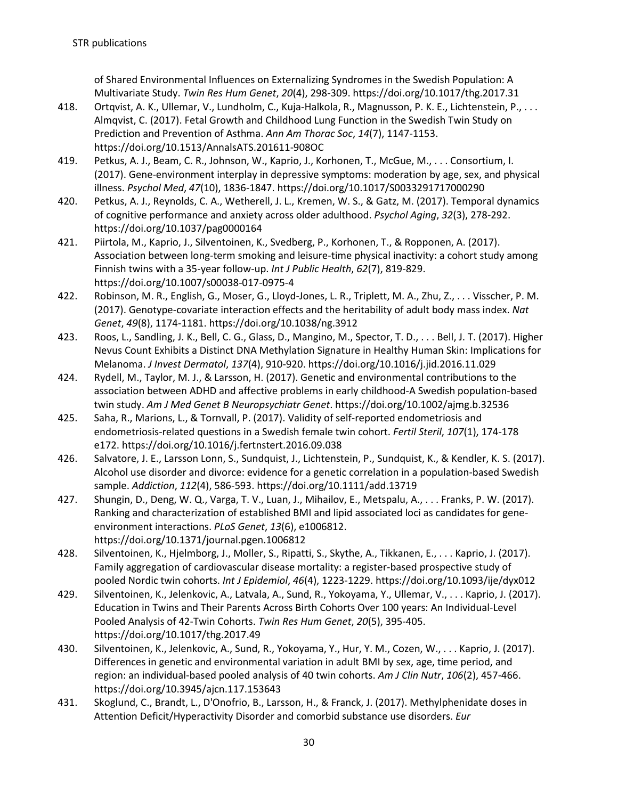of Shared Environmental Influences on Externalizing Syndromes in the Swedish Population: A Multivariate Study. *Twin Res Hum Genet*, *20*(4), 298-309. https://doi.org/10.1017/thg.2017.31

- 418. Ortqvist, A. K., Ullemar, V., Lundholm, C., Kuja-Halkola, R., Magnusson, P. K. E., Lichtenstein, P., . . . Almqvist, C. (2017). Fetal Growth and Childhood Lung Function in the Swedish Twin Study on Prediction and Prevention of Asthma. *Ann Am Thorac Soc*, *14*(7), 1147-1153. https://doi.org/10.1513/AnnalsATS.201611-908OC
- 419. Petkus, A. J., Beam, C. R., Johnson, W., Kaprio, J., Korhonen, T., McGue, M., . . . Consortium, I. (2017). Gene-environment interplay in depressive symptoms: moderation by age, sex, and physical illness. *Psychol Med*, *47*(10), 1836-1847. https://doi.org/10.1017/S0033291717000290
- 420. Petkus, A. J., Reynolds, C. A., Wetherell, J. L., Kremen, W. S., & Gatz, M. (2017). Temporal dynamics of cognitive performance and anxiety across older adulthood. *Psychol Aging*, *32*(3), 278-292. https://doi.org/10.1037/pag0000164
- 421. Piirtola, M., Kaprio, J., Silventoinen, K., Svedberg, P., Korhonen, T., & Ropponen, A. (2017). Association between long-term smoking and leisure-time physical inactivity: a cohort study among Finnish twins with a 35-year follow-up. *Int J Public Health*, *62*(7), 819-829. https://doi.org/10.1007/s00038-017-0975-4
- 422. Robinson, M. R., English, G., Moser, G., Lloyd-Jones, L. R., Triplett, M. A., Zhu, Z., . . . Visscher, P. M. (2017). Genotype-covariate interaction effects and the heritability of adult body mass index. *Nat Genet*, *49*(8), 1174-1181. https://doi.org/10.1038/ng.3912
- 423. Roos, L., Sandling, J. K., Bell, C. G., Glass, D., Mangino, M., Spector, T. D., . . . Bell, J. T. (2017). Higher Nevus Count Exhibits a Distinct DNA Methylation Signature in Healthy Human Skin: Implications for Melanoma. *J Invest Dermatol*, *137*(4), 910-920. https://doi.org/10.1016/j.jid.2016.11.029
- 424. Rydell, M., Taylor, M. J., & Larsson, H. (2017). Genetic and environmental contributions to the association between ADHD and affective problems in early childhood-A Swedish population-based twin study. *Am J Med Genet B Neuropsychiatr Genet*. https://doi.org/10.1002/ajmg.b.32536
- 425. Saha, R., Marions, L., & Tornvall, P. (2017). Validity of self-reported endometriosis and endometriosis-related questions in a Swedish female twin cohort. *Fertil Steril*, *107*(1), 174-178 e172. https://doi.org/10.1016/j.fertnstert.2016.09.038
- 426. Salvatore, J. E., Larsson Lonn, S., Sundquist, J., Lichtenstein, P., Sundquist, K., & Kendler, K. S. (2017). Alcohol use disorder and divorce: evidence for a genetic correlation in a population-based Swedish sample. *Addiction*, *112*(4), 586-593. https://doi.org/10.1111/add.13719
- 427. Shungin, D., Deng, W. Q., Varga, T. V., Luan, J., Mihailov, E., Metspalu, A., . . . Franks, P. W. (2017). Ranking and characterization of established BMI and lipid associated loci as candidates for geneenvironment interactions. *PLoS Genet*, *13*(6), e1006812. https://doi.org/10.1371/journal.pgen.1006812
- 428. Silventoinen, K., Hjelmborg, J., Moller, S., Ripatti, S., Skythe, A., Tikkanen, E., . . . Kaprio, J. (2017). Family aggregation of cardiovascular disease mortality: a register-based prospective study of pooled Nordic twin cohorts. *Int J Epidemiol*, *46*(4), 1223-1229. https://doi.org/10.1093/ije/dyx012
- 429. Silventoinen, K., Jelenkovic, A., Latvala, A., Sund, R., Yokoyama, Y., Ullemar, V., . . . Kaprio, J. (2017). Education in Twins and Their Parents Across Birth Cohorts Over 100 years: An Individual-Level Pooled Analysis of 42-Twin Cohorts. *Twin Res Hum Genet*, *20*(5), 395-405. https://doi.org/10.1017/thg.2017.49
- 430. Silventoinen, K., Jelenkovic, A., Sund, R., Yokoyama, Y., Hur, Y. M., Cozen, W., . . . Kaprio, J. (2017). Differences in genetic and environmental variation in adult BMI by sex, age, time period, and region: an individual-based pooled analysis of 40 twin cohorts. *Am J Clin Nutr*, *106*(2), 457-466. https://doi.org/10.3945/ajcn.117.153643
- 431. Skoglund, C., Brandt, L., D'Onofrio, B., Larsson, H., & Franck, J. (2017). Methylphenidate doses in Attention Deficit/Hyperactivity Disorder and comorbid substance use disorders. *Eur*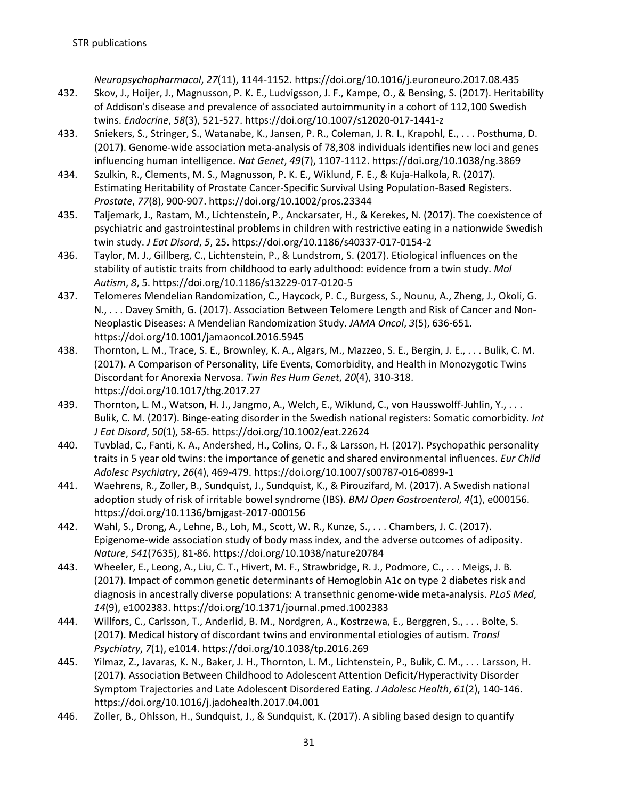*Neuropsychopharmacol*, *27*(11), 1144-1152. https://doi.org/10.1016/j.euroneuro.2017.08.435

- 432. Skov, J., Hoijer, J., Magnusson, P. K. E., Ludvigsson, J. F., Kampe, O., & Bensing, S. (2017). Heritability of Addison's disease and prevalence of associated autoimmunity in a cohort of 112,100 Swedish twins. *Endocrine*, *58*(3), 521-527. https://doi.org/10.1007/s12020-017-1441-z
- 433. Sniekers, S., Stringer, S., Watanabe, K., Jansen, P. R., Coleman, J. R. I., Krapohl, E., . . . Posthuma, D. (2017). Genome-wide association meta-analysis of 78,308 individuals identifies new loci and genes influencing human intelligence. *Nat Genet*, *49*(7), 1107-1112. https://doi.org/10.1038/ng.3869
- 434. Szulkin, R., Clements, M. S., Magnusson, P. K. E., Wiklund, F. E., & Kuja-Halkola, R. (2017). Estimating Heritability of Prostate Cancer-Specific Survival Using Population-Based Registers. *Prostate*, *77*(8), 900-907. https://doi.org/10.1002/pros.23344
- 435. Taljemark, J., Rastam, M., Lichtenstein, P., Anckarsater, H., & Kerekes, N. (2017). The coexistence of psychiatric and gastrointestinal problems in children with restrictive eating in a nationwide Swedish twin study. *J Eat Disord*, *5*, 25. https://doi.org/10.1186/s40337-017-0154-2
- 436. Taylor, M. J., Gillberg, C., Lichtenstein, P., & Lundstrom, S. (2017). Etiological influences on the stability of autistic traits from childhood to early adulthood: evidence from a twin study. *Mol Autism*, *8*, 5. https://doi.org/10.1186/s13229-017-0120-5
- 437. Telomeres Mendelian Randomization, C., Haycock, P. C., Burgess, S., Nounu, A., Zheng, J., Okoli, G. N., . . . Davey Smith, G. (2017). Association Between Telomere Length and Risk of Cancer and Non-Neoplastic Diseases: A Mendelian Randomization Study. *JAMA Oncol*, *3*(5), 636-651. https://doi.org/10.1001/jamaoncol.2016.5945
- 438. Thornton, L. M., Trace, S. E., Brownley, K. A., Algars, M., Mazzeo, S. E., Bergin, J. E., . . . Bulik, C. M. (2017). A Comparison of Personality, Life Events, Comorbidity, and Health in Monozygotic Twins Discordant for Anorexia Nervosa. *Twin Res Hum Genet*, *20*(4), 310-318. https://doi.org/10.1017/thg.2017.27
- 439. Thornton, L. M., Watson, H. J., Jangmo, A., Welch, E., Wiklund, C., von Hausswolff-Juhlin, Y., . . . Bulik, C. M. (2017). Binge-eating disorder in the Swedish national registers: Somatic comorbidity. *Int J Eat Disord*, *50*(1), 58-65. https://doi.org/10.1002/eat.22624
- 440. Tuvblad, C., Fanti, K. A., Andershed, H., Colins, O. F., & Larsson, H. (2017). Psychopathic personality traits in 5 year old twins: the importance of genetic and shared environmental influences. *Eur Child Adolesc Psychiatry*, *26*(4), 469-479. https://doi.org/10.1007/s00787-016-0899-1
- 441. Waehrens, R., Zoller, B., Sundquist, J., Sundquist, K., & Pirouzifard, M. (2017). A Swedish national adoption study of risk of irritable bowel syndrome (IBS). *BMJ Open Gastroenterol*, *4*(1), e000156. https://doi.org/10.1136/bmjgast-2017-000156
- 442. Wahl, S., Drong, A., Lehne, B., Loh, M., Scott, W. R., Kunze, S., . . . Chambers, J. C. (2017). Epigenome-wide association study of body mass index, and the adverse outcomes of adiposity. *Nature*, *541*(7635), 81-86. https://doi.org/10.1038/nature20784
- 443. Wheeler, E., Leong, A., Liu, C. T., Hivert, M. F., Strawbridge, R. J., Podmore, C., . . . Meigs, J. B. (2017). Impact of common genetic determinants of Hemoglobin A1c on type 2 diabetes risk and diagnosis in ancestrally diverse populations: A transethnic genome-wide meta-analysis. *PLoS Med*, *14*(9), e1002383. https://doi.org/10.1371/journal.pmed.1002383
- 444. Willfors, C., Carlsson, T., Anderlid, B. M., Nordgren, A., Kostrzewa, E., Berggren, S., . . . Bolte, S. (2017). Medical history of discordant twins and environmental etiologies of autism. *Transl Psychiatry*, *7*(1), e1014. https://doi.org/10.1038/tp.2016.269
- 445. Yilmaz, Z., Javaras, K. N., Baker, J. H., Thornton, L. M., Lichtenstein, P., Bulik, C. M., . . . Larsson, H. (2017). Association Between Childhood to Adolescent Attention Deficit/Hyperactivity Disorder Symptom Trajectories and Late Adolescent Disordered Eating. *J Adolesc Health*, *61*(2), 140-146. https://doi.org/10.1016/j.jadohealth.2017.04.001
- 446. Zoller, B., Ohlsson, H., Sundquist, J., & Sundquist, K. (2017). A sibling based design to quantify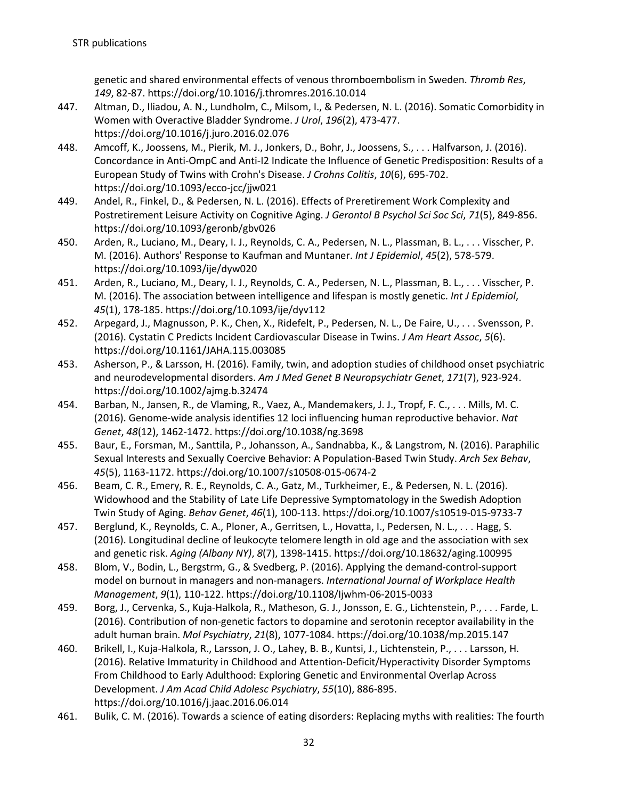genetic and shared environmental effects of venous thromboembolism in Sweden. *Thromb Res*, *149*, 82-87. https://doi.org/10.1016/j.thromres.2016.10.014

- 447. Altman, D., Iliadou, A. N., Lundholm, C., Milsom, I., & Pedersen, N. L. (2016). Somatic Comorbidity in Women with Overactive Bladder Syndrome. *J Urol*, *196*(2), 473-477. https://doi.org/10.1016/j.juro.2016.02.076
- 448. Amcoff, K., Joossens, M., Pierik, M. J., Jonkers, D., Bohr, J., Joossens, S., . . . Halfvarson, J. (2016). Concordance in Anti-OmpC and Anti-I2 Indicate the Influence of Genetic Predisposition: Results of a European Study of Twins with Crohn's Disease. *J Crohns Colitis*, *10*(6), 695-702. https://doi.org/10.1093/ecco-jcc/jjw021
- 449. Andel, R., Finkel, D., & Pedersen, N. L. (2016). Effects of Preretirement Work Complexity and Postretirement Leisure Activity on Cognitive Aging. *J Gerontol B Psychol Sci Soc Sci*, *71*(5), 849-856. https://doi.org/10.1093/geronb/gbv026
- 450. Arden, R., Luciano, M., Deary, I. J., Reynolds, C. A., Pedersen, N. L., Plassman, B. L., . . . Visscher, P. M. (2016). Authors' Response to Kaufman and Muntaner. *Int J Epidemiol*, *45*(2), 578-579. https://doi.org/10.1093/ije/dyw020
- 451. Arden, R., Luciano, M., Deary, I. J., Reynolds, C. A., Pedersen, N. L., Plassman, B. L., . . . Visscher, P. M. (2016). The association between intelligence and lifespan is mostly genetic. *Int J Epidemiol*, *45*(1), 178-185. https://doi.org/10.1093/ije/dyv112
- 452. Arpegard, J., Magnusson, P. K., Chen, X., Ridefelt, P., Pedersen, N. L., De Faire, U., . . . Svensson, P. (2016). Cystatin C Predicts Incident Cardiovascular Disease in Twins. *J Am Heart Assoc*, *5*(6). https://doi.org/10.1161/JAHA.115.003085
- 453. Asherson, P., & Larsson, H. (2016). Family, twin, and adoption studies of childhood onset psychiatric and neurodevelopmental disorders. *Am J Med Genet B Neuropsychiatr Genet*, *171*(7), 923-924. https://doi.org/10.1002/ajmg.b.32474
- 454. Barban, N., Jansen, R., de Vlaming, R., Vaez, A., Mandemakers, J. J., Tropf, F. C., . . . Mills, M. C. (2016). Genome-wide analysis identifies 12 loci influencing human reproductive behavior. *Nat Genet*, *48*(12), 1462-1472. https://doi.org/10.1038/ng.3698
- 455. Baur, E., Forsman, M., Santtila, P., Johansson, A., Sandnabba, K., & Langstrom, N. (2016). Paraphilic Sexual Interests and Sexually Coercive Behavior: A Population-Based Twin Study. *Arch Sex Behav*, *45*(5), 1163-1172. https://doi.org/10.1007/s10508-015-0674-2
- 456. Beam, C. R., Emery, R. E., Reynolds, C. A., Gatz, M., Turkheimer, E., & Pedersen, N. L. (2016). Widowhood and the Stability of Late Life Depressive Symptomatology in the Swedish Adoption Twin Study of Aging. *Behav Genet*, *46*(1), 100-113. https://doi.org/10.1007/s10519-015-9733-7
- 457. Berglund, K., Reynolds, C. A., Ploner, A., Gerritsen, L., Hovatta, I., Pedersen, N. L., . . . Hagg, S. (2016). Longitudinal decline of leukocyte telomere length in old age and the association with sex and genetic risk. *Aging (Albany NY)*, *8*(7), 1398-1415. https://doi.org/10.18632/aging.100995
- 458. Blom, V., Bodin, L., Bergstrm, G., & Svedberg, P. (2016). Applying the demand-control-support model on burnout in managers and non-managers. *International Journal of Workplace Health Management*, *9*(1), 110-122. https://doi.org/10.1108/Ijwhm-06-2015-0033
- 459. Borg, J., Cervenka, S., Kuja-Halkola, R., Matheson, G. J., Jonsson, E. G., Lichtenstein, P., . . . Farde, L. (2016). Contribution of non-genetic factors to dopamine and serotonin receptor availability in the adult human brain. *Mol Psychiatry*, *21*(8), 1077-1084. https://doi.org/10.1038/mp.2015.147
- 460. Brikell, I., Kuja-Halkola, R., Larsson, J. O., Lahey, B. B., Kuntsi, J., Lichtenstein, P., . . . Larsson, H. (2016). Relative Immaturity in Childhood and Attention-Deficit/Hyperactivity Disorder Symptoms From Childhood to Early Adulthood: Exploring Genetic and Environmental Overlap Across Development. *J Am Acad Child Adolesc Psychiatry*, *55*(10), 886-895. https://doi.org/10.1016/j.jaac.2016.06.014
- 461. Bulik, C. M. (2016). Towards a science of eating disorders: Replacing myths with realities: The fourth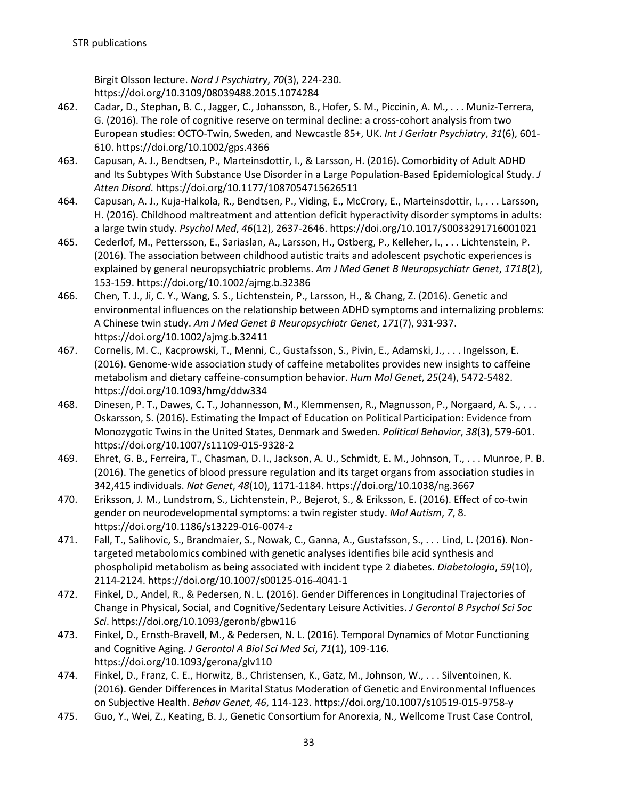Birgit Olsson lecture. *Nord J Psychiatry*, *70*(3), 224-230. https://doi.org/10.3109/08039488.2015.1074284

- 462. Cadar, D., Stephan, B. C., Jagger, C., Johansson, B., Hofer, S. M., Piccinin, A. M., . . . Muniz-Terrera, G. (2016). The role of cognitive reserve on terminal decline: a cross-cohort analysis from two European studies: OCTO-Twin, Sweden, and Newcastle 85+, UK. *Int J Geriatr Psychiatry*, *31*(6), 601- 610. https://doi.org/10.1002/gps.4366
- 463. Capusan, A. J., Bendtsen, P., Marteinsdottir, I., & Larsson, H. (2016). Comorbidity of Adult ADHD and Its Subtypes With Substance Use Disorder in a Large Population-Based Epidemiological Study. *J Atten Disord*. https://doi.org/10.1177/1087054715626511
- 464. Capusan, A. J., Kuja-Halkola, R., Bendtsen, P., Viding, E., McCrory, E., Marteinsdottir, I., . . . Larsson, H. (2016). Childhood maltreatment and attention deficit hyperactivity disorder symptoms in adults: a large twin study. *Psychol Med*, *46*(12), 2637-2646. https://doi.org/10.1017/S0033291716001021
- 465. Cederlof, M., Pettersson, E., Sariaslan, A., Larsson, H., Ostberg, P., Kelleher, I., . . . Lichtenstein, P. (2016). The association between childhood autistic traits and adolescent psychotic experiences is explained by general neuropsychiatric problems. *Am J Med Genet B Neuropsychiatr Genet*, *171B*(2), 153-159. https://doi.org/10.1002/ajmg.b.32386
- 466. Chen, T. J., Ji, C. Y., Wang, S. S., Lichtenstein, P., Larsson, H., & Chang, Z. (2016). Genetic and environmental influences on the relationship between ADHD symptoms and internalizing problems: A Chinese twin study. *Am J Med Genet B Neuropsychiatr Genet*, *171*(7), 931-937. https://doi.org/10.1002/ajmg.b.32411
- 467. Cornelis, M. C., Kacprowski, T., Menni, C., Gustafsson, S., Pivin, E., Adamski, J., . . . Ingelsson, E. (2016). Genome-wide association study of caffeine metabolites provides new insights to caffeine metabolism and dietary caffeine-consumption behavior. *Hum Mol Genet*, *25*(24), 5472-5482. https://doi.org/10.1093/hmg/ddw334
- 468. Dinesen, P. T., Dawes, C. T., Johannesson, M., Klemmensen, R., Magnusson, P., Norgaard, A. S., . . . Oskarsson, S. (2016). Estimating the Impact of Education on Political Participation: Evidence from Monozygotic Twins in the United States, Denmark and Sweden. *Political Behavior*, *38*(3), 579-601. https://doi.org/10.1007/s11109-015-9328-2
- 469. Ehret, G. B., Ferreira, T., Chasman, D. I., Jackson, A. U., Schmidt, E. M., Johnson, T., . . . Munroe, P. B. (2016). The genetics of blood pressure regulation and its target organs from association studies in 342,415 individuals. *Nat Genet*, *48*(10), 1171-1184. https://doi.org/10.1038/ng.3667
- 470. Eriksson, J. M., Lundstrom, S., Lichtenstein, P., Bejerot, S., & Eriksson, E. (2016). Effect of co-twin gender on neurodevelopmental symptoms: a twin register study. *Mol Autism*, *7*, 8. https://doi.org/10.1186/s13229-016-0074-z
- 471. Fall, T., Salihovic, S., Brandmaier, S., Nowak, C., Ganna, A., Gustafsson, S., . . . Lind, L. (2016). Nontargeted metabolomics combined with genetic analyses identifies bile acid synthesis and phospholipid metabolism as being associated with incident type 2 diabetes. *Diabetologia*, *59*(10), 2114-2124. https://doi.org/10.1007/s00125-016-4041-1
- 472. Finkel, D., Andel, R., & Pedersen, N. L. (2016). Gender Differences in Longitudinal Trajectories of Change in Physical, Social, and Cognitive/Sedentary Leisure Activities. *J Gerontol B Psychol Sci Soc Sci*. https://doi.org/10.1093/geronb/gbw116
- 473. Finkel, D., Ernsth-Bravell, M., & Pedersen, N. L. (2016). Temporal Dynamics of Motor Functioning and Cognitive Aging. *J Gerontol A Biol Sci Med Sci*, *71*(1), 109-116. https://doi.org/10.1093/gerona/glv110
- 474. Finkel, D., Franz, C. E., Horwitz, B., Christensen, K., Gatz, M., Johnson, W., . . . Silventoinen, K. (2016). Gender Differences in Marital Status Moderation of Genetic and Environmental Influences on Subjective Health. *Behav Genet*, *46*, 114-123. https://doi.org/10.1007/s10519-015-9758-y
- 475. Guo, Y., Wei, Z., Keating, B. J., Genetic Consortium for Anorexia, N., Wellcome Trust Case Control,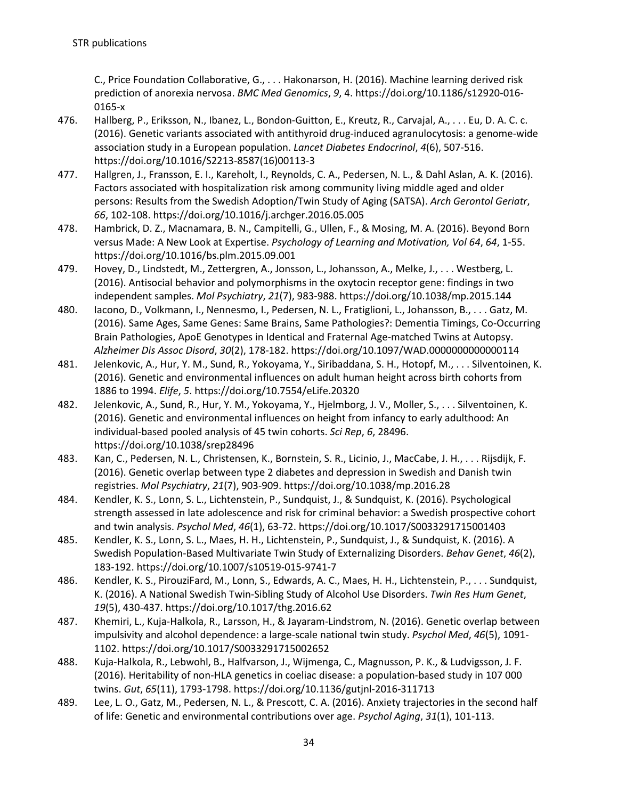C., Price Foundation Collaborative, G., . . . Hakonarson, H. (2016). Machine learning derived risk prediction of anorexia nervosa. *BMC Med Genomics*, *9*, 4. https://doi.org/10.1186/s12920-016- 0165-x

- 476. Hallberg, P., Eriksson, N., Ibanez, L., Bondon-Guitton, E., Kreutz, R., Carvajal, A., . . . Eu, D. A. C. c. (2016). Genetic variants associated with antithyroid drug-induced agranulocytosis: a genome-wide association study in a European population. *Lancet Diabetes Endocrinol*, *4*(6), 507-516. https://doi.org/10.1016/S2213-8587(16)00113-3
- 477. Hallgren, J., Fransson, E. I., Kareholt, I., Reynolds, C. A., Pedersen, N. L., & Dahl Aslan, A. K. (2016). Factors associated with hospitalization risk among community living middle aged and older persons: Results from the Swedish Adoption/Twin Study of Aging (SATSA). *Arch Gerontol Geriatr*, *66*, 102-108. https://doi.org/10.1016/j.archger.2016.05.005
- 478. Hambrick, D. Z., Macnamara, B. N., Campitelli, G., Ullen, F., & Mosing, M. A. (2016). Beyond Born versus Made: A New Look at Expertise. *Psychology of Learning and Motivation, Vol 64*, *64*, 1-55. https://doi.org/10.1016/bs.plm.2015.09.001
- 479. Hovey, D., Lindstedt, M., Zettergren, A., Jonsson, L., Johansson, A., Melke, J., . . . Westberg, L. (2016). Antisocial behavior and polymorphisms in the oxytocin receptor gene: findings in two independent samples. *Mol Psychiatry*, *21*(7), 983-988. https://doi.org/10.1038/mp.2015.144
- 480. Iacono, D., Volkmann, I., Nennesmo, I., Pedersen, N. L., Fratiglioni, L., Johansson, B., . . . Gatz, M. (2016). Same Ages, Same Genes: Same Brains, Same Pathologies?: Dementia Timings, Co-Occurring Brain Pathologies, ApoE Genotypes in Identical and Fraternal Age-matched Twins at Autopsy. *Alzheimer Dis Assoc Disord*, *30*(2), 178-182. https://doi.org/10.1097/WAD.0000000000000114
- 481. Jelenkovic, A., Hur, Y. M., Sund, R., Yokoyama, Y., Siribaddana, S. H., Hotopf, M., . . . Silventoinen, K. (2016). Genetic and environmental influences on adult human height across birth cohorts from 1886 to 1994. *Elife*, *5*. https://doi.org/10.7554/eLife.20320
- 482. Jelenkovic, A., Sund, R., Hur, Y. M., Yokoyama, Y., Hjelmborg, J. V., Moller, S., . . . Silventoinen, K. (2016). Genetic and environmental influences on height from infancy to early adulthood: An individual-based pooled analysis of 45 twin cohorts. *Sci Rep*, *6*, 28496. https://doi.org/10.1038/srep28496
- 483. Kan, C., Pedersen, N. L., Christensen, K., Bornstein, S. R., Licinio, J., MacCabe, J. H., . . . Rijsdijk, F. (2016). Genetic overlap between type 2 diabetes and depression in Swedish and Danish twin registries. *Mol Psychiatry*, *21*(7), 903-909. https://doi.org/10.1038/mp.2016.28
- 484. Kendler, K. S., Lonn, S. L., Lichtenstein, P., Sundquist, J., & Sundquist, K. (2016). Psychological strength assessed in late adolescence and risk for criminal behavior: a Swedish prospective cohort and twin analysis. *Psychol Med*, *46*(1), 63-72. https://doi.org/10.1017/S0033291715001403
- 485. Kendler, K. S., Lonn, S. L., Maes, H. H., Lichtenstein, P., Sundquist, J., & Sundquist, K. (2016). A Swedish Population-Based Multivariate Twin Study of Externalizing Disorders. *Behav Genet*, *46*(2), 183-192. https://doi.org/10.1007/s10519-015-9741-7
- 486. Kendler, K. S., PirouziFard, M., Lonn, S., Edwards, A. C., Maes, H. H., Lichtenstein, P., . . . Sundquist, K. (2016). A National Swedish Twin-Sibling Study of Alcohol Use Disorders. *Twin Res Hum Genet*, *19*(5), 430-437. https://doi.org/10.1017/thg.2016.62
- 487. Khemiri, L., Kuja-Halkola, R., Larsson, H., & Jayaram-Lindstrom, N. (2016). Genetic overlap between impulsivity and alcohol dependence: a large-scale national twin study. *Psychol Med*, *46*(5), 1091- 1102. https://doi.org/10.1017/S0033291715002652
- 488. Kuja-Halkola, R., Lebwohl, B., Halfvarson, J., Wijmenga, C., Magnusson, P. K., & Ludvigsson, J. F. (2016). Heritability of non-HLA genetics in coeliac disease: a population-based study in 107 000 twins. *Gut*, *65*(11), 1793-1798. https://doi.org/10.1136/gutjnl-2016-311713
- 489. Lee, L. O., Gatz, M., Pedersen, N. L., & Prescott, C. A. (2016). Anxiety trajectories in the second half of life: Genetic and environmental contributions over age. *Psychol Aging*, *31*(1), 101-113.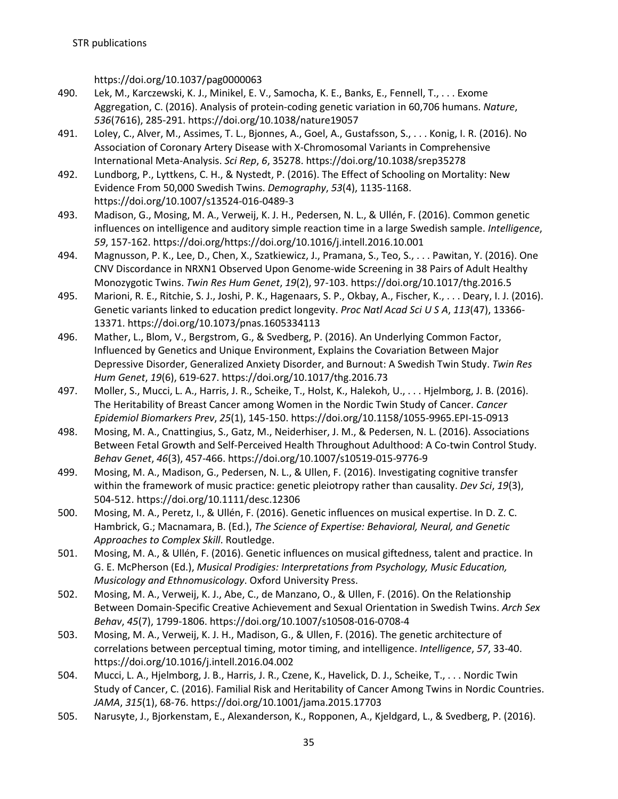https://doi.org/10.1037/pag0000063

- 490. Lek, M., Karczewski, K. J., Minikel, E. V., Samocha, K. E., Banks, E., Fennell, T., . . . Exome Aggregation, C. (2016). Analysis of protein-coding genetic variation in 60,706 humans. *Nature*, *536*(7616), 285-291. https://doi.org/10.1038/nature19057
- 491. Loley, C., Alver, M., Assimes, T. L., Bjonnes, A., Goel, A., Gustafsson, S., . . . Konig, I. R. (2016). No Association of Coronary Artery Disease with X-Chromosomal Variants in Comprehensive International Meta-Analysis. *Sci Rep*, *6*, 35278. https://doi.org/10.1038/srep35278
- 492. Lundborg, P., Lyttkens, C. H., & Nystedt, P. (2016). The Effect of Schooling on Mortality: New Evidence From 50,000 Swedish Twins. *Demography*, *53*(4), 1135-1168. https://doi.org/10.1007/s13524-016-0489-3
- 493. Madison, G., Mosing, M. A., Verweij, K. J. H., Pedersen, N. L., & Ullén, F. (2016). Common genetic influences on intelligence and auditory simple reaction time in a large Swedish sample. *Intelligence*, *59*, 157-162. https://doi.org/https://doi.org/10.1016/j.intell.2016.10.001
- 494. Magnusson, P. K., Lee, D., Chen, X., Szatkiewicz, J., Pramana, S., Teo, S., . . . Pawitan, Y. (2016). One CNV Discordance in NRXN1 Observed Upon Genome-wide Screening in 38 Pairs of Adult Healthy Monozygotic Twins. *Twin Res Hum Genet*, *19*(2), 97-103. https://doi.org/10.1017/thg.2016.5
- 495. Marioni, R. E., Ritchie, S. J., Joshi, P. K., Hagenaars, S. P., Okbay, A., Fischer, K., . . . Deary, I. J. (2016). Genetic variants linked to education predict longevity. *Proc Natl Acad Sci U S A*, *113*(47), 13366- 13371. https://doi.org/10.1073/pnas.1605334113
- 496. Mather, L., Blom, V., Bergstrom, G., & Svedberg, P. (2016). An Underlying Common Factor, Influenced by Genetics and Unique Environment, Explains the Covariation Between Major Depressive Disorder, Generalized Anxiety Disorder, and Burnout: A Swedish Twin Study. *Twin Res Hum Genet*, *19*(6), 619-627. https://doi.org/10.1017/thg.2016.73
- 497. Moller, S., Mucci, L. A., Harris, J. R., Scheike, T., Holst, K., Halekoh, U., . . . Hjelmborg, J. B. (2016). The Heritability of Breast Cancer among Women in the Nordic Twin Study of Cancer. *Cancer Epidemiol Biomarkers Prev*, *25*(1), 145-150. https://doi.org/10.1158/1055-9965.EPI-15-0913
- 498. Mosing, M. A., Cnattingius, S., Gatz, M., Neiderhiser, J. M., & Pedersen, N. L. (2016). Associations Between Fetal Growth and Self-Perceived Health Throughout Adulthood: A Co-twin Control Study. *Behav Genet*, *46*(3), 457-466. https://doi.org/10.1007/s10519-015-9776-9
- 499. Mosing, M. A., Madison, G., Pedersen, N. L., & Ullen, F. (2016). Investigating cognitive transfer within the framework of music practice: genetic pleiotropy rather than causality. *Dev Sci*, *19*(3), 504-512. https://doi.org/10.1111/desc.12306
- 500. Mosing, M. A., Peretz, I., & Ullén, F. (2016). Genetic influences on musical expertise. In D. Z. C. Hambrick, G.; Macnamara, B. (Ed.), *The Science of Expertise: Behavioral, Neural, and Genetic Approaches to Complex Skill*. Routledge.
- 501. Mosing, M. A., & Ullén, F. (2016). Genetic influences on musical giftedness, talent and practice. In G. E. McPherson (Ed.), *Musical Prodigies: Interpretations from Psychology, Music Education, Musicology and Ethnomusicology*. Oxford University Press.
- 502. Mosing, M. A., Verweij, K. J., Abe, C., de Manzano, O., & Ullen, F. (2016). On the Relationship Between Domain-Specific Creative Achievement and Sexual Orientation in Swedish Twins. *Arch Sex Behav*, *45*(7), 1799-1806. https://doi.org/10.1007/s10508-016-0708-4
- 503. Mosing, M. A., Verweij, K. J. H., Madison, G., & Ullen, F. (2016). The genetic architecture of correlations between perceptual timing, motor timing, and intelligence. *Intelligence*, *57*, 33-40. https://doi.org/10.1016/j.intell.2016.04.002
- 504. Mucci, L. A., Hjelmborg, J. B., Harris, J. R., Czene, K., Havelick, D. J., Scheike, T., . . . Nordic Twin Study of Cancer, C. (2016). Familial Risk and Heritability of Cancer Among Twins in Nordic Countries. *JAMA*, *315*(1), 68-76. https://doi.org/10.1001/jama.2015.17703
- 505. Narusyte, J., Bjorkenstam, E., Alexanderson, K., Ropponen, A., Kjeldgard, L., & Svedberg, P. (2016).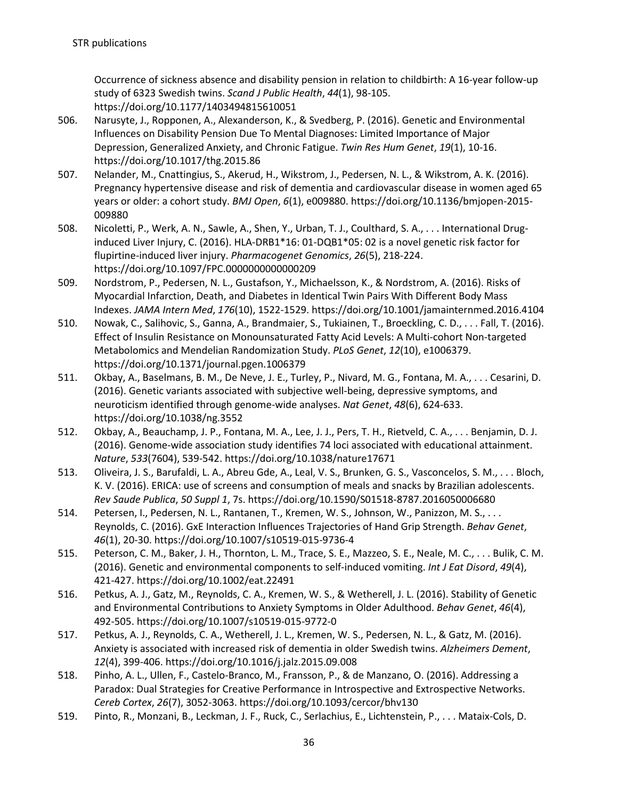Occurrence of sickness absence and disability pension in relation to childbirth: A 16-year follow-up study of 6323 Swedish twins. *Scand J Public Health*, *44*(1), 98-105. https://doi.org/10.1177/1403494815610051

- 506. Narusyte, J., Ropponen, A., Alexanderson, K., & Svedberg, P. (2016). Genetic and Environmental Influences on Disability Pension Due To Mental Diagnoses: Limited Importance of Major Depression, Generalized Anxiety, and Chronic Fatigue. *Twin Res Hum Genet*, *19*(1), 10-16. https://doi.org/10.1017/thg.2015.86
- 507. Nelander, M., Cnattingius, S., Akerud, H., Wikstrom, J., Pedersen, N. L., & Wikstrom, A. K. (2016). Pregnancy hypertensive disease and risk of dementia and cardiovascular disease in women aged 65 years or older: a cohort study. *BMJ Open*, *6*(1), e009880. https://doi.org/10.1136/bmjopen-2015- 009880
- 508. Nicoletti, P., Werk, A. N., Sawle, A., Shen, Y., Urban, T. J., Coulthard, S. A., . . . International Druginduced Liver Injury, C. (2016). HLA-DRB1\*16: 01-DQB1\*05: 02 is a novel genetic risk factor for flupirtine-induced liver injury. *Pharmacogenet Genomics*, *26*(5), 218-224. https://doi.org/10.1097/FPC.0000000000000209
- 509. Nordstrom, P., Pedersen, N. L., Gustafson, Y., Michaelsson, K., & Nordstrom, A. (2016). Risks of Myocardial Infarction, Death, and Diabetes in Identical Twin Pairs With Different Body Mass Indexes. *JAMA Intern Med*, *176*(10), 1522-1529. https://doi.org/10.1001/jamainternmed.2016.4104
- 510. Nowak, C., Salihovic, S., Ganna, A., Brandmaier, S., Tukiainen, T., Broeckling, C. D., . . . Fall, T. (2016). Effect of Insulin Resistance on Monounsaturated Fatty Acid Levels: A Multi-cohort Non-targeted Metabolomics and Mendelian Randomization Study. *PLoS Genet*, *12*(10), e1006379. https://doi.org/10.1371/journal.pgen.1006379
- 511. Okbay, A., Baselmans, B. M., De Neve, J. E., Turley, P., Nivard, M. G., Fontana, M. A., . . . Cesarini, D. (2016). Genetic variants associated with subjective well-being, depressive symptoms, and neuroticism identified through genome-wide analyses. *Nat Genet*, *48*(6), 624-633. https://doi.org/10.1038/ng.3552
- 512. Okbay, A., Beauchamp, J. P., Fontana, M. A., Lee, J. J., Pers, T. H., Rietveld, C. A., . . . Benjamin, D. J. (2016). Genome-wide association study identifies 74 loci associated with educational attainment. *Nature*, *533*(7604), 539-542. https://doi.org/10.1038/nature17671
- 513. Oliveira, J. S., Barufaldi, L. A., Abreu Gde, A., Leal, V. S., Brunken, G. S., Vasconcelos, S. M., . . . Bloch, K. V. (2016). ERICA: use of screens and consumption of meals and snacks by Brazilian adolescents. *Rev Saude Publica*, *50 Suppl 1*, 7s. https://doi.org/10.1590/S01518-8787.2016050006680
- 514. Petersen, I., Pedersen, N. L., Rantanen, T., Kremen, W. S., Johnson, W., Panizzon, M. S., . . . Reynolds, C. (2016). GxE Interaction Influences Trajectories of Hand Grip Strength. *Behav Genet*, *46*(1), 20-30. https://doi.org/10.1007/s10519-015-9736-4
- 515. Peterson, C. M., Baker, J. H., Thornton, L. M., Trace, S. E., Mazzeo, S. E., Neale, M. C., . . . Bulik, C. M. (2016). Genetic and environmental components to self-induced vomiting. *Int J Eat Disord*, *49*(4), 421-427. https://doi.org/10.1002/eat.22491
- 516. Petkus, A. J., Gatz, M., Reynolds, C. A., Kremen, W. S., & Wetherell, J. L. (2016). Stability of Genetic and Environmental Contributions to Anxiety Symptoms in Older Adulthood. *Behav Genet*, *46*(4), 492-505. https://doi.org/10.1007/s10519-015-9772-0
- 517. Petkus, A. J., Reynolds, C. A., Wetherell, J. L., Kremen, W. S., Pedersen, N. L., & Gatz, M. (2016). Anxiety is associated with increased risk of dementia in older Swedish twins. *Alzheimers Dement*, *12*(4), 399-406. https://doi.org/10.1016/j.jalz.2015.09.008
- 518. Pinho, A. L., Ullen, F., Castelo-Branco, M., Fransson, P., & de Manzano, O. (2016). Addressing a Paradox: Dual Strategies for Creative Performance in Introspective and Extrospective Networks. *Cereb Cortex*, *26*(7), 3052-3063. https://doi.org/10.1093/cercor/bhv130
- 519. Pinto, R., Monzani, B., Leckman, J. F., Ruck, C., Serlachius, E., Lichtenstein, P., . . . Mataix-Cols, D.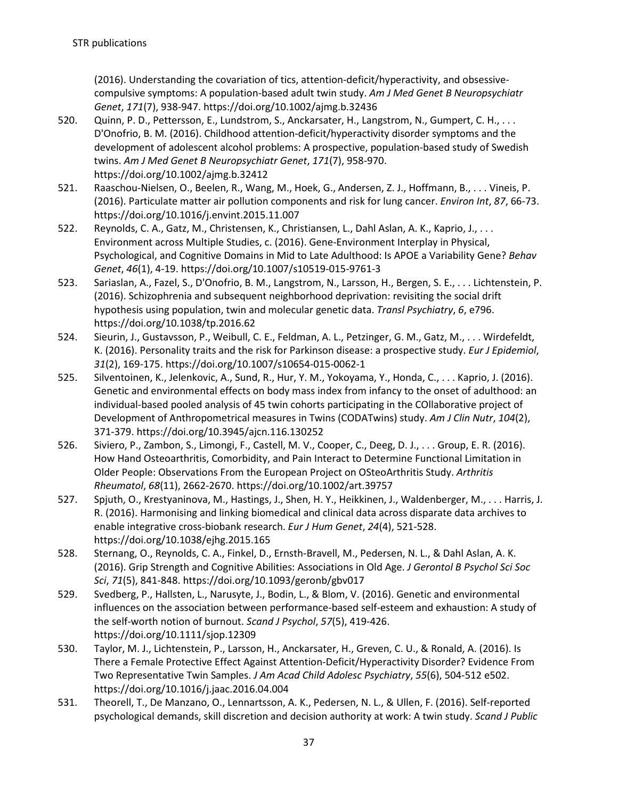(2016). Understanding the covariation of tics, attention-deficit/hyperactivity, and obsessivecompulsive symptoms: A population-based adult twin study. *Am J Med Genet B Neuropsychiatr Genet*, *171*(7), 938-947. https://doi.org/10.1002/ajmg.b.32436

- 520. Quinn, P. D., Pettersson, E., Lundstrom, S., Anckarsater, H., Langstrom, N., Gumpert, C. H., . . . D'Onofrio, B. M. (2016). Childhood attention-deficit/hyperactivity disorder symptoms and the development of adolescent alcohol problems: A prospective, population-based study of Swedish twins. *Am J Med Genet B Neuropsychiatr Genet*, *171*(7), 958-970. https://doi.org/10.1002/ajmg.b.32412
- 521. Raaschou-Nielsen, O., Beelen, R., Wang, M., Hoek, G., Andersen, Z. J., Hoffmann, B., . . . Vineis, P. (2016). Particulate matter air pollution components and risk for lung cancer. *Environ Int*, *87*, 66-73. https://doi.org/10.1016/j.envint.2015.11.007
- 522. Reynolds, C. A., Gatz, M., Christensen, K., Christiansen, L., Dahl Aslan, A. K., Kaprio, J., . . . Environment across Multiple Studies, c. (2016). Gene-Environment Interplay in Physical, Psychological, and Cognitive Domains in Mid to Late Adulthood: Is APOE a Variability Gene? *Behav Genet*, *46*(1), 4-19. https://doi.org/10.1007/s10519-015-9761-3
- 523. Sariaslan, A., Fazel, S., D'Onofrio, B. M., Langstrom, N., Larsson, H., Bergen, S. E., . . . Lichtenstein, P. (2016). Schizophrenia and subsequent neighborhood deprivation: revisiting the social drift hypothesis using population, twin and molecular genetic data. *Transl Psychiatry*, *6*, e796. https://doi.org/10.1038/tp.2016.62
- 524. Sieurin, J., Gustavsson, P., Weibull, C. E., Feldman, A. L., Petzinger, G. M., Gatz, M., . . . Wirdefeldt, K. (2016). Personality traits and the risk for Parkinson disease: a prospective study. *Eur J Epidemiol*, *31*(2), 169-175. https://doi.org/10.1007/s10654-015-0062-1
- 525. Silventoinen, K., Jelenkovic, A., Sund, R., Hur, Y. M., Yokoyama, Y., Honda, C., . . . Kaprio, J. (2016). Genetic and environmental effects on body mass index from infancy to the onset of adulthood: an individual-based pooled analysis of 45 twin cohorts participating in the COllaborative project of Development of Anthropometrical measures in Twins (CODATwins) study. *Am J Clin Nutr*, *104*(2), 371-379. https://doi.org/10.3945/ajcn.116.130252
- 526. Siviero, P., Zambon, S., Limongi, F., Castell, M. V., Cooper, C., Deeg, D. J., . . . Group, E. R. (2016). How Hand Osteoarthritis, Comorbidity, and Pain Interact to Determine Functional Limitation in Older People: Observations From the European Project on OSteoArthritis Study. *Arthritis Rheumatol*, *68*(11), 2662-2670. https://doi.org/10.1002/art.39757
- 527. Spjuth, O., Krestyaninova, M., Hastings, J., Shen, H. Y., Heikkinen, J., Waldenberger, M., . . . Harris, J. R. (2016). Harmonising and linking biomedical and clinical data across disparate data archives to enable integrative cross-biobank research. *Eur J Hum Genet*, *24*(4), 521-528. https://doi.org/10.1038/ejhg.2015.165
- 528. Sternang, O., Reynolds, C. A., Finkel, D., Ernsth-Bravell, M., Pedersen, N. L., & Dahl Aslan, A. K. (2016). Grip Strength and Cognitive Abilities: Associations in Old Age. *J Gerontol B Psychol Sci Soc Sci*, *71*(5), 841-848. https://doi.org/10.1093/geronb/gbv017
- 529. Svedberg, P., Hallsten, L., Narusyte, J., Bodin, L., & Blom, V. (2016). Genetic and environmental influences on the association between performance-based self-esteem and exhaustion: A study of the self-worth notion of burnout. *Scand J Psychol*, *57*(5), 419-426. https://doi.org/10.1111/sjop.12309
- 530. Taylor, M. J., Lichtenstein, P., Larsson, H., Anckarsater, H., Greven, C. U., & Ronald, A. (2016). Is There a Female Protective Effect Against Attention-Deficit/Hyperactivity Disorder? Evidence From Two Representative Twin Samples. *J Am Acad Child Adolesc Psychiatry*, *55*(6), 504-512 e502. https://doi.org/10.1016/j.jaac.2016.04.004
- 531. Theorell, T., De Manzano, O., Lennartsson, A. K., Pedersen, N. L., & Ullen, F. (2016). Self-reported psychological demands, skill discretion and decision authority at work: A twin study. *Scand J Public*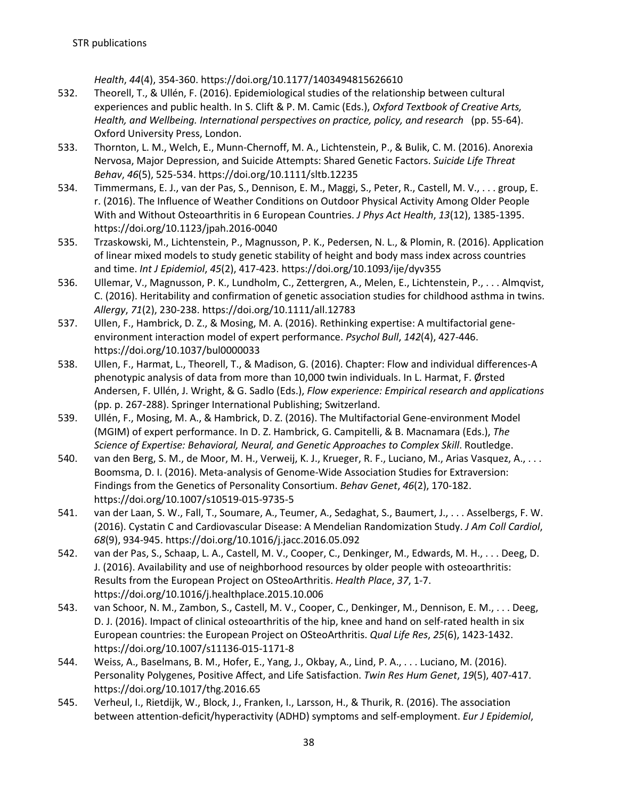*Health*, *44*(4), 354-360. https://doi.org/10.1177/1403494815626610

- 532. Theorell, T., & Ullén, F. (2016). Epidemiological studies of the relationship between cultural experiences and public health. In S. Clift & P. M. Camic (Eds.), *Oxford Textbook of Creative Arts, Health, and Wellbeing. International perspectives on practice, policy, and research* (pp. 55-64). Oxford University Press, London.
- 533. Thornton, L. M., Welch, E., Munn-Chernoff, M. A., Lichtenstein, P., & Bulik, C. M. (2016). Anorexia Nervosa, Major Depression, and Suicide Attempts: Shared Genetic Factors. *Suicide Life Threat Behav*, *46*(5), 525-534. https://doi.org/10.1111/sltb.12235
- 534. Timmermans, E. J., van der Pas, S., Dennison, E. M., Maggi, S., Peter, R., Castell, M. V., . . . group, E. r. (2016). The Influence of Weather Conditions on Outdoor Physical Activity Among Older People With and Without Osteoarthritis in 6 European Countries. *J Phys Act Health*, *13*(12), 1385-1395. https://doi.org/10.1123/jpah.2016-0040
- 535. Trzaskowski, M., Lichtenstein, P., Magnusson, P. K., Pedersen, N. L., & Plomin, R. (2016). Application of linear mixed models to study genetic stability of height and body mass index across countries and time. *Int J Epidemiol*, *45*(2), 417-423. https://doi.org/10.1093/ije/dyv355
- 536. Ullemar, V., Magnusson, P. K., Lundholm, C., Zettergren, A., Melen, E., Lichtenstein, P., . . . Almqvist, C. (2016). Heritability and confirmation of genetic association studies for childhood asthma in twins. *Allergy*, *71*(2), 230-238. https://doi.org/10.1111/all.12783
- 537. Ullen, F., Hambrick, D. Z., & Mosing, M. A. (2016). Rethinking expertise: A multifactorial geneenvironment interaction model of expert performance. *Psychol Bull*, *142*(4), 427-446. https://doi.org/10.1037/bul0000033
- 538. Ullen, F., Harmat, L., Theorell, T., & Madison, G. (2016). Chapter: Flow and individual differences-A phenotypic analysis of data from more than 10,000 twin individuals. In L. Harmat, F. Ørsted Andersen, F. Ullén, J. Wright, & G. Sadlo (Eds.), *Flow experience: Empirical research and applications* (pp. p. 267-288). Springer International Publishing; Switzerland.
- 539. Ullén, F., Mosing, M. A., & Hambrick, D. Z. (2016). The Multifactorial Gene-environment Model (MGIM) of expert performance. In D. Z. Hambrick, G. Campitelli, & B. Macnamara (Eds.), *The Science of Expertise: Behavioral, Neural, and Genetic Approaches to Complex Skill*. Routledge.
- 540. van den Berg, S. M., de Moor, M. H., Verweij, K. J., Krueger, R. F., Luciano, M., Arias Vasquez, A., . . . Boomsma, D. I. (2016). Meta-analysis of Genome-Wide Association Studies for Extraversion: Findings from the Genetics of Personality Consortium. *Behav Genet*, *46*(2), 170-182. https://doi.org/10.1007/s10519-015-9735-5
- 541. van der Laan, S. W., Fall, T., Soumare, A., Teumer, A., Sedaghat, S., Baumert, J., . . . Asselbergs, F. W. (2016). Cystatin C and Cardiovascular Disease: A Mendelian Randomization Study. *J Am Coll Cardiol*, *68*(9), 934-945. https://doi.org/10.1016/j.jacc.2016.05.092
- 542. van der Pas, S., Schaap, L. A., Castell, M. V., Cooper, C., Denkinger, M., Edwards, M. H., . . . Deeg, D. J. (2016). Availability and use of neighborhood resources by older people with osteoarthritis: Results from the European Project on OSteoArthritis. *Health Place*, *37*, 1-7. https://doi.org/10.1016/j.healthplace.2015.10.006
- 543. van Schoor, N. M., Zambon, S., Castell, M. V., Cooper, C., Denkinger, M., Dennison, E. M., . . . Deeg, D. J. (2016). Impact of clinical osteoarthritis of the hip, knee and hand on self-rated health in six European countries: the European Project on OSteoArthritis. *Qual Life Res*, *25*(6), 1423-1432. https://doi.org/10.1007/s11136-015-1171-8
- 544. Weiss, A., Baselmans, B. M., Hofer, E., Yang, J., Okbay, A., Lind, P. A., . . . Luciano, M. (2016). Personality Polygenes, Positive Affect, and Life Satisfaction. *Twin Res Hum Genet*, *19*(5), 407-417. https://doi.org/10.1017/thg.2016.65
- 545. Verheul, I., Rietdijk, W., Block, J., Franken, I., Larsson, H., & Thurik, R. (2016). The association between attention-deficit/hyperactivity (ADHD) symptoms and self-employment. *Eur J Epidemiol*,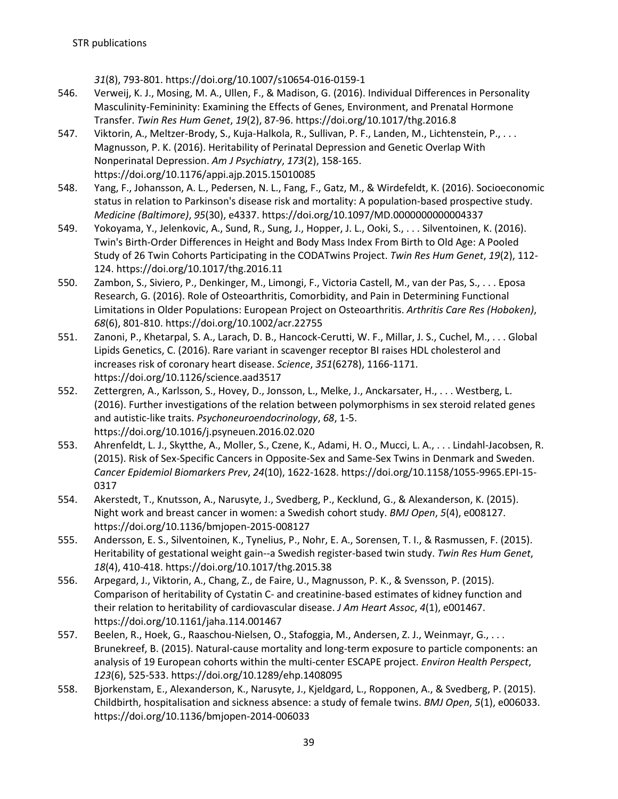*31*(8), 793-801. https://doi.org/10.1007/s10654-016-0159-1

- 546. Verweij, K. J., Mosing, M. A., Ullen, F., & Madison, G. (2016). Individual Differences in Personality Masculinity-Femininity: Examining the Effects of Genes, Environment, and Prenatal Hormone Transfer. *Twin Res Hum Genet*, *19*(2), 87-96. https://doi.org/10.1017/thg.2016.8
- 547. Viktorin, A., Meltzer-Brody, S., Kuja-Halkola, R., Sullivan, P. F., Landen, M., Lichtenstein, P., . . . Magnusson, P. K. (2016). Heritability of Perinatal Depression and Genetic Overlap With Nonperinatal Depression. *Am J Psychiatry*, *173*(2), 158-165. https://doi.org/10.1176/appi.ajp.2015.15010085
- 548. Yang, F., Johansson, A. L., Pedersen, N. L., Fang, F., Gatz, M., & Wirdefeldt, K. (2016). Socioeconomic status in relation to Parkinson's disease risk and mortality: A population-based prospective study. *Medicine (Baltimore)*, *95*(30), e4337. https://doi.org/10.1097/MD.0000000000004337
- 549. Yokoyama, Y., Jelenkovic, A., Sund, R., Sung, J., Hopper, J. L., Ooki, S., . . . Silventoinen, K. (2016). Twin's Birth-Order Differences in Height and Body Mass Index From Birth to Old Age: A Pooled Study of 26 Twin Cohorts Participating in the CODATwins Project. *Twin Res Hum Genet*, *19*(2), 112- 124. https://doi.org/10.1017/thg.2016.11
- 550. Zambon, S., Siviero, P., Denkinger, M., Limongi, F., Victoria Castell, M., van der Pas, S., . . . Eposa Research, G. (2016). Role of Osteoarthritis, Comorbidity, and Pain in Determining Functional Limitations in Older Populations: European Project on Osteoarthritis. *Arthritis Care Res (Hoboken)*, *68*(6), 801-810. https://doi.org/10.1002/acr.22755
- 551. Zanoni, P., Khetarpal, S. A., Larach, D. B., Hancock-Cerutti, W. F., Millar, J. S., Cuchel, M., . . . Global Lipids Genetics, C. (2016). Rare variant in scavenger receptor BI raises HDL cholesterol and increases risk of coronary heart disease. *Science*, *351*(6278), 1166-1171. https://doi.org/10.1126/science.aad3517
- 552. Zettergren, A., Karlsson, S., Hovey, D., Jonsson, L., Melke, J., Anckarsater, H., . . . Westberg, L. (2016). Further investigations of the relation between polymorphisms in sex steroid related genes and autistic-like traits. *Psychoneuroendocrinology*, *68*, 1-5. https://doi.org/10.1016/j.psyneuen.2016.02.020
- 553. Ahrenfeldt, L. J., Skytthe, A., Moller, S., Czene, K., Adami, H. O., Mucci, L. A., . . . Lindahl-Jacobsen, R. (2015). Risk of Sex-Specific Cancers in Opposite-Sex and Same-Sex Twins in Denmark and Sweden. *Cancer Epidemiol Biomarkers Prev*, *24*(10), 1622-1628. https://doi.org/10.1158/1055-9965.EPI-15- 0317
- 554. Akerstedt, T., Knutsson, A., Narusyte, J., Svedberg, P., Kecklund, G., & Alexanderson, K. (2015). Night work and breast cancer in women: a Swedish cohort study. *BMJ Open*, *5*(4), e008127. https://doi.org/10.1136/bmjopen-2015-008127
- 555. Andersson, E. S., Silventoinen, K., Tynelius, P., Nohr, E. A., Sorensen, T. I., & Rasmussen, F. (2015). Heritability of gestational weight gain--a Swedish register-based twin study. *Twin Res Hum Genet*, *18*(4), 410-418. https://doi.org/10.1017/thg.2015.38
- 556. Arpegard, J., Viktorin, A., Chang, Z., de Faire, U., Magnusson, P. K., & Svensson, P. (2015). Comparison of heritability of Cystatin C- and creatinine-based estimates of kidney function and their relation to heritability of cardiovascular disease. *J Am Heart Assoc*, *4*(1), e001467. https://doi.org/10.1161/jaha.114.001467
- 557. Beelen, R., Hoek, G., Raaschou-Nielsen, O., Stafoggia, M., Andersen, Z. J., Weinmayr, G., . . . Brunekreef, B. (2015). Natural-cause mortality and long-term exposure to particle components: an analysis of 19 European cohorts within the multi-center ESCAPE project. *Environ Health Perspect*, *123*(6), 525-533. https://doi.org/10.1289/ehp.1408095
- 558. Bjorkenstam, E., Alexanderson, K., Narusyte, J., Kjeldgard, L., Ropponen, A., & Svedberg, P. (2015). Childbirth, hospitalisation and sickness absence: a study of female twins. *BMJ Open*, *5*(1), e006033. https://doi.org/10.1136/bmjopen-2014-006033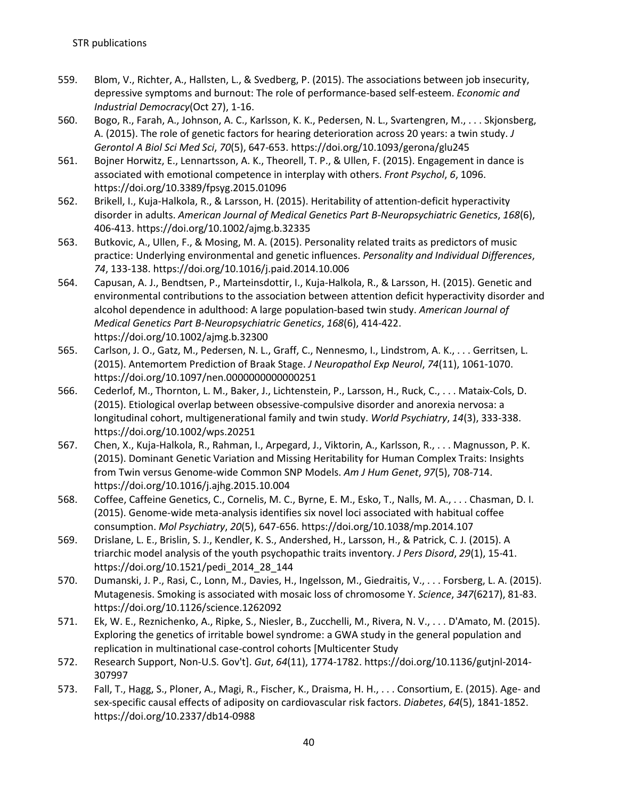- 559. Blom, V., Richter, A., Hallsten, L., & Svedberg, P. (2015). The associations between job insecurity, depressive symptoms and burnout: The role of performance-based self-esteem. *Economic and Industrial Democracy*(Oct 27), 1-16.
- 560. Bogo, R., Farah, A., Johnson, A. C., Karlsson, K. K., Pedersen, N. L., Svartengren, M., . . . Skjonsberg, A. (2015). The role of genetic factors for hearing deterioration across 20 years: a twin study. *J Gerontol A Biol Sci Med Sci*, *70*(5), 647-653. https://doi.org/10.1093/gerona/glu245
- 561. Bojner Horwitz, E., Lennartsson, A. K., Theorell, T. P., & Ullen, F. (2015). Engagement in dance is associated with emotional competence in interplay with others. *Front Psychol*, *6*, 1096. https://doi.org/10.3389/fpsyg.2015.01096
- 562. Brikell, I., Kuja-Halkola, R., & Larsson, H. (2015). Heritability of attention-deficit hyperactivity disorder in adults. *American Journal of Medical Genetics Part B-Neuropsychiatric Genetics*, *168*(6), 406-413. https://doi.org/10.1002/ajmg.b.32335
- 563. Butkovic, A., Ullen, F., & Mosing, M. A. (2015). Personality related traits as predictors of music practice: Underlying environmental and genetic influences. *Personality and Individual Differences*, *74*, 133-138. https://doi.org/10.1016/j.paid.2014.10.006
- 564. Capusan, A. J., Bendtsen, P., Marteinsdottir, I., Kuja-Halkola, R., & Larsson, H. (2015). Genetic and environmental contributions to the association between attention deficit hyperactivity disorder and alcohol dependence in adulthood: A large population-based twin study. *American Journal of Medical Genetics Part B-Neuropsychiatric Genetics*, *168*(6), 414-422. https://doi.org/10.1002/ajmg.b.32300
- 565. Carlson, J. O., Gatz, M., Pedersen, N. L., Graff, C., Nennesmo, I., Lindstrom, A. K., . . . Gerritsen, L. (2015). Antemortem Prediction of Braak Stage. *J Neuropathol Exp Neurol*, *74*(11), 1061-1070. https://doi.org/10.1097/nen.0000000000000251
- 566. Cederlof, M., Thornton, L. M., Baker, J., Lichtenstein, P., Larsson, H., Ruck, C., . . . Mataix-Cols, D. (2015). Etiological overlap between obsessive-compulsive disorder and anorexia nervosa: a longitudinal cohort, multigenerational family and twin study. *World Psychiatry*, *14*(3), 333-338. https://doi.org/10.1002/wps.20251
- 567. Chen, X., Kuja-Halkola, R., Rahman, I., Arpegard, J., Viktorin, A., Karlsson, R., . . . Magnusson, P. K. (2015). Dominant Genetic Variation and Missing Heritability for Human Complex Traits: Insights from Twin versus Genome-wide Common SNP Models. *Am J Hum Genet*, *97*(5), 708-714. https://doi.org/10.1016/j.ajhg.2015.10.004
- 568. Coffee, Caffeine Genetics, C., Cornelis, M. C., Byrne, E. M., Esko, T., Nalls, M. A., . . . Chasman, D. I. (2015). Genome-wide meta-analysis identifies six novel loci associated with habitual coffee consumption. *Mol Psychiatry*, *20*(5), 647-656. https://doi.org/10.1038/mp.2014.107
- 569. Drislane, L. E., Brislin, S. J., Kendler, K. S., Andershed, H., Larsson, H., & Patrick, C. J. (2015). A triarchic model analysis of the youth psychopathic traits inventory. *J Pers Disord*, *29*(1), 15-41. https://doi.org/10.1521/pedi\_2014\_28\_144
- 570. Dumanski, J. P., Rasi, C., Lonn, M., Davies, H., Ingelsson, M., Giedraitis, V., . . . Forsberg, L. A. (2015). Mutagenesis. Smoking is associated with mosaic loss of chromosome Y. *Science*, *347*(6217), 81-83. https://doi.org/10.1126/science.1262092
- 571. Ek, W. E., Reznichenko, A., Ripke, S., Niesler, B., Zucchelli, M., Rivera, N. V., . . . D'Amato, M. (2015). Exploring the genetics of irritable bowel syndrome: a GWA study in the general population and replication in multinational case-control cohorts [Multicenter Study
- 572. Research Support, Non-U.S. Gov't]. *Gut*, *64*(11), 1774-1782. https://doi.org/10.1136/gutjnl-2014- 307997
- 573. Fall, T., Hagg, S., Ploner, A., Magi, R., Fischer, K., Draisma, H. H., . . . Consortium, E. (2015). Age- and sex-specific causal effects of adiposity on cardiovascular risk factors. *Diabetes*, *64*(5), 1841-1852. https://doi.org/10.2337/db14-0988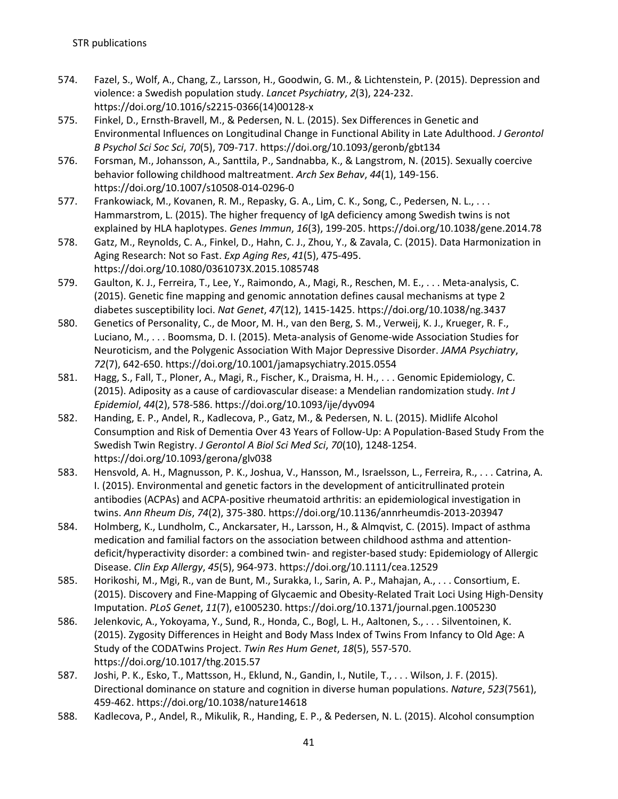- 574. Fazel, S., Wolf, A., Chang, Z., Larsson, H., Goodwin, G. M., & Lichtenstein, P. (2015). Depression and violence: a Swedish population study. *Lancet Psychiatry*, *2*(3), 224-232. https://doi.org/10.1016/s2215-0366(14)00128-x
- 575. Finkel, D., Ernsth-Bravell, M., & Pedersen, N. L. (2015). Sex Differences in Genetic and Environmental Influences on Longitudinal Change in Functional Ability in Late Adulthood. *J Gerontol B Psychol Sci Soc Sci*, *70*(5), 709-717. https://doi.org/10.1093/geronb/gbt134
- 576. Forsman, M., Johansson, A., Santtila, P., Sandnabba, K., & Langstrom, N. (2015). Sexually coercive behavior following childhood maltreatment. *Arch Sex Behav*, *44*(1), 149-156. https://doi.org/10.1007/s10508-014-0296-0
- 577. Frankowiack, M., Kovanen, R. M., Repasky, G. A., Lim, C. K., Song, C., Pedersen, N. L., . . . Hammarstrom, L. (2015). The higher frequency of IgA deficiency among Swedish twins is not explained by HLA haplotypes. *Genes Immun*, *16*(3), 199-205. https://doi.org/10.1038/gene.2014.78
- 578. Gatz, M., Reynolds, C. A., Finkel, D., Hahn, C. J., Zhou, Y., & Zavala, C. (2015). Data Harmonization in Aging Research: Not so Fast. *Exp Aging Res*, *41*(5), 475-495. https://doi.org/10.1080/0361073X.2015.1085748
- 579. Gaulton, K. J., Ferreira, T., Lee, Y., Raimondo, A., Magi, R., Reschen, M. E., . . . Meta-analysis, C. (2015). Genetic fine mapping and genomic annotation defines causal mechanisms at type 2 diabetes susceptibility loci. *Nat Genet*, *47*(12), 1415-1425. https://doi.org/10.1038/ng.3437
- 580. Genetics of Personality, C., de Moor, M. H., van den Berg, S. M., Verweij, K. J., Krueger, R. F., Luciano, M., . . . Boomsma, D. I. (2015). Meta-analysis of Genome-wide Association Studies for Neuroticism, and the Polygenic Association With Major Depressive Disorder. *JAMA Psychiatry*, *72*(7), 642-650. https://doi.org/10.1001/jamapsychiatry.2015.0554
- 581. Hagg, S., Fall, T., Ploner, A., Magi, R., Fischer, K., Draisma, H. H., . . . Genomic Epidemiology, C. (2015). Adiposity as a cause of cardiovascular disease: a Mendelian randomization study. *Int J Epidemiol*, *44*(2), 578-586. https://doi.org/10.1093/ije/dyv094
- 582. Handing, E. P., Andel, R., Kadlecova, P., Gatz, M., & Pedersen, N. L. (2015). Midlife Alcohol Consumption and Risk of Dementia Over 43 Years of Follow-Up: A Population-Based Study From the Swedish Twin Registry. *J Gerontol A Biol Sci Med Sci*, *70*(10), 1248-1254. https://doi.org/10.1093/gerona/glv038
- 583. Hensvold, A. H., Magnusson, P. K., Joshua, V., Hansson, M., Israelsson, L., Ferreira, R., . . . Catrina, A. I. (2015). Environmental and genetic factors in the development of anticitrullinated protein antibodies (ACPAs) and ACPA-positive rheumatoid arthritis: an epidemiological investigation in twins. *Ann Rheum Dis*, *74*(2), 375-380. https://doi.org/10.1136/annrheumdis-2013-203947
- 584. Holmberg, K., Lundholm, C., Anckarsater, H., Larsson, H., & Almqvist, C. (2015). Impact of asthma medication and familial factors on the association between childhood asthma and attentiondeficit/hyperactivity disorder: a combined twin- and register-based study: Epidemiology of Allergic Disease. *Clin Exp Allergy*, *45*(5), 964-973. https://doi.org/10.1111/cea.12529
- 585. Horikoshi, M., Mgi, R., van de Bunt, M., Surakka, I., Sarin, A. P., Mahajan, A., . . . Consortium, E. (2015). Discovery and Fine-Mapping of Glycaemic and Obesity-Related Trait Loci Using High-Density Imputation. *PLoS Genet*, *11*(7), e1005230. https://doi.org/10.1371/journal.pgen.1005230
- 586. Jelenkovic, A., Yokoyama, Y., Sund, R., Honda, C., Bogl, L. H., Aaltonen, S., . . . Silventoinen, K. (2015). Zygosity Differences in Height and Body Mass Index of Twins From Infancy to Old Age: A Study of the CODATwins Project. *Twin Res Hum Genet*, *18*(5), 557-570. https://doi.org/10.1017/thg.2015.57
- 587. Joshi, P. K., Esko, T., Mattsson, H., Eklund, N., Gandin, I., Nutile, T., . . . Wilson, J. F. (2015). Directional dominance on stature and cognition in diverse human populations. *Nature*, *523*(7561), 459-462. https://doi.org/10.1038/nature14618
- 588. Kadlecova, P., Andel, R., Mikulik, R., Handing, E. P., & Pedersen, N. L. (2015). Alcohol consumption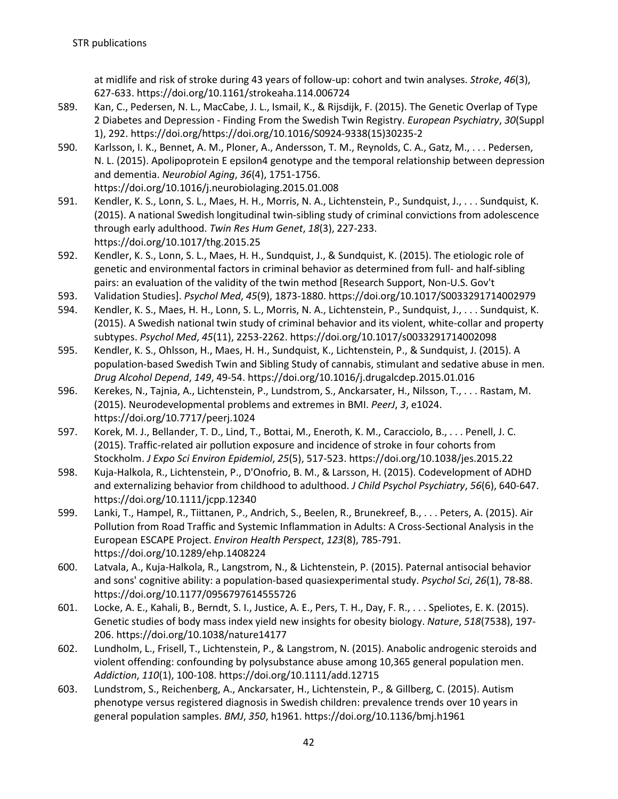at midlife and risk of stroke during 43 years of follow-up: cohort and twin analyses. *Stroke*, *46*(3), 627-633. https://doi.org/10.1161/strokeaha.114.006724

- 589. Kan, C., Pedersen, N. L., MacCabe, J. L., Ismail, K., & Rijsdijk, F. (2015). The Genetic Overlap of Type 2 Diabetes and Depression - Finding From the Swedish Twin Registry. *European Psychiatry*, *30*(Suppl 1), 292. https://doi.org/https://doi.org/10.1016/S0924-9338(15)30235-2
- 590. Karlsson, I. K., Bennet, A. M., Ploner, A., Andersson, T. M., Reynolds, C. A., Gatz, M., . . . Pedersen, N. L. (2015). Apolipoprotein E epsilon4 genotype and the temporal relationship between depression and dementia. *Neurobiol Aging*, *36*(4), 1751-1756. https://doi.org/10.1016/j.neurobiolaging.2015.01.008
- 591. Kendler, K. S., Lonn, S. L., Maes, H. H., Morris, N. A., Lichtenstein, P., Sundquist, J., . . . Sundquist, K. (2015). A national Swedish longitudinal twin-sibling study of criminal convictions from adolescence through early adulthood. *Twin Res Hum Genet*, *18*(3), 227-233. https://doi.org/10.1017/thg.2015.25
- 592. Kendler, K. S., Lonn, S. L., Maes, H. H., Sundquist, J., & Sundquist, K. (2015). The etiologic role of genetic and environmental factors in criminal behavior as determined from full- and half-sibling pairs: an evaluation of the validity of the twin method [Research Support, Non-U.S. Gov't
- 593. Validation Studies]. *Psychol Med*, *45*(9), 1873-1880. https://doi.org/10.1017/S0033291714002979
- 594. Kendler, K. S., Maes, H. H., Lonn, S. L., Morris, N. A., Lichtenstein, P., Sundquist, J., . . . Sundquist, K. (2015). A Swedish national twin study of criminal behavior and its violent, white-collar and property subtypes. *Psychol Med*, *45*(11), 2253-2262. https://doi.org/10.1017/s0033291714002098
- 595. Kendler, K. S., Ohlsson, H., Maes, H. H., Sundquist, K., Lichtenstein, P., & Sundquist, J. (2015). A population-based Swedish Twin and Sibling Study of cannabis, stimulant and sedative abuse in men. *Drug Alcohol Depend*, *149*, 49-54. https://doi.org/10.1016/j.drugalcdep.2015.01.016
- 596. Kerekes, N., Tajnia, A., Lichtenstein, P., Lundstrom, S., Anckarsater, H., Nilsson, T., . . . Rastam, M. (2015). Neurodevelopmental problems and extremes in BMI. *PeerJ*, *3*, e1024. https://doi.org/10.7717/peerj.1024
- 597. Korek, M. J., Bellander, T. D., Lind, T., Bottai, M., Eneroth, K. M., Caracciolo, B., . . . Penell, J. C. (2015). Traffic-related air pollution exposure and incidence of stroke in four cohorts from Stockholm. *J Expo Sci Environ Epidemiol*, *25*(5), 517-523. https://doi.org/10.1038/jes.2015.22
- 598. Kuja-Halkola, R., Lichtenstein, P., D'Onofrio, B. M., & Larsson, H. (2015). Codevelopment of ADHD and externalizing behavior from childhood to adulthood. *J Child Psychol Psychiatry*, *56*(6), 640-647. https://doi.org/10.1111/jcpp.12340
- 599. Lanki, T., Hampel, R., Tiittanen, P., Andrich, S., Beelen, R., Brunekreef, B., . . . Peters, A. (2015). Air Pollution from Road Traffic and Systemic Inflammation in Adults: A Cross-Sectional Analysis in the European ESCAPE Project. *Environ Health Perspect*, *123*(8), 785-791. https://doi.org/10.1289/ehp.1408224
- 600. Latvala, A., Kuja-Halkola, R., Langstrom, N., & Lichtenstein, P. (2015). Paternal antisocial behavior and sons' cognitive ability: a population-based quasiexperimental study. *Psychol Sci*, *26*(1), 78-88. https://doi.org/10.1177/0956797614555726
- 601. Locke, A. E., Kahali, B., Berndt, S. I., Justice, A. E., Pers, T. H., Day, F. R., . . . Speliotes, E. K. (2015). Genetic studies of body mass index yield new insights for obesity biology. *Nature*, *518*(7538), 197- 206. https://doi.org/10.1038/nature14177
- 602. Lundholm, L., Frisell, T., Lichtenstein, P., & Langstrom, N. (2015). Anabolic androgenic steroids and violent offending: confounding by polysubstance abuse among 10,365 general population men. *Addiction*, *110*(1), 100-108. https://doi.org/10.1111/add.12715
- 603. Lundstrom, S., Reichenberg, A., Anckarsater, H., Lichtenstein, P., & Gillberg, C. (2015). Autism phenotype versus registered diagnosis in Swedish children: prevalence trends over 10 years in general population samples. *BMJ*, *350*, h1961. https://doi.org/10.1136/bmj.h1961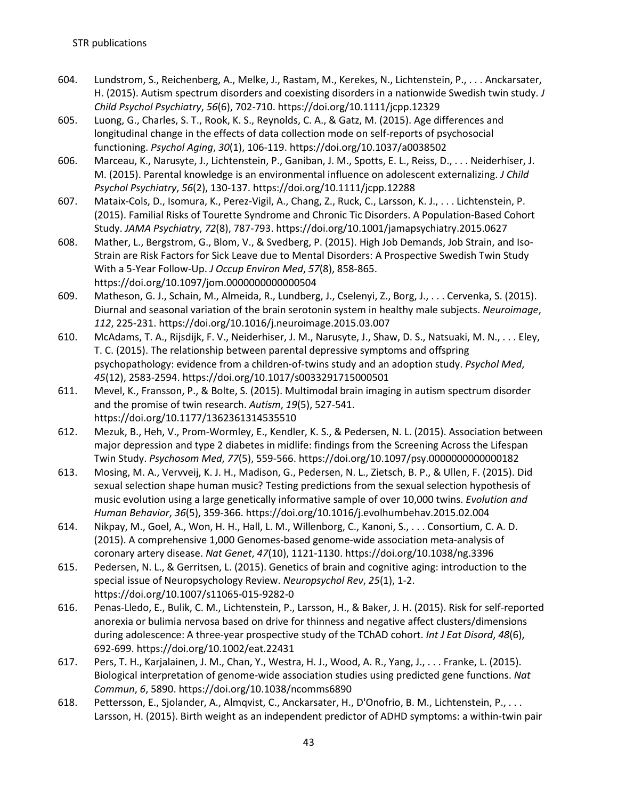- 604. Lundstrom, S., Reichenberg, A., Melke, J., Rastam, M., Kerekes, N., Lichtenstein, P., . . . Anckarsater, H. (2015). Autism spectrum disorders and coexisting disorders in a nationwide Swedish twin study. *J Child Psychol Psychiatry*, *56*(6), 702-710. https://doi.org/10.1111/jcpp.12329
- 605. Luong, G., Charles, S. T., Rook, K. S., Reynolds, C. A., & Gatz, M. (2015). Age differences and longitudinal change in the effects of data collection mode on self-reports of psychosocial functioning. *Psychol Aging*, *30*(1), 106-119. https://doi.org/10.1037/a0038502
- 606. Marceau, K., Narusyte, J., Lichtenstein, P., Ganiban, J. M., Spotts, E. L., Reiss, D., . . . Neiderhiser, J. M. (2015). Parental knowledge is an environmental influence on adolescent externalizing. *J Child Psychol Psychiatry*, *56*(2), 130-137. https://doi.org/10.1111/jcpp.12288
- 607. Mataix-Cols, D., Isomura, K., Perez-Vigil, A., Chang, Z., Ruck, C., Larsson, K. J., . . . Lichtenstein, P. (2015). Familial Risks of Tourette Syndrome and Chronic Tic Disorders. A Population-Based Cohort Study. *JAMA Psychiatry*, *72*(8), 787-793. https://doi.org/10.1001/jamapsychiatry.2015.0627
- 608. Mather, L., Bergstrom, G., Blom, V., & Svedberg, P. (2015). High Job Demands, Job Strain, and Iso-Strain are Risk Factors for Sick Leave due to Mental Disorders: A Prospective Swedish Twin Study With a 5-Year Follow-Up. *J Occup Environ Med*, *57*(8), 858-865. https://doi.org/10.1097/jom.0000000000000504
- 609. Matheson, G. J., Schain, M., Almeida, R., Lundberg, J., Cselenyi, Z., Borg, J., . . . Cervenka, S. (2015). Diurnal and seasonal variation of the brain serotonin system in healthy male subjects. *Neuroimage*, *112*, 225-231. https://doi.org/10.1016/j.neuroimage.2015.03.007
- 610. McAdams, T. A., Rijsdijk, F. V., Neiderhiser, J. M., Narusyte, J., Shaw, D. S., Natsuaki, M. N., . . . Eley, T. C. (2015). The relationship between parental depressive symptoms and offspring psychopathology: evidence from a children-of-twins study and an adoption study. *Psychol Med*, *45*(12), 2583-2594. https://doi.org/10.1017/s0033291715000501
- 611. Mevel, K., Fransson, P., & Bolte, S. (2015). Multimodal brain imaging in autism spectrum disorder and the promise of twin research. *Autism*, *19*(5), 527-541. https://doi.org/10.1177/1362361314535510
- 612. Mezuk, B., Heh, V., Prom-Wormley, E., Kendler, K. S., & Pedersen, N. L. (2015). Association between major depression and type 2 diabetes in midlife: findings from the Screening Across the Lifespan Twin Study. *Psychosom Med*, *77*(5), 559-566. https://doi.org/10.1097/psy.0000000000000182
- 613. Mosing, M. A., Vervveij, K. J. H., Madison, G., Pedersen, N. L., Zietsch, B. P., & Ullen, F. (2015). Did sexual selection shape human music? Testing predictions from the sexual selection hypothesis of music evolution using a large genetically informative sample of over 10,000 twins. *Evolution and Human Behavior*, *36*(5), 359-366. https://doi.org/10.1016/j.evolhumbehav.2015.02.004
- 614. Nikpay, M., Goel, A., Won, H. H., Hall, L. M., Willenborg, C., Kanoni, S., . . . Consortium, C. A. D. (2015). A comprehensive 1,000 Genomes-based genome-wide association meta-analysis of coronary artery disease. *Nat Genet*, *47*(10), 1121-1130. https://doi.org/10.1038/ng.3396
- 615. Pedersen, N. L., & Gerritsen, L. (2015). Genetics of brain and cognitive aging: introduction to the special issue of Neuropsychology Review. *Neuropsychol Rev*, *25*(1), 1-2. https://doi.org/10.1007/s11065-015-9282-0
- 616. Penas-Lledo, E., Bulik, C. M., Lichtenstein, P., Larsson, H., & Baker, J. H. (2015). Risk for self-reported anorexia or bulimia nervosa based on drive for thinness and negative affect clusters/dimensions during adolescence: A three-year prospective study of the TChAD cohort. *Int J Eat Disord*, *48*(6), 692-699. https://doi.org/10.1002/eat.22431
- 617. Pers, T. H., Karjalainen, J. M., Chan, Y., Westra, H. J., Wood, A. R., Yang, J., . . . Franke, L. (2015). Biological interpretation of genome-wide association studies using predicted gene functions. *Nat Commun*, *6*, 5890. https://doi.org/10.1038/ncomms6890
- 618. Pettersson, E., Sjolander, A., Almqvist, C., Anckarsater, H., D'Onofrio, B. M., Lichtenstein, P., . . . Larsson, H. (2015). Birth weight as an independent predictor of ADHD symptoms: a within-twin pair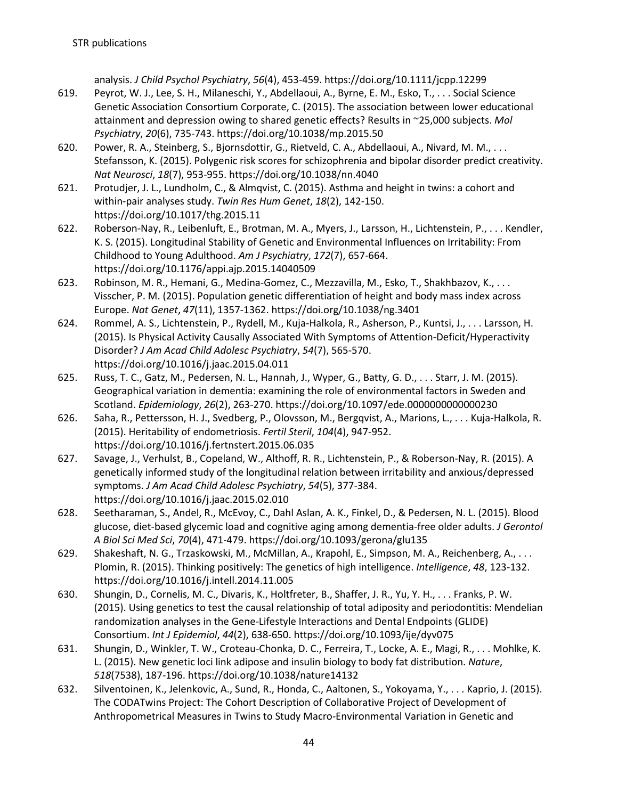analysis. *J Child Psychol Psychiatry*, *56*(4), 453-459. https://doi.org/10.1111/jcpp.12299

- 619. Peyrot, W. J., Lee, S. H., Milaneschi, Y., Abdellaoui, A., Byrne, E. M., Esko, T., . . . Social Science Genetic Association Consortium Corporate, C. (2015). The association between lower educational attainment and depression owing to shared genetic effects? Results in ~25,000 subjects. *Mol Psychiatry*, *20*(6), 735-743. https://doi.org/10.1038/mp.2015.50
- 620. Power, R. A., Steinberg, S., Bjornsdottir, G., Rietveld, C. A., Abdellaoui, A., Nivard, M. M., . . . Stefansson, K. (2015). Polygenic risk scores for schizophrenia and bipolar disorder predict creativity. *Nat Neurosci*, *18*(7), 953-955. https://doi.org/10.1038/nn.4040
- 621. Protudjer, J. L., Lundholm, C., & Almqvist, C. (2015). Asthma and height in twins: a cohort and within-pair analyses study. *Twin Res Hum Genet*, *18*(2), 142-150. https://doi.org/10.1017/thg.2015.11
- 622. Roberson-Nay, R., Leibenluft, E., Brotman, M. A., Myers, J., Larsson, H., Lichtenstein, P., . . . Kendler, K. S. (2015). Longitudinal Stability of Genetic and Environmental Influences on Irritability: From Childhood to Young Adulthood. *Am J Psychiatry*, *172*(7), 657-664. https://doi.org/10.1176/appi.ajp.2015.14040509
- 623. Robinson, M. R., Hemani, G., Medina-Gomez, C., Mezzavilla, M., Esko, T., Shakhbazov, K., . . . Visscher, P. M. (2015). Population genetic differentiation of height and body mass index across Europe. *Nat Genet*, *47*(11), 1357-1362. https://doi.org/10.1038/ng.3401
- 624. Rommel, A. S., Lichtenstein, P., Rydell, M., Kuja-Halkola, R., Asherson, P., Kuntsi, J., . . . Larsson, H. (2015). Is Physical Activity Causally Associated With Symptoms of Attention-Deficit/Hyperactivity Disorder? *J Am Acad Child Adolesc Psychiatry*, *54*(7), 565-570. https://doi.org/10.1016/j.jaac.2015.04.011
- 625. Russ, T. C., Gatz, M., Pedersen, N. L., Hannah, J., Wyper, G., Batty, G. D., . . . Starr, J. M. (2015). Geographical variation in dementia: examining the role of environmental factors in Sweden and Scotland. *Epidemiology*, *26*(2), 263-270. https://doi.org/10.1097/ede.0000000000000230
- 626. Saha, R., Pettersson, H. J., Svedberg, P., Olovsson, M., Bergqvist, A., Marions, L., . . . Kuja-Halkola, R. (2015). Heritability of endometriosis. *Fertil Steril*, *104*(4), 947-952. https://doi.org/10.1016/j.fertnstert.2015.06.035
- 627. Savage, J., Verhulst, B., Copeland, W., Althoff, R. R., Lichtenstein, P., & Roberson-Nay, R. (2015). A genetically informed study of the longitudinal relation between irritability and anxious/depressed symptoms. *J Am Acad Child Adolesc Psychiatry*, *54*(5), 377-384. https://doi.org/10.1016/j.jaac.2015.02.010
- 628. Seetharaman, S., Andel, R., McEvoy, C., Dahl Aslan, A. K., Finkel, D., & Pedersen, N. L. (2015). Blood glucose, diet-based glycemic load and cognitive aging among dementia-free older adults. *J Gerontol A Biol Sci Med Sci*, *70*(4), 471-479. https://doi.org/10.1093/gerona/glu135
- 629. Shakeshaft, N. G., Trzaskowski, M., McMillan, A., Krapohl, E., Simpson, M. A., Reichenberg, A., . . . Plomin, R. (2015). Thinking positively: The genetics of high intelligence. *Intelligence*, *48*, 123-132. https://doi.org/10.1016/j.intell.2014.11.005
- 630. Shungin, D., Cornelis, M. C., Divaris, K., Holtfreter, B., Shaffer, J. R., Yu, Y. H., . . . Franks, P. W. (2015). Using genetics to test the causal relationship of total adiposity and periodontitis: Mendelian randomization analyses in the Gene-Lifestyle Interactions and Dental Endpoints (GLIDE) Consortium. *Int J Epidemiol*, *44*(2), 638-650. https://doi.org/10.1093/ije/dyv075
- 631. Shungin, D., Winkler, T. W., Croteau-Chonka, D. C., Ferreira, T., Locke, A. E., Magi, R., . . . Mohlke, K. L. (2015). New genetic loci link adipose and insulin biology to body fat distribution. *Nature*, *518*(7538), 187-196. https://doi.org/10.1038/nature14132
- 632. Silventoinen, K., Jelenkovic, A., Sund, R., Honda, C., Aaltonen, S., Yokoyama, Y., . . . Kaprio, J. (2015). The CODATwins Project: The Cohort Description of Collaborative Project of Development of Anthropometrical Measures in Twins to Study Macro-Environmental Variation in Genetic and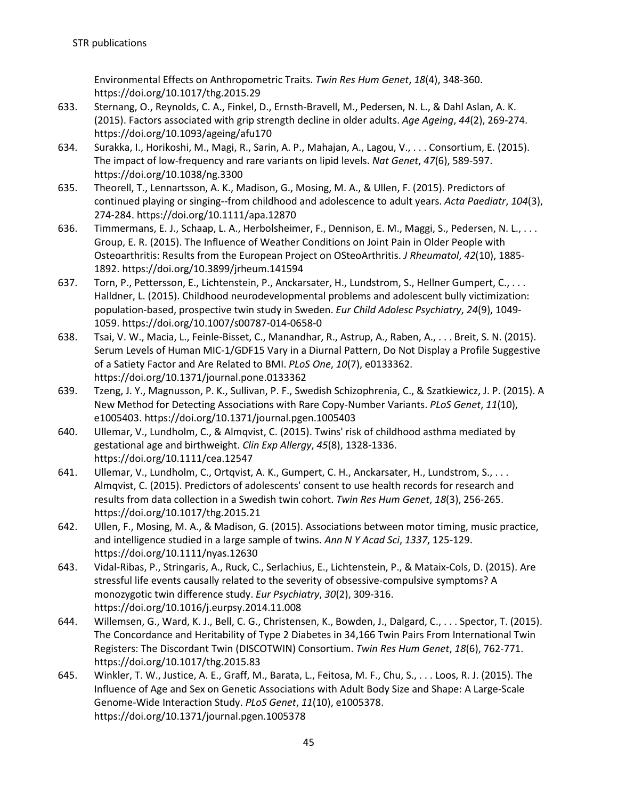Environmental Effects on Anthropometric Traits. *Twin Res Hum Genet*, *18*(4), 348-360. https://doi.org/10.1017/thg.2015.29

- 633. Sternang, O., Reynolds, C. A., Finkel, D., Ernsth-Bravell, M., Pedersen, N. L., & Dahl Aslan, A. K. (2015). Factors associated with grip strength decline in older adults. *Age Ageing*, *44*(2), 269-274. https://doi.org/10.1093/ageing/afu170
- 634. Surakka, I., Horikoshi, M., Magi, R., Sarin, A. P., Mahajan, A., Lagou, V., . . . Consortium, E. (2015). The impact of low-frequency and rare variants on lipid levels. *Nat Genet*, *47*(6), 589-597. https://doi.org/10.1038/ng.3300
- 635. Theorell, T., Lennartsson, A. K., Madison, G., Mosing, M. A., & Ullen, F. (2015). Predictors of continued playing or singing--from childhood and adolescence to adult years. *Acta Paediatr*, *104*(3), 274-284. https://doi.org/10.1111/apa.12870
- 636. Timmermans, E. J., Schaap, L. A., Herbolsheimer, F., Dennison, E. M., Maggi, S., Pedersen, N. L., . . . Group, E. R. (2015). The Influence of Weather Conditions on Joint Pain in Older People with Osteoarthritis: Results from the European Project on OSteoArthritis. *J Rheumatol*, *42*(10), 1885- 1892. https://doi.org/10.3899/jrheum.141594
- 637. Torn, P., Pettersson, E., Lichtenstein, P., Anckarsater, H., Lundstrom, S., Hellner Gumpert, C., . . . Halldner, L. (2015). Childhood neurodevelopmental problems and adolescent bully victimization: population-based, prospective twin study in Sweden. *Eur Child Adolesc Psychiatry*, *24*(9), 1049- 1059. https://doi.org/10.1007/s00787-014-0658-0
- 638. Tsai, V. W., Macia, L., Feinle-Bisset, C., Manandhar, R., Astrup, A., Raben, A., . . . Breit, S. N. (2015). Serum Levels of Human MIC-1/GDF15 Vary in a Diurnal Pattern, Do Not Display a Profile Suggestive of a Satiety Factor and Are Related to BMI. *PLoS One*, *10*(7), e0133362. https://doi.org/10.1371/journal.pone.0133362
- 639. Tzeng, J. Y., Magnusson, P. K., Sullivan, P. F., Swedish Schizophrenia, C., & Szatkiewicz, J. P. (2015). A New Method for Detecting Associations with Rare Copy-Number Variants. *PLoS Genet*, *11*(10), e1005403. https://doi.org/10.1371/journal.pgen.1005403
- 640. Ullemar, V., Lundholm, C., & Almqvist, C. (2015). Twins' risk of childhood asthma mediated by gestational age and birthweight. *Clin Exp Allergy*, *45*(8), 1328-1336. https://doi.org/10.1111/cea.12547
- 641. Ullemar, V., Lundholm, C., Ortqvist, A. K., Gumpert, C. H., Anckarsater, H., Lundstrom, S., . . . Almqvist, C. (2015). Predictors of adolescents' consent to use health records for research and results from data collection in a Swedish twin cohort. *Twin Res Hum Genet*, *18*(3), 256-265. https://doi.org/10.1017/thg.2015.21
- 642. Ullen, F., Mosing, M. A., & Madison, G. (2015). Associations between motor timing, music practice, and intelligence studied in a large sample of twins. *Ann N Y Acad Sci*, *1337*, 125-129. https://doi.org/10.1111/nyas.12630
- 643. Vidal-Ribas, P., Stringaris, A., Ruck, C., Serlachius, E., Lichtenstein, P., & Mataix-Cols, D. (2015). Are stressful life events causally related to the severity of obsessive-compulsive symptoms? A monozygotic twin difference study. *Eur Psychiatry*, *30*(2), 309-316. https://doi.org/10.1016/j.eurpsy.2014.11.008
- 644. Willemsen, G., Ward, K. J., Bell, C. G., Christensen, K., Bowden, J., Dalgard, C., . . . Spector, T. (2015). The Concordance and Heritability of Type 2 Diabetes in 34,166 Twin Pairs From International Twin Registers: The Discordant Twin (DISCOTWIN) Consortium. *Twin Res Hum Genet*, *18*(6), 762-771. https://doi.org/10.1017/thg.2015.83
- 645. Winkler, T. W., Justice, A. E., Graff, M., Barata, L., Feitosa, M. F., Chu, S., . . . Loos, R. J. (2015). The Influence of Age and Sex on Genetic Associations with Adult Body Size and Shape: A Large-Scale Genome-Wide Interaction Study. *PLoS Genet*, *11*(10), e1005378. https://doi.org/10.1371/journal.pgen.1005378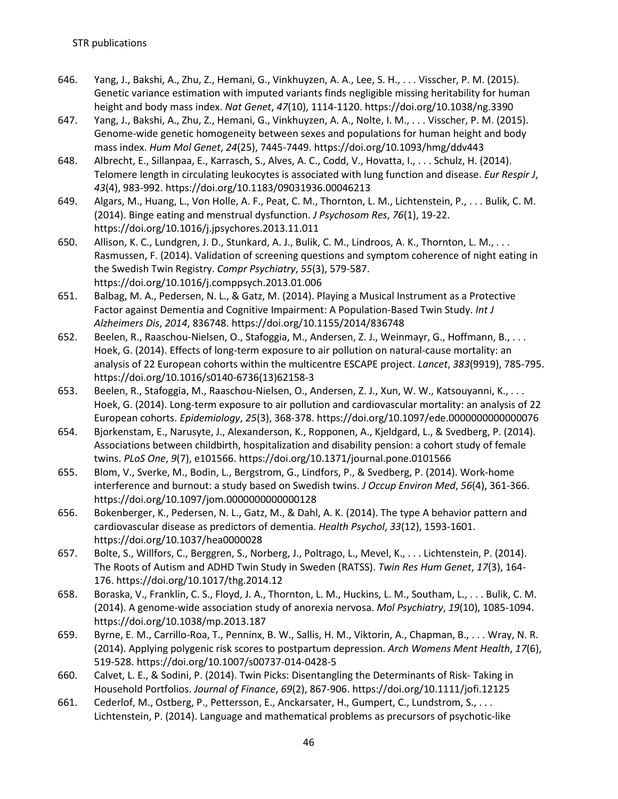- 646. Yang, J., Bakshi, A., Zhu, Z., Hemani, G., Vinkhuyzen, A. A., Lee, S. H., . . . Visscher, P. M. (2015). Genetic variance estimation with imputed variants finds negligible missing heritability for human height and body mass index. *Nat Genet*, *47*(10), 1114-1120. https://doi.org/10.1038/ng.3390
- 647. Yang, J., Bakshi, A., Zhu, Z., Hemani, G., Vinkhuyzen, A. A., Nolte, I. M., . . . Visscher, P. M. (2015). Genome-wide genetic homogeneity between sexes and populations for human height and body mass index. *Hum Mol Genet*, *24*(25), 7445-7449. https://doi.org/10.1093/hmg/ddv443
- 648. Albrecht, E., Sillanpaa, E., Karrasch, S., Alves, A. C., Codd, V., Hovatta, I., . . . Schulz, H. (2014). Telomere length in circulating leukocytes is associated with lung function and disease. *Eur Respir J*, *43*(4), 983-992. https://doi.org/10.1183/09031936.00046213
- 649. Algars, M., Huang, L., Von Holle, A. F., Peat, C. M., Thornton, L. M., Lichtenstein, P., . . . Bulik, C. M. (2014). Binge eating and menstrual dysfunction. *J Psychosom Res*, *76*(1), 19-22. https://doi.org/10.1016/j.jpsychores.2013.11.011
- 650. Allison, K. C., Lundgren, J. D., Stunkard, A. J., Bulik, C. M., Lindroos, A. K., Thornton, L. M., . . . Rasmussen, F. (2014). Validation of screening questions and symptom coherence of night eating in the Swedish Twin Registry. *Compr Psychiatry*, *55*(3), 579-587. https://doi.org/10.1016/j.comppsych.2013.01.006
- 651. Balbag, M. A., Pedersen, N. L., & Gatz, M. (2014). Playing a Musical Instrument as a Protective Factor against Dementia and Cognitive Impairment: A Population-Based Twin Study. *Int J Alzheimers Dis*, *2014*, 836748. https://doi.org/10.1155/2014/836748
- 652. Beelen, R., Raaschou-Nielsen, O., Stafoggia, M., Andersen, Z. J., Weinmayr, G., Hoffmann, B., . . . Hoek, G. (2014). Effects of long-term exposure to air pollution on natural-cause mortality: an analysis of 22 European cohorts within the multicentre ESCAPE project. *Lancet*, *383*(9919), 785-795. https://doi.org/10.1016/s0140-6736(13)62158-3
- 653. Beelen, R., Stafoggia, M., Raaschou-Nielsen, O., Andersen, Z. J., Xun, W. W., Katsouyanni, K., . . . Hoek, G. (2014). Long-term exposure to air pollution and cardiovascular mortality: an analysis of 22 European cohorts. *Epidemiology*, *25*(3), 368-378. https://doi.org/10.1097/ede.0000000000000076
- 654. Bjorkenstam, E., Narusyte, J., Alexanderson, K., Ropponen, A., Kjeldgard, L., & Svedberg, P. (2014). Associations between childbirth, hospitalization and disability pension: a cohort study of female twins. *PLoS One*, *9*(7), e101566. https://doi.org/10.1371/journal.pone.0101566
- 655. Blom, V., Sverke, M., Bodin, L., Bergstrom, G., Lindfors, P., & Svedberg, P. (2014). Work-home interference and burnout: a study based on Swedish twins. *J Occup Environ Med*, *56*(4), 361-366. https://doi.org/10.1097/jom.0000000000000128
- 656. Bokenberger, K., Pedersen, N. L., Gatz, M., & Dahl, A. K. (2014). The type A behavior pattern and cardiovascular disease as predictors of dementia. *Health Psychol*, *33*(12), 1593-1601. https://doi.org/10.1037/hea0000028
- 657. Bolte, S., Willfors, C., Berggren, S., Norberg, J., Poltrago, L., Mevel, K., . . . Lichtenstein, P. (2014). The Roots of Autism and ADHD Twin Study in Sweden (RATSS). *Twin Res Hum Genet*, *17*(3), 164- 176. https://doi.org/10.1017/thg.2014.12
- 658. Boraska, V., Franklin, C. S., Floyd, J. A., Thornton, L. M., Huckins, L. M., Southam, L., . . . Bulik, C. M. (2014). A genome-wide association study of anorexia nervosa. *Mol Psychiatry*, *19*(10), 1085-1094. https://doi.org/10.1038/mp.2013.187
- 659. Byrne, E. M., Carrillo-Roa, T., Penninx, B. W., Sallis, H. M., Viktorin, A., Chapman, B., . . . Wray, N. R. (2014). Applying polygenic risk scores to postpartum depression. *Arch Womens Ment Health*, *17*(6), 519-528. https://doi.org/10.1007/s00737-014-0428-5
- 660. Calvet, L. E., & Sodini, P. (2014). Twin Picks: Disentangling the Determinants of Risk- Taking in Household Portfolios. *Journal of Finance*, *69*(2), 867-906. https://doi.org/10.1111/jofi.12125
- 661. Cederlof, M., Ostberg, P., Pettersson, E., Anckarsater, H., Gumpert, C., Lundstrom, S., . . . Lichtenstein, P. (2014). Language and mathematical problems as precursors of psychotic-like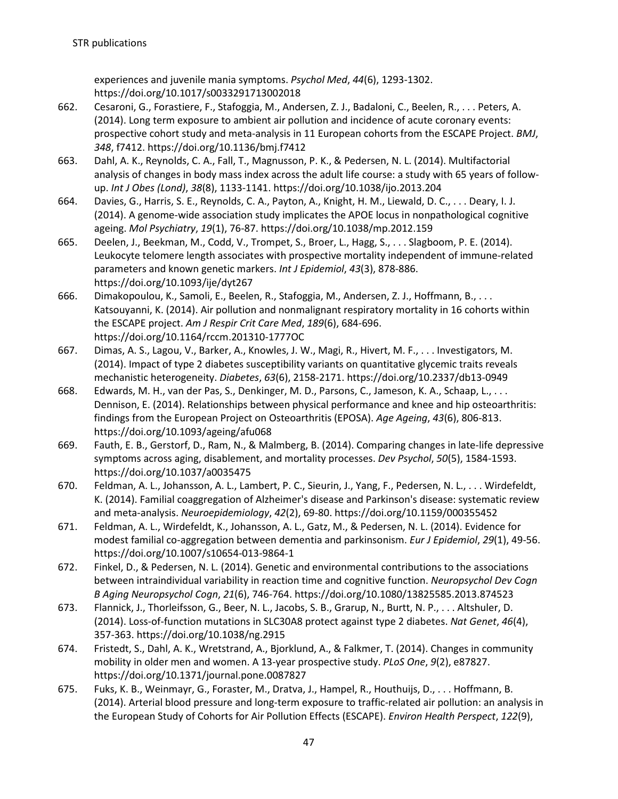experiences and juvenile mania symptoms. *Psychol Med*, *44*(6), 1293-1302. https://doi.org/10.1017/s0033291713002018

- 662. Cesaroni, G., Forastiere, F., Stafoggia, M., Andersen, Z. J., Badaloni, C., Beelen, R., . . . Peters, A. (2014). Long term exposure to ambient air pollution and incidence of acute coronary events: prospective cohort study and meta-analysis in 11 European cohorts from the ESCAPE Project. *BMJ*, *348*, f7412. https://doi.org/10.1136/bmj.f7412
- 663. Dahl, A. K., Reynolds, C. A., Fall, T., Magnusson, P. K., & Pedersen, N. L. (2014). Multifactorial analysis of changes in body mass index across the adult life course: a study with 65 years of followup. *Int J Obes (Lond)*, *38*(8), 1133-1141. https://doi.org/10.1038/ijo.2013.204
- 664. Davies, G., Harris, S. E., Reynolds, C. A., Payton, A., Knight, H. M., Liewald, D. C., . . . Deary, I. J. (2014). A genome-wide association study implicates the APOE locus in nonpathological cognitive ageing. *Mol Psychiatry*, *19*(1), 76-87. https://doi.org/10.1038/mp.2012.159
- 665. Deelen, J., Beekman, M., Codd, V., Trompet, S., Broer, L., Hagg, S., . . . Slagboom, P. E. (2014). Leukocyte telomere length associates with prospective mortality independent of immune-related parameters and known genetic markers. *Int J Epidemiol*, *43*(3), 878-886. https://doi.org/10.1093/ije/dyt267
- 666. Dimakopoulou, K., Samoli, E., Beelen, R., Stafoggia, M., Andersen, Z. J., Hoffmann, B., . . . Katsouyanni, K. (2014). Air pollution and nonmalignant respiratory mortality in 16 cohorts within the ESCAPE project. *Am J Respir Crit Care Med*, *189*(6), 684-696. https://doi.org/10.1164/rccm.201310-1777OC
- 667. Dimas, A. S., Lagou, V., Barker, A., Knowles, J. W., Magi, R., Hivert, M. F., . . . Investigators, M. (2014). Impact of type 2 diabetes susceptibility variants on quantitative glycemic traits reveals mechanistic heterogeneity. *Diabetes*, *63*(6), 2158-2171. https://doi.org/10.2337/db13-0949
- 668. Edwards, M. H., van der Pas, S., Denkinger, M. D., Parsons, C., Jameson, K. A., Schaap, L., . . . Dennison, E. (2014). Relationships between physical performance and knee and hip osteoarthritis: findings from the European Project on Osteoarthritis (EPOSA). *Age Ageing*, *43*(6), 806-813. https://doi.org/10.1093/ageing/afu068
- 669. Fauth, E. B., Gerstorf, D., Ram, N., & Malmberg, B. (2014). Comparing changes in late-life depressive symptoms across aging, disablement, and mortality processes. *Dev Psychol*, *50*(5), 1584-1593. https://doi.org/10.1037/a0035475
- 670. Feldman, A. L., Johansson, A. L., Lambert, P. C., Sieurin, J., Yang, F., Pedersen, N. L., . . . Wirdefeldt, K. (2014). Familial coaggregation of Alzheimer's disease and Parkinson's disease: systematic review and meta-analysis. *Neuroepidemiology*, *42*(2), 69-80. https://doi.org/10.1159/000355452
- 671. Feldman, A. L., Wirdefeldt, K., Johansson, A. L., Gatz, M., & Pedersen, N. L. (2014). Evidence for modest familial co-aggregation between dementia and parkinsonism. *Eur J Epidemiol*, *29*(1), 49-56. https://doi.org/10.1007/s10654-013-9864-1
- 672. Finkel, D., & Pedersen, N. L. (2014). Genetic and environmental contributions to the associations between intraindividual variability in reaction time and cognitive function. *Neuropsychol Dev Cogn B Aging Neuropsychol Cogn*, *21*(6), 746-764. https://doi.org/10.1080/13825585.2013.874523
- 673. Flannick, J., Thorleifsson, G., Beer, N. L., Jacobs, S. B., Grarup, N., Burtt, N. P., . . . Altshuler, D. (2014). Loss-of-function mutations in SLC30A8 protect against type 2 diabetes. *Nat Genet*, *46*(4), 357-363. https://doi.org/10.1038/ng.2915
- 674. Fristedt, S., Dahl, A. K., Wretstrand, A., Bjorklund, A., & Falkmer, T. (2014). Changes in community mobility in older men and women. A 13-year prospective study. *PLoS One*, *9*(2), e87827. https://doi.org/10.1371/journal.pone.0087827
- 675. Fuks, K. B., Weinmayr, G., Foraster, M., Dratva, J., Hampel, R., Houthuijs, D., . . . Hoffmann, B. (2014). Arterial blood pressure and long-term exposure to traffic-related air pollution: an analysis in the European Study of Cohorts for Air Pollution Effects (ESCAPE). *Environ Health Perspect*, *122*(9),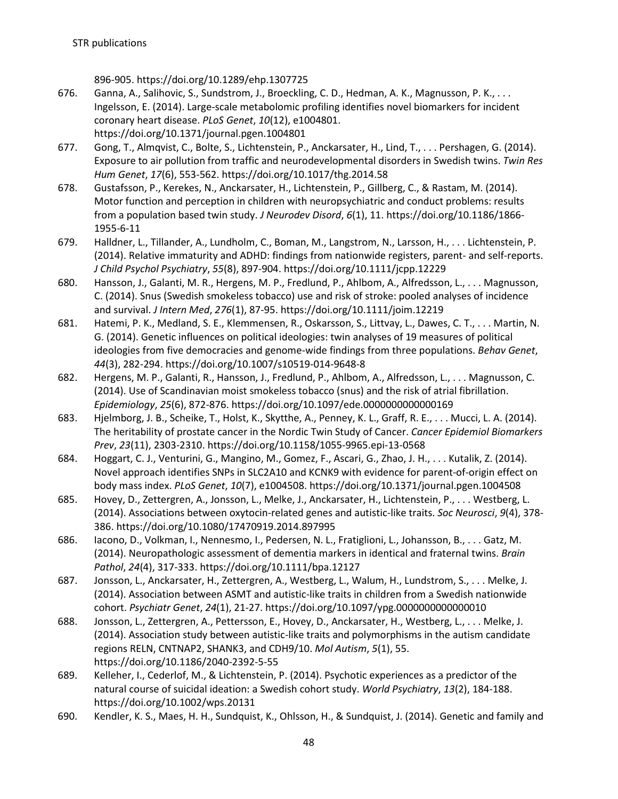896-905. https://doi.org/10.1289/ehp.1307725

- 676. Ganna, A., Salihovic, S., Sundstrom, J., Broeckling, C. D., Hedman, A. K., Magnusson, P. K., . . . Ingelsson, E. (2014). Large-scale metabolomic profiling identifies novel biomarkers for incident coronary heart disease. *PLoS Genet*, *10*(12), e1004801. https://doi.org/10.1371/journal.pgen.1004801
- 677. Gong, T., Almqvist, C., Bolte, S., Lichtenstein, P., Anckarsater, H., Lind, T., . . . Pershagen, G. (2014). Exposure to air pollution from traffic and neurodevelopmental disorders in Swedish twins. *Twin Res Hum Genet*, *17*(6), 553-562. https://doi.org/10.1017/thg.2014.58
- 678. Gustafsson, P., Kerekes, N., Anckarsater, H., Lichtenstein, P., Gillberg, C., & Rastam, M. (2014). Motor function and perception in children with neuropsychiatric and conduct problems: results from a population based twin study. *J Neurodev Disord*, *6*(1), 11. https://doi.org/10.1186/1866- 1955-6-11
- 679. Halldner, L., Tillander, A., Lundholm, C., Boman, M., Langstrom, N., Larsson, H., . . . Lichtenstein, P. (2014). Relative immaturity and ADHD: findings from nationwide registers, parent- and self-reports. *J Child Psychol Psychiatry*, *55*(8), 897-904. https://doi.org/10.1111/jcpp.12229
- 680. Hansson, J., Galanti, M. R., Hergens, M. P., Fredlund, P., Ahlbom, A., Alfredsson, L., . . . Magnusson, C. (2014). Snus (Swedish smokeless tobacco) use and risk of stroke: pooled analyses of incidence and survival. *J Intern Med*, *276*(1), 87-95. https://doi.org/10.1111/joim.12219
- 681. Hatemi, P. K., Medland, S. E., Klemmensen, R., Oskarsson, S., Littvay, L., Dawes, C. T., . . . Martin, N. G. (2014). Genetic influences on political ideologies: twin analyses of 19 measures of political ideologies from five democracies and genome-wide findings from three populations. *Behav Genet*, *44*(3), 282-294. https://doi.org/10.1007/s10519-014-9648-8
- 682. Hergens, M. P., Galanti, R., Hansson, J., Fredlund, P., Ahlbom, A., Alfredsson, L., . . . Magnusson, C. (2014). Use of Scandinavian moist smokeless tobacco (snus) and the risk of atrial fibrillation. *Epidemiology*, *25*(6), 872-876. https://doi.org/10.1097/ede.0000000000000169
- 683. Hjelmborg, J. B., Scheike, T., Holst, K., Skytthe, A., Penney, K. L., Graff, R. E., . . . Mucci, L. A. (2014). The heritability of prostate cancer in the Nordic Twin Study of Cancer. *Cancer Epidemiol Biomarkers Prev*, *23*(11), 2303-2310. https://doi.org/10.1158/1055-9965.epi-13-0568
- 684. Hoggart, C. J., Venturini, G., Mangino, M., Gomez, F., Ascari, G., Zhao, J. H., . . . Kutalik, Z. (2014). Novel approach identifies SNPs in SLC2A10 and KCNK9 with evidence for parent-of-origin effect on body mass index. *PLoS Genet*, *10*(7), e1004508. https://doi.org/10.1371/journal.pgen.1004508
- 685. Hovey, D., Zettergren, A., Jonsson, L., Melke, J., Anckarsater, H., Lichtenstein, P., . . . Westberg, L. (2014). Associations between oxytocin-related genes and autistic-like traits. *Soc Neurosci*, *9*(4), 378- 386. https://doi.org/10.1080/17470919.2014.897995
- 686. Iacono, D., Volkman, I., Nennesmo, I., Pedersen, N. L., Fratiglioni, L., Johansson, B., . . . Gatz, M. (2014). Neuropathologic assessment of dementia markers in identical and fraternal twins. *Brain Pathol*, *24*(4), 317-333. https://doi.org/10.1111/bpa.12127
- 687. Jonsson, L., Anckarsater, H., Zettergren, A., Westberg, L., Walum, H., Lundstrom, S., . . . Melke, J. (2014). Association between ASMT and autistic-like traits in children from a Swedish nationwide cohort. *Psychiatr Genet*, *24*(1), 21-27. https://doi.org/10.1097/ypg.0000000000000010
- 688. Jonsson, L., Zettergren, A., Pettersson, E., Hovey, D., Anckarsater, H., Westberg, L., . . . Melke, J. (2014). Association study between autistic-like traits and polymorphisms in the autism candidate regions RELN, CNTNAP2, SHANK3, and CDH9/10. *Mol Autism*, *5*(1), 55. https://doi.org/10.1186/2040-2392-5-55
- 689. Kelleher, I., Cederlof, M., & Lichtenstein, P. (2014). Psychotic experiences as a predictor of the natural course of suicidal ideation: a Swedish cohort study. *World Psychiatry*, *13*(2), 184-188. https://doi.org/10.1002/wps.20131
- 690. Kendler, K. S., Maes, H. H., Sundquist, K., Ohlsson, H., & Sundquist, J. (2014). Genetic and family and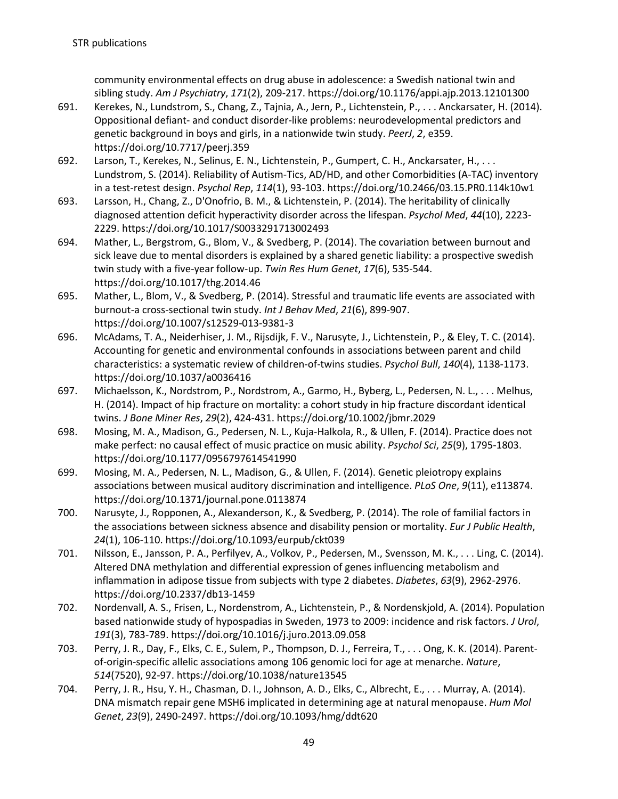community environmental effects on drug abuse in adolescence: a Swedish national twin and sibling study. *Am J Psychiatry*, *171*(2), 209-217. https://doi.org/10.1176/appi.ajp.2013.12101300

- 691. Kerekes, N., Lundstrom, S., Chang, Z., Tajnia, A., Jern, P., Lichtenstein, P., . . . Anckarsater, H. (2014). Oppositional defiant- and conduct disorder-like problems: neurodevelopmental predictors and genetic background in boys and girls, in a nationwide twin study. *PeerJ*, *2*, e359. https://doi.org/10.7717/peerj.359
- 692. Larson, T., Kerekes, N., Selinus, E. N., Lichtenstein, P., Gumpert, C. H., Anckarsater, H., ... Lundstrom, S. (2014). Reliability of Autism-Tics, AD/HD, and other Comorbidities (A-TAC) inventory in a test-retest design. *Psychol Rep*, *114*(1), 93-103. https://doi.org/10.2466/03.15.PR0.114k10w1
- 693. Larsson, H., Chang, Z., D'Onofrio, B. M., & Lichtenstein, P. (2014). The heritability of clinically diagnosed attention deficit hyperactivity disorder across the lifespan. *Psychol Med*, *44*(10), 2223- 2229. https://doi.org/10.1017/S0033291713002493
- 694. Mather, L., Bergstrom, G., Blom, V., & Svedberg, P. (2014). The covariation between burnout and sick leave due to mental disorders is explained by a shared genetic liability: a prospective swedish twin study with a five-year follow-up. *Twin Res Hum Genet*, *17*(6), 535-544. https://doi.org/10.1017/thg.2014.46
- 695. Mather, L., Blom, V., & Svedberg, P. (2014). Stressful and traumatic life events are associated with burnout-a cross-sectional twin study. *Int J Behav Med*, *21*(6), 899-907. https://doi.org/10.1007/s12529-013-9381-3
- 696. McAdams, T. A., Neiderhiser, J. M., Rijsdijk, F. V., Narusyte, J., Lichtenstein, P., & Eley, T. C. (2014). Accounting for genetic and environmental confounds in associations between parent and child characteristics: a systematic review of children-of-twins studies. *Psychol Bull*, *140*(4), 1138-1173. https://doi.org/10.1037/a0036416
- 697. Michaelsson, K., Nordstrom, P., Nordstrom, A., Garmo, H., Byberg, L., Pedersen, N. L., . . . Melhus, H. (2014). Impact of hip fracture on mortality: a cohort study in hip fracture discordant identical twins. *J Bone Miner Res*, *29*(2), 424-431. https://doi.org/10.1002/jbmr.2029
- 698. Mosing, M. A., Madison, G., Pedersen, N. L., Kuja-Halkola, R., & Ullen, F. (2014). Practice does not make perfect: no causal effect of music practice on music ability. *Psychol Sci*, *25*(9), 1795-1803. https://doi.org/10.1177/0956797614541990
- 699. Mosing, M. A., Pedersen, N. L., Madison, G., & Ullen, F. (2014). Genetic pleiotropy explains associations between musical auditory discrimination and intelligence. *PLoS One*, *9*(11), e113874. https://doi.org/10.1371/journal.pone.0113874
- 700. Narusyte, J., Ropponen, A., Alexanderson, K., & Svedberg, P. (2014). The role of familial factors in the associations between sickness absence and disability pension or mortality. *Eur J Public Health*, *24*(1), 106-110. https://doi.org/10.1093/eurpub/ckt039
- 701. Nilsson, E., Jansson, P. A., Perfilyev, A., Volkov, P., Pedersen, M., Svensson, M. K., . . . Ling, C. (2014). Altered DNA methylation and differential expression of genes influencing metabolism and inflammation in adipose tissue from subjects with type 2 diabetes. *Diabetes*, *63*(9), 2962-2976. https://doi.org/10.2337/db13-1459
- 702. Nordenvall, A. S., Frisen, L., Nordenstrom, A., Lichtenstein, P., & Nordenskjold, A. (2014). Population based nationwide study of hypospadias in Sweden, 1973 to 2009: incidence and risk factors. *J Urol*, *191*(3), 783-789. https://doi.org/10.1016/j.juro.2013.09.058
- 703. Perry, J. R., Day, F., Elks, C. E., Sulem, P., Thompson, D. J., Ferreira, T., . . . Ong, K. K. (2014). Parentof-origin-specific allelic associations among 106 genomic loci for age at menarche. *Nature*, *514*(7520), 92-97. https://doi.org/10.1038/nature13545
- 704. Perry, J. R., Hsu, Y. H., Chasman, D. I., Johnson, A. D., Elks, C., Albrecht, E., . . . Murray, A. (2014). DNA mismatch repair gene MSH6 implicated in determining age at natural menopause. *Hum Mol Genet*, *23*(9), 2490-2497. https://doi.org/10.1093/hmg/ddt620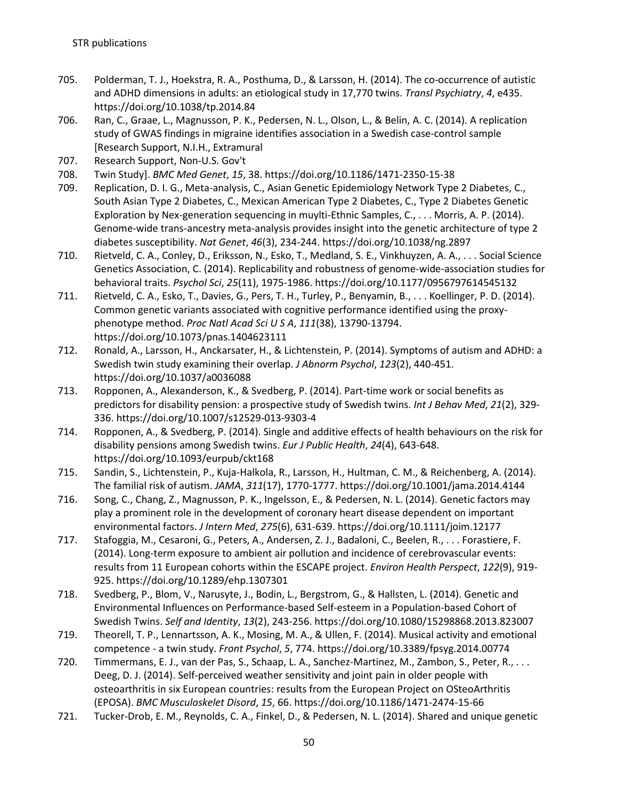- 705. Polderman, T. J., Hoekstra, R. A., Posthuma, D., & Larsson, H. (2014). The co-occurrence of autistic and ADHD dimensions in adults: an etiological study in 17,770 twins. *Transl Psychiatry*, *4*, e435. https://doi.org/10.1038/tp.2014.84
- 706. Ran, C., Graae, L., Magnusson, P. K., Pedersen, N. L., Olson, L., & Belin, A. C. (2014). A replication study of GWAS findings in migraine identifies association in a Swedish case-control sample [Research Support, N.I.H., Extramural
- 707. Research Support, Non-U.S. Gov't
- 708. Twin Study]. *BMC Med Genet*, *15*, 38. https://doi.org/10.1186/1471-2350-15-38
- 709. Replication, D. I. G., Meta-analysis, C., Asian Genetic Epidemiology Network Type 2 Diabetes, C., South Asian Type 2 Diabetes, C., Mexican American Type 2 Diabetes, C., Type 2 Diabetes Genetic Exploration by Nex-generation sequencing in muylti-Ethnic Samples, C., . . . Morris, A. P. (2014). Genome-wide trans-ancestry meta-analysis provides insight into the genetic architecture of type 2 diabetes susceptibility. *Nat Genet*, *46*(3), 234-244. https://doi.org/10.1038/ng.2897
- 710. Rietveld, C. A., Conley, D., Eriksson, N., Esko, T., Medland, S. E., Vinkhuyzen, A. A., . . . Social Science Genetics Association, C. (2014). Replicability and robustness of genome-wide-association studies for behavioral traits. *Psychol Sci*, *25*(11), 1975-1986. https://doi.org/10.1177/0956797614545132
- 711. Rietveld, C. A., Esko, T., Davies, G., Pers, T. H., Turley, P., Benyamin, B., . . . Koellinger, P. D. (2014). Common genetic variants associated with cognitive performance identified using the proxyphenotype method. *Proc Natl Acad Sci U S A*, *111*(38), 13790-13794. https://doi.org/10.1073/pnas.1404623111
- 712. Ronald, A., Larsson, H., Anckarsater, H., & Lichtenstein, P. (2014). Symptoms of autism and ADHD: a Swedish twin study examining their overlap. *J Abnorm Psychol*, *123*(2), 440-451. https://doi.org/10.1037/a0036088
- 713. Ropponen, A., Alexanderson, K., & Svedberg, P. (2014). Part-time work or social benefits as predictors for disability pension: a prospective study of Swedish twins. *Int J Behav Med*, *21*(2), 329- 336. https://doi.org/10.1007/s12529-013-9303-4
- 714. Ropponen, A., & Svedberg, P. (2014). Single and additive effects of health behaviours on the risk for disability pensions among Swedish twins. *Eur J Public Health*, *24*(4), 643-648. https://doi.org/10.1093/eurpub/ckt168
- 715. Sandin, S., Lichtenstein, P., Kuja-Halkola, R., Larsson, H., Hultman, C. M., & Reichenberg, A. (2014). The familial risk of autism. *JAMA*, *311*(17), 1770-1777. https://doi.org/10.1001/jama.2014.4144
- 716. Song, C., Chang, Z., Magnusson, P. K., Ingelsson, E., & Pedersen, N. L. (2014). Genetic factors may play a prominent role in the development of coronary heart disease dependent on important environmental factors. *J Intern Med*, *275*(6), 631-639. https://doi.org/10.1111/joim.12177
- 717. Stafoggia, M., Cesaroni, G., Peters, A., Andersen, Z. J., Badaloni, C., Beelen, R., . . . Forastiere, F. (2014). Long-term exposure to ambient air pollution and incidence of cerebrovascular events: results from 11 European cohorts within the ESCAPE project. *Environ Health Perspect*, *122*(9), 919- 925. https://doi.org/10.1289/ehp.1307301
- 718. Svedberg, P., Blom, V., Narusyte, J., Bodin, L., Bergstrom, G., & Hallsten, L. (2014). Genetic and Environmental Influences on Performance-based Self-esteem in a Population-based Cohort of Swedish Twins. *Self and Identity*, *13*(2), 243-256. https://doi.org/10.1080/15298868.2013.823007
- 719. Theorell, T. P., Lennartsson, A. K., Mosing, M. A., & Ullen, F. (2014). Musical activity and emotional competence - a twin study. *Front Psychol*, *5*, 774. https://doi.org/10.3389/fpsyg.2014.00774
- 720. Timmermans, E. J., van der Pas, S., Schaap, L. A., Sanchez-Martinez, M., Zambon, S., Peter, R., . . . Deeg, D. J. (2014). Self-perceived weather sensitivity and joint pain in older people with osteoarthritis in six European countries: results from the European Project on OSteoArthritis (EPOSA). *BMC Musculoskelet Disord*, *15*, 66. https://doi.org/10.1186/1471-2474-15-66
- 721. Tucker-Drob, E. M., Reynolds, C. A., Finkel, D., & Pedersen, N. L. (2014). Shared and unique genetic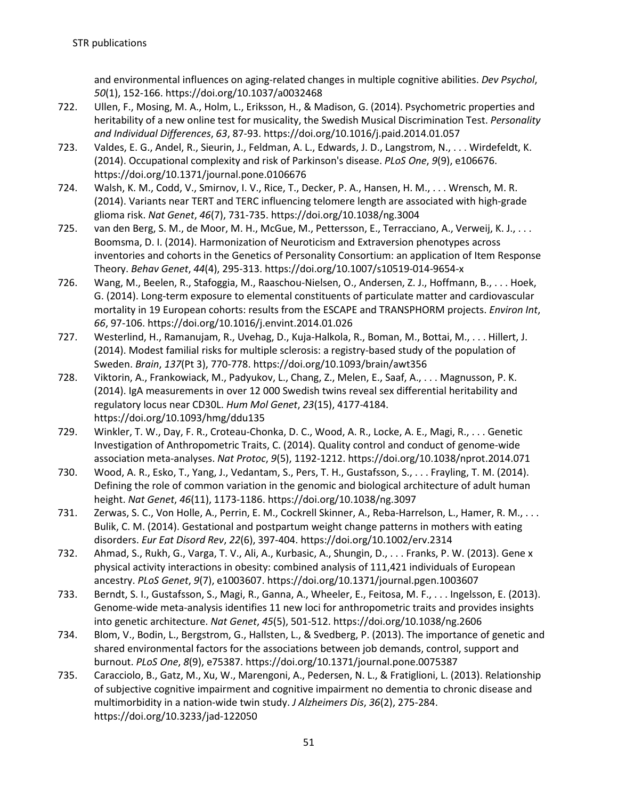and environmental influences on aging-related changes in multiple cognitive abilities. *Dev Psychol*, *50*(1), 152-166. https://doi.org/10.1037/a0032468

- 722. Ullen, F., Mosing, M. A., Holm, L., Eriksson, H., & Madison, G. (2014). Psychometric properties and heritability of a new online test for musicality, the Swedish Musical Discrimination Test. *Personality and Individual Differences*, *63*, 87-93. https://doi.org/10.1016/j.paid.2014.01.057
- 723. Valdes, E. G., Andel, R., Sieurin, J., Feldman, A. L., Edwards, J. D., Langstrom, N., . . . Wirdefeldt, K. (2014). Occupational complexity and risk of Parkinson's disease. *PLoS One*, *9*(9), e106676. https://doi.org/10.1371/journal.pone.0106676
- 724. Walsh, K. M., Codd, V., Smirnov, I. V., Rice, T., Decker, P. A., Hansen, H. M., . . . Wrensch, M. R. (2014). Variants near TERT and TERC influencing telomere length are associated with high-grade glioma risk. *Nat Genet*, *46*(7), 731-735. https://doi.org/10.1038/ng.3004
- 725. van den Berg, S. M., de Moor, M. H., McGue, M., Pettersson, E., Terracciano, A., Verweij, K. J., . . . Boomsma, D. I. (2014). Harmonization of Neuroticism and Extraversion phenotypes across inventories and cohorts in the Genetics of Personality Consortium: an application of Item Response Theory. *Behav Genet*, *44*(4), 295-313. https://doi.org/10.1007/s10519-014-9654-x
- 726. Wang, M., Beelen, R., Stafoggia, M., Raaschou-Nielsen, O., Andersen, Z. J., Hoffmann, B., . . . Hoek, G. (2014). Long-term exposure to elemental constituents of particulate matter and cardiovascular mortality in 19 European cohorts: results from the ESCAPE and TRANSPHORM projects. *Environ Int*, *66*, 97-106. https://doi.org/10.1016/j.envint.2014.01.026
- 727. Westerlind, H., Ramanujam, R., Uvehag, D., Kuja-Halkola, R., Boman, M., Bottai, M., . . . Hillert, J. (2014). Modest familial risks for multiple sclerosis: a registry-based study of the population of Sweden. *Brain*, *137*(Pt 3), 770-778. https://doi.org/10.1093/brain/awt356
- 728. Viktorin, A., Frankowiack, M., Padyukov, L., Chang, Z., Melen, E., Saaf, A., . . . Magnusson, P. K. (2014). IgA measurements in over 12 000 Swedish twins reveal sex differential heritability and regulatory locus near CD30L. *Hum Mol Genet*, *23*(15), 4177-4184. https://doi.org/10.1093/hmg/ddu135
- 729. Winkler, T. W., Day, F. R., Croteau-Chonka, D. C., Wood, A. R., Locke, A. E., Magi, R., . . . Genetic Investigation of Anthropometric Traits, C. (2014). Quality control and conduct of genome-wide association meta-analyses. *Nat Protoc*, *9*(5), 1192-1212. https://doi.org/10.1038/nprot.2014.071
- 730. Wood, A. R., Esko, T., Yang, J., Vedantam, S., Pers, T. H., Gustafsson, S., . . . Frayling, T. M. (2014). Defining the role of common variation in the genomic and biological architecture of adult human height. *Nat Genet*, *46*(11), 1173-1186. https://doi.org/10.1038/ng.3097
- 731. Zerwas, S. C., Von Holle, A., Perrin, E. M., Cockrell Skinner, A., Reba-Harrelson, L., Hamer, R. M., . . . Bulik, C. M. (2014). Gestational and postpartum weight change patterns in mothers with eating disorders. *Eur Eat Disord Rev*, *22*(6), 397-404. https://doi.org/10.1002/erv.2314
- 732. Ahmad, S., Rukh, G., Varga, T. V., Ali, A., Kurbasic, A., Shungin, D., . . . Franks, P. W. (2013). Gene x physical activity interactions in obesity: combined analysis of 111,421 individuals of European ancestry. *PLoS Genet*, *9*(7), e1003607. https://doi.org/10.1371/journal.pgen.1003607
- 733. Berndt, S. I., Gustafsson, S., Magi, R., Ganna, A., Wheeler, E., Feitosa, M. F., . . . Ingelsson, E. (2013). Genome-wide meta-analysis identifies 11 new loci for anthropometric traits and provides insights into genetic architecture. *Nat Genet*, *45*(5), 501-512. https://doi.org/10.1038/ng.2606
- 734. Blom, V., Bodin, L., Bergstrom, G., Hallsten, L., & Svedberg, P. (2013). The importance of genetic and shared environmental factors for the associations between job demands, control, support and burnout. *PLoS One*, *8*(9), e75387. https://doi.org/10.1371/journal.pone.0075387
- 735. Caracciolo, B., Gatz, M., Xu, W., Marengoni, A., Pedersen, N. L., & Fratiglioni, L. (2013). Relationship of subjective cognitive impairment and cognitive impairment no dementia to chronic disease and multimorbidity in a nation-wide twin study. *J Alzheimers Dis*, *36*(2), 275-284. https://doi.org/10.3233/jad-122050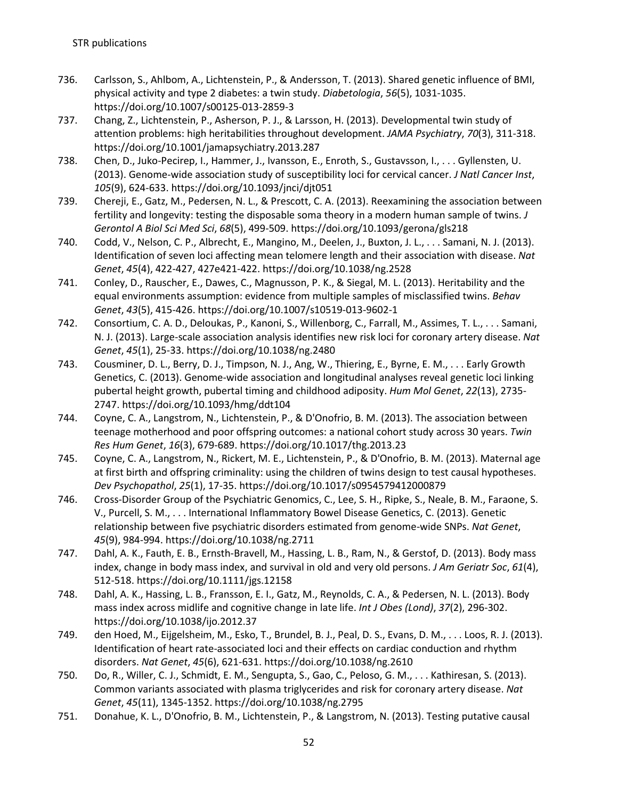- 736. Carlsson, S., Ahlbom, A., Lichtenstein, P., & Andersson, T. (2013). Shared genetic influence of BMI, physical activity and type 2 diabetes: a twin study. *Diabetologia*, *56*(5), 1031-1035. https://doi.org/10.1007/s00125-013-2859-3
- 737. Chang, Z., Lichtenstein, P., Asherson, P. J., & Larsson, H. (2013). Developmental twin study of attention problems: high heritabilities throughout development. *JAMA Psychiatry*, *70*(3), 311-318. https://doi.org/10.1001/jamapsychiatry.2013.287
- 738. Chen, D., Juko-Pecirep, I., Hammer, J., Ivansson, E., Enroth, S., Gustavsson, I., . . . Gyllensten, U. (2013). Genome-wide association study of susceptibility loci for cervical cancer. *J Natl Cancer Inst*, *105*(9), 624-633. https://doi.org/10.1093/jnci/djt051
- 739. Chereji, E., Gatz, M., Pedersen, N. L., & Prescott, C. A. (2013). Reexamining the association between fertility and longevity: testing the disposable soma theory in a modern human sample of twins. *J Gerontol A Biol Sci Med Sci*, *68*(5), 499-509. https://doi.org/10.1093/gerona/gls218
- 740. Codd, V., Nelson, C. P., Albrecht, E., Mangino, M., Deelen, J., Buxton, J. L., . . . Samani, N. J. (2013). Identification of seven loci affecting mean telomere length and their association with disease. *Nat Genet*, *45*(4), 422-427, 427e421-422. https://doi.org/10.1038/ng.2528
- 741. Conley, D., Rauscher, E., Dawes, C., Magnusson, P. K., & Siegal, M. L. (2013). Heritability and the equal environments assumption: evidence from multiple samples of misclassified twins. *Behav Genet*, *43*(5), 415-426. https://doi.org/10.1007/s10519-013-9602-1
- 742. Consortium, C. A. D., Deloukas, P., Kanoni, S., Willenborg, C., Farrall, M., Assimes, T. L., . . . Samani, N. J. (2013). Large-scale association analysis identifies new risk loci for coronary artery disease. *Nat Genet*, *45*(1), 25-33. https://doi.org/10.1038/ng.2480
- 743. Cousminer, D. L., Berry, D. J., Timpson, N. J., Ang, W., Thiering, E., Byrne, E. M., . . . Early Growth Genetics, C. (2013). Genome-wide association and longitudinal analyses reveal genetic loci linking pubertal height growth, pubertal timing and childhood adiposity. *Hum Mol Genet*, *22*(13), 2735- 2747. https://doi.org/10.1093/hmg/ddt104
- 744. Coyne, C. A., Langstrom, N., Lichtenstein, P., & D'Onofrio, B. M. (2013). The association between teenage motherhood and poor offspring outcomes: a national cohort study across 30 years. *Twin Res Hum Genet*, *16*(3), 679-689. https://doi.org/10.1017/thg.2013.23
- 745. Coyne, C. A., Langstrom, N., Rickert, M. E., Lichtenstein, P., & D'Onofrio, B. M. (2013). Maternal age at first birth and offspring criminality: using the children of twins design to test causal hypotheses. *Dev Psychopathol*, *25*(1), 17-35. https://doi.org/10.1017/s0954579412000879
- 746. Cross-Disorder Group of the Psychiatric Genomics, C., Lee, S. H., Ripke, S., Neale, B. M., Faraone, S. V., Purcell, S. M., . . . International Inflammatory Bowel Disease Genetics, C. (2013). Genetic relationship between five psychiatric disorders estimated from genome-wide SNPs. *Nat Genet*, *45*(9), 984-994. https://doi.org/10.1038/ng.2711
- 747. Dahl, A. K., Fauth, E. B., Ernsth-Bravell, M., Hassing, L. B., Ram, N., & Gerstof, D. (2013). Body mass index, change in body mass index, and survival in old and very old persons. *J Am Geriatr Soc*, *61*(4), 512-518. https://doi.org/10.1111/jgs.12158
- 748. Dahl, A. K., Hassing, L. B., Fransson, E. I., Gatz, M., Reynolds, C. A., & Pedersen, N. L. (2013). Body mass index across midlife and cognitive change in late life. *Int J Obes (Lond)*, *37*(2), 296-302. https://doi.org/10.1038/ijo.2012.37
- 749. den Hoed, M., Eijgelsheim, M., Esko, T., Brundel, B. J., Peal, D. S., Evans, D. M., . . . Loos, R. J. (2013). Identification of heart rate-associated loci and their effects on cardiac conduction and rhythm disorders. *Nat Genet*, *45*(6), 621-631. https://doi.org/10.1038/ng.2610
- 750. Do, R., Willer, C. J., Schmidt, E. M., Sengupta, S., Gao, C., Peloso, G. M., . . . Kathiresan, S. (2013). Common variants associated with plasma triglycerides and risk for coronary artery disease. *Nat Genet*, *45*(11), 1345-1352. https://doi.org/10.1038/ng.2795
- 751. Donahue, K. L., D'Onofrio, B. M., Lichtenstein, P., & Langstrom, N. (2013). Testing putative causal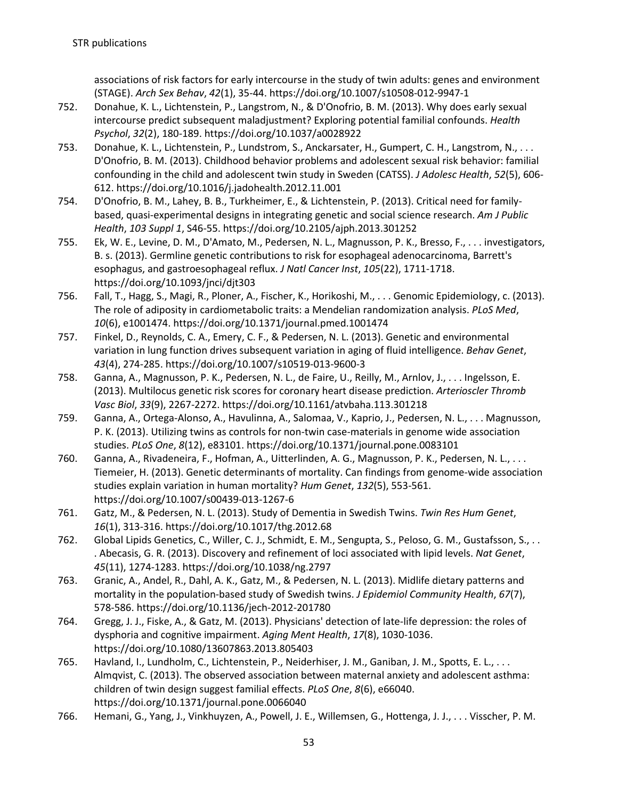associations of risk factors for early intercourse in the study of twin adults: genes and environment (STAGE). *Arch Sex Behav*, *42*(1), 35-44. https://doi.org/10.1007/s10508-012-9947-1

- 752. Donahue, K. L., Lichtenstein, P., Langstrom, N., & D'Onofrio, B. M. (2013). Why does early sexual intercourse predict subsequent maladjustment? Exploring potential familial confounds. *Health Psychol*, *32*(2), 180-189. https://doi.org/10.1037/a0028922
- 753. Donahue, K. L., Lichtenstein, P., Lundstrom, S., Anckarsater, H., Gumpert, C. H., Langstrom, N., . . . D'Onofrio, B. M. (2013). Childhood behavior problems and adolescent sexual risk behavior: familial confounding in the child and adolescent twin study in Sweden (CATSS). *J Adolesc Health*, *52*(5), 606- 612. https://doi.org/10.1016/j.jadohealth.2012.11.001
- 754. D'Onofrio, B. M., Lahey, B. B., Turkheimer, E., & Lichtenstein, P. (2013). Critical need for familybased, quasi-experimental designs in integrating genetic and social science research. *Am J Public Health*, *103 Suppl 1*, S46-55. https://doi.org/10.2105/ajph.2013.301252
- 755. Ek, W. E., Levine, D. M., D'Amato, M., Pedersen, N. L., Magnusson, P. K., Bresso, F., . . . investigators, B. s. (2013). Germline genetic contributions to risk for esophageal adenocarcinoma, Barrett's esophagus, and gastroesophageal reflux. *J Natl Cancer Inst*, *105*(22), 1711-1718. https://doi.org/10.1093/jnci/djt303
- 756. Fall, T., Hagg, S., Magi, R., Ploner, A., Fischer, K., Horikoshi, M., . . . Genomic Epidemiology, c. (2013). The role of adiposity in cardiometabolic traits: a Mendelian randomization analysis. *PLoS Med*, *10*(6), e1001474. https://doi.org/10.1371/journal.pmed.1001474
- 757. Finkel, D., Reynolds, C. A., Emery, C. F., & Pedersen, N. L. (2013). Genetic and environmental variation in lung function drives subsequent variation in aging of fluid intelligence. *Behav Genet*, *43*(4), 274-285. https://doi.org/10.1007/s10519-013-9600-3
- 758. Ganna, A., Magnusson, P. K., Pedersen, N. L., de Faire, U., Reilly, M., Arnlov, J., . . . Ingelsson, E. (2013). Multilocus genetic risk scores for coronary heart disease prediction. *Arterioscler Thromb Vasc Biol*, *33*(9), 2267-2272. https://doi.org/10.1161/atvbaha.113.301218
- 759. Ganna, A., Ortega-Alonso, A., Havulinna, A., Salomaa, V., Kaprio, J., Pedersen, N. L., . . . Magnusson, P. K. (2013). Utilizing twins as controls for non-twin case-materials in genome wide association studies. *PLoS One*, *8*(12), e83101. https://doi.org/10.1371/journal.pone.0083101
- 760. Ganna, A., Rivadeneira, F., Hofman, A., Uitterlinden, A. G., Magnusson, P. K., Pedersen, N. L., . . . Tiemeier, H. (2013). Genetic determinants of mortality. Can findings from genome-wide association studies explain variation in human mortality? *Hum Genet*, *132*(5), 553-561. https://doi.org/10.1007/s00439-013-1267-6
- 761. Gatz, M., & Pedersen, N. L. (2013). Study of Dementia in Swedish Twins. *Twin Res Hum Genet*, *16*(1), 313-316. https://doi.org/10.1017/thg.2012.68
- 762. Global Lipids Genetics, C., Willer, C. J., Schmidt, E. M., Sengupta, S., Peloso, G. M., Gustafsson, S., . . . Abecasis, G. R. (2013). Discovery and refinement of loci associated with lipid levels. *Nat Genet*, *45*(11), 1274-1283. https://doi.org/10.1038/ng.2797
- 763. Granic, A., Andel, R., Dahl, A. K., Gatz, M., & Pedersen, N. L. (2013). Midlife dietary patterns and mortality in the population-based study of Swedish twins. *J Epidemiol Community Health*, *67*(7), 578-586. https://doi.org/10.1136/jech-2012-201780
- 764. Gregg, J. J., Fiske, A., & Gatz, M. (2013). Physicians' detection of late-life depression: the roles of dysphoria and cognitive impairment. *Aging Ment Health*, *17*(8), 1030-1036. https://doi.org/10.1080/13607863.2013.805403
- 765. Havland, I., Lundholm, C., Lichtenstein, P., Neiderhiser, J. M., Ganiban, J. M., Spotts, E. L., . . . Almqvist, C. (2013). The observed association between maternal anxiety and adolescent asthma: children of twin design suggest familial effects. *PLoS One*, *8*(6), e66040. https://doi.org/10.1371/journal.pone.0066040
- 766. Hemani, G., Yang, J., Vinkhuyzen, A., Powell, J. E., Willemsen, G., Hottenga, J. J., . . . Visscher, P. M.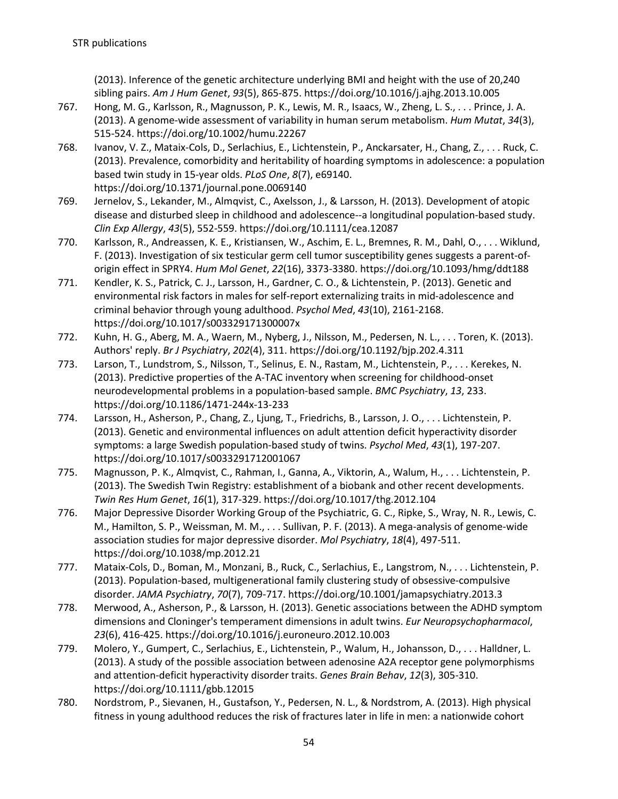(2013). Inference of the genetic architecture underlying BMI and height with the use of 20,240 sibling pairs. *Am J Hum Genet*, *93*(5), 865-875. https://doi.org/10.1016/j.ajhg.2013.10.005

- 767. Hong, M. G., Karlsson, R., Magnusson, P. K., Lewis, M. R., Isaacs, W., Zheng, L. S., . . . Prince, J. A. (2013). A genome-wide assessment of variability in human serum metabolism. *Hum Mutat*, *34*(3), 515-524. https://doi.org/10.1002/humu.22267
- 768. Ivanov, V. Z., Mataix-Cols, D., Serlachius, E., Lichtenstein, P., Anckarsater, H., Chang, Z., . . . Ruck, C. (2013). Prevalence, comorbidity and heritability of hoarding symptoms in adolescence: a population based twin study in 15-year olds. *PLoS One*, *8*(7), e69140. https://doi.org/10.1371/journal.pone.0069140
- 769. Jernelov, S., Lekander, M., Almqvist, C., Axelsson, J., & Larsson, H. (2013). Development of atopic disease and disturbed sleep in childhood and adolescence--a longitudinal population-based study. *Clin Exp Allergy*, *43*(5), 552-559. https://doi.org/10.1111/cea.12087
- 770. Karlsson, R., Andreassen, K. E., Kristiansen, W., Aschim, E. L., Bremnes, R. M., Dahl, O., . . . Wiklund, F. (2013). Investigation of six testicular germ cell tumor susceptibility genes suggests a parent-oforigin effect in SPRY4. *Hum Mol Genet*, *22*(16), 3373-3380. https://doi.org/10.1093/hmg/ddt188
- 771. Kendler, K. S., Patrick, C. J., Larsson, H., Gardner, C. O., & Lichtenstein, P. (2013). Genetic and environmental risk factors in males for self-report externalizing traits in mid-adolescence and criminal behavior through young adulthood. *Psychol Med*, *43*(10), 2161-2168. https://doi.org/10.1017/s003329171300007x
- 772. Kuhn, H. G., Aberg, M. A., Waern, M., Nyberg, J., Nilsson, M., Pedersen, N. L., . . . Toren, K. (2013). Authors' reply. *Br J Psychiatry*, *202*(4), 311. https://doi.org/10.1192/bjp.202.4.311
- 773. Larson, T., Lundstrom, S., Nilsson, T., Selinus, E. N., Rastam, M., Lichtenstein, P., . . . Kerekes, N. (2013). Predictive properties of the A-TAC inventory when screening for childhood-onset neurodevelopmental problems in a population-based sample. *BMC Psychiatry*, *13*, 233. https://doi.org/10.1186/1471-244x-13-233
- 774. Larsson, H., Asherson, P., Chang, Z., Ljung, T., Friedrichs, B., Larsson, J. O., . . . Lichtenstein, P. (2013). Genetic and environmental influences on adult attention deficit hyperactivity disorder symptoms: a large Swedish population-based study of twins. *Psychol Med*, *43*(1), 197-207. https://doi.org/10.1017/s0033291712001067
- 775. Magnusson, P. K., Almqvist, C., Rahman, I., Ganna, A., Viktorin, A., Walum, H., . . . Lichtenstein, P. (2013). The Swedish Twin Registry: establishment of a biobank and other recent developments. *Twin Res Hum Genet*, *16*(1), 317-329. https://doi.org/10.1017/thg.2012.104
- 776. Major Depressive Disorder Working Group of the Psychiatric, G. C., Ripke, S., Wray, N. R., Lewis, C. M., Hamilton, S. P., Weissman, M. M., . . . Sullivan, P. F. (2013). A mega-analysis of genome-wide association studies for major depressive disorder. *Mol Psychiatry*, *18*(4), 497-511. https://doi.org/10.1038/mp.2012.21
- 777. Mataix-Cols, D., Boman, M., Monzani, B., Ruck, C., Serlachius, E., Langstrom, N., . . . Lichtenstein, P. (2013). Population-based, multigenerational family clustering study of obsessive-compulsive disorder. *JAMA Psychiatry*, *70*(7), 709-717. https://doi.org/10.1001/jamapsychiatry.2013.3
- 778. Merwood, A., Asherson, P., & Larsson, H. (2013). Genetic associations between the ADHD symptom dimensions and Cloninger's temperament dimensions in adult twins. *Eur Neuropsychopharmacol*, *23*(6), 416-425. https://doi.org/10.1016/j.euroneuro.2012.10.003
- 779. Molero, Y., Gumpert, C., Serlachius, E., Lichtenstein, P., Walum, H., Johansson, D., . . . Halldner, L. (2013). A study of the possible association between adenosine A2A receptor gene polymorphisms and attention-deficit hyperactivity disorder traits. *Genes Brain Behav*, *12*(3), 305-310. https://doi.org/10.1111/gbb.12015
- 780. Nordstrom, P., Sievanen, H., Gustafson, Y., Pedersen, N. L., & Nordstrom, A. (2013). High physical fitness in young adulthood reduces the risk of fractures later in life in men: a nationwide cohort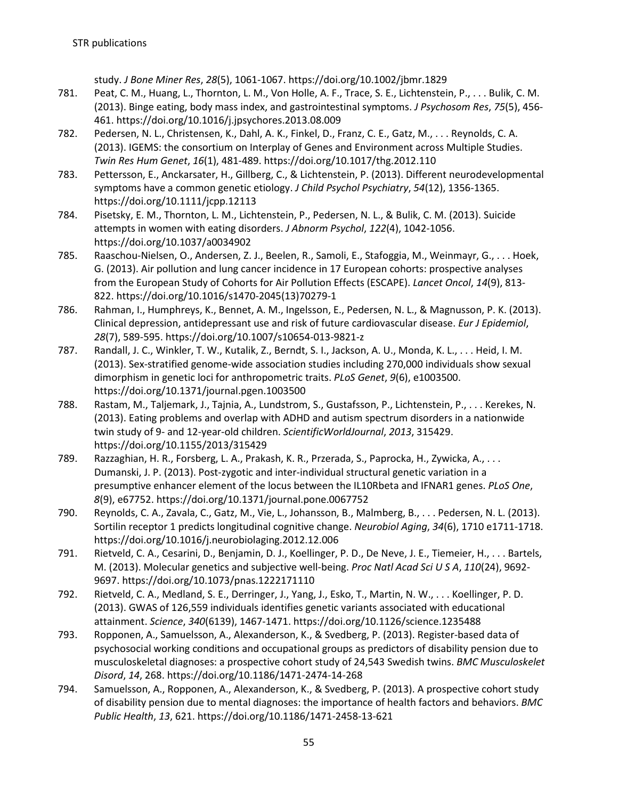study. *J Bone Miner Res*, *28*(5), 1061-1067. https://doi.org/10.1002/jbmr.1829

- 781. Peat, C. M., Huang, L., Thornton, L. M., Von Holle, A. F., Trace, S. E., Lichtenstein, P., . . . Bulik, C. M. (2013). Binge eating, body mass index, and gastrointestinal symptoms. *J Psychosom Res*, *75*(5), 456- 461. https://doi.org/10.1016/j.jpsychores.2013.08.009
- 782. Pedersen, N. L., Christensen, K., Dahl, A. K., Finkel, D., Franz, C. E., Gatz, M., . . . Reynolds, C. A. (2013). IGEMS: the consortium on Interplay of Genes and Environment across Multiple Studies. *Twin Res Hum Genet*, *16*(1), 481-489. https://doi.org/10.1017/thg.2012.110
- 783. Pettersson, E., Anckarsater, H., Gillberg, C., & Lichtenstein, P. (2013). Different neurodevelopmental symptoms have a common genetic etiology. *J Child Psychol Psychiatry*, *54*(12), 1356-1365. https://doi.org/10.1111/jcpp.12113
- 784. Pisetsky, E. M., Thornton, L. M., Lichtenstein, P., Pedersen, N. L., & Bulik, C. M. (2013). Suicide attempts in women with eating disorders. *J Abnorm Psychol*, *122*(4), 1042-1056. https://doi.org/10.1037/a0034902
- 785. Raaschou-Nielsen, O., Andersen, Z. J., Beelen, R., Samoli, E., Stafoggia, M., Weinmayr, G., . . . Hoek, G. (2013). Air pollution and lung cancer incidence in 17 European cohorts: prospective analyses from the European Study of Cohorts for Air Pollution Effects (ESCAPE). *Lancet Oncol*, *14*(9), 813- 822. https://doi.org/10.1016/s1470-2045(13)70279-1
- 786. Rahman, I., Humphreys, K., Bennet, A. M., Ingelsson, E., Pedersen, N. L., & Magnusson, P. K. (2013). Clinical depression, antidepressant use and risk of future cardiovascular disease. *Eur J Epidemiol*, *28*(7), 589-595. https://doi.org/10.1007/s10654-013-9821-z
- 787. Randall, J. C., Winkler, T. W., Kutalik, Z., Berndt, S. I., Jackson, A. U., Monda, K. L., . . . Heid, I. M. (2013). Sex-stratified genome-wide association studies including 270,000 individuals show sexual dimorphism in genetic loci for anthropometric traits. *PLoS Genet*, *9*(6), e1003500. https://doi.org/10.1371/journal.pgen.1003500
- 788. Rastam, M., Taljemark, J., Tajnia, A., Lundstrom, S., Gustafsson, P., Lichtenstein, P., . . . Kerekes, N. (2013). Eating problems and overlap with ADHD and autism spectrum disorders in a nationwide twin study of 9- and 12-year-old children. *ScientificWorldJournal*, *2013*, 315429. https://doi.org/10.1155/2013/315429
- 789. Razzaghian, H. R., Forsberg, L. A., Prakash, K. R., Przerada, S., Paprocka, H., Zywicka, A., . . . Dumanski, J. P. (2013). Post-zygotic and inter-individual structural genetic variation in a presumptive enhancer element of the locus between the IL10Rbeta and IFNAR1 genes. *PLoS One*, *8*(9), e67752. https://doi.org/10.1371/journal.pone.0067752
- 790. Reynolds, C. A., Zavala, C., Gatz, M., Vie, L., Johansson, B., Malmberg, B., . . . Pedersen, N. L. (2013). Sortilin receptor 1 predicts longitudinal cognitive change. *Neurobiol Aging*, *34*(6), 1710 e1711-1718. https://doi.org/10.1016/j.neurobiolaging.2012.12.006
- 791. Rietveld, C. A., Cesarini, D., Benjamin, D. J., Koellinger, P. D., De Neve, J. E., Tiemeier, H., . . . Bartels, M. (2013). Molecular genetics and subjective well-being. *Proc Natl Acad Sci U S A*, *110*(24), 9692- 9697. https://doi.org/10.1073/pnas.1222171110
- 792. Rietveld, C. A., Medland, S. E., Derringer, J., Yang, J., Esko, T., Martin, N. W., . . . Koellinger, P. D. (2013). GWAS of 126,559 individuals identifies genetic variants associated with educational attainment. *Science*, *340*(6139), 1467-1471. https://doi.org/10.1126/science.1235488
- 793. Ropponen, A., Samuelsson, A., Alexanderson, K., & Svedberg, P. (2013). Register-based data of psychosocial working conditions and occupational groups as predictors of disability pension due to musculoskeletal diagnoses: a prospective cohort study of 24,543 Swedish twins. *BMC Musculoskelet Disord*, *14*, 268. https://doi.org/10.1186/1471-2474-14-268
- 794. Samuelsson, A., Ropponen, A., Alexanderson, K., & Svedberg, P. (2013). A prospective cohort study of disability pension due to mental diagnoses: the importance of health factors and behaviors. *BMC Public Health*, *13*, 621. https://doi.org/10.1186/1471-2458-13-621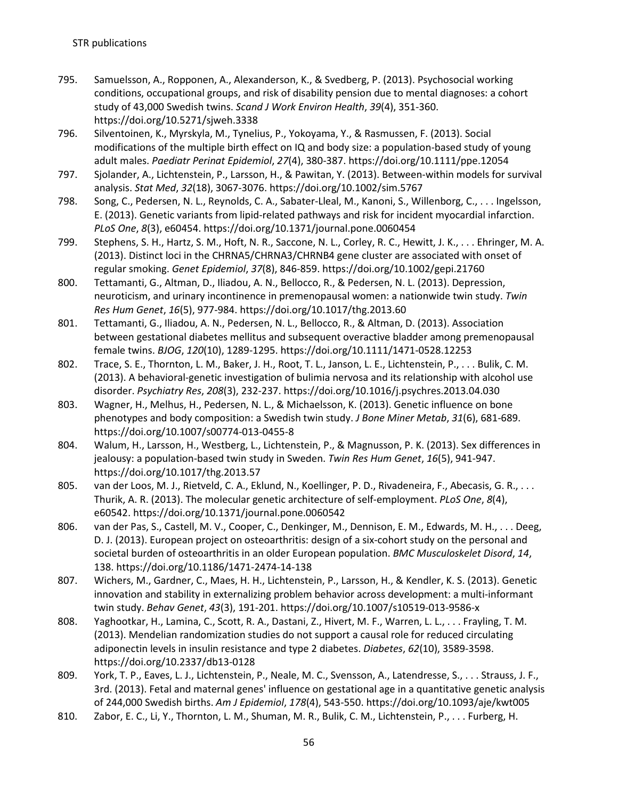- 795. Samuelsson, A., Ropponen, A., Alexanderson, K., & Svedberg, P. (2013). Psychosocial working conditions, occupational groups, and risk of disability pension due to mental diagnoses: a cohort study of 43,000 Swedish twins. *Scand J Work Environ Health*, *39*(4), 351-360. https://doi.org/10.5271/sjweh.3338
- 796. Silventoinen, K., Myrskyla, M., Tynelius, P., Yokoyama, Y., & Rasmussen, F. (2013). Social modifications of the multiple birth effect on IQ and body size: a population-based study of young adult males. *Paediatr Perinat Epidemiol*, *27*(4), 380-387. https://doi.org/10.1111/ppe.12054
- 797. Sjolander, A., Lichtenstein, P., Larsson, H., & Pawitan, Y. (2013). Between-within models for survival analysis. *Stat Med*, *32*(18), 3067-3076. https://doi.org/10.1002/sim.5767
- 798. Song, C., Pedersen, N. L., Reynolds, C. A., Sabater-Lleal, M., Kanoni, S., Willenborg, C., . . . Ingelsson, E. (2013). Genetic variants from lipid-related pathways and risk for incident myocardial infarction. *PLoS One*, *8*(3), e60454. https://doi.org/10.1371/journal.pone.0060454
- 799. Stephens, S. H., Hartz, S. M., Hoft, N. R., Saccone, N. L., Corley, R. C., Hewitt, J. K., . . . Ehringer, M. A. (2013). Distinct loci in the CHRNA5/CHRNA3/CHRNB4 gene cluster are associated with onset of regular smoking. *Genet Epidemiol*, *37*(8), 846-859. https://doi.org/10.1002/gepi.21760
- 800. Tettamanti, G., Altman, D., Iliadou, A. N., Bellocco, R., & Pedersen, N. L. (2013). Depression, neuroticism, and urinary incontinence in premenopausal women: a nationwide twin study. *Twin Res Hum Genet*, *16*(5), 977-984. https://doi.org/10.1017/thg.2013.60
- 801. Tettamanti, G., Iliadou, A. N., Pedersen, N. L., Bellocco, R., & Altman, D. (2013). Association between gestational diabetes mellitus and subsequent overactive bladder among premenopausal female twins. *BJOG*, *120*(10), 1289-1295. https://doi.org/10.1111/1471-0528.12253
- 802. Trace, S. E., Thornton, L. M., Baker, J. H., Root, T. L., Janson, L. E., Lichtenstein, P., . . . Bulik, C. M. (2013). A behavioral-genetic investigation of bulimia nervosa and its relationship with alcohol use disorder. *Psychiatry Res*, *208*(3), 232-237. https://doi.org/10.1016/j.psychres.2013.04.030
- 803. Wagner, H., Melhus, H., Pedersen, N. L., & Michaelsson, K. (2013). Genetic influence on bone phenotypes and body composition: a Swedish twin study. *J Bone Miner Metab*, *31*(6), 681-689. https://doi.org/10.1007/s00774-013-0455-8
- 804. Walum, H., Larsson, H., Westberg, L., Lichtenstein, P., & Magnusson, P. K. (2013). Sex differences in jealousy: a population-based twin study in Sweden. *Twin Res Hum Genet*, *16*(5), 941-947. https://doi.org/10.1017/thg.2013.57
- 805. van der Loos, M. J., Rietveld, C. A., Eklund, N., Koellinger, P. D., Rivadeneira, F., Abecasis, G. R., . . . Thurik, A. R. (2013). The molecular genetic architecture of self-employment. *PLoS One*, *8*(4), e60542. https://doi.org/10.1371/journal.pone.0060542
- 806. van der Pas, S., Castell, M. V., Cooper, C., Denkinger, M., Dennison, E. M., Edwards, M. H., . . . Deeg, D. J. (2013). European project on osteoarthritis: design of a six-cohort study on the personal and societal burden of osteoarthritis in an older European population. *BMC Musculoskelet Disord*, *14*, 138. https://doi.org/10.1186/1471-2474-14-138
- 807. Wichers, M., Gardner, C., Maes, H. H., Lichtenstein, P., Larsson, H., & Kendler, K. S. (2013). Genetic innovation and stability in externalizing problem behavior across development: a multi-informant twin study. *Behav Genet*, *43*(3), 191-201. https://doi.org/10.1007/s10519-013-9586-x
- 808. Yaghootkar, H., Lamina, C., Scott, R. A., Dastani, Z., Hivert, M. F., Warren, L. L., . . . Frayling, T. M. (2013). Mendelian randomization studies do not support a causal role for reduced circulating adiponectin levels in insulin resistance and type 2 diabetes. *Diabetes*, *62*(10), 3589-3598. https://doi.org/10.2337/db13-0128
- 809. York, T. P., Eaves, L. J., Lichtenstein, P., Neale, M. C., Svensson, A., Latendresse, S., . . . Strauss, J. F., 3rd. (2013). Fetal and maternal genes' influence on gestational age in a quantitative genetic analysis of 244,000 Swedish births. *Am J Epidemiol*, *178*(4), 543-550. https://doi.org/10.1093/aje/kwt005
- 810. Zabor, E. C., Li, Y., Thornton, L. M., Shuman, M. R., Bulik, C. M., Lichtenstein, P., . . . Furberg, H.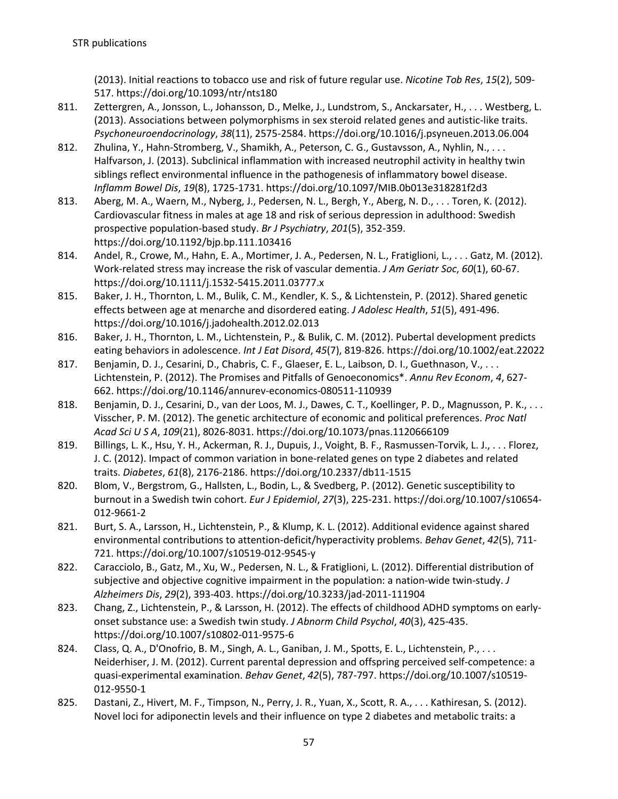(2013). Initial reactions to tobacco use and risk of future regular use. *Nicotine Tob Res*, *15*(2), 509- 517. https://doi.org/10.1093/ntr/nts180

- 811. Zettergren, A., Jonsson, L., Johansson, D., Melke, J., Lundstrom, S., Anckarsater, H., . . . Westberg, L. (2013). Associations between polymorphisms in sex steroid related genes and autistic-like traits. *Psychoneuroendocrinology*, *38*(11), 2575-2584. https://doi.org/10.1016/j.psyneuen.2013.06.004
- 812. Zhulina, Y., Hahn-Stromberg, V., Shamikh, A., Peterson, C. G., Gustavsson, A., Nyhlin, N., . . . Halfvarson, J. (2013). Subclinical inflammation with increased neutrophil activity in healthy twin siblings reflect environmental influence in the pathogenesis of inflammatory bowel disease. *Inflamm Bowel Dis*, *19*(8), 1725-1731. https://doi.org/10.1097/MIB.0b013e318281f2d3
- 813. Aberg, M. A., Waern, M., Nyberg, J., Pedersen, N. L., Bergh, Y., Aberg, N. D., . . . Toren, K. (2012). Cardiovascular fitness in males at age 18 and risk of serious depression in adulthood: Swedish prospective population-based study. *Br J Psychiatry*, *201*(5), 352-359. https://doi.org/10.1192/bjp.bp.111.103416
- 814. Andel, R., Crowe, M., Hahn, E. A., Mortimer, J. A., Pedersen, N. L., Fratiglioni, L., . . . Gatz, M. (2012). Work-related stress may increase the risk of vascular dementia. *J Am Geriatr Soc*, *60*(1), 60-67. https://doi.org/10.1111/j.1532-5415.2011.03777.x
- 815. Baker, J. H., Thornton, L. M., Bulik, C. M., Kendler, K. S., & Lichtenstein, P. (2012). Shared genetic effects between age at menarche and disordered eating. *J Adolesc Health*, *51*(5), 491-496. https://doi.org/10.1016/j.jadohealth.2012.02.013
- 816. Baker, J. H., Thornton, L. M., Lichtenstein, P., & Bulik, C. M. (2012). Pubertal development predicts eating behaviors in adolescence. *Int J Eat Disord*, *45*(7), 819-826. https://doi.org/10.1002/eat.22022
- 817. Benjamin, D. J., Cesarini, D., Chabris, C. F., Glaeser, E. L., Laibson, D. I., Guethnason, V., . . . Lichtenstein, P. (2012). The Promises and Pitfalls of Genoeconomics\*. *Annu Rev Econom*, *4*, 627- 662. https://doi.org/10.1146/annurev-economics-080511-110939
- 818. Benjamin, D. J., Cesarini, D., van der Loos, M. J., Dawes, C. T., Koellinger, P. D., Magnusson, P. K., ... Visscher, P. M. (2012). The genetic architecture of economic and political preferences. *Proc Natl Acad Sci U S A*, *109*(21), 8026-8031. https://doi.org/10.1073/pnas.1120666109
- 819. Billings, L. K., Hsu, Y. H., Ackerman, R. J., Dupuis, J., Voight, B. F., Rasmussen-Torvik, L. J., . . . Florez, J. C. (2012). Impact of common variation in bone-related genes on type 2 diabetes and related traits. *Diabetes*, *61*(8), 2176-2186. https://doi.org/10.2337/db11-1515
- 820. Blom, V., Bergstrom, G., Hallsten, L., Bodin, L., & Svedberg, P. (2012). Genetic susceptibility to burnout in a Swedish twin cohort. *Eur J Epidemiol*, *27*(3), 225-231. https://doi.org/10.1007/s10654- 012-9661-2
- 821. Burt, S. A., Larsson, H., Lichtenstein, P., & Klump, K. L. (2012). Additional evidence against shared environmental contributions to attention-deficit/hyperactivity problems. *Behav Genet*, *42*(5), 711- 721. https://doi.org/10.1007/s10519-012-9545-y
- 822. Caracciolo, B., Gatz, M., Xu, W., Pedersen, N. L., & Fratiglioni, L. (2012). Differential distribution of subjective and objective cognitive impairment in the population: a nation-wide twin-study. *J Alzheimers Dis*, *29*(2), 393-403. https://doi.org/10.3233/jad-2011-111904
- 823. Chang, Z., Lichtenstein, P., & Larsson, H. (2012). The effects of childhood ADHD symptoms on earlyonset substance use: a Swedish twin study. *J Abnorm Child Psychol*, *40*(3), 425-435. https://doi.org/10.1007/s10802-011-9575-6
- 824. Class, Q. A., D'Onofrio, B. M., Singh, A. L., Ganiban, J. M., Spotts, E. L., Lichtenstein, P., ... Neiderhiser, J. M. (2012). Current parental depression and offspring perceived self-competence: a quasi-experimental examination. *Behav Genet*, *42*(5), 787-797. https://doi.org/10.1007/s10519- 012-9550-1
- 825. Dastani, Z., Hivert, M. F., Timpson, N., Perry, J. R., Yuan, X., Scott, R. A., . . . Kathiresan, S. (2012). Novel loci for adiponectin levels and their influence on type 2 diabetes and metabolic traits: a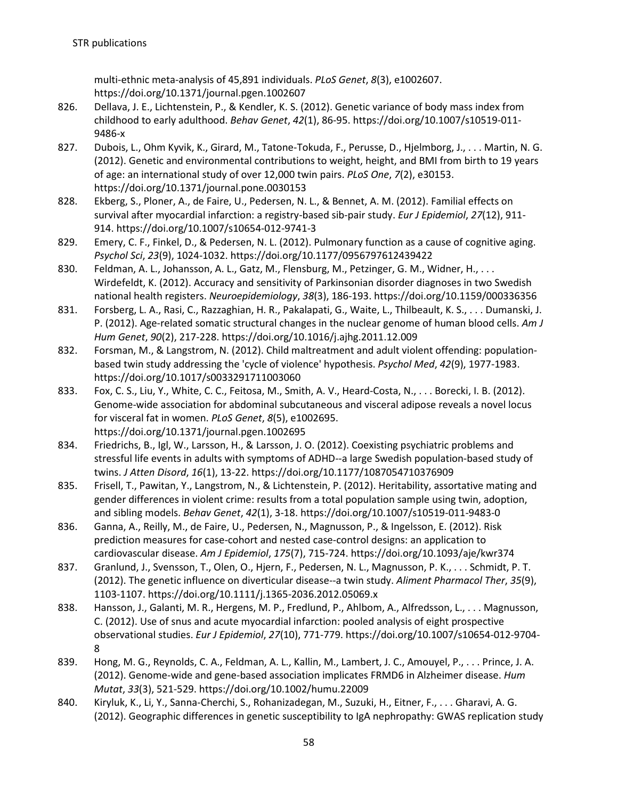multi-ethnic meta-analysis of 45,891 individuals. *PLoS Genet*, *8*(3), e1002607. https://doi.org/10.1371/journal.pgen.1002607

- 826. Dellava, J. E., Lichtenstein, P., & Kendler, K. S. (2012). Genetic variance of body mass index from childhood to early adulthood. *Behav Genet*, *42*(1), 86-95. https://doi.org/10.1007/s10519-011- 9486-x
- 827. Dubois, L., Ohm Kyvik, K., Girard, M., Tatone-Tokuda, F., Perusse, D., Hjelmborg, J., . . . Martin, N. G. (2012). Genetic and environmental contributions to weight, height, and BMI from birth to 19 years of age: an international study of over 12,000 twin pairs. *PLoS One*, *7*(2), e30153. https://doi.org/10.1371/journal.pone.0030153
- 828. Ekberg, S., Ploner, A., de Faire, U., Pedersen, N. L., & Bennet, A. M. (2012). Familial effects on survival after myocardial infarction: a registry-based sib-pair study. *Eur J Epidemiol*, *27*(12), 911- 914. https://doi.org/10.1007/s10654-012-9741-3
- 829. Emery, C. F., Finkel, D., & Pedersen, N. L. (2012). Pulmonary function as a cause of cognitive aging. *Psychol Sci*, *23*(9), 1024-1032. https://doi.org/10.1177/0956797612439422
- 830. Feldman, A. L., Johansson, A. L., Gatz, M., Flensburg, M., Petzinger, G. M., Widner, H., . . . Wirdefeldt, K. (2012). Accuracy and sensitivity of Parkinsonian disorder diagnoses in two Swedish national health registers. *Neuroepidemiology*, *38*(3), 186-193. https://doi.org/10.1159/000336356
- 831. Forsberg, L. A., Rasi, C., Razzaghian, H. R., Pakalapati, G., Waite, L., Thilbeault, K. S., . . . Dumanski, J. P. (2012). Age-related somatic structural changes in the nuclear genome of human blood cells. *Am J Hum Genet*, *90*(2), 217-228. https://doi.org/10.1016/j.ajhg.2011.12.009
- 832. Forsman, M., & Langstrom, N. (2012). Child maltreatment and adult violent offending: populationbased twin study addressing the 'cycle of violence' hypothesis. *Psychol Med*, *42*(9), 1977-1983. https://doi.org/10.1017/s0033291711003060
- 833. Fox, C. S., Liu, Y., White, C. C., Feitosa, M., Smith, A. V., Heard-Costa, N., . . . Borecki, I. B. (2012). Genome-wide association for abdominal subcutaneous and visceral adipose reveals a novel locus for visceral fat in women. *PLoS Genet*, *8*(5), e1002695. https://doi.org/10.1371/journal.pgen.1002695
- 834. Friedrichs, B., Igl, W., Larsson, H., & Larsson, J. O. (2012). Coexisting psychiatric problems and stressful life events in adults with symptoms of ADHD--a large Swedish population-based study of twins. *J Atten Disord*, *16*(1), 13-22. https://doi.org/10.1177/1087054710376909
- 835. Frisell, T., Pawitan, Y., Langstrom, N., & Lichtenstein, P. (2012). Heritability, assortative mating and gender differences in violent crime: results from a total population sample using twin, adoption, and sibling models. *Behav Genet*, *42*(1), 3-18. https://doi.org/10.1007/s10519-011-9483-0
- 836. Ganna, A., Reilly, M., de Faire, U., Pedersen, N., Magnusson, P., & Ingelsson, E. (2012). Risk prediction measures for case-cohort and nested case-control designs: an application to cardiovascular disease. *Am J Epidemiol*, *175*(7), 715-724. https://doi.org/10.1093/aje/kwr374
- 837. Granlund, J., Svensson, T., Olen, O., Hjern, F., Pedersen, N. L., Magnusson, P. K., . . . Schmidt, P. T. (2012). The genetic influence on diverticular disease--a twin study. *Aliment Pharmacol Ther*, *35*(9), 1103-1107. https://doi.org/10.1111/j.1365-2036.2012.05069.x
- 838. Hansson, J., Galanti, M. R., Hergens, M. P., Fredlund, P., Ahlbom, A., Alfredsson, L., . . . Magnusson, C. (2012). Use of snus and acute myocardial infarction: pooled analysis of eight prospective observational studies. *Eur J Epidemiol*, *27*(10), 771-779. https://doi.org/10.1007/s10654-012-9704- 8
- 839. Hong, M. G., Reynolds, C. A., Feldman, A. L., Kallin, M., Lambert, J. C., Amouyel, P., . . . Prince, J. A. (2012). Genome-wide and gene-based association implicates FRMD6 in Alzheimer disease. *Hum Mutat*, *33*(3), 521-529. https://doi.org/10.1002/humu.22009
- 840. Kiryluk, K., Li, Y., Sanna-Cherchi, S., Rohanizadegan, M., Suzuki, H., Eitner, F., . . . Gharavi, A. G. (2012). Geographic differences in genetic susceptibility to IgA nephropathy: GWAS replication study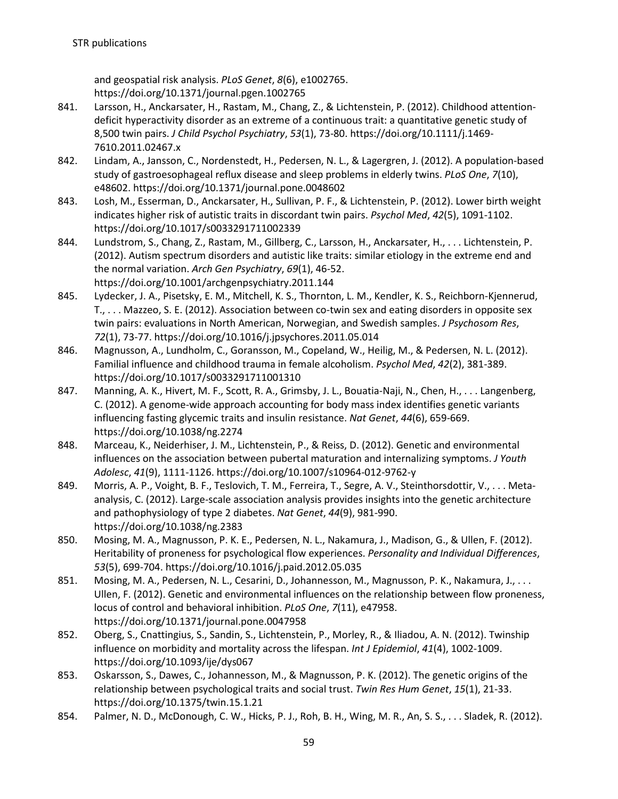and geospatial risk analysis. *PLoS Genet*, *8*(6), e1002765. https://doi.org/10.1371/journal.pgen.1002765

- 841. Larsson, H., Anckarsater, H., Rastam, M., Chang, Z., & Lichtenstein, P. (2012). Childhood attentiondeficit hyperactivity disorder as an extreme of a continuous trait: a quantitative genetic study of 8,500 twin pairs. *J Child Psychol Psychiatry*, *53*(1), 73-80. https://doi.org/10.1111/j.1469- 7610.2011.02467.x
- 842. Lindam, A., Jansson, C., Nordenstedt, H., Pedersen, N. L., & Lagergren, J. (2012). A population-based study of gastroesophageal reflux disease and sleep problems in elderly twins. *PLoS One*, *7*(10), e48602. https://doi.org/10.1371/journal.pone.0048602
- 843. Losh, M., Esserman, D., Anckarsater, H., Sullivan, P. F., & Lichtenstein, P. (2012). Lower birth weight indicates higher risk of autistic traits in discordant twin pairs. *Psychol Med*, *42*(5), 1091-1102. https://doi.org/10.1017/s0033291711002339
- 844. Lundstrom, S., Chang, Z., Rastam, M., Gillberg, C., Larsson, H., Anckarsater, H., . . . Lichtenstein, P. (2012). Autism spectrum disorders and autistic like traits: similar etiology in the extreme end and the normal variation. *Arch Gen Psychiatry*, *69*(1), 46-52. https://doi.org/10.1001/archgenpsychiatry.2011.144
- 845. Lydecker, J. A., Pisetsky, E. M., Mitchell, K. S., Thornton, L. M., Kendler, K. S., Reichborn-Kjennerud, T., . . . Mazzeo, S. E. (2012). Association between co-twin sex and eating disorders in opposite sex twin pairs: evaluations in North American, Norwegian, and Swedish samples. *J Psychosom Res*, *72*(1), 73-77. https://doi.org/10.1016/j.jpsychores.2011.05.014
- 846. Magnusson, A., Lundholm, C., Goransson, M., Copeland, W., Heilig, M., & Pedersen, N. L. (2012). Familial influence and childhood trauma in female alcoholism. *Psychol Med*, *42*(2), 381-389. https://doi.org/10.1017/s0033291711001310
- 847. Manning, A. K., Hivert, M. F., Scott, R. A., Grimsby, J. L., Bouatia-Naji, N., Chen, H., . . . Langenberg, C. (2012). A genome-wide approach accounting for body mass index identifies genetic variants influencing fasting glycemic traits and insulin resistance. *Nat Genet*, *44*(6), 659-669. https://doi.org/10.1038/ng.2274
- 848. Marceau, K., Neiderhiser, J. M., Lichtenstein, P., & Reiss, D. (2012). Genetic and environmental influences on the association between pubertal maturation and internalizing symptoms. *J Youth Adolesc*, *41*(9), 1111-1126. https://doi.org/10.1007/s10964-012-9762-y
- 849. Morris, A. P., Voight, B. F., Teslovich, T. M., Ferreira, T., Segre, A. V., Steinthorsdottir, V., . . . Metaanalysis, C. (2012). Large-scale association analysis provides insights into the genetic architecture and pathophysiology of type 2 diabetes. *Nat Genet*, *44*(9), 981-990. https://doi.org/10.1038/ng.2383
- 850. Mosing, M. A., Magnusson, P. K. E., Pedersen, N. L., Nakamura, J., Madison, G., & Ullen, F. (2012). Heritability of proneness for psychological flow experiences. *Personality and Individual Differences*, *53*(5), 699-704. https://doi.org/10.1016/j.paid.2012.05.035
- 851. Mosing, M. A., Pedersen, N. L., Cesarini, D., Johannesson, M., Magnusson, P. K., Nakamura, J., . . . Ullen, F. (2012). Genetic and environmental influences on the relationship between flow proneness, locus of control and behavioral inhibition. *PLoS One*, *7*(11), e47958. https://doi.org/10.1371/journal.pone.0047958
- 852. Oberg, S., Cnattingius, S., Sandin, S., Lichtenstein, P., Morley, R., & Iliadou, A. N. (2012). Twinship influence on morbidity and mortality across the lifespan. *Int J Epidemiol*, *41*(4), 1002-1009. https://doi.org/10.1093/ije/dys067
- 853. Oskarsson, S., Dawes, C., Johannesson, M., & Magnusson, P. K. (2012). The genetic origins of the relationship between psychological traits and social trust. *Twin Res Hum Genet*, *15*(1), 21-33. https://doi.org/10.1375/twin.15.1.21
- 854. Palmer, N. D., McDonough, C. W., Hicks, P. J., Roh, B. H., Wing, M. R., An, S. S., . . . Sladek, R. (2012).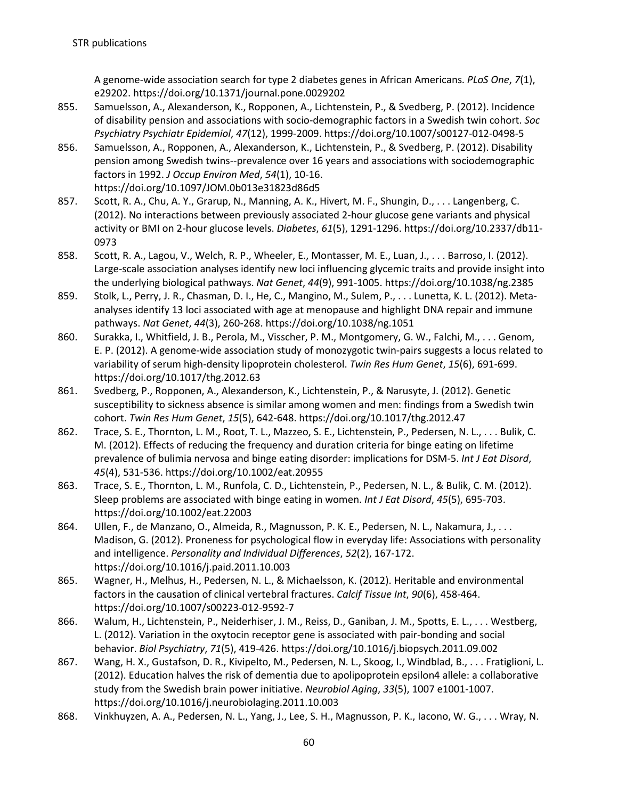A genome-wide association search for type 2 diabetes genes in African Americans. *PLoS One*, *7*(1), e29202. https://doi.org/10.1371/journal.pone.0029202

- 855. Samuelsson, A., Alexanderson, K., Ropponen, A., Lichtenstein, P., & Svedberg, P. (2012). Incidence of disability pension and associations with socio-demographic factors in a Swedish twin cohort. *Soc Psychiatry Psychiatr Epidemiol*, *47*(12), 1999-2009. https://doi.org/10.1007/s00127-012-0498-5
- 856. Samuelsson, A., Ropponen, A., Alexanderson, K., Lichtenstein, P., & Svedberg, P. (2012). Disability pension among Swedish twins--prevalence over 16 years and associations with sociodemographic factors in 1992. *J Occup Environ Med*, *54*(1), 10-16. https://doi.org/10.1097/JOM.0b013e31823d86d5
- 857. Scott, R. A., Chu, A. Y., Grarup, N., Manning, A. K., Hivert, M. F., Shungin, D., . . . Langenberg, C. (2012). No interactions between previously associated 2-hour glucose gene variants and physical activity or BMI on 2-hour glucose levels. *Diabetes*, *61*(5), 1291-1296. https://doi.org/10.2337/db11- 0973
- 858. Scott, R. A., Lagou, V., Welch, R. P., Wheeler, E., Montasser, M. E., Luan, J., . . . Barroso, I. (2012). Large-scale association analyses identify new loci influencing glycemic traits and provide insight into the underlying biological pathways. *Nat Genet*, *44*(9), 991-1005. https://doi.org/10.1038/ng.2385
- 859. Stolk, L., Perry, J. R., Chasman, D. I., He, C., Mangino, M., Sulem, P., . . . Lunetta, K. L. (2012). Metaanalyses identify 13 loci associated with age at menopause and highlight DNA repair and immune pathways. *Nat Genet*, *44*(3), 260-268. https://doi.org/10.1038/ng.1051
- 860. Surakka, I., Whitfield, J. B., Perola, M., Visscher, P. M., Montgomery, G. W., Falchi, M., . . . Genom, E. P. (2012). A genome-wide association study of monozygotic twin-pairs suggests a locus related to variability of serum high-density lipoprotein cholesterol. *Twin Res Hum Genet*, *15*(6), 691-699. https://doi.org/10.1017/thg.2012.63
- 861. Svedberg, P., Ropponen, A., Alexanderson, K., Lichtenstein, P., & Narusyte, J. (2012). Genetic susceptibility to sickness absence is similar among women and men: findings from a Swedish twin cohort. *Twin Res Hum Genet*, *15*(5), 642-648. https://doi.org/10.1017/thg.2012.47
- 862. Trace, S. E., Thornton, L. M., Root, T. L., Mazzeo, S. E., Lichtenstein, P., Pedersen, N. L., . . . Bulik, C. M. (2012). Effects of reducing the frequency and duration criteria for binge eating on lifetime prevalence of bulimia nervosa and binge eating disorder: implications for DSM-5. *Int J Eat Disord*, *45*(4), 531-536. https://doi.org/10.1002/eat.20955
- 863. Trace, S. E., Thornton, L. M., Runfola, C. D., Lichtenstein, P., Pedersen, N. L., & Bulik, C. M. (2012). Sleep problems are associated with binge eating in women. *Int J Eat Disord*, *45*(5), 695-703. https://doi.org/10.1002/eat.22003
- 864. Ullen, F., de Manzano, O., Almeida, R., Magnusson, P. K. E., Pedersen, N. L., Nakamura, J., . . . Madison, G. (2012). Proneness for psychological flow in everyday life: Associations with personality and intelligence. *Personality and Individual Differences*, *52*(2), 167-172. https://doi.org/10.1016/j.paid.2011.10.003
- 865. Wagner, H., Melhus, H., Pedersen, N. L., & Michaelsson, K. (2012). Heritable and environmental factors in the causation of clinical vertebral fractures. *Calcif Tissue Int*, *90*(6), 458-464. https://doi.org/10.1007/s00223-012-9592-7
- 866. Walum, H., Lichtenstein, P., Neiderhiser, J. M., Reiss, D., Ganiban, J. M., Spotts, E. L., . . . Westberg, L. (2012). Variation in the oxytocin receptor gene is associated with pair-bonding and social behavior. *Biol Psychiatry*, *71*(5), 419-426. https://doi.org/10.1016/j.biopsych.2011.09.002
- 867. Wang, H. X., Gustafson, D. R., Kivipelto, M., Pedersen, N. L., Skoog, I., Windblad, B., . . . Fratiglioni, L. (2012). Education halves the risk of dementia due to apolipoprotein epsilon4 allele: a collaborative study from the Swedish brain power initiative. *Neurobiol Aging*, *33*(5), 1007 e1001-1007. https://doi.org/10.1016/j.neurobiolaging.2011.10.003
- 868. Vinkhuyzen, A. A., Pedersen, N. L., Yang, J., Lee, S. H., Magnusson, P. K., Iacono, W. G., . . . Wray, N.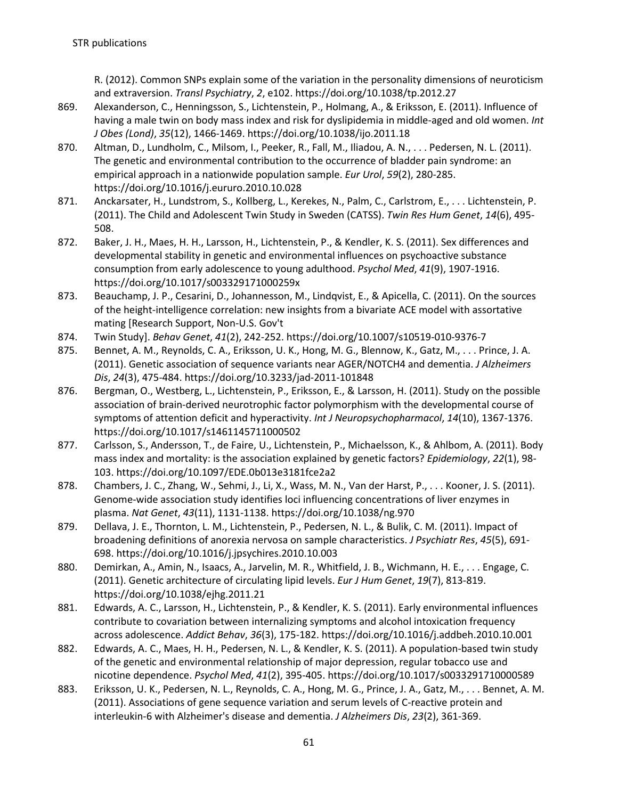R. (2012). Common SNPs explain some of the variation in the personality dimensions of neuroticism and extraversion. *Transl Psychiatry*, *2*, e102. https://doi.org/10.1038/tp.2012.27

- 869. Alexanderson, C., Henningsson, S., Lichtenstein, P., Holmang, A., & Eriksson, E. (2011). Influence of having a male twin on body mass index and risk for dyslipidemia in middle-aged and old women. *Int J Obes (Lond)*, *35*(12), 1466-1469. https://doi.org/10.1038/ijo.2011.18
- 870. Altman, D., Lundholm, C., Milsom, I., Peeker, R., Fall, M., Iliadou, A. N., . . . Pedersen, N. L. (2011). The genetic and environmental contribution to the occurrence of bladder pain syndrome: an empirical approach in a nationwide population sample. *Eur Urol*, *59*(2), 280-285. https://doi.org/10.1016/j.eururo.2010.10.028
- 871. Anckarsater, H., Lundstrom, S., Kollberg, L., Kerekes, N., Palm, C., Carlstrom, E., . . . Lichtenstein, P. (2011). The Child and Adolescent Twin Study in Sweden (CATSS). *Twin Res Hum Genet*, *14*(6), 495- 508.
- 872. Baker, J. H., Maes, H. H., Larsson, H., Lichtenstein, P., & Kendler, K. S. (2011). Sex differences and developmental stability in genetic and environmental influences on psychoactive substance consumption from early adolescence to young adulthood. *Psychol Med*, *41*(9), 1907-1916. https://doi.org/10.1017/s003329171000259x
- 873. Beauchamp, J. P., Cesarini, D., Johannesson, M., Lindqvist, E., & Apicella, C. (2011). On the sources of the height-intelligence correlation: new insights from a bivariate ACE model with assortative mating [Research Support, Non-U.S. Gov't
- 874. Twin Study]. *Behav Genet*, *41*(2), 242-252. https://doi.org/10.1007/s10519-010-9376-7
- 875. Bennet, A. M., Reynolds, C. A., Eriksson, U. K., Hong, M. G., Blennow, K., Gatz, M., . . . Prince, J. A. (2011). Genetic association of sequence variants near AGER/NOTCH4 and dementia. *J Alzheimers Dis*, *24*(3), 475-484. https://doi.org/10.3233/jad-2011-101848
- 876. Bergman, O., Westberg, L., Lichtenstein, P., Eriksson, E., & Larsson, H. (2011). Study on the possible association of brain-derived neurotrophic factor polymorphism with the developmental course of symptoms of attention deficit and hyperactivity. *Int J Neuropsychopharmacol*, *14*(10), 1367-1376. https://doi.org/10.1017/s1461145711000502
- 877. Carlsson, S., Andersson, T., de Faire, U., Lichtenstein, P., Michaelsson, K., & Ahlbom, A. (2011). Body mass index and mortality: is the association explained by genetic factors? *Epidemiology*, *22*(1), 98- 103. https://doi.org/10.1097/EDE.0b013e3181fce2a2
- 878. Chambers, J. C., Zhang, W., Sehmi, J., Li, X., Wass, M. N., Van der Harst, P., . . . Kooner, J. S. (2011). Genome-wide association study identifies loci influencing concentrations of liver enzymes in plasma. *Nat Genet*, *43*(11), 1131-1138. https://doi.org/10.1038/ng.970
- 879. Dellava, J. E., Thornton, L. M., Lichtenstein, P., Pedersen, N. L., & Bulik, C. M. (2011). Impact of broadening definitions of anorexia nervosa on sample characteristics. *J Psychiatr Res*, *45*(5), 691- 698. https://doi.org/10.1016/j.jpsychires.2010.10.003
- 880. Demirkan, A., Amin, N., Isaacs, A., Jarvelin, M. R., Whitfield, J. B., Wichmann, H. E., . . . Engage, C. (2011). Genetic architecture of circulating lipid levels. *Eur J Hum Genet*, *19*(7), 813-819. https://doi.org/10.1038/ejhg.2011.21
- 881. Edwards, A. C., Larsson, H., Lichtenstein, P., & Kendler, K. S. (2011). Early environmental influences contribute to covariation between internalizing symptoms and alcohol intoxication frequency across adolescence. *Addict Behav*, *36*(3), 175-182. https://doi.org/10.1016/j.addbeh.2010.10.001
- 882. Edwards, A. C., Maes, H. H., Pedersen, N. L., & Kendler, K. S. (2011). A population-based twin study of the genetic and environmental relationship of major depression, regular tobacco use and nicotine dependence. *Psychol Med*, *41*(2), 395-405. https://doi.org/10.1017/s0033291710000589
- 883. Eriksson, U. K., Pedersen, N. L., Reynolds, C. A., Hong, M. G., Prince, J. A., Gatz, M., . . . Bennet, A. M. (2011). Associations of gene sequence variation and serum levels of C-reactive protein and interleukin-6 with Alzheimer's disease and dementia. *J Alzheimers Dis*, *23*(2), 361-369.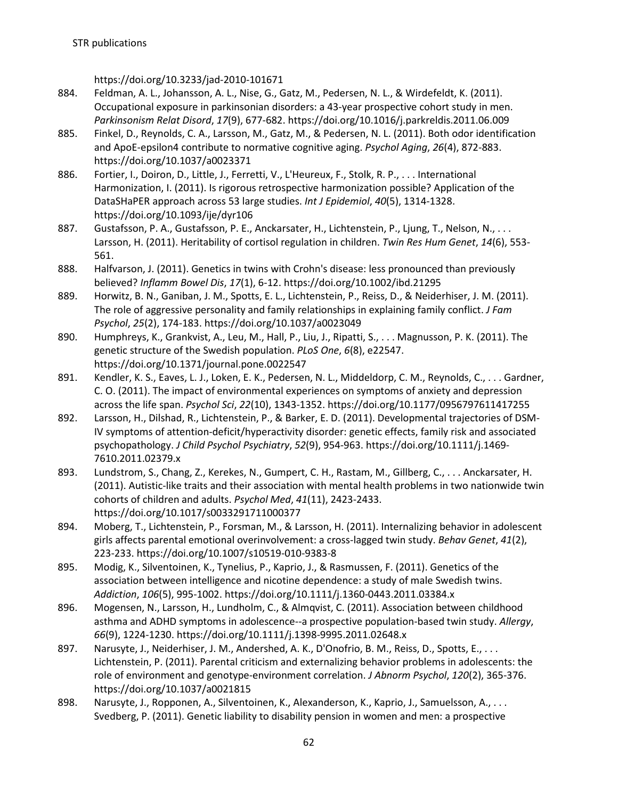https://doi.org/10.3233/jad-2010-101671

- 884. Feldman, A. L., Johansson, A. L., Nise, G., Gatz, M., Pedersen, N. L., & Wirdefeldt, K. (2011). Occupational exposure in parkinsonian disorders: a 43-year prospective cohort study in men. *Parkinsonism Relat Disord*, *17*(9), 677-682. https://doi.org/10.1016/j.parkreldis.2011.06.009
- 885. Finkel, D., Reynolds, C. A., Larsson, M., Gatz, M., & Pedersen, N. L. (2011). Both odor identification and ApoE-epsilon4 contribute to normative cognitive aging. *Psychol Aging*, *26*(4), 872-883. https://doi.org/10.1037/a0023371
- 886. Fortier, I., Doiron, D., Little, J., Ferretti, V., L'Heureux, F., Stolk, R. P., . . . International Harmonization, I. (2011). Is rigorous retrospective harmonization possible? Application of the DataSHaPER approach across 53 large studies. *Int J Epidemiol*, *40*(5), 1314-1328. https://doi.org/10.1093/ije/dyr106
- 887. Gustafsson, P. A., Gustafsson, P. E., Anckarsater, H., Lichtenstein, P., Ljung, T., Nelson, N., ... Larsson, H. (2011). Heritability of cortisol regulation in children. *Twin Res Hum Genet*, *14*(6), 553- 561.
- 888. Halfvarson, J. (2011). Genetics in twins with Crohn's disease: less pronounced than previously believed? *Inflamm Bowel Dis*, *17*(1), 6-12. https://doi.org/10.1002/ibd.21295
- 889. Horwitz, B. N., Ganiban, J. M., Spotts, E. L., Lichtenstein, P., Reiss, D., & Neiderhiser, J. M. (2011). The role of aggressive personality and family relationships in explaining family conflict. *J Fam Psychol*, *25*(2), 174-183. https://doi.org/10.1037/a0023049
- 890. Humphreys, K., Grankvist, A., Leu, M., Hall, P., Liu, J., Ripatti, S., . . . Magnusson, P. K. (2011). The genetic structure of the Swedish population. *PLoS One*, *6*(8), e22547. https://doi.org/10.1371/journal.pone.0022547
- 891. Kendler, K. S., Eaves, L. J., Loken, E. K., Pedersen, N. L., Middeldorp, C. M., Reynolds, C., . . . Gardner, C. O. (2011). The impact of environmental experiences on symptoms of anxiety and depression across the life span. *Psychol Sci*, *22*(10), 1343-1352. https://doi.org/10.1177/0956797611417255
- 892. Larsson, H., Dilshad, R., Lichtenstein, P., & Barker, E. D. (2011). Developmental trajectories of DSM-IV symptoms of attention-deficit/hyperactivity disorder: genetic effects, family risk and associated psychopathology. *J Child Psychol Psychiatry*, *52*(9), 954-963. https://doi.org/10.1111/j.1469- 7610.2011.02379.x
- 893. Lundstrom, S., Chang, Z., Kerekes, N., Gumpert, C. H., Rastam, M., Gillberg, C., . . . Anckarsater, H. (2011). Autistic-like traits and their association with mental health problems in two nationwide twin cohorts of children and adults. *Psychol Med*, *41*(11), 2423-2433. https://doi.org/10.1017/s0033291711000377
- 894. Moberg, T., Lichtenstein, P., Forsman, M., & Larsson, H. (2011). Internalizing behavior in adolescent girls affects parental emotional overinvolvement: a cross-lagged twin study. *Behav Genet*, *41*(2), 223-233. https://doi.org/10.1007/s10519-010-9383-8
- 895. Modig, K., Silventoinen, K., Tynelius, P., Kaprio, J., & Rasmussen, F. (2011). Genetics of the association between intelligence and nicotine dependence: a study of male Swedish twins. *Addiction*, *106*(5), 995-1002. https://doi.org/10.1111/j.1360-0443.2011.03384.x
- 896. Mogensen, N., Larsson, H., Lundholm, C., & Almqvist, C. (2011). Association between childhood asthma and ADHD symptoms in adolescence--a prospective population-based twin study. *Allergy*, *66*(9), 1224-1230. https://doi.org/10.1111/j.1398-9995.2011.02648.x
- 897. Narusyte, J., Neiderhiser, J. M., Andershed, A. K., D'Onofrio, B. M., Reiss, D., Spotts, E., . . . Lichtenstein, P. (2011). Parental criticism and externalizing behavior problems in adolescents: the role of environment and genotype-environment correlation. *J Abnorm Psychol*, *120*(2), 365-376. https://doi.org/10.1037/a0021815
- 898. Narusyte, J., Ropponen, A., Silventoinen, K., Alexanderson, K., Kaprio, J., Samuelsson, A., . . . Svedberg, P. (2011). Genetic liability to disability pension in women and men: a prospective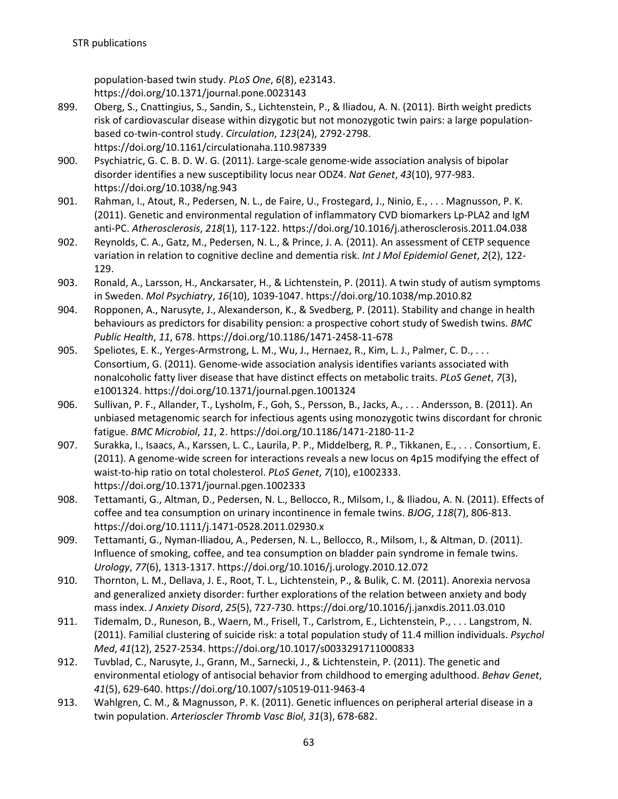population-based twin study. *PLoS One*, *6*(8), e23143. https://doi.org/10.1371/journal.pone.0023143

- 899. Oberg, S., Cnattingius, S., Sandin, S., Lichtenstein, P., & Iliadou, A. N. (2011). Birth weight predicts risk of cardiovascular disease within dizygotic but not monozygotic twin pairs: a large populationbased co-twin-control study. *Circulation*, *123*(24), 2792-2798. https://doi.org/10.1161/circulationaha.110.987339
- 900. Psychiatric, G. C. B. D. W. G. (2011). Large-scale genome-wide association analysis of bipolar disorder identifies a new susceptibility locus near ODZ4. *Nat Genet*, *43*(10), 977-983. https://doi.org/10.1038/ng.943
- 901. Rahman, I., Atout, R., Pedersen, N. L., de Faire, U., Frostegard, J., Ninio, E., . . . Magnusson, P. K. (2011). Genetic and environmental regulation of inflammatory CVD biomarkers Lp-PLA2 and IgM anti-PC. *Atherosclerosis*, *218*(1), 117-122. https://doi.org/10.1016/j.atherosclerosis.2011.04.038
- 902. Reynolds, C. A., Gatz, M., Pedersen, N. L., & Prince, J. A. (2011). An assessment of CETP sequence variation in relation to cognitive decline and dementia risk. *Int J Mol Epidemiol Genet*, *2*(2), 122- 129.
- 903. Ronald, A., Larsson, H., Anckarsater, H., & Lichtenstein, P. (2011). A twin study of autism symptoms in Sweden. *Mol Psychiatry*, *16*(10), 1039-1047. https://doi.org/10.1038/mp.2010.82
- 904. Ropponen, A., Narusyte, J., Alexanderson, K., & Svedberg, P. (2011). Stability and change in health behaviours as predictors for disability pension: a prospective cohort study of Swedish twins. *BMC Public Health*, *11*, 678. https://doi.org/10.1186/1471-2458-11-678
- 905. Speliotes, E. K., Yerges-Armstrong, L. M., Wu, J., Hernaez, R., Kim, L. J., Palmer, C. D., . . . Consortium, G. (2011). Genome-wide association analysis identifies variants associated with nonalcoholic fatty liver disease that have distinct effects on metabolic traits. *PLoS Genet*, *7*(3), e1001324. https://doi.org/10.1371/journal.pgen.1001324
- 906. Sullivan, P. F., Allander, T., Lysholm, F., Goh, S., Persson, B., Jacks, A., . . . Andersson, B. (2011). An unbiased metagenomic search for infectious agents using monozygotic twins discordant for chronic fatigue. *BMC Microbiol*, *11*, 2. https://doi.org/10.1186/1471-2180-11-2
- 907. Surakka, I., Isaacs, A., Karssen, L. C., Laurila, P. P., Middelberg, R. P., Tikkanen, E., . . . Consortium, E. (2011). A genome-wide screen for interactions reveals a new locus on 4p15 modifying the effect of waist-to-hip ratio on total cholesterol. *PLoS Genet*, *7*(10), e1002333. https://doi.org/10.1371/journal.pgen.1002333
- 908. Tettamanti, G., Altman, D., Pedersen, N. L., Bellocco, R., Milsom, I., & Iliadou, A. N. (2011). Effects of coffee and tea consumption on urinary incontinence in female twins. *BJOG*, *118*(7), 806-813. https://doi.org/10.1111/j.1471-0528.2011.02930.x
- 909. Tettamanti, G., Nyman-Iliadou, A., Pedersen, N. L., Bellocco, R., Milsom, I., & Altman, D. (2011). Influence of smoking, coffee, and tea consumption on bladder pain syndrome in female twins. *Urology*, *77*(6), 1313-1317. https://doi.org/10.1016/j.urology.2010.12.072
- 910. Thornton, L. M., Dellava, J. E., Root, T. L., Lichtenstein, P., & Bulik, C. M. (2011). Anorexia nervosa and generalized anxiety disorder: further explorations of the relation between anxiety and body mass index. *J Anxiety Disord*, *25*(5), 727-730. https://doi.org/10.1016/j.janxdis.2011.03.010
- 911. Tidemalm, D., Runeson, B., Waern, M., Frisell, T., Carlstrom, E., Lichtenstein, P., . . . Langstrom, N. (2011). Familial clustering of suicide risk: a total population study of 11.4 million individuals. *Psychol Med*, *41*(12), 2527-2534. https://doi.org/10.1017/s0033291711000833
- 912. Tuvblad, C., Narusyte, J., Grann, M., Sarnecki, J., & Lichtenstein, P. (2011). The genetic and environmental etiology of antisocial behavior from childhood to emerging adulthood. *Behav Genet*, *41*(5), 629-640. https://doi.org/10.1007/s10519-011-9463-4
- 913. Wahlgren, C. M., & Magnusson, P. K. (2011). Genetic influences on peripheral arterial disease in a twin population. *Arterioscler Thromb Vasc Biol*, *31*(3), 678-682.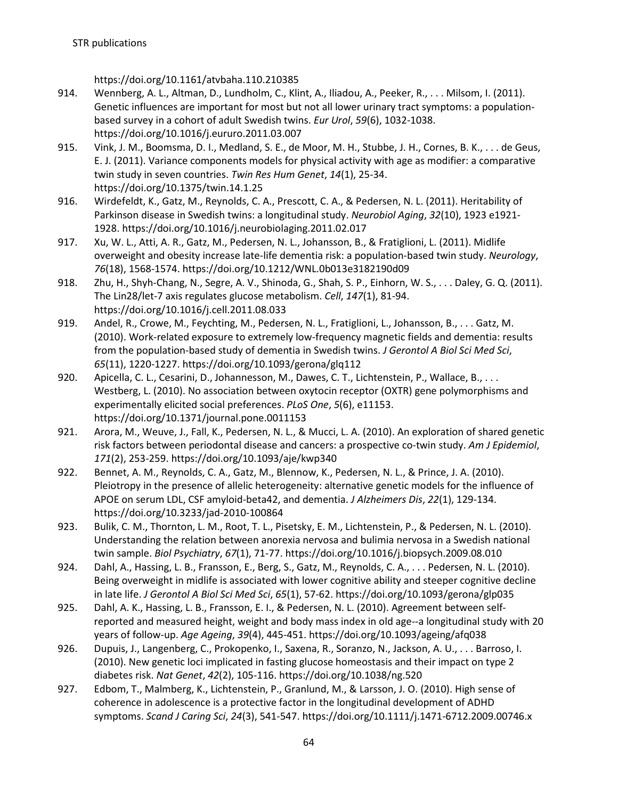https://doi.org/10.1161/atvbaha.110.210385

- 914. Wennberg, A. L., Altman, D., Lundholm, C., Klint, A., Iliadou, A., Peeker, R., . . . Milsom, I. (2011). Genetic influences are important for most but not all lower urinary tract symptoms: a populationbased survey in a cohort of adult Swedish twins. *Eur Urol*, *59*(6), 1032-1038. https://doi.org/10.1016/j.eururo.2011.03.007
- 915. Vink, J. M., Boomsma, D. I., Medland, S. E., de Moor, M. H., Stubbe, J. H., Cornes, B. K., . . . de Geus, E. J. (2011). Variance components models for physical activity with age as modifier: a comparative twin study in seven countries. *Twin Res Hum Genet*, *14*(1), 25-34. https://doi.org/10.1375/twin.14.1.25
- 916. Wirdefeldt, K., Gatz, M., Reynolds, C. A., Prescott, C. A., & Pedersen, N. L. (2011). Heritability of Parkinson disease in Swedish twins: a longitudinal study. *Neurobiol Aging*, *32*(10), 1923 e1921- 1928. https://doi.org/10.1016/j.neurobiolaging.2011.02.017
- 917. Xu, W. L., Atti, A. R., Gatz, M., Pedersen, N. L., Johansson, B., & Fratiglioni, L. (2011). Midlife overweight and obesity increase late-life dementia risk: a population-based twin study. *Neurology*, *76*(18), 1568-1574. https://doi.org/10.1212/WNL.0b013e3182190d09
- 918. Zhu, H., Shyh-Chang, N., Segre, A. V., Shinoda, G., Shah, S. P., Einhorn, W. S., . . . Daley, G. Q. (2011). The Lin28/let-7 axis regulates glucose metabolism. *Cell*, *147*(1), 81-94. https://doi.org/10.1016/j.cell.2011.08.033
- 919. Andel, R., Crowe, M., Feychting, M., Pedersen, N. L., Fratiglioni, L., Johansson, B., . . . Gatz, M. (2010). Work-related exposure to extremely low-frequency magnetic fields and dementia: results from the population-based study of dementia in Swedish twins. *J Gerontol A Biol Sci Med Sci*, *65*(11), 1220-1227. https://doi.org/10.1093/gerona/glq112
- 920. Apicella, C. L., Cesarini, D., Johannesson, M., Dawes, C. T., Lichtenstein, P., Wallace, B., . . . Westberg, L. (2010). No association between oxytocin receptor (OXTR) gene polymorphisms and experimentally elicited social preferences. *PLoS One*, *5*(6), e11153. https://doi.org/10.1371/journal.pone.0011153
- 921. Arora, M., Weuve, J., Fall, K., Pedersen, N. L., & Mucci, L. A. (2010). An exploration of shared genetic risk factors between periodontal disease and cancers: a prospective co-twin study. *Am J Epidemiol*, *171*(2), 253-259. https://doi.org/10.1093/aje/kwp340
- 922. Bennet, A. M., Reynolds, C. A., Gatz, M., Blennow, K., Pedersen, N. L., & Prince, J. A. (2010). Pleiotropy in the presence of allelic heterogeneity: alternative genetic models for the influence of APOE on serum LDL, CSF amyloid-beta42, and dementia. *J Alzheimers Dis*, *22*(1), 129-134. https://doi.org/10.3233/jad-2010-100864
- 923. Bulik, C. M., Thornton, L. M., Root, T. L., Pisetsky, E. M., Lichtenstein, P., & Pedersen, N. L. (2010). Understanding the relation between anorexia nervosa and bulimia nervosa in a Swedish national twin sample. *Biol Psychiatry*, *67*(1), 71-77. https://doi.org/10.1016/j.biopsych.2009.08.010
- 924. Dahl, A., Hassing, L. B., Fransson, E., Berg, S., Gatz, M., Reynolds, C. A., . . . Pedersen, N. L. (2010). Being overweight in midlife is associated with lower cognitive ability and steeper cognitive decline in late life. *J Gerontol A Biol Sci Med Sci*, *65*(1), 57-62. https://doi.org/10.1093/gerona/glp035
- 925. Dahl, A. K., Hassing, L. B., Fransson, E. I., & Pedersen, N. L. (2010). Agreement between selfreported and measured height, weight and body mass index in old age--a longitudinal study with 20 years of follow-up. *Age Ageing*, *39*(4), 445-451. https://doi.org/10.1093/ageing/afq038
- 926. Dupuis, J., Langenberg, C., Prokopenko, I., Saxena, R., Soranzo, N., Jackson, A. U., . . . Barroso, I. (2010). New genetic loci implicated in fasting glucose homeostasis and their impact on type 2 diabetes risk. *Nat Genet*, *42*(2), 105-116. https://doi.org/10.1038/ng.520
- 927. Edbom, T., Malmberg, K., Lichtenstein, P., Granlund, M., & Larsson, J. O. (2010). High sense of coherence in adolescence is a protective factor in the longitudinal development of ADHD symptoms. *Scand J Caring Sci*, *24*(3), 541-547. https://doi.org/10.1111/j.1471-6712.2009.00746.x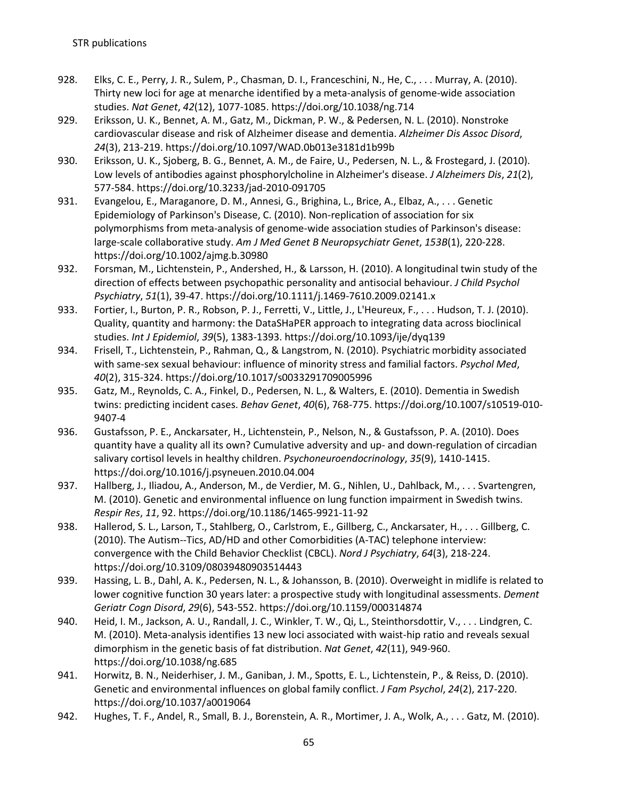- 928. Elks, C. E., Perry, J. R., Sulem, P., Chasman, D. I., Franceschini, N., He, C., . . . Murray, A. (2010). Thirty new loci for age at menarche identified by a meta-analysis of genome-wide association studies. *Nat Genet*, *42*(12), 1077-1085. https://doi.org/10.1038/ng.714
- 929. Eriksson, U. K., Bennet, A. M., Gatz, M., Dickman, P. W., & Pedersen, N. L. (2010). Nonstroke cardiovascular disease and risk of Alzheimer disease and dementia. *Alzheimer Dis Assoc Disord*, *24*(3), 213-219. https://doi.org/10.1097/WAD.0b013e3181d1b99b
- 930. Eriksson, U. K., Sjoberg, B. G., Bennet, A. M., de Faire, U., Pedersen, N. L., & Frostegard, J. (2010). Low levels of antibodies against phosphorylcholine in Alzheimer's disease. *J Alzheimers Dis*, *21*(2), 577-584. https://doi.org/10.3233/jad-2010-091705
- 931. Evangelou, E., Maraganore, D. M., Annesi, G., Brighina, L., Brice, A., Elbaz, A., . . . Genetic Epidemiology of Parkinson's Disease, C. (2010). Non-replication of association for six polymorphisms from meta-analysis of genome-wide association studies of Parkinson's disease: large-scale collaborative study. *Am J Med Genet B Neuropsychiatr Genet*, *153B*(1), 220-228. https://doi.org/10.1002/ajmg.b.30980
- 932. Forsman, M., Lichtenstein, P., Andershed, H., & Larsson, H. (2010). A longitudinal twin study of the direction of effects between psychopathic personality and antisocial behaviour. *J Child Psychol Psychiatry*, *51*(1), 39-47. https://doi.org/10.1111/j.1469-7610.2009.02141.x
- 933. Fortier, I., Burton, P. R., Robson, P. J., Ferretti, V., Little, J., L'Heureux, F., . . . Hudson, T. J. (2010). Quality, quantity and harmony: the DataSHaPER approach to integrating data across bioclinical studies. *Int J Epidemiol*, *39*(5), 1383-1393. https://doi.org/10.1093/ije/dyq139
- 934. Frisell, T., Lichtenstein, P., Rahman, Q., & Langstrom, N. (2010). Psychiatric morbidity associated with same-sex sexual behaviour: influence of minority stress and familial factors. *Psychol Med*, *40*(2), 315-324. https://doi.org/10.1017/s0033291709005996
- 935. Gatz, M., Reynolds, C. A., Finkel, D., Pedersen, N. L., & Walters, E. (2010). Dementia in Swedish twins: predicting incident cases. *Behav Genet*, *40*(6), 768-775. https://doi.org/10.1007/s10519-010- 9407-4
- 936. Gustafsson, P. E., Anckarsater, H., Lichtenstein, P., Nelson, N., & Gustafsson, P. A. (2010). Does quantity have a quality all its own? Cumulative adversity and up- and down-regulation of circadian salivary cortisol levels in healthy children. *Psychoneuroendocrinology*, *35*(9), 1410-1415. https://doi.org/10.1016/j.psyneuen.2010.04.004
- 937. Hallberg, J., Iliadou, A., Anderson, M., de Verdier, M. G., Nihlen, U., Dahlback, M., . . . Svartengren, M. (2010). Genetic and environmental influence on lung function impairment in Swedish twins. *Respir Res*, *11*, 92. https://doi.org/10.1186/1465-9921-11-92
- 938. Hallerod, S. L., Larson, T., Stahlberg, O., Carlstrom, E., Gillberg, C., Anckarsater, H., . . . Gillberg, C. (2010). The Autism--Tics, AD/HD and other Comorbidities (A-TAC) telephone interview: convergence with the Child Behavior Checklist (CBCL). *Nord J Psychiatry*, *64*(3), 218-224. https://doi.org/10.3109/08039480903514443
- 939. Hassing, L. B., Dahl, A. K., Pedersen, N. L., & Johansson, B. (2010). Overweight in midlife is related to lower cognitive function 30 years later: a prospective study with longitudinal assessments. *Dement Geriatr Cogn Disord*, *29*(6), 543-552. https://doi.org/10.1159/000314874
- 940. Heid, I. M., Jackson, A. U., Randall, J. C., Winkler, T. W., Qi, L., Steinthorsdottir, V., . . . Lindgren, C. M. (2010). Meta-analysis identifies 13 new loci associated with waist-hip ratio and reveals sexual dimorphism in the genetic basis of fat distribution. *Nat Genet*, *42*(11), 949-960. https://doi.org/10.1038/ng.685
- 941. Horwitz, B. N., Neiderhiser, J. M., Ganiban, J. M., Spotts, E. L., Lichtenstein, P., & Reiss, D. (2010). Genetic and environmental influences on global family conflict. *J Fam Psychol*, *24*(2), 217-220. https://doi.org/10.1037/a0019064
- 942. Hughes, T. F., Andel, R., Small, B. J., Borenstein, A. R., Mortimer, J. A., Wolk, A., . . . Gatz, M. (2010).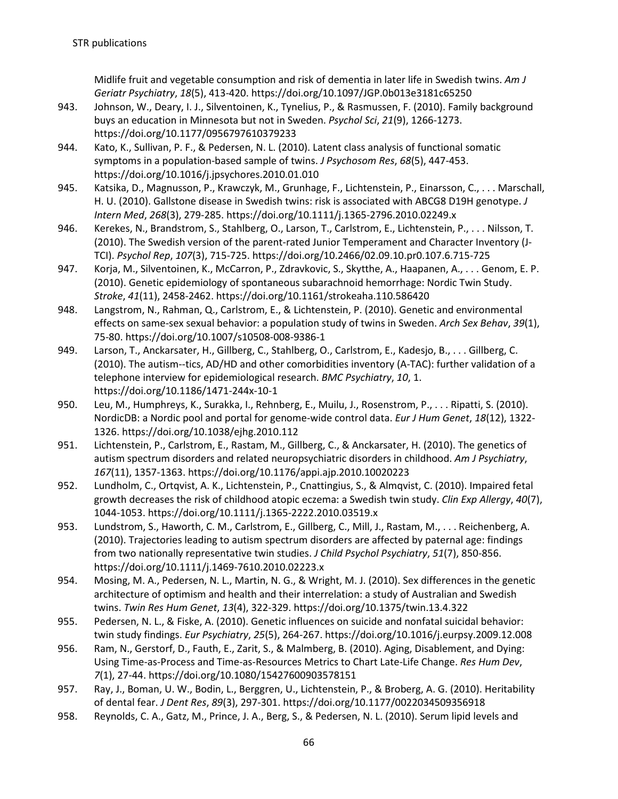Midlife fruit and vegetable consumption and risk of dementia in later life in Swedish twins. *Am J Geriatr Psychiatry*, *18*(5), 413-420. https://doi.org/10.1097/JGP.0b013e3181c65250

- 943. Johnson, W., Deary, I. J., Silventoinen, K., Tynelius, P., & Rasmussen, F. (2010). Family background buys an education in Minnesota but not in Sweden. *Psychol Sci*, *21*(9), 1266-1273. https://doi.org/10.1177/0956797610379233
- 944. Kato, K., Sullivan, P. F., & Pedersen, N. L. (2010). Latent class analysis of functional somatic symptoms in a population-based sample of twins. *J Psychosom Res*, *68*(5), 447-453. https://doi.org/10.1016/j.jpsychores.2010.01.010
- 945. Katsika, D., Magnusson, P., Krawczyk, M., Grunhage, F., Lichtenstein, P., Einarsson, C., . . . Marschall, H. U. (2010). Gallstone disease in Swedish twins: risk is associated with ABCG8 D19H genotype. *J Intern Med*, *268*(3), 279-285. https://doi.org/10.1111/j.1365-2796.2010.02249.x
- 946. Kerekes, N., Brandstrom, S., Stahlberg, O., Larson, T., Carlstrom, E., Lichtenstein, P., . . . Nilsson, T. (2010). The Swedish version of the parent-rated Junior Temperament and Character Inventory (J-TCI). *Psychol Rep*, *107*(3), 715-725. https://doi.org/10.2466/02.09.10.pr0.107.6.715-725
- 947. Korja, M., Silventoinen, K., McCarron, P., Zdravkovic, S., Skytthe, A., Haapanen, A., . . . Genom, E. P. (2010). Genetic epidemiology of spontaneous subarachnoid hemorrhage: Nordic Twin Study. *Stroke*, *41*(11), 2458-2462. https://doi.org/10.1161/strokeaha.110.586420
- 948. Langstrom, N., Rahman, Q., Carlstrom, E., & Lichtenstein, P. (2010). Genetic and environmental effects on same-sex sexual behavior: a population study of twins in Sweden. *Arch Sex Behav*, *39*(1), 75-80. https://doi.org/10.1007/s10508-008-9386-1
- 949. Larson, T., Anckarsater, H., Gillberg, C., Stahlberg, O., Carlstrom, E., Kadesjo, B., . . . Gillberg, C. (2010). The autism--tics, AD/HD and other comorbidities inventory (A-TAC): further validation of a telephone interview for epidemiological research. *BMC Psychiatry*, *10*, 1. https://doi.org/10.1186/1471-244x-10-1
- 950. Leu, M., Humphreys, K., Surakka, I., Rehnberg, E., Muilu, J., Rosenstrom, P., . . . Ripatti, S. (2010). NordicDB: a Nordic pool and portal for genome-wide control data. *Eur J Hum Genet*, *18*(12), 1322- 1326. https://doi.org/10.1038/ejhg.2010.112
- 951. Lichtenstein, P., Carlstrom, E., Rastam, M., Gillberg, C., & Anckarsater, H. (2010). The genetics of autism spectrum disorders and related neuropsychiatric disorders in childhood. *Am J Psychiatry*, *167*(11), 1357-1363. https://doi.org/10.1176/appi.ajp.2010.10020223
- 952. Lundholm, C., Ortqvist, A. K., Lichtenstein, P., Cnattingius, S., & Almqvist, C. (2010). Impaired fetal growth decreases the risk of childhood atopic eczema: a Swedish twin study. *Clin Exp Allergy*, *40*(7), 1044-1053. https://doi.org/10.1111/j.1365-2222.2010.03519.x
- 953. Lundstrom, S., Haworth, C. M., Carlstrom, E., Gillberg, C., Mill, J., Rastam, M., . . . Reichenberg, A. (2010). Trajectories leading to autism spectrum disorders are affected by paternal age: findings from two nationally representative twin studies. *J Child Psychol Psychiatry*, *51*(7), 850-856. https://doi.org/10.1111/j.1469-7610.2010.02223.x
- 954. Mosing, M. A., Pedersen, N. L., Martin, N. G., & Wright, M. J. (2010). Sex differences in the genetic architecture of optimism and health and their interrelation: a study of Australian and Swedish twins. *Twin Res Hum Genet*, *13*(4), 322-329. https://doi.org/10.1375/twin.13.4.322
- 955. Pedersen, N. L., & Fiske, A. (2010). Genetic influences on suicide and nonfatal suicidal behavior: twin study findings. *Eur Psychiatry*, *25*(5), 264-267. https://doi.org/10.1016/j.eurpsy.2009.12.008
- 956. Ram, N., Gerstorf, D., Fauth, E., Zarit, S., & Malmberg, B. (2010). Aging, Disablement, and Dying: Using Time-as-Process and Time-as-Resources Metrics to Chart Late-Life Change. *Res Hum Dev*, *7*(1), 27-44. https://doi.org/10.1080/15427600903578151
- 957. Ray, J., Boman, U. W., Bodin, L., Berggren, U., Lichtenstein, P., & Broberg, A. G. (2010). Heritability of dental fear. *J Dent Res*, *89*(3), 297-301. https://doi.org/10.1177/0022034509356918
- 958. Reynolds, C. A., Gatz, M., Prince, J. A., Berg, S., & Pedersen, N. L. (2010). Serum lipid levels and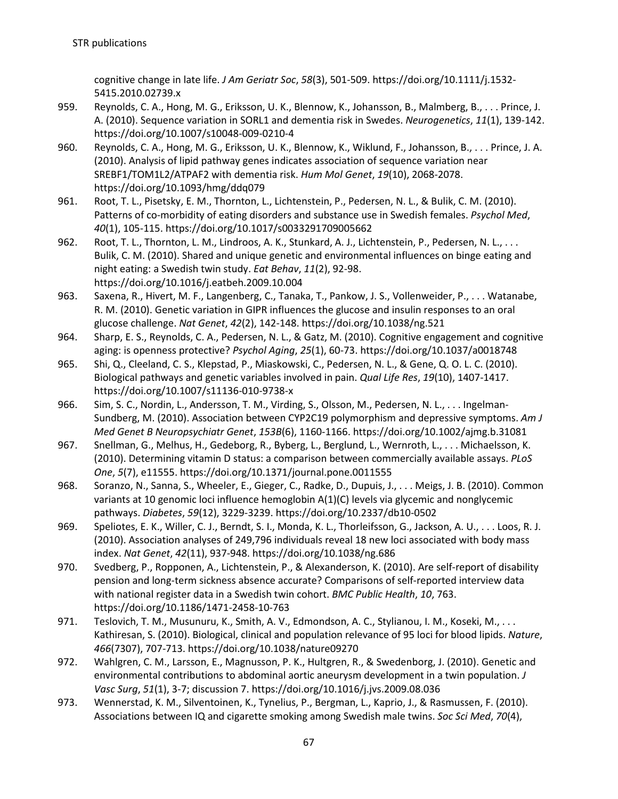cognitive change in late life. *J Am Geriatr Soc*, *58*(3), 501-509. https://doi.org/10.1111/j.1532- 5415.2010.02739.x

- 959. Reynolds, C. A., Hong, M. G., Eriksson, U. K., Blennow, K., Johansson, B., Malmberg, B., . . . Prince, J. A. (2010). Sequence variation in SORL1 and dementia risk in Swedes. *Neurogenetics*, *11*(1), 139-142. https://doi.org/10.1007/s10048-009-0210-4
- 960. Reynolds, C. A., Hong, M. G., Eriksson, U. K., Blennow, K., Wiklund, F., Johansson, B., . . . Prince, J. A. (2010). Analysis of lipid pathway genes indicates association of sequence variation near SREBF1/TOM1L2/ATPAF2 with dementia risk. *Hum Mol Genet*, *19*(10), 2068-2078. https://doi.org/10.1093/hmg/ddq079
- 961. Root, T. L., Pisetsky, E. M., Thornton, L., Lichtenstein, P., Pedersen, N. L., & Bulik, C. M. (2010). Patterns of co-morbidity of eating disorders and substance use in Swedish females. *Psychol Med*, *40*(1), 105-115. https://doi.org/10.1017/s0033291709005662
- 962. Root, T. L., Thornton, L. M., Lindroos, A. K., Stunkard, A. J., Lichtenstein, P., Pedersen, N. L., . . . Bulik, C. M. (2010). Shared and unique genetic and environmental influences on binge eating and night eating: a Swedish twin study. *Eat Behav*, *11*(2), 92-98. https://doi.org/10.1016/j.eatbeh.2009.10.004
- 963. Saxena, R., Hivert, M. F., Langenberg, C., Tanaka, T., Pankow, J. S., Vollenweider, P., . . . Watanabe, R. M. (2010). Genetic variation in GIPR influences the glucose and insulin responses to an oral glucose challenge. *Nat Genet*, *42*(2), 142-148. https://doi.org/10.1038/ng.521
- 964. Sharp, E. S., Reynolds, C. A., Pedersen, N. L., & Gatz, M. (2010). Cognitive engagement and cognitive aging: is openness protective? *Psychol Aging*, *25*(1), 60-73. https://doi.org/10.1037/a0018748
- 965. Shi, Q., Cleeland, C. S., Klepstad, P., Miaskowski, C., Pedersen, N. L., & Gene, Q. O. L. C. (2010). Biological pathways and genetic variables involved in pain. *Qual Life Res*, *19*(10), 1407-1417. https://doi.org/10.1007/s11136-010-9738-x
- 966. Sim, S. C., Nordin, L., Andersson, T. M., Virding, S., Olsson, M., Pedersen, N. L., . . . Ingelman-Sundberg, M. (2010). Association between CYP2C19 polymorphism and depressive symptoms. *Am J Med Genet B Neuropsychiatr Genet*, *153B*(6), 1160-1166. https://doi.org/10.1002/ajmg.b.31081
- 967. Snellman, G., Melhus, H., Gedeborg, R., Byberg, L., Berglund, L., Wernroth, L., . . . Michaelsson, K. (2010). Determining vitamin D status: a comparison between commercially available assays. *PLoS One*, *5*(7), e11555. https://doi.org/10.1371/journal.pone.0011555
- 968. Soranzo, N., Sanna, S., Wheeler, E., Gieger, C., Radke, D., Dupuis, J., . . . Meigs, J. B. (2010). Common variants at 10 genomic loci influence hemoglobin A(1)(C) levels via glycemic and nonglycemic pathways. *Diabetes*, *59*(12), 3229-3239. https://doi.org/10.2337/db10-0502
- 969. Speliotes, E. K., Willer, C. J., Berndt, S. I., Monda, K. L., Thorleifsson, G., Jackson, A. U., . . . Loos, R. J. (2010). Association analyses of 249,796 individuals reveal 18 new loci associated with body mass index. *Nat Genet*, *42*(11), 937-948. https://doi.org/10.1038/ng.686
- 970. Svedberg, P., Ropponen, A., Lichtenstein, P., & Alexanderson, K. (2010). Are self-report of disability pension and long-term sickness absence accurate? Comparisons of self-reported interview data with national register data in a Swedish twin cohort. *BMC Public Health*, *10*, 763. https://doi.org/10.1186/1471-2458-10-763
- 971. Teslovich, T. M., Musunuru, K., Smith, A. V., Edmondson, A. C., Stylianou, I. M., Koseki, M., . . . Kathiresan, S. (2010). Biological, clinical and population relevance of 95 loci for blood lipids. *Nature*, *466*(7307), 707-713. https://doi.org/10.1038/nature09270
- 972. Wahlgren, C. M., Larsson, E., Magnusson, P. K., Hultgren, R., & Swedenborg, J. (2010). Genetic and environmental contributions to abdominal aortic aneurysm development in a twin population. *J Vasc Surg*, *51*(1), 3-7; discussion 7. https://doi.org/10.1016/j.jvs.2009.08.036
- 973. Wennerstad, K. M., Silventoinen, K., Tynelius, P., Bergman, L., Kaprio, J., & Rasmussen, F. (2010). Associations between IQ and cigarette smoking among Swedish male twins. *Soc Sci Med*, *70*(4),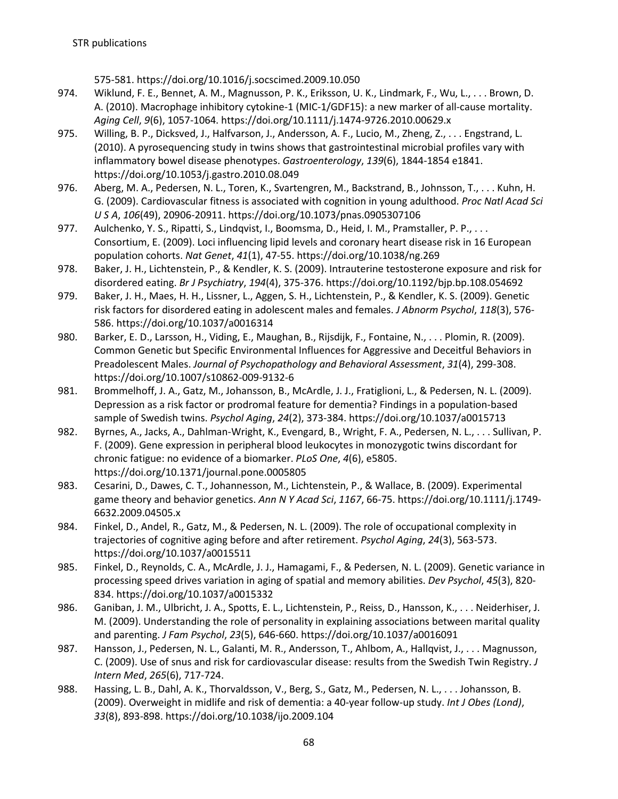575-581. https://doi.org/10.1016/j.socscimed.2009.10.050

- 974. Wiklund, F. E., Bennet, A. M., Magnusson, P. K., Eriksson, U. K., Lindmark, F., Wu, L., . . . Brown, D. A. (2010). Macrophage inhibitory cytokine-1 (MIC-1/GDF15): a new marker of all-cause mortality. *Aging Cell*, *9*(6), 1057-1064. https://doi.org/10.1111/j.1474-9726.2010.00629.x
- 975. Willing, B. P., Dicksved, J., Halfvarson, J., Andersson, A. F., Lucio, M., Zheng, Z., . . . Engstrand, L. (2010). A pyrosequencing study in twins shows that gastrointestinal microbial profiles vary with inflammatory bowel disease phenotypes. *Gastroenterology*, *139*(6), 1844-1854 e1841. https://doi.org/10.1053/j.gastro.2010.08.049
- 976. Aberg, M. A., Pedersen, N. L., Toren, K., Svartengren, M., Backstrand, B., Johnsson, T., . . . Kuhn, H. G. (2009). Cardiovascular fitness is associated with cognition in young adulthood. *Proc Natl Acad Sci U S A*, *106*(49), 20906-20911. https://doi.org/10.1073/pnas.0905307106
- 977. Aulchenko, Y. S., Ripatti, S., Lindqvist, I., Boomsma, D., Heid, I. M., Pramstaller, P. P., ... Consortium, E. (2009). Loci influencing lipid levels and coronary heart disease risk in 16 European population cohorts. *Nat Genet*, *41*(1), 47-55. https://doi.org/10.1038/ng.269
- 978. Baker, J. H., Lichtenstein, P., & Kendler, K. S. (2009). Intrauterine testosterone exposure and risk for disordered eating. *Br J Psychiatry*, *194*(4), 375-376. https://doi.org/10.1192/bjp.bp.108.054692
- 979. Baker, J. H., Maes, H. H., Lissner, L., Aggen, S. H., Lichtenstein, P., & Kendler, K. S. (2009). Genetic risk factors for disordered eating in adolescent males and females. *J Abnorm Psychol*, *118*(3), 576- 586. https://doi.org/10.1037/a0016314
- 980. Barker, E. D., Larsson, H., Viding, E., Maughan, B., Rijsdijk, F., Fontaine, N., . . . Plomin, R. (2009). Common Genetic but Specific Environmental Influences for Aggressive and Deceitful Behaviors in Preadolescent Males. *Journal of Psychopathology and Behavioral Assessment*, *31*(4), 299-308. https://doi.org/10.1007/s10862-009-9132-6
- 981. Brommelhoff, J. A., Gatz, M., Johansson, B., McArdle, J. J., Fratiglioni, L., & Pedersen, N. L. (2009). Depression as a risk factor or prodromal feature for dementia? Findings in a population-based sample of Swedish twins. *Psychol Aging*, *24*(2), 373-384. https://doi.org/10.1037/a0015713
- 982. Byrnes, A., Jacks, A., Dahlman-Wright, K., Evengard, B., Wright, F. A., Pedersen, N. L., . . . Sullivan, P. F. (2009). Gene expression in peripheral blood leukocytes in monozygotic twins discordant for chronic fatigue: no evidence of a biomarker. *PLoS One*, *4*(6), e5805. https://doi.org/10.1371/journal.pone.0005805
- 983. Cesarini, D., Dawes, C. T., Johannesson, M., Lichtenstein, P., & Wallace, B. (2009). Experimental game theory and behavior genetics. *Ann N Y Acad Sci*, *1167*, 66-75. https://doi.org/10.1111/j.1749- 6632.2009.04505.x
- 984. Finkel, D., Andel, R., Gatz, M., & Pedersen, N. L. (2009). The role of occupational complexity in trajectories of cognitive aging before and after retirement. *Psychol Aging*, *24*(3), 563-573. https://doi.org/10.1037/a0015511
- 985. Finkel, D., Reynolds, C. A., McArdle, J. J., Hamagami, F., & Pedersen, N. L. (2009). Genetic variance in processing speed drives variation in aging of spatial and memory abilities. *Dev Psychol*, *45*(3), 820- 834. https://doi.org/10.1037/a0015332
- 986. Ganiban, J. M., Ulbricht, J. A., Spotts, E. L., Lichtenstein, P., Reiss, D., Hansson, K., . . . Neiderhiser, J. M. (2009). Understanding the role of personality in explaining associations between marital quality and parenting. *J Fam Psychol*, *23*(5), 646-660. https://doi.org/10.1037/a0016091
- 987. Hansson, J., Pedersen, N. L., Galanti, M. R., Andersson, T., Ahlbom, A., Hallqvist, J., . . . Magnusson, C. (2009). Use of snus and risk for cardiovascular disease: results from the Swedish Twin Registry. *J Intern Med*, *265*(6), 717-724.
- 988. Hassing, L. B., Dahl, A. K., Thorvaldsson, V., Berg, S., Gatz, M., Pedersen, N. L., . . . Johansson, B. (2009). Overweight in midlife and risk of dementia: a 40-year follow-up study. *Int J Obes (Lond)*, *33*(8), 893-898. https://doi.org/10.1038/ijo.2009.104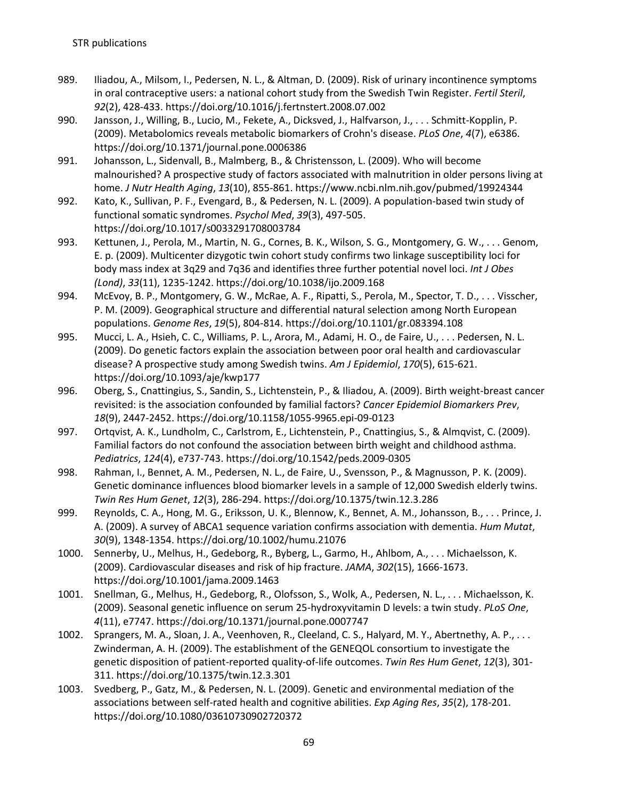- 989. Iliadou, A., Milsom, I., Pedersen, N. L., & Altman, D. (2009). Risk of urinary incontinence symptoms in oral contraceptive users: a national cohort study from the Swedish Twin Register. *Fertil Steril*, *92*(2), 428-433. https://doi.org/10.1016/j.fertnstert.2008.07.002
- 990. Jansson, J., Willing, B., Lucio, M., Fekete, A., Dicksved, J., Halfvarson, J., . . . Schmitt-Kopplin, P. (2009). Metabolomics reveals metabolic biomarkers of Crohn's disease. *PLoS One*, *4*(7), e6386. https://doi.org/10.1371/journal.pone.0006386
- 991. Johansson, L., Sidenvall, B., Malmberg, B., & Christensson, L. (2009). Who will become malnourished? A prospective study of factors associated with malnutrition in older persons living at home. *J Nutr Health Aging*, *13*(10), 855-861. https://www.ncbi.nlm.nih.gov/pubmed/19924344
- 992. Kato, K., Sullivan, P. F., Evengard, B., & Pedersen, N. L. (2009). A population-based twin study of functional somatic syndromes. *Psychol Med*, *39*(3), 497-505. https://doi.org/10.1017/s0033291708003784
- 993. Kettunen, J., Perola, M., Martin, N. G., Cornes, B. K., Wilson, S. G., Montgomery, G. W., . . . Genom, E. p. (2009). Multicenter dizygotic twin cohort study confirms two linkage susceptibility loci for body mass index at 3q29 and 7q36 and identifies three further potential novel loci. *Int J Obes (Lond)*, *33*(11), 1235-1242. https://doi.org/10.1038/ijo.2009.168
- 994. McEvoy, B. P., Montgomery, G. W., McRae, A. F., Ripatti, S., Perola, M., Spector, T. D., . . . Visscher, P. M. (2009). Geographical structure and differential natural selection among North European populations. *Genome Res*, *19*(5), 804-814. https://doi.org/10.1101/gr.083394.108
- 995. Mucci, L. A., Hsieh, C. C., Williams, P. L., Arora, M., Adami, H. O., de Faire, U., . . . Pedersen, N. L. (2009). Do genetic factors explain the association between poor oral health and cardiovascular disease? A prospective study among Swedish twins. *Am J Epidemiol*, *170*(5), 615-621. https://doi.org/10.1093/aje/kwp177
- 996. Oberg, S., Cnattingius, S., Sandin, S., Lichtenstein, P., & Iliadou, A. (2009). Birth weight-breast cancer revisited: is the association confounded by familial factors? *Cancer Epidemiol Biomarkers Prev*, *18*(9), 2447-2452. https://doi.org/10.1158/1055-9965.epi-09-0123
- 997. Ortqvist, A. K., Lundholm, C., Carlstrom, E., Lichtenstein, P., Cnattingius, S., & Almqvist, C. (2009). Familial factors do not confound the association between birth weight and childhood asthma. *Pediatrics*, *124*(4), e737-743. https://doi.org/10.1542/peds.2009-0305
- 998. Rahman, I., Bennet, A. M., Pedersen, N. L., de Faire, U., Svensson, P., & Magnusson, P. K. (2009). Genetic dominance influences blood biomarker levels in a sample of 12,000 Swedish elderly twins. *Twin Res Hum Genet*, *12*(3), 286-294. https://doi.org/10.1375/twin.12.3.286
- 999. Reynolds, C. A., Hong, M. G., Eriksson, U. K., Blennow, K., Bennet, A. M., Johansson, B., . . . Prince, J. A. (2009). A survey of ABCA1 sequence variation confirms association with dementia. *Hum Mutat*, *30*(9), 1348-1354. https://doi.org/10.1002/humu.21076
- 1000. Sennerby, U., Melhus, H., Gedeborg, R., Byberg, L., Garmo, H., Ahlbom, A., . . . Michaelsson, K. (2009). Cardiovascular diseases and risk of hip fracture. *JAMA*, *302*(15), 1666-1673. https://doi.org/10.1001/jama.2009.1463
- 1001. Snellman, G., Melhus, H., Gedeborg, R., Olofsson, S., Wolk, A., Pedersen, N. L., . . . Michaelsson, K. (2009). Seasonal genetic influence on serum 25-hydroxyvitamin D levels: a twin study. *PLoS One*, *4*(11), e7747. https://doi.org/10.1371/journal.pone.0007747
- 1002. Sprangers, M. A., Sloan, J. A., Veenhoven, R., Cleeland, C. S., Halyard, M. Y., Abertnethy, A. P., . . . Zwinderman, A. H. (2009). The establishment of the GENEQOL consortium to investigate the genetic disposition of patient-reported quality-of-life outcomes. *Twin Res Hum Genet*, *12*(3), 301- 311. https://doi.org/10.1375/twin.12.3.301
- 1003. Svedberg, P., Gatz, M., & Pedersen, N. L. (2009). Genetic and environmental mediation of the associations between self-rated health and cognitive abilities. *Exp Aging Res*, *35*(2), 178-201. https://doi.org/10.1080/03610730902720372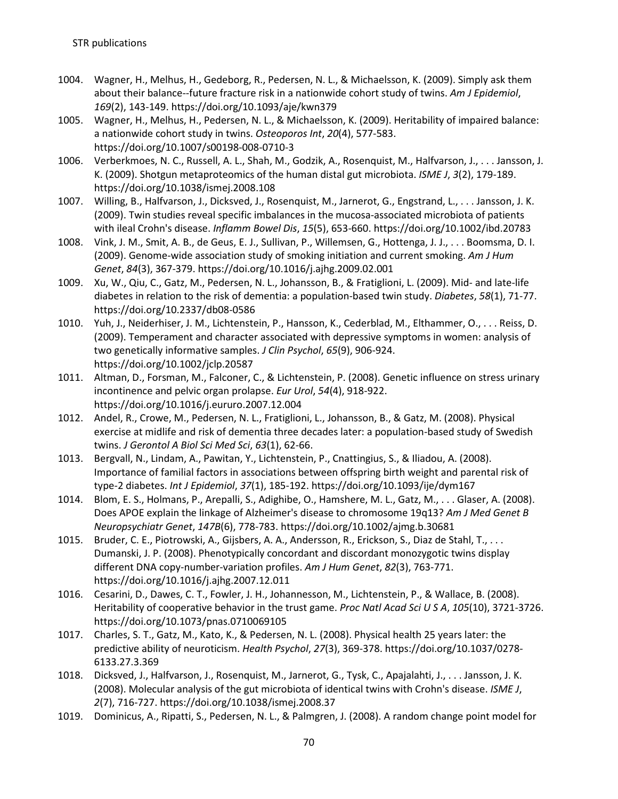- 1004. Wagner, H., Melhus, H., Gedeborg, R., Pedersen, N. L., & Michaelsson, K. (2009). Simply ask them about their balance--future fracture risk in a nationwide cohort study of twins. *Am J Epidemiol*, *169*(2), 143-149. https://doi.org/10.1093/aje/kwn379
- 1005. Wagner, H., Melhus, H., Pedersen, N. L., & Michaelsson, K. (2009). Heritability of impaired balance: a nationwide cohort study in twins. *Osteoporos Int*, *20*(4), 577-583. https://doi.org/10.1007/s00198-008-0710-3
- 1006. Verberkmoes, N. C., Russell, A. L., Shah, M., Godzik, A., Rosenquist, M., Halfvarson, J., . . . Jansson, J. K. (2009). Shotgun metaproteomics of the human distal gut microbiota. *ISME J*, *3*(2), 179-189. https://doi.org/10.1038/ismej.2008.108
- 1007. Willing, B., Halfvarson, J., Dicksved, J., Rosenquist, M., Jarnerot, G., Engstrand, L., . . . Jansson, J. K. (2009). Twin studies reveal specific imbalances in the mucosa-associated microbiota of patients with ileal Crohn's disease. *Inflamm Bowel Dis*, *15*(5), 653-660. https://doi.org/10.1002/ibd.20783
- 1008. Vink, J. M., Smit, A. B., de Geus, E. J., Sullivan, P., Willemsen, G., Hottenga, J. J., . . . Boomsma, D. I. (2009). Genome-wide association study of smoking initiation and current smoking. *Am J Hum Genet*, *84*(3), 367-379. https://doi.org/10.1016/j.ajhg.2009.02.001
- 1009. Xu, W., Qiu, C., Gatz, M., Pedersen, N. L., Johansson, B., & Fratiglioni, L. (2009). Mid- and late-life diabetes in relation to the risk of dementia: a population-based twin study. *Diabetes*, *58*(1), 71-77. https://doi.org/10.2337/db08-0586
- 1010. Yuh, J., Neiderhiser, J. M., Lichtenstein, P., Hansson, K., Cederblad, M., Elthammer, O., . . . Reiss, D. (2009). Temperament and character associated with depressive symptoms in women: analysis of two genetically informative samples. *J Clin Psychol*, *65*(9), 906-924. https://doi.org/10.1002/jclp.20587
- 1011. Altman, D., Forsman, M., Falconer, C., & Lichtenstein, P. (2008). Genetic influence on stress urinary incontinence and pelvic organ prolapse. *Eur Urol*, *54*(4), 918-922. https://doi.org/10.1016/j.eururo.2007.12.004
- 1012. Andel, R., Crowe, M., Pedersen, N. L., Fratiglioni, L., Johansson, B., & Gatz, M. (2008). Physical exercise at midlife and risk of dementia three decades later: a population-based study of Swedish twins. *J Gerontol A Biol Sci Med Sci*, *63*(1), 62-66.
- 1013. Bergvall, N., Lindam, A., Pawitan, Y., Lichtenstein, P., Cnattingius, S., & Iliadou, A. (2008). Importance of familial factors in associations between offspring birth weight and parental risk of type-2 diabetes. *Int J Epidemiol*, *37*(1), 185-192. https://doi.org/10.1093/ije/dym167
- 1014. Blom, E. S., Holmans, P., Arepalli, S., Adighibe, O., Hamshere, M. L., Gatz, M., . . . Glaser, A. (2008). Does APOE explain the linkage of Alzheimer's disease to chromosome 19q13? *Am J Med Genet B Neuropsychiatr Genet*, *147B*(6), 778-783. https://doi.org/10.1002/ajmg.b.30681
- 1015. Bruder, C. E., Piotrowski, A., Gijsbers, A. A., Andersson, R., Erickson, S., Diaz de Stahl, T., . . . Dumanski, J. P. (2008). Phenotypically concordant and discordant monozygotic twins display different DNA copy-number-variation profiles. *Am J Hum Genet*, *82*(3), 763-771. https://doi.org/10.1016/j.ajhg.2007.12.011
- 1016. Cesarini, D., Dawes, C. T., Fowler, J. H., Johannesson, M., Lichtenstein, P., & Wallace, B. (2008). Heritability of cooperative behavior in the trust game. *Proc Natl Acad Sci U S A*, *105*(10), 3721-3726. https://doi.org/10.1073/pnas.0710069105
- 1017. Charles, S. T., Gatz, M., Kato, K., & Pedersen, N. L. (2008). Physical health 25 years later: the predictive ability of neuroticism. *Health Psychol*, *27*(3), 369-378. https://doi.org/10.1037/0278- 6133.27.3.369
- 1018. Dicksved, J., Halfvarson, J., Rosenquist, M., Jarnerot, G., Tysk, C., Apajalahti, J., . . . Jansson, J. K. (2008). Molecular analysis of the gut microbiota of identical twins with Crohn's disease. *ISME J*, *2*(7), 716-727. https://doi.org/10.1038/ismej.2008.37
- 1019. Dominicus, A., Ripatti, S., Pedersen, N. L., & Palmgren, J. (2008). A random change point model for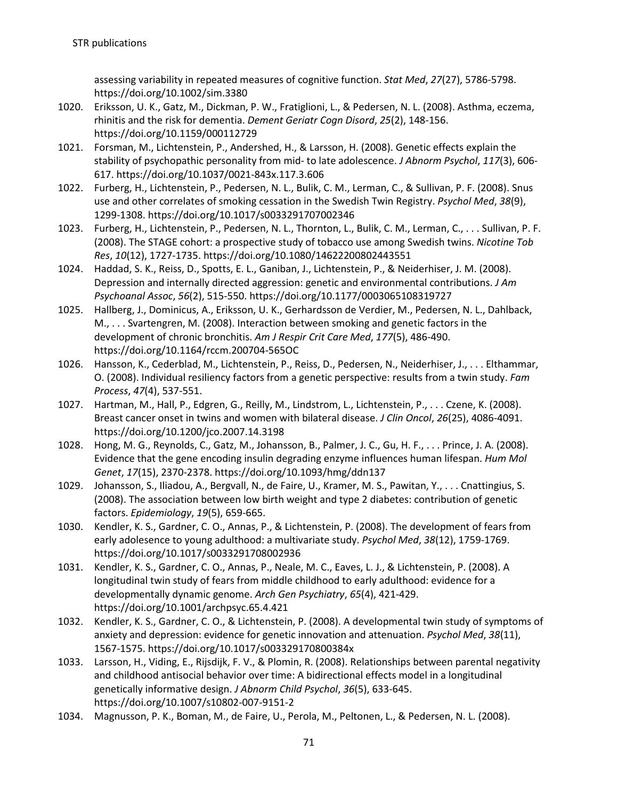assessing variability in repeated measures of cognitive function. *Stat Med*, *27*(27), 5786-5798. https://doi.org/10.1002/sim.3380

- 1020. Eriksson, U. K., Gatz, M., Dickman, P. W., Fratiglioni, L., & Pedersen, N. L. (2008). Asthma, eczema, rhinitis and the risk for dementia. *Dement Geriatr Cogn Disord*, *25*(2), 148-156. https://doi.org/10.1159/000112729
- 1021. Forsman, M., Lichtenstein, P., Andershed, H., & Larsson, H. (2008). Genetic effects explain the stability of psychopathic personality from mid- to late adolescence. *J Abnorm Psychol*, *117*(3), 606- 617. https://doi.org/10.1037/0021-843x.117.3.606
- 1022. Furberg, H., Lichtenstein, P., Pedersen, N. L., Bulik, C. M., Lerman, C., & Sullivan, P. F. (2008). Snus use and other correlates of smoking cessation in the Swedish Twin Registry. *Psychol Med*, *38*(9), 1299-1308. https://doi.org/10.1017/s0033291707002346
- 1023. Furberg, H., Lichtenstein, P., Pedersen, N. L., Thornton, L., Bulik, C. M., Lerman, C., . . . Sullivan, P. F. (2008). The STAGE cohort: a prospective study of tobacco use among Swedish twins. *Nicotine Tob Res*, *10*(12), 1727-1735. https://doi.org/10.1080/14622200802443551
- 1024. Haddad, S. K., Reiss, D., Spotts, E. L., Ganiban, J., Lichtenstein, P., & Neiderhiser, J. M. (2008). Depression and internally directed aggression: genetic and environmental contributions. *J Am Psychoanal Assoc*, *56*(2), 515-550. https://doi.org/10.1177/0003065108319727
- 1025. Hallberg, J., Dominicus, A., Eriksson, U. K., Gerhardsson de Verdier, M., Pedersen, N. L., Dahlback, M., . . . Svartengren, M. (2008). Interaction between smoking and genetic factors in the development of chronic bronchitis. *Am J Respir Crit Care Med*, *177*(5), 486-490. https://doi.org/10.1164/rccm.200704-565OC
- 1026. Hansson, K., Cederblad, M., Lichtenstein, P., Reiss, D., Pedersen, N., Neiderhiser, J., . . . Elthammar, O. (2008). Individual resiliency factors from a genetic perspective: results from a twin study. *Fam Process*, *47*(4), 537-551.
- 1027. Hartman, M., Hall, P., Edgren, G., Reilly, M., Lindstrom, L., Lichtenstein, P., . . . Czene, K. (2008). Breast cancer onset in twins and women with bilateral disease. *J Clin Oncol*, *26*(25), 4086-4091. https://doi.org/10.1200/jco.2007.14.3198
- 1028. Hong, M. G., Reynolds, C., Gatz, M., Johansson, B., Palmer, J. C., Gu, H. F., . . . Prince, J. A. (2008). Evidence that the gene encoding insulin degrading enzyme influences human lifespan. *Hum Mol Genet*, *17*(15), 2370-2378. https://doi.org/10.1093/hmg/ddn137
- 1029. Johansson, S., Iliadou, A., Bergvall, N., de Faire, U., Kramer, M. S., Pawitan, Y., . . . Cnattingius, S. (2008). The association between low birth weight and type 2 diabetes: contribution of genetic factors. *Epidemiology*, *19*(5), 659-665.
- 1030. Kendler, K. S., Gardner, C. O., Annas, P., & Lichtenstein, P. (2008). The development of fears from early adolesence to young adulthood: a multivariate study. *Psychol Med*, *38*(12), 1759-1769. https://doi.org/10.1017/s0033291708002936
- 1031. Kendler, K. S., Gardner, C. O., Annas, P., Neale, M. C., Eaves, L. J., & Lichtenstein, P. (2008). A longitudinal twin study of fears from middle childhood to early adulthood: evidence for a developmentally dynamic genome. *Arch Gen Psychiatry*, *65*(4), 421-429. https://doi.org/10.1001/archpsyc.65.4.421
- 1032. Kendler, K. S., Gardner, C. O., & Lichtenstein, P. (2008). A developmental twin study of symptoms of anxiety and depression: evidence for genetic innovation and attenuation. *Psychol Med*, *38*(11), 1567-1575. https://doi.org/10.1017/s003329170800384x
- 1033. Larsson, H., Viding, E., Rijsdijk, F. V., & Plomin, R. (2008). Relationships between parental negativity and childhood antisocial behavior over time: A bidirectional effects model in a longitudinal genetically informative design. *J Abnorm Child Psychol*, *36*(5), 633-645. https://doi.org/10.1007/s10802-007-9151-2
- 1034. Magnusson, P. K., Boman, M., de Faire, U., Perola, M., Peltonen, L., & Pedersen, N. L. (2008).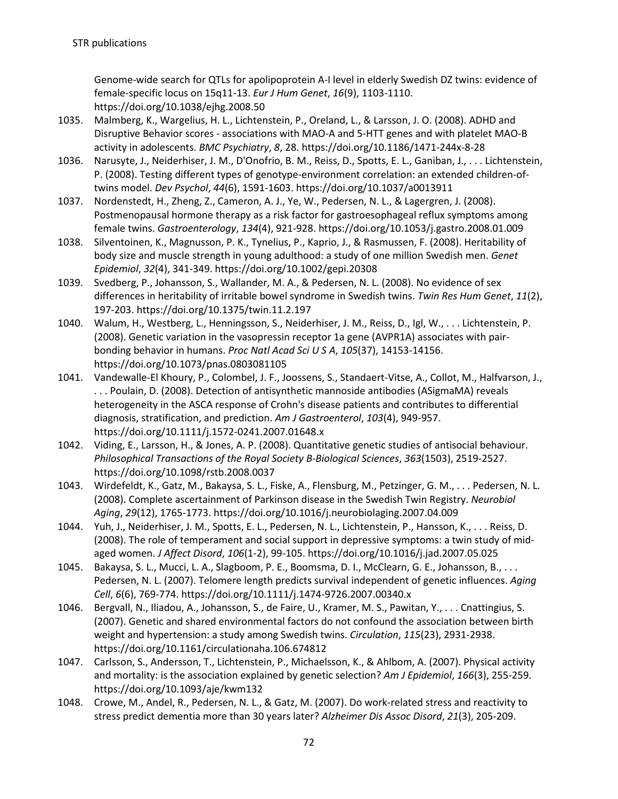Genome-wide search for QTLs for apolipoprotein A-I level in elderly Swedish DZ twins: evidence of female-specific locus on 15q11-13. *Eur J Hum Genet*, *16*(9), 1103-1110. https://doi.org/10.1038/ejhg.2008.50

- 1035. Malmberg, K., Wargelius, H. L., Lichtenstein, P., Oreland, L., & Larsson, J. O. (2008). ADHD and Disruptive Behavior scores - associations with MAO-A and 5-HTT genes and with platelet MAO-B activity in adolescents. *BMC Psychiatry*, *8*, 28. https://doi.org/10.1186/1471-244x-8-28
- 1036. Narusyte, J., Neiderhiser, J. M., D'Onofrio, B. M., Reiss, D., Spotts, E. L., Ganiban, J., . . . Lichtenstein, P. (2008). Testing different types of genotype-environment correlation: an extended children-oftwins model. *Dev Psychol*, *44*(6), 1591-1603. https://doi.org/10.1037/a0013911
- 1037. Nordenstedt, H., Zheng, Z., Cameron, A. J., Ye, W., Pedersen, N. L., & Lagergren, J. (2008). Postmenopausal hormone therapy as a risk factor for gastroesophageal reflux symptoms among female twins. *Gastroenterology*, *134*(4), 921-928. https://doi.org/10.1053/j.gastro.2008.01.009
- 1038. Silventoinen, K., Magnusson, P. K., Tynelius, P., Kaprio, J., & Rasmussen, F. (2008). Heritability of body size and muscle strength in young adulthood: a study of one million Swedish men. *Genet Epidemiol*, *32*(4), 341-349. https://doi.org/10.1002/gepi.20308
- 1039. Svedberg, P., Johansson, S., Wallander, M. A., & Pedersen, N. L. (2008). No evidence of sex differences in heritability of irritable bowel syndrome in Swedish twins. *Twin Res Hum Genet*, *11*(2), 197-203. https://doi.org/10.1375/twin.11.2.197
- 1040. Walum, H., Westberg, L., Henningsson, S., Neiderhiser, J. M., Reiss, D., Igl, W., . . . Lichtenstein, P. (2008). Genetic variation in the vasopressin receptor 1a gene (AVPR1A) associates with pairbonding behavior in humans. *Proc Natl Acad Sci U S A*, *105*(37), 14153-14156. https://doi.org/10.1073/pnas.0803081105
- 1041. Vandewalle-El Khoury, P., Colombel, J. F., Joossens, S., Standaert-Vitse, A., Collot, M., Halfvarson, J., . . . Poulain, D. (2008). Detection of antisynthetic mannoside antibodies (ASigmaMA) reveals heterogeneity in the ASCA response of Crohn's disease patients and contributes to differential diagnosis, stratification, and prediction. *Am J Gastroenterol*, *103*(4), 949-957. https://doi.org/10.1111/j.1572-0241.2007.01648.x
- 1042. Viding, E., Larsson, H., & Jones, A. P. (2008). Quantitative genetic studies of antisocial behaviour. *Philosophical Transactions of the Royal Society B-Biological Sciences*, *363*(1503), 2519-2527. https://doi.org/10.1098/rstb.2008.0037
- 1043. Wirdefeldt, K., Gatz, M., Bakaysa, S. L., Fiske, A., Flensburg, M., Petzinger, G. M., . . . Pedersen, N. L. (2008). Complete ascertainment of Parkinson disease in the Swedish Twin Registry. *Neurobiol Aging*, *29*(12), 1765-1773. https://doi.org/10.1016/j.neurobiolaging.2007.04.009
- 1044. Yuh, J., Neiderhiser, J. M., Spotts, E. L., Pedersen, N. L., Lichtenstein, P., Hansson, K., . . . Reiss, D. (2008). The role of temperament and social support in depressive symptoms: a twin study of midaged women. *J Affect Disord*, *106*(1-2), 99-105. https://doi.org/10.1016/j.jad.2007.05.025
- 1045. Bakaysa, S. L., Mucci, L. A., Slagboom, P. E., Boomsma, D. I., McClearn, G. E., Johansson, B., . . . Pedersen, N. L. (2007). Telomere length predicts survival independent of genetic influences. *Aging Cell*, *6*(6), 769-774. https://doi.org/10.1111/j.1474-9726.2007.00340.x
- 1046. Bergvall, N., Iliadou, A., Johansson, S., de Faire, U., Kramer, M. S., Pawitan, Y., . . . Cnattingius, S. (2007). Genetic and shared environmental factors do not confound the association between birth weight and hypertension: a study among Swedish twins. *Circulation*, *115*(23), 2931-2938. https://doi.org/10.1161/circulationaha.106.674812
- 1047. Carlsson, S., Andersson, T., Lichtenstein, P., Michaelsson, K., & Ahlbom, A. (2007). Physical activity and mortality: is the association explained by genetic selection? *Am J Epidemiol*, *166*(3), 255-259. https://doi.org/10.1093/aje/kwm132
- 1048. Crowe, M., Andel, R., Pedersen, N. L., & Gatz, M. (2007). Do work-related stress and reactivity to stress predict dementia more than 30 years later? *Alzheimer Dis Assoc Disord*, *21*(3), 205-209.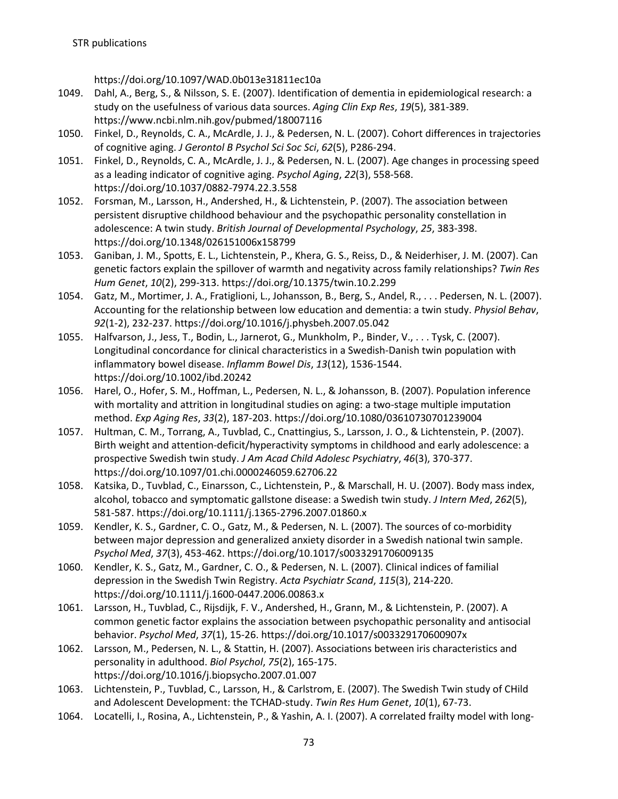https://doi.org/10.1097/WAD.0b013e31811ec10a

- 1049. Dahl, A., Berg, S., & Nilsson, S. E. (2007). Identification of dementia in epidemiological research: a study on the usefulness of various data sources. *Aging Clin Exp Res*, *19*(5), 381-389. https://www.ncbi.nlm.nih.gov/pubmed/18007116
- 1050. Finkel, D., Reynolds, C. A., McArdle, J. J., & Pedersen, N. L. (2007). Cohort differences in trajectories of cognitive aging. *J Gerontol B Psychol Sci Soc Sci*, *62*(5), P286-294.
- 1051. Finkel, D., Reynolds, C. A., McArdle, J. J., & Pedersen, N. L. (2007). Age changes in processing speed as a leading indicator of cognitive aging. *Psychol Aging*, *22*(3), 558-568. https://doi.org/10.1037/0882-7974.22.3.558
- 1052. Forsman, M., Larsson, H., Andershed, H., & Lichtenstein, P. (2007). The association between persistent disruptive childhood behaviour and the psychopathic personality constellation in adolescence: A twin study. *British Journal of Developmental Psychology*, *25*, 383-398. https://doi.org/10.1348/026151006x158799
- 1053. Ganiban, J. M., Spotts, E. L., Lichtenstein, P., Khera, G. S., Reiss, D., & Neiderhiser, J. M. (2007). Can genetic factors explain the spillover of warmth and negativity across family relationships? *Twin Res Hum Genet*, *10*(2), 299-313. https://doi.org/10.1375/twin.10.2.299
- 1054. Gatz, M., Mortimer, J. A., Fratiglioni, L., Johansson, B., Berg, S., Andel, R., . . . Pedersen, N. L. (2007). Accounting for the relationship between low education and dementia: a twin study. *Physiol Behav*, *92*(1-2), 232-237. https://doi.org/10.1016/j.physbeh.2007.05.042
- 1055. Halfvarson, J., Jess, T., Bodin, L., Jarnerot, G., Munkholm, P., Binder, V., . . . Tysk, C. (2007). Longitudinal concordance for clinical characteristics in a Swedish-Danish twin population with inflammatory bowel disease. *Inflamm Bowel Dis*, *13*(12), 1536-1544. https://doi.org/10.1002/ibd.20242
- 1056. Harel, O., Hofer, S. M., Hoffman, L., Pedersen, N. L., & Johansson, B. (2007). Population inference with mortality and attrition in longitudinal studies on aging: a two-stage multiple imputation method. *Exp Aging Res*, *33*(2), 187-203. https://doi.org/10.1080/03610730701239004
- 1057. Hultman, C. M., Torrang, A., Tuvblad, C., Cnattingius, S., Larsson, J. O., & Lichtenstein, P. (2007). Birth weight and attention-deficit/hyperactivity symptoms in childhood and early adolescence: a prospective Swedish twin study. *J Am Acad Child Adolesc Psychiatry*, *46*(3), 370-377. https://doi.org/10.1097/01.chi.0000246059.62706.22
- 1058. Katsika, D., Tuvblad, C., Einarsson, C., Lichtenstein, P., & Marschall, H. U. (2007). Body mass index, alcohol, tobacco and symptomatic gallstone disease: a Swedish twin study. *J Intern Med*, *262*(5), 581-587. https://doi.org/10.1111/j.1365-2796.2007.01860.x
- 1059. Kendler, K. S., Gardner, C. O., Gatz, M., & Pedersen, N. L. (2007). The sources of co-morbidity between major depression and generalized anxiety disorder in a Swedish national twin sample. *Psychol Med*, *37*(3), 453-462. https://doi.org/10.1017/s0033291706009135
- 1060. Kendler, K. S., Gatz, M., Gardner, C. O., & Pedersen, N. L. (2007). Clinical indices of familial depression in the Swedish Twin Registry. *Acta Psychiatr Scand*, *115*(3), 214-220. https://doi.org/10.1111/j.1600-0447.2006.00863.x
- 1061. Larsson, H., Tuvblad, C., Rijsdijk, F. V., Andershed, H., Grann, M., & Lichtenstein, P. (2007). A common genetic factor explains the association between psychopathic personality and antisocial behavior. *Psychol Med*, *37*(1), 15-26. https://doi.org/10.1017/s003329170600907x
- 1062. Larsson, M., Pedersen, N. L., & Stattin, H. (2007). Associations between iris characteristics and personality in adulthood. *Biol Psychol*, *75*(2), 165-175. https://doi.org/10.1016/j.biopsycho.2007.01.007
- 1063. Lichtenstein, P., Tuvblad, C., Larsson, H., & Carlstrom, E. (2007). The Swedish Twin study of CHild and Adolescent Development: the TCHAD-study. *Twin Res Hum Genet*, *10*(1), 67-73.
- 1064. Locatelli, I., Rosina, A., Lichtenstein, P., & Yashin, A. I. (2007). A correlated frailty model with long-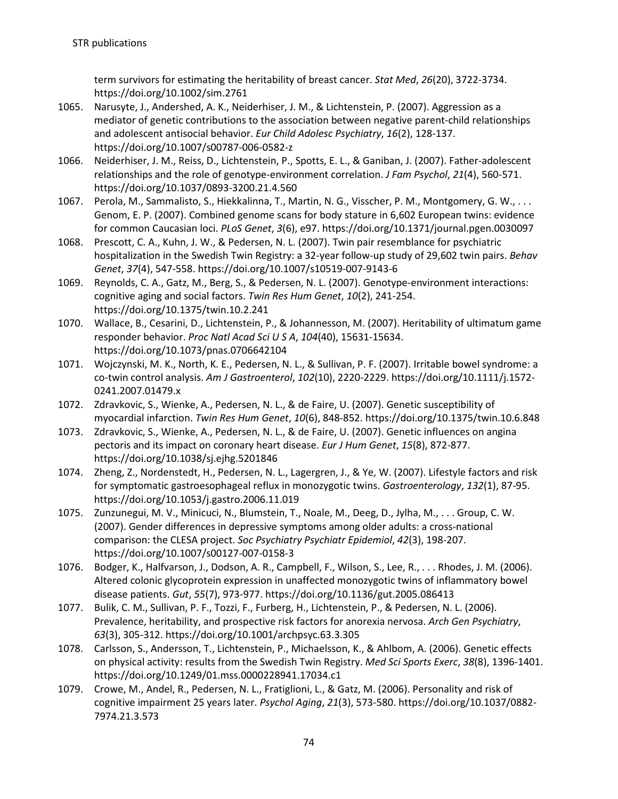term survivors for estimating the heritability of breast cancer. *Stat Med*, *26*(20), 3722-3734. https://doi.org/10.1002/sim.2761

- 1065. Narusyte, J., Andershed, A. K., Neiderhiser, J. M., & Lichtenstein, P. (2007). Aggression as a mediator of genetic contributions to the association between negative parent-child relationships and adolescent antisocial behavior. *Eur Child Adolesc Psychiatry*, *16*(2), 128-137. https://doi.org/10.1007/s00787-006-0582-z
- 1066. Neiderhiser, J. M., Reiss, D., Lichtenstein, P., Spotts, E. L., & Ganiban, J. (2007). Father-adolescent relationships and the role of genotype-environment correlation. *J Fam Psychol*, *21*(4), 560-571. https://doi.org/10.1037/0893-3200.21.4.560
- 1067. Perola, M., Sammalisto, S., Hiekkalinna, T., Martin, N. G., Visscher, P. M., Montgomery, G. W., . . . Genom, E. P. (2007). Combined genome scans for body stature in 6,602 European twins: evidence for common Caucasian loci. *PLoS Genet*, *3*(6), e97. https://doi.org/10.1371/journal.pgen.0030097
- 1068. Prescott, C. A., Kuhn, J. W., & Pedersen, N. L. (2007). Twin pair resemblance for psychiatric hospitalization in the Swedish Twin Registry: a 32-year follow-up study of 29,602 twin pairs. *Behav Genet*, *37*(4), 547-558. https://doi.org/10.1007/s10519-007-9143-6
- 1069. Reynolds, C. A., Gatz, M., Berg, S., & Pedersen, N. L. (2007). Genotype-environment interactions: cognitive aging and social factors. *Twin Res Hum Genet*, *10*(2), 241-254. https://doi.org/10.1375/twin.10.2.241
- 1070. Wallace, B., Cesarini, D., Lichtenstein, P., & Johannesson, M. (2007). Heritability of ultimatum game responder behavior. *Proc Natl Acad Sci U S A*, *104*(40), 15631-15634. https://doi.org/10.1073/pnas.0706642104
- 1071. Wojczynski, M. K., North, K. E., Pedersen, N. L., & Sullivan, P. F. (2007). Irritable bowel syndrome: a co-twin control analysis. *Am J Gastroenterol*, *102*(10), 2220-2229. https://doi.org/10.1111/j.1572- 0241.2007.01479.x
- 1072. Zdravkovic, S., Wienke, A., Pedersen, N. L., & de Faire, U. (2007). Genetic susceptibility of myocardial infarction. *Twin Res Hum Genet*, *10*(6), 848-852. https://doi.org/10.1375/twin.10.6.848
- 1073. Zdravkovic, S., Wienke, A., Pedersen, N. L., & de Faire, U. (2007). Genetic influences on angina pectoris and its impact on coronary heart disease. *Eur J Hum Genet*, *15*(8), 872-877. https://doi.org/10.1038/sj.ejhg.5201846
- 1074. Zheng, Z., Nordenstedt, H., Pedersen, N. L., Lagergren, J., & Ye, W. (2007). Lifestyle factors and risk for symptomatic gastroesophageal reflux in monozygotic twins. *Gastroenterology*, *132*(1), 87-95. https://doi.org/10.1053/j.gastro.2006.11.019
- 1075. Zunzunegui, M. V., Minicuci, N., Blumstein, T., Noale, M., Deeg, D., Jylha, M., . . . Group, C. W. (2007). Gender differences in depressive symptoms among older adults: a cross-national comparison: the CLESA project. *Soc Psychiatry Psychiatr Epidemiol*, *42*(3), 198-207. https://doi.org/10.1007/s00127-007-0158-3
- 1076. Bodger, K., Halfvarson, J., Dodson, A. R., Campbell, F., Wilson, S., Lee, R., . . . Rhodes, J. M. (2006). Altered colonic glycoprotein expression in unaffected monozygotic twins of inflammatory bowel disease patients. *Gut*, *55*(7), 973-977. https://doi.org/10.1136/gut.2005.086413
- 1077. Bulik, C. M., Sullivan, P. F., Tozzi, F., Furberg, H., Lichtenstein, P., & Pedersen, N. L. (2006). Prevalence, heritability, and prospective risk factors for anorexia nervosa. *Arch Gen Psychiatry*, *63*(3), 305-312. https://doi.org/10.1001/archpsyc.63.3.305
- 1078. Carlsson, S., Andersson, T., Lichtenstein, P., Michaelsson, K., & Ahlbom, A. (2006). Genetic effects on physical activity: results from the Swedish Twin Registry. *Med Sci Sports Exerc*, *38*(8), 1396-1401. https://doi.org/10.1249/01.mss.0000228941.17034.c1
- 1079. Crowe, M., Andel, R., Pedersen, N. L., Fratiglioni, L., & Gatz, M. (2006). Personality and risk of cognitive impairment 25 years later. *Psychol Aging*, *21*(3), 573-580. https://doi.org/10.1037/0882- 7974.21.3.573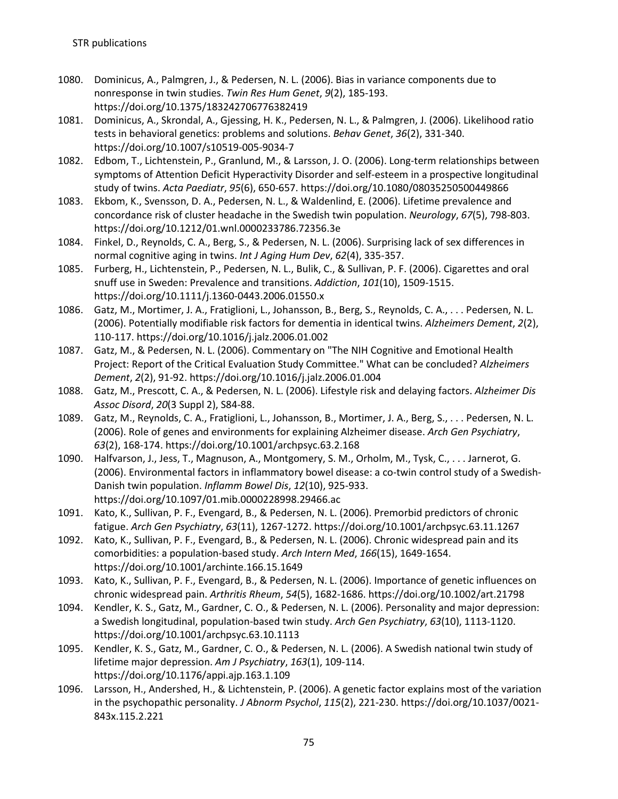- 1080. Dominicus, A., Palmgren, J., & Pedersen, N. L. (2006). Bias in variance components due to nonresponse in twin studies. *Twin Res Hum Genet*, *9*(2), 185-193. https://doi.org/10.1375/183242706776382419
- 1081. Dominicus, A., Skrondal, A., Gjessing, H. K., Pedersen, N. L., & Palmgren, J. (2006). Likelihood ratio tests in behavioral genetics: problems and solutions. *Behav Genet*, *36*(2), 331-340. https://doi.org/10.1007/s10519-005-9034-7
- 1082. Edbom, T., Lichtenstein, P., Granlund, M., & Larsson, J. O. (2006). Long-term relationships between symptoms of Attention Deficit Hyperactivity Disorder and self-esteem in a prospective longitudinal study of twins. *Acta Paediatr*, *95*(6), 650-657. https://doi.org/10.1080/08035250500449866
- 1083. Ekbom, K., Svensson, D. A., Pedersen, N. L., & Waldenlind, E. (2006). Lifetime prevalence and concordance risk of cluster headache in the Swedish twin population. *Neurology*, *67*(5), 798-803. https://doi.org/10.1212/01.wnl.0000233786.72356.3e
- 1084. Finkel, D., Reynolds, C. A., Berg, S., & Pedersen, N. L. (2006). Surprising lack of sex differences in normal cognitive aging in twins. *Int J Aging Hum Dev*, *62*(4), 335-357.
- 1085. Furberg, H., Lichtenstein, P., Pedersen, N. L., Bulik, C., & Sullivan, P. F. (2006). Cigarettes and oral snuff use in Sweden: Prevalence and transitions. *Addiction*, *101*(10), 1509-1515. https://doi.org/10.1111/j.1360-0443.2006.01550.x
- 1086. Gatz, M., Mortimer, J. A., Fratiglioni, L., Johansson, B., Berg, S., Reynolds, C. A., . . . Pedersen, N. L. (2006). Potentially modifiable risk factors for dementia in identical twins. *Alzheimers Dement*, *2*(2), 110-117. https://doi.org/10.1016/j.jalz.2006.01.002
- 1087. Gatz, M., & Pedersen, N. L. (2006). Commentary on "The NIH Cognitive and Emotional Health Project: Report of the Critical Evaluation Study Committee." What can be concluded? *Alzheimers Dement*, *2*(2), 91-92. https://doi.org/10.1016/j.jalz.2006.01.004
- 1088. Gatz, M., Prescott, C. A., & Pedersen, N. L. (2006). Lifestyle risk and delaying factors. *Alzheimer Dis Assoc Disord*, *20*(3 Suppl 2), S84-88.
- 1089. Gatz, M., Reynolds, C. A., Fratiglioni, L., Johansson, B., Mortimer, J. A., Berg, S., . . . Pedersen, N. L. (2006). Role of genes and environments for explaining Alzheimer disease. *Arch Gen Psychiatry*, *63*(2), 168-174. https://doi.org/10.1001/archpsyc.63.2.168
- 1090. Halfvarson, J., Jess, T., Magnuson, A., Montgomery, S. M., Orholm, M., Tysk, C., . . . Jarnerot, G. (2006). Environmental factors in inflammatory bowel disease: a co-twin control study of a Swedish-Danish twin population. *Inflamm Bowel Dis*, *12*(10), 925-933. https://doi.org/10.1097/01.mib.0000228998.29466.ac
- 1091. Kato, K., Sullivan, P. F., Evengard, B., & Pedersen, N. L. (2006). Premorbid predictors of chronic fatigue. *Arch Gen Psychiatry*, *63*(11), 1267-1272. https://doi.org/10.1001/archpsyc.63.11.1267
- 1092. Kato, K., Sullivan, P. F., Evengard, B., & Pedersen, N. L. (2006). Chronic widespread pain and its comorbidities: a population-based study. *Arch Intern Med*, *166*(15), 1649-1654. https://doi.org/10.1001/archinte.166.15.1649
- 1093. Kato, K., Sullivan, P. F., Evengard, B., & Pedersen, N. L. (2006). Importance of genetic influences on chronic widespread pain. *Arthritis Rheum*, *54*(5), 1682-1686. https://doi.org/10.1002/art.21798
- 1094. Kendler, K. S., Gatz, M., Gardner, C. O., & Pedersen, N. L. (2006). Personality and major depression: a Swedish longitudinal, population-based twin study. *Arch Gen Psychiatry*, *63*(10), 1113-1120. https://doi.org/10.1001/archpsyc.63.10.1113
- 1095. Kendler, K. S., Gatz, M., Gardner, C. O., & Pedersen, N. L. (2006). A Swedish national twin study of lifetime major depression. *Am J Psychiatry*, *163*(1), 109-114. https://doi.org/10.1176/appi.ajp.163.1.109
- 1096. Larsson, H., Andershed, H., & Lichtenstein, P. (2006). A genetic factor explains most of the variation in the psychopathic personality. *J Abnorm Psychol*, *115*(2), 221-230. https://doi.org/10.1037/0021- 843x.115.2.221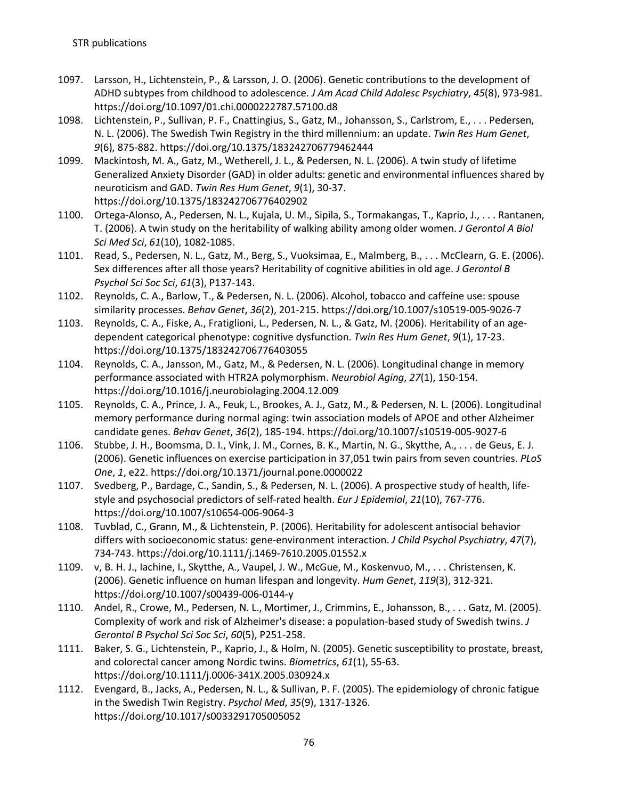- 1097. Larsson, H., Lichtenstein, P., & Larsson, J. O. (2006). Genetic contributions to the development of ADHD subtypes from childhood to adolescence. *J Am Acad Child Adolesc Psychiatry*, *45*(8), 973-981. https://doi.org/10.1097/01.chi.0000222787.57100.d8
- 1098. Lichtenstein, P., Sullivan, P. F., Cnattingius, S., Gatz, M., Johansson, S., Carlstrom, E., . . . Pedersen, N. L. (2006). The Swedish Twin Registry in the third millennium: an update. *Twin Res Hum Genet*, *9*(6), 875-882. https://doi.org/10.1375/183242706779462444
- 1099. Mackintosh, M. A., Gatz, M., Wetherell, J. L., & Pedersen, N. L. (2006). A twin study of lifetime Generalized Anxiety Disorder (GAD) in older adults: genetic and environmental influences shared by neuroticism and GAD. *Twin Res Hum Genet*, *9*(1), 30-37. https://doi.org/10.1375/183242706776402902
- 1100. Ortega-Alonso, A., Pedersen, N. L., Kujala, U. M., Sipila, S., Tormakangas, T., Kaprio, J., . . . Rantanen, T. (2006). A twin study on the heritability of walking ability among older women. *J Gerontol A Biol Sci Med Sci*, *61*(10), 1082-1085.
- 1101. Read, S., Pedersen, N. L., Gatz, M., Berg, S., Vuoksimaa, E., Malmberg, B., . . . McClearn, G. E. (2006). Sex differences after all those years? Heritability of cognitive abilities in old age. *J Gerontol B Psychol Sci Soc Sci*, *61*(3), P137-143.
- 1102. Reynolds, C. A., Barlow, T., & Pedersen, N. L. (2006). Alcohol, tobacco and caffeine use: spouse similarity processes. *Behav Genet*, *36*(2), 201-215. https://doi.org/10.1007/s10519-005-9026-7
- 1103. Reynolds, C. A., Fiske, A., Fratiglioni, L., Pedersen, N. L., & Gatz, M. (2006). Heritability of an agedependent categorical phenotype: cognitive dysfunction. *Twin Res Hum Genet*, *9*(1), 17-23. https://doi.org/10.1375/183242706776403055
- 1104. Reynolds, C. A., Jansson, M., Gatz, M., & Pedersen, N. L. (2006). Longitudinal change in memory performance associated with HTR2A polymorphism. *Neurobiol Aging*, *27*(1), 150-154. https://doi.org/10.1016/j.neurobiolaging.2004.12.009
- 1105. Reynolds, C. A., Prince, J. A., Feuk, L., Brookes, A. J., Gatz, M., & Pedersen, N. L. (2006). Longitudinal memory performance during normal aging: twin association models of APOE and other Alzheimer candidate genes. *Behav Genet*, *36*(2), 185-194. https://doi.org/10.1007/s10519-005-9027-6
- 1106. Stubbe, J. H., Boomsma, D. I., Vink, J. M., Cornes, B. K., Martin, N. G., Skytthe, A., . . . de Geus, E. J. (2006). Genetic influences on exercise participation in 37,051 twin pairs from seven countries. *PLoS One*, *1*, e22. https://doi.org/10.1371/journal.pone.0000022
- 1107. Svedberg, P., Bardage, C., Sandin, S., & Pedersen, N. L. (2006). A prospective study of health, lifestyle and psychosocial predictors of self-rated health. *Eur J Epidemiol*, *21*(10), 767-776. https://doi.org/10.1007/s10654-006-9064-3
- 1108. Tuvblad, C., Grann, M., & Lichtenstein, P. (2006). Heritability for adolescent antisocial behavior differs with socioeconomic status: gene-environment interaction. *J Child Psychol Psychiatry*, *47*(7), 734-743. https://doi.org/10.1111/j.1469-7610.2005.01552.x
- 1109. v, B. H. J., Iachine, I., Skytthe, A., Vaupel, J. W., McGue, M., Koskenvuo, M., . . . Christensen, K. (2006). Genetic influence on human lifespan and longevity. *Hum Genet*, *119*(3), 312-321. https://doi.org/10.1007/s00439-006-0144-y
- 1110. Andel, R., Crowe, M., Pedersen, N. L., Mortimer, J., Crimmins, E., Johansson, B., . . . Gatz, M. (2005). Complexity of work and risk of Alzheimer's disease: a population-based study of Swedish twins. *J Gerontol B Psychol Sci Soc Sci*, *60*(5), P251-258.
- 1111. Baker, S. G., Lichtenstein, P., Kaprio, J., & Holm, N. (2005). Genetic susceptibility to prostate, breast, and colorectal cancer among Nordic twins. *Biometrics*, *61*(1), 55-63. https://doi.org/10.1111/j.0006-341X.2005.030924.x
- 1112. Evengard, B., Jacks, A., Pedersen, N. L., & Sullivan, P. F. (2005). The epidemiology of chronic fatigue in the Swedish Twin Registry. *Psychol Med*, *35*(9), 1317-1326. https://doi.org/10.1017/s0033291705005052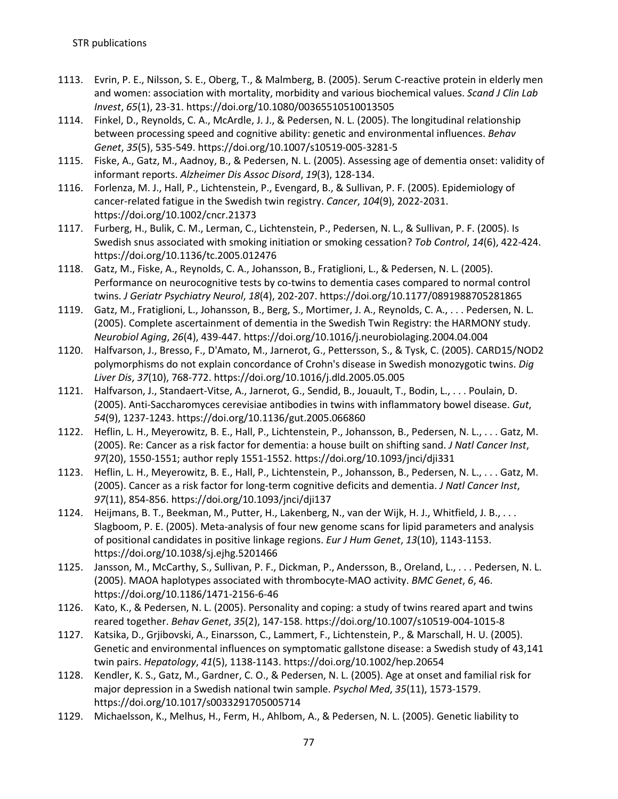- 1113. Evrin, P. E., Nilsson, S. E., Oberg, T., & Malmberg, B. (2005). Serum C-reactive protein in elderly men and women: association with mortality, morbidity and various biochemical values. *Scand J Clin Lab Invest*, *65*(1), 23-31. https://doi.org/10.1080/00365510510013505
- 1114. Finkel, D., Reynolds, C. A., McArdle, J. J., & Pedersen, N. L. (2005). The longitudinal relationship between processing speed and cognitive ability: genetic and environmental influences. *Behav Genet*, *35*(5), 535-549. https://doi.org/10.1007/s10519-005-3281-5
- 1115. Fiske, A., Gatz, M., Aadnoy, B., & Pedersen, N. L. (2005). Assessing age of dementia onset: validity of informant reports. *Alzheimer Dis Assoc Disord*, *19*(3), 128-134.
- 1116. Forlenza, M. J., Hall, P., Lichtenstein, P., Evengard, B., & Sullivan, P. F. (2005). Epidemiology of cancer-related fatigue in the Swedish twin registry. *Cancer*, *104*(9), 2022-2031. https://doi.org/10.1002/cncr.21373
- 1117. Furberg, H., Bulik, C. M., Lerman, C., Lichtenstein, P., Pedersen, N. L., & Sullivan, P. F. (2005). Is Swedish snus associated with smoking initiation or smoking cessation? *Tob Control*, *14*(6), 422-424. https://doi.org/10.1136/tc.2005.012476
- 1118. Gatz, M., Fiske, A., Reynolds, C. A., Johansson, B., Fratiglioni, L., & Pedersen, N. L. (2005). Performance on neurocognitive tests by co-twins to dementia cases compared to normal control twins. *J Geriatr Psychiatry Neurol*, *18*(4), 202-207. https://doi.org/10.1177/0891988705281865
- 1119. Gatz, M., Fratiglioni, L., Johansson, B., Berg, S., Mortimer, J. A., Reynolds, C. A., . . . Pedersen, N. L. (2005). Complete ascertainment of dementia in the Swedish Twin Registry: the HARMONY study. *Neurobiol Aging*, *26*(4), 439-447. https://doi.org/10.1016/j.neurobiolaging.2004.04.004
- 1120. Halfvarson, J., Bresso, F., D'Amato, M., Jarnerot, G., Pettersson, S., & Tysk, C. (2005). CARD15/NOD2 polymorphisms do not explain concordance of Crohn's disease in Swedish monozygotic twins. *Dig Liver Dis*, *37*(10), 768-772. https://doi.org/10.1016/j.dld.2005.05.005
- 1121. Halfvarson, J., Standaert-Vitse, A., Jarnerot, G., Sendid, B., Jouault, T., Bodin, L., . . . Poulain, D. (2005). Anti-Saccharomyces cerevisiae antibodies in twins with inflammatory bowel disease. *Gut*, *54*(9), 1237-1243. https://doi.org/10.1136/gut.2005.066860
- 1122. Heflin, L. H., Meyerowitz, B. E., Hall, P., Lichtenstein, P., Johansson, B., Pedersen, N. L., . . . Gatz, M. (2005). Re: Cancer as a risk factor for dementia: a house built on shifting sand. *J Natl Cancer Inst*, *97*(20), 1550-1551; author reply 1551-1552. https://doi.org/10.1093/jnci/dji331
- 1123. Heflin, L. H., Meyerowitz, B. E., Hall, P., Lichtenstein, P., Johansson, B., Pedersen, N. L., . . . Gatz, M. (2005). Cancer as a risk factor for long-term cognitive deficits and dementia. *J Natl Cancer Inst*, *97*(11), 854-856. https://doi.org/10.1093/jnci/dji137
- 1124. Heijmans, B. T., Beekman, M., Putter, H., Lakenberg, N., van der Wijk, H. J., Whitfield, J. B., . . . Slagboom, P. E. (2005). Meta-analysis of four new genome scans for lipid parameters and analysis of positional candidates in positive linkage regions. *Eur J Hum Genet*, *13*(10), 1143-1153. https://doi.org/10.1038/sj.ejhg.5201466
- 1125. Jansson, M., McCarthy, S., Sullivan, P. F., Dickman, P., Andersson, B., Oreland, L., . . . Pedersen, N. L. (2005). MAOA haplotypes associated with thrombocyte-MAO activity. *BMC Genet*, *6*, 46. https://doi.org/10.1186/1471-2156-6-46
- 1126. Kato, K., & Pedersen, N. L. (2005). Personality and coping: a study of twins reared apart and twins reared together. *Behav Genet*, *35*(2), 147-158. https://doi.org/10.1007/s10519-004-1015-8
- 1127. Katsika, D., Grjibovski, A., Einarsson, C., Lammert, F., Lichtenstein, P., & Marschall, H. U. (2005). Genetic and environmental influences on symptomatic gallstone disease: a Swedish study of 43,141 twin pairs. *Hepatology*, *41*(5), 1138-1143. https://doi.org/10.1002/hep.20654
- 1128. Kendler, K. S., Gatz, M., Gardner, C. O., & Pedersen, N. L. (2005). Age at onset and familial risk for major depression in a Swedish national twin sample. *Psychol Med*, *35*(11), 1573-1579. https://doi.org/10.1017/s0033291705005714
- 1129. Michaelsson, K., Melhus, H., Ferm, H., Ahlbom, A., & Pedersen, N. L. (2005). Genetic liability to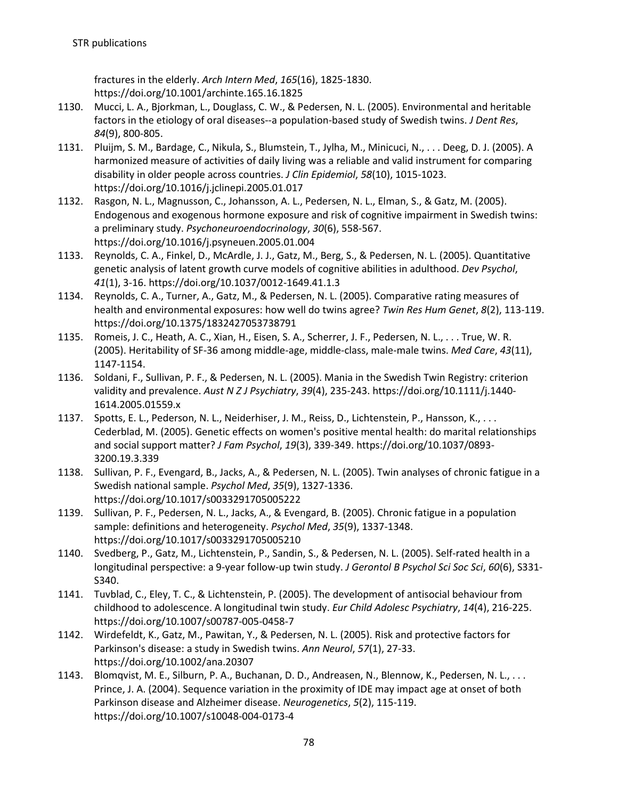fractures in the elderly. *Arch Intern Med*, *165*(16), 1825-1830. https://doi.org/10.1001/archinte.165.16.1825

- 1130. Mucci, L. A., Bjorkman, L., Douglass, C. W., & Pedersen, N. L. (2005). Environmental and heritable factors in the etiology of oral diseases--a population-based study of Swedish twins. *J Dent Res*, *84*(9), 800-805.
- 1131. Pluijm, S. M., Bardage, C., Nikula, S., Blumstein, T., Jylha, M., Minicuci, N., . . . Deeg, D. J. (2005). A harmonized measure of activities of daily living was a reliable and valid instrument for comparing disability in older people across countries. *J Clin Epidemiol*, *58*(10), 1015-1023. https://doi.org/10.1016/j.jclinepi.2005.01.017
- 1132. Rasgon, N. L., Magnusson, C., Johansson, A. L., Pedersen, N. L., Elman, S., & Gatz, M. (2005). Endogenous and exogenous hormone exposure and risk of cognitive impairment in Swedish twins: a preliminary study. *Psychoneuroendocrinology*, *30*(6), 558-567. https://doi.org/10.1016/j.psyneuen.2005.01.004
- 1133. Reynolds, C. A., Finkel, D., McArdle, J. J., Gatz, M., Berg, S., & Pedersen, N. L. (2005). Quantitative genetic analysis of latent growth curve models of cognitive abilities in adulthood. *Dev Psychol*, *41*(1), 3-16. https://doi.org/10.1037/0012-1649.41.1.3
- 1134. Reynolds, C. A., Turner, A., Gatz, M., & Pedersen, N. L. (2005). Comparative rating measures of health and environmental exposures: how well do twins agree? *Twin Res Hum Genet*, *8*(2), 113-119. https://doi.org/10.1375/1832427053738791
- 1135. Romeis, J. C., Heath, A. C., Xian, H., Eisen, S. A., Scherrer, J. F., Pedersen, N. L., . . . True, W. R. (2005). Heritability of SF-36 among middle-age, middle-class, male-male twins. *Med Care*, *43*(11), 1147-1154.
- 1136. Soldani, F., Sullivan, P. F., & Pedersen, N. L. (2005). Mania in the Swedish Twin Registry: criterion validity and prevalence. *Aust N Z J Psychiatry*, *39*(4), 235-243. https://doi.org/10.1111/j.1440- 1614.2005.01559.x
- 1137. Spotts, E. L., Pederson, N. L., Neiderhiser, J. M., Reiss, D., Lichtenstein, P., Hansson, K., . . . Cederblad, M. (2005). Genetic effects on women's positive mental health: do marital relationships and social support matter? *J Fam Psychol*, *19*(3), 339-349. https://doi.org/10.1037/0893- 3200.19.3.339
- 1138. Sullivan, P. F., Evengard, B., Jacks, A., & Pedersen, N. L. (2005). Twin analyses of chronic fatigue in a Swedish national sample. *Psychol Med*, *35*(9), 1327-1336. https://doi.org/10.1017/s0033291705005222
- 1139. Sullivan, P. F., Pedersen, N. L., Jacks, A., & Evengard, B. (2005). Chronic fatigue in a population sample: definitions and heterogeneity. *Psychol Med*, *35*(9), 1337-1348. https://doi.org/10.1017/s0033291705005210
- 1140. Svedberg, P., Gatz, M., Lichtenstein, P., Sandin, S., & Pedersen, N. L. (2005). Self-rated health in a longitudinal perspective: a 9-year follow-up twin study. *J Gerontol B Psychol Sci Soc Sci*, *60*(6), S331- S340.
- 1141. Tuvblad, C., Eley, T. C., & Lichtenstein, P. (2005). The development of antisocial behaviour from childhood to adolescence. A longitudinal twin study. *Eur Child Adolesc Psychiatry*, *14*(4), 216-225. https://doi.org/10.1007/s00787-005-0458-7
- 1142. Wirdefeldt, K., Gatz, M., Pawitan, Y., & Pedersen, N. L. (2005). Risk and protective factors for Parkinson's disease: a study in Swedish twins. *Ann Neurol*, *57*(1), 27-33. https://doi.org/10.1002/ana.20307
- 1143. Blomqvist, M. E., Silburn, P. A., Buchanan, D. D., Andreasen, N., Blennow, K., Pedersen, N. L., . . . Prince, J. A. (2004). Sequence variation in the proximity of IDE may impact age at onset of both Parkinson disease and Alzheimer disease. *Neurogenetics*, *5*(2), 115-119. https://doi.org/10.1007/s10048-004-0173-4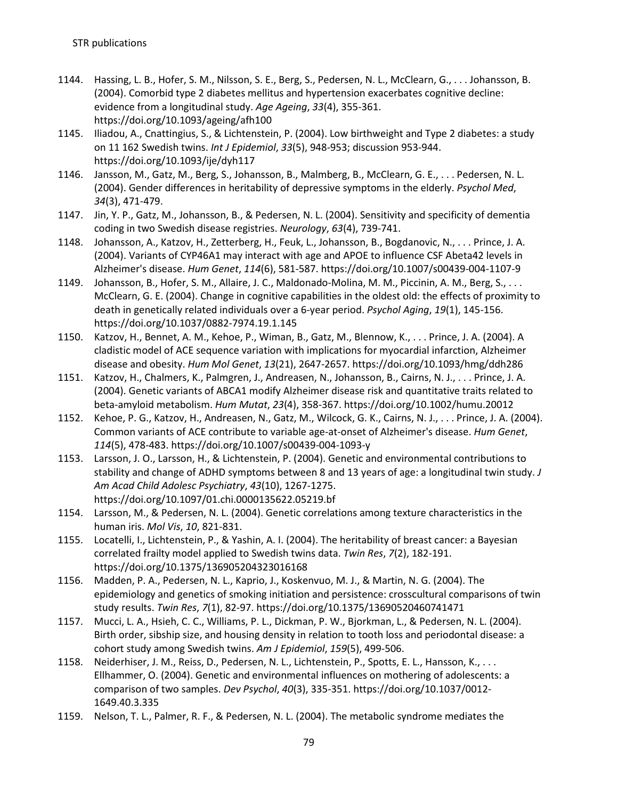- 1144. Hassing, L. B., Hofer, S. M., Nilsson, S. E., Berg, S., Pedersen, N. L., McClearn, G., . . . Johansson, B. (2004). Comorbid type 2 diabetes mellitus and hypertension exacerbates cognitive decline: evidence from a longitudinal study. *Age Ageing*, *33*(4), 355-361. https://doi.org/10.1093/ageing/afh100
- 1145. Iliadou, A., Cnattingius, S., & Lichtenstein, P. (2004). Low birthweight and Type 2 diabetes: a study on 11 162 Swedish twins. *Int J Epidemiol*, *33*(5), 948-953; discussion 953-944. https://doi.org/10.1093/ije/dyh117
- 1146. Jansson, M., Gatz, M., Berg, S., Johansson, B., Malmberg, B., McClearn, G. E., . . . Pedersen, N. L. (2004). Gender differences in heritability of depressive symptoms in the elderly. *Psychol Med*, *34*(3), 471-479.
- 1147. Jin, Y. P., Gatz, M., Johansson, B., & Pedersen, N. L. (2004). Sensitivity and specificity of dementia coding in two Swedish disease registries. *Neurology*, *63*(4), 739-741.
- 1148. Johansson, A., Katzov, H., Zetterberg, H., Feuk, L., Johansson, B., Bogdanovic, N., . . . Prince, J. A. (2004). Variants of CYP46A1 may interact with age and APOE to influence CSF Abeta42 levels in Alzheimer's disease. *Hum Genet*, *114*(6), 581-587. https://doi.org/10.1007/s00439-004-1107-9
- 1149. Johansson, B., Hofer, S. M., Allaire, J. C., Maldonado-Molina, M. M., Piccinin, A. M., Berg, S., . . . McClearn, G. E. (2004). Change in cognitive capabilities in the oldest old: the effects of proximity to death in genetically related individuals over a 6-year period. *Psychol Aging*, *19*(1), 145-156. https://doi.org/10.1037/0882-7974.19.1.145
- 1150. Katzov, H., Bennet, A. M., Kehoe, P., Wiman, B., Gatz, M., Blennow, K., . . . Prince, J. A. (2004). A cladistic model of ACE sequence variation with implications for myocardial infarction, Alzheimer disease and obesity. *Hum Mol Genet*, *13*(21), 2647-2657. https://doi.org/10.1093/hmg/ddh286
- 1151. Katzov, H., Chalmers, K., Palmgren, J., Andreasen, N., Johansson, B., Cairns, N. J., . . . Prince, J. A. (2004). Genetic variants of ABCA1 modify Alzheimer disease risk and quantitative traits related to beta-amyloid metabolism. *Hum Mutat*, *23*(4), 358-367. https://doi.org/10.1002/humu.20012
- 1152. Kehoe, P. G., Katzov, H., Andreasen, N., Gatz, M., Wilcock, G. K., Cairns, N. J., . . . Prince, J. A. (2004). Common variants of ACE contribute to variable age-at-onset of Alzheimer's disease. *Hum Genet*, *114*(5), 478-483. https://doi.org/10.1007/s00439-004-1093-y
- 1153. Larsson, J. O., Larsson, H., & Lichtenstein, P. (2004). Genetic and environmental contributions to stability and change of ADHD symptoms between 8 and 13 years of age: a longitudinal twin study. *J Am Acad Child Adolesc Psychiatry*, *43*(10), 1267-1275. https://doi.org/10.1097/01.chi.0000135622.05219.bf
- 1154. Larsson, M., & Pedersen, N. L. (2004). Genetic correlations among texture characteristics in the human iris. *Mol Vis*, *10*, 821-831.
- 1155. Locatelli, I., Lichtenstein, P., & Yashin, A. I. (2004). The heritability of breast cancer: a Bayesian correlated frailty model applied to Swedish twins data. *Twin Res*, *7*(2), 182-191. https://doi.org/10.1375/136905204323016168
- 1156. Madden, P. A., Pedersen, N. L., Kaprio, J., Koskenvuo, M. J., & Martin, N. G. (2004). The epidemiology and genetics of smoking initiation and persistence: crosscultural comparisons of twin study results. *Twin Res*, *7*(1), 82-97. https://doi.org/10.1375/13690520460741471
- 1157. Mucci, L. A., Hsieh, C. C., Williams, P. L., Dickman, P. W., Bjorkman, L., & Pedersen, N. L. (2004). Birth order, sibship size, and housing density in relation to tooth loss and periodontal disease: a cohort study among Swedish twins. *Am J Epidemiol*, *159*(5), 499-506.
- 1158. Neiderhiser, J. M., Reiss, D., Pedersen, N. L., Lichtenstein, P., Spotts, E. L., Hansson, K., . . . Ellhammer, O. (2004). Genetic and environmental influences on mothering of adolescents: a comparison of two samples. *Dev Psychol*, *40*(3), 335-351. https://doi.org/10.1037/0012- 1649.40.3.335
- 1159. Nelson, T. L., Palmer, R. F., & Pedersen, N. L. (2004). The metabolic syndrome mediates the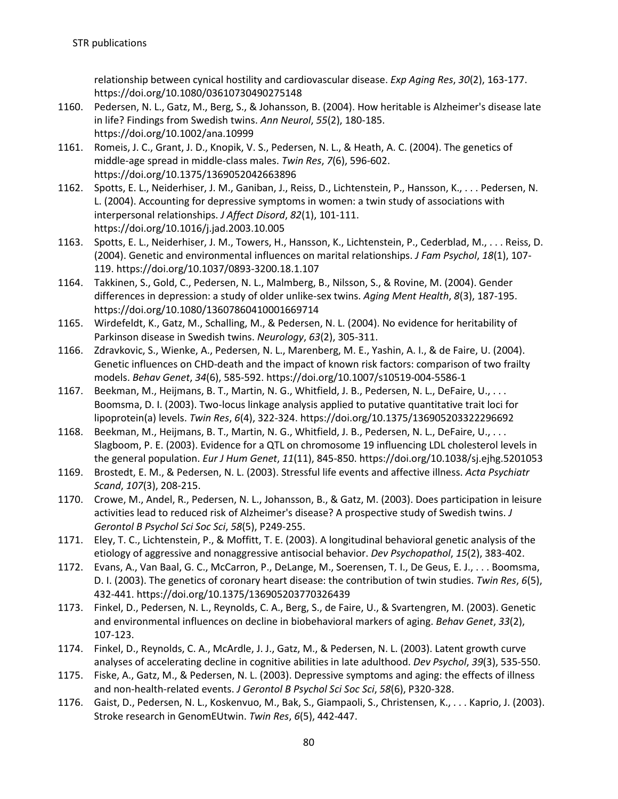relationship between cynical hostility and cardiovascular disease. *Exp Aging Res*, *30*(2), 163-177. https://doi.org/10.1080/03610730490275148

- 1160. Pedersen, N. L., Gatz, M., Berg, S., & Johansson, B. (2004). How heritable is Alzheimer's disease late in life? Findings from Swedish twins. *Ann Neurol*, *55*(2), 180-185. https://doi.org/10.1002/ana.10999
- 1161. Romeis, J. C., Grant, J. D., Knopik, V. S., Pedersen, N. L., & Heath, A. C. (2004). The genetics of middle-age spread in middle-class males. *Twin Res*, *7*(6), 596-602. https://doi.org/10.1375/1369052042663896
- 1162. Spotts, E. L., Neiderhiser, J. M., Ganiban, J., Reiss, D., Lichtenstein, P., Hansson, K., . . . Pedersen, N. L. (2004). Accounting for depressive symptoms in women: a twin study of associations with interpersonal relationships. *J Affect Disord*, *82*(1), 101-111. https://doi.org/10.1016/j.jad.2003.10.005
- 1163. Spotts, E. L., Neiderhiser, J. M., Towers, H., Hansson, K., Lichtenstein, P., Cederblad, M., . . . Reiss, D. (2004). Genetic and environmental influences on marital relationships. *J Fam Psychol*, *18*(1), 107- 119. https://doi.org/10.1037/0893-3200.18.1.107
- 1164. Takkinen, S., Gold, C., Pedersen, N. L., Malmberg, B., Nilsson, S., & Rovine, M. (2004). Gender differences in depression: a study of older unlike-sex twins. *Aging Ment Health*, *8*(3), 187-195. https://doi.org/10.1080/13607860410001669714
- 1165. Wirdefeldt, K., Gatz, M., Schalling, M., & Pedersen, N. L. (2004). No evidence for heritability of Parkinson disease in Swedish twins. *Neurology*, *63*(2), 305-311.
- 1166. Zdravkovic, S., Wienke, A., Pedersen, N. L., Marenberg, M. E., Yashin, A. I., & de Faire, U. (2004). Genetic influences on CHD-death and the impact of known risk factors: comparison of two frailty models. *Behav Genet*, *34*(6), 585-592. https://doi.org/10.1007/s10519-004-5586-1
- 1167. Beekman, M., Heijmans, B. T., Martin, N. G., Whitfield, J. B., Pedersen, N. L., DeFaire, U., . . . Boomsma, D. I. (2003). Two-locus linkage analysis applied to putative quantitative trait loci for lipoprotein(a) levels. *Twin Res*, *6*(4), 322-324. https://doi.org/10.1375/136905203322296692
- 1168. Beekman, M., Heijmans, B. T., Martin, N. G., Whitfield, J. B., Pedersen, N. L., DeFaire, U., . . . Slagboom, P. E. (2003). Evidence for a QTL on chromosome 19 influencing LDL cholesterol levels in the general population. *Eur J Hum Genet*, *11*(11), 845-850. https://doi.org/10.1038/sj.ejhg.5201053
- 1169. Brostedt, E. M., & Pedersen, N. L. (2003). Stressful life events and affective illness. *Acta Psychiatr Scand*, *107*(3), 208-215.
- 1170. Crowe, M., Andel, R., Pedersen, N. L., Johansson, B., & Gatz, M. (2003). Does participation in leisure activities lead to reduced risk of Alzheimer's disease? A prospective study of Swedish twins. *J Gerontol B Psychol Sci Soc Sci*, *58*(5), P249-255.
- 1171. Eley, T. C., Lichtenstein, P., & Moffitt, T. E. (2003). A longitudinal behavioral genetic analysis of the etiology of aggressive and nonaggressive antisocial behavior. *Dev Psychopathol*, *15*(2), 383-402.
- 1172. Evans, A., Van Baal, G. C., McCarron, P., DeLange, M., Soerensen, T. I., De Geus, E. J., . . . Boomsma, D. I. (2003). The genetics of coronary heart disease: the contribution of twin studies. *Twin Res*, *6*(5), 432-441. https://doi.org/10.1375/136905203770326439
- 1173. Finkel, D., Pedersen, N. L., Reynolds, C. A., Berg, S., de Faire, U., & Svartengren, M. (2003). Genetic and environmental influences on decline in biobehavioral markers of aging. *Behav Genet*, *33*(2), 107-123.
- 1174. Finkel, D., Reynolds, C. A., McArdle, J. J., Gatz, M., & Pedersen, N. L. (2003). Latent growth curve analyses of accelerating decline in cognitive abilities in late adulthood. *Dev Psychol*, *39*(3), 535-550.
- 1175. Fiske, A., Gatz, M., & Pedersen, N. L. (2003). Depressive symptoms and aging: the effects of illness and non-health-related events. *J Gerontol B Psychol Sci Soc Sci*, *58*(6), P320-328.
- 1176. Gaist, D., Pedersen, N. L., Koskenvuo, M., Bak, S., Giampaoli, S., Christensen, K., . . . Kaprio, J. (2003). Stroke research in GenomEUtwin. *Twin Res*, *6*(5), 442-447.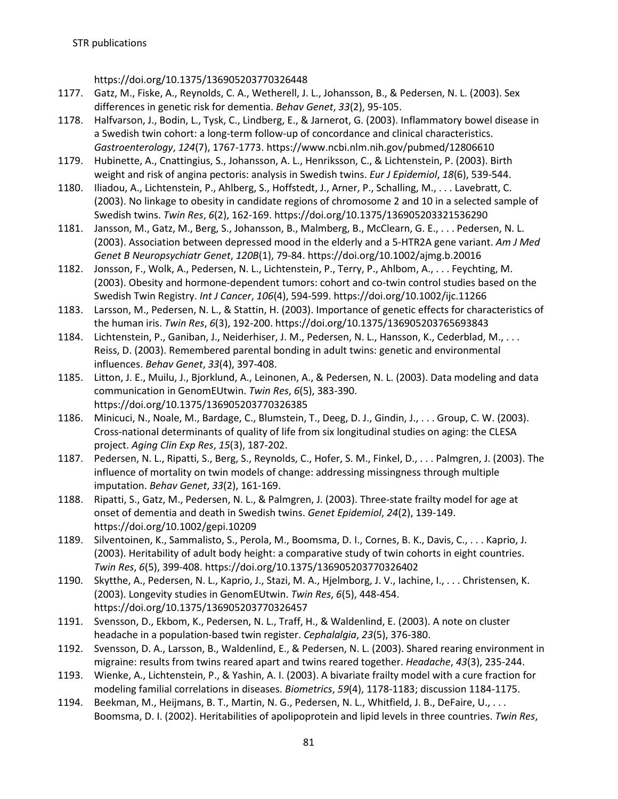https://doi.org/10.1375/136905203770326448

- 1177. Gatz, M., Fiske, A., Reynolds, C. A., Wetherell, J. L., Johansson, B., & Pedersen, N. L. (2003). Sex differences in genetic risk for dementia. *Behav Genet*, *33*(2), 95-105.
- 1178. Halfvarson, J., Bodin, L., Tysk, C., Lindberg, E., & Jarnerot, G. (2003). Inflammatory bowel disease in a Swedish twin cohort: a long-term follow-up of concordance and clinical characteristics. *Gastroenterology*, *124*(7), 1767-1773. https://www.ncbi.nlm.nih.gov/pubmed/12806610
- 1179. Hubinette, A., Cnattingius, S., Johansson, A. L., Henriksson, C., & Lichtenstein, P. (2003). Birth weight and risk of angina pectoris: analysis in Swedish twins. *Eur J Epidemiol*, *18*(6), 539-544.
- 1180. Iliadou, A., Lichtenstein, P., Ahlberg, S., Hoffstedt, J., Arner, P., Schalling, M., . . . Lavebratt, C. (2003). No linkage to obesity in candidate regions of chromosome 2 and 10 in a selected sample of Swedish twins. *Twin Res*, *6*(2), 162-169. https://doi.org/10.1375/136905203321536290
- 1181. Jansson, M., Gatz, M., Berg, S., Johansson, B., Malmberg, B., McClearn, G. E., . . . Pedersen, N. L. (2003). Association between depressed mood in the elderly and a 5-HTR2A gene variant. *Am J Med Genet B Neuropsychiatr Genet*, *120B*(1), 79-84. https://doi.org/10.1002/ajmg.b.20016
- 1182. Jonsson, F., Wolk, A., Pedersen, N. L., Lichtenstein, P., Terry, P., Ahlbom, A., . . . Feychting, M. (2003). Obesity and hormone-dependent tumors: cohort and co-twin control studies based on the Swedish Twin Registry. *Int J Cancer*, *106*(4), 594-599. https://doi.org/10.1002/ijc.11266
- 1183. Larsson, M., Pedersen, N. L., & Stattin, H. (2003). Importance of genetic effects for characteristics of the human iris. *Twin Res*, *6*(3), 192-200. https://doi.org/10.1375/136905203765693843
- 1184. Lichtenstein, P., Ganiban, J., Neiderhiser, J. M., Pedersen, N. L., Hansson, K., Cederblad, M., . . . Reiss, D. (2003). Remembered parental bonding in adult twins: genetic and environmental influences. *Behav Genet*, *33*(4), 397-408.
- 1185. Litton, J. E., Muilu, J., Bjorklund, A., Leinonen, A., & Pedersen, N. L. (2003). Data modeling and data communication in GenomEUtwin. *Twin Res*, *6*(5), 383-390. https://doi.org/10.1375/136905203770326385
- 1186. Minicuci, N., Noale, M., Bardage, C., Blumstein, T., Deeg, D. J., Gindin, J., . . . Group, C. W. (2003). Cross-national determinants of quality of life from six longitudinal studies on aging: the CLESA project. *Aging Clin Exp Res*, *15*(3), 187-202.
- 1187. Pedersen, N. L., Ripatti, S., Berg, S., Reynolds, C., Hofer, S. M., Finkel, D., . . . Palmgren, J. (2003). The influence of mortality on twin models of change: addressing missingness through multiple imputation. *Behav Genet*, *33*(2), 161-169.
- 1188. Ripatti, S., Gatz, M., Pedersen, N. L., & Palmgren, J. (2003). Three-state frailty model for age at onset of dementia and death in Swedish twins. *Genet Epidemiol*, *24*(2), 139-149. https://doi.org/10.1002/gepi.10209
- 1189. Silventoinen, K., Sammalisto, S., Perola, M., Boomsma, D. I., Cornes, B. K., Davis, C., . . . Kaprio, J. (2003). Heritability of adult body height: a comparative study of twin cohorts in eight countries. *Twin Res*, *6*(5), 399-408. https://doi.org/10.1375/136905203770326402
- 1190. Skytthe, A., Pedersen, N. L., Kaprio, J., Stazi, M. A., Hjelmborg, J. V., Iachine, I., . . . Christensen, K. (2003). Longevity studies in GenomEUtwin. *Twin Res*, *6*(5), 448-454. https://doi.org/10.1375/136905203770326457
- 1191. Svensson, D., Ekbom, K., Pedersen, N. L., Traff, H., & Waldenlind, E. (2003). A note on cluster headache in a population-based twin register. *Cephalalgia*, *23*(5), 376-380.
- 1192. Svensson, D. A., Larsson, B., Waldenlind, E., & Pedersen, N. L. (2003). Shared rearing environment in migraine: results from twins reared apart and twins reared together. *Headache*, *43*(3), 235-244.
- 1193. Wienke, A., Lichtenstein, P., & Yashin, A. I. (2003). A bivariate frailty model with a cure fraction for modeling familial correlations in diseases. *Biometrics*, *59*(4), 1178-1183; discussion 1184-1175.
- 1194. Beekman, M., Heijmans, B. T., Martin, N. G., Pedersen, N. L., Whitfield, J. B., DeFaire, U., . . . Boomsma, D. I. (2002). Heritabilities of apolipoprotein and lipid levels in three countries. *Twin Res*,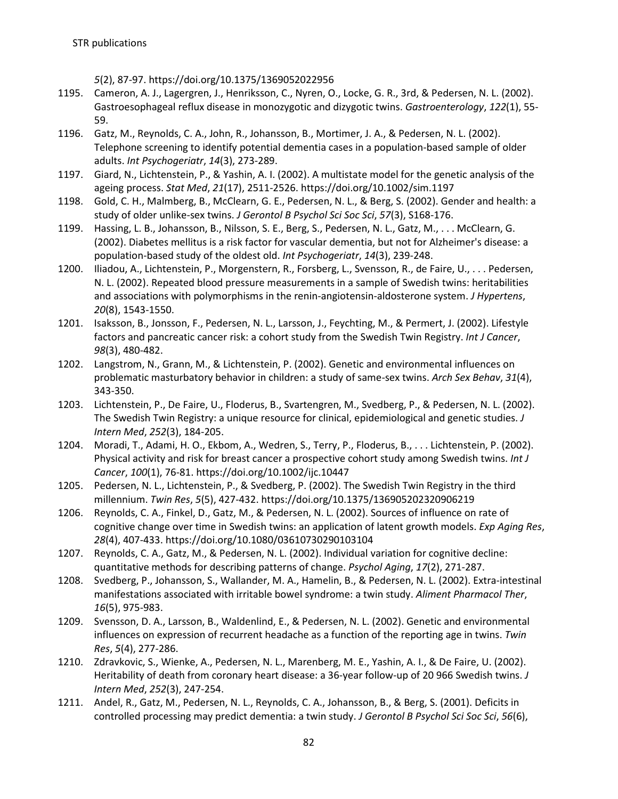*5*(2), 87-97. https://doi.org/10.1375/1369052022956

- 1195. Cameron, A. J., Lagergren, J., Henriksson, C., Nyren, O., Locke, G. R., 3rd, & Pedersen, N. L. (2002). Gastroesophageal reflux disease in monozygotic and dizygotic twins. *Gastroenterology*, *122*(1), 55- 59.
- 1196. Gatz, M., Reynolds, C. A., John, R., Johansson, B., Mortimer, J. A., & Pedersen, N. L. (2002). Telephone screening to identify potential dementia cases in a population-based sample of older adults. *Int Psychogeriatr*, *14*(3), 273-289.
- 1197. Giard, N., Lichtenstein, P., & Yashin, A. I. (2002). A multistate model for the genetic analysis of the ageing process. *Stat Med*, *21*(17), 2511-2526. https://doi.org/10.1002/sim.1197
- 1198. Gold, C. H., Malmberg, B., McClearn, G. E., Pedersen, N. L., & Berg, S. (2002). Gender and health: a study of older unlike-sex twins. *J Gerontol B Psychol Sci Soc Sci*, *57*(3), S168-176.
- 1199. Hassing, L. B., Johansson, B., Nilsson, S. E., Berg, S., Pedersen, N. L., Gatz, M., . . . McClearn, G. (2002). Diabetes mellitus is a risk factor for vascular dementia, but not for Alzheimer's disease: a population-based study of the oldest old. *Int Psychogeriatr*, *14*(3), 239-248.
- 1200. Iliadou, A., Lichtenstein, P., Morgenstern, R., Forsberg, L., Svensson, R., de Faire, U., . . . Pedersen, N. L. (2002). Repeated blood pressure measurements in a sample of Swedish twins: heritabilities and associations with polymorphisms in the renin-angiotensin-aldosterone system. *J Hypertens*, *20*(8), 1543-1550.
- 1201. Isaksson, B., Jonsson, F., Pedersen, N. L., Larsson, J., Feychting, M., & Permert, J. (2002). Lifestyle factors and pancreatic cancer risk: a cohort study from the Swedish Twin Registry. *Int J Cancer*, *98*(3), 480-482.
- 1202. Langstrom, N., Grann, M., & Lichtenstein, P. (2002). Genetic and environmental influences on problematic masturbatory behavior in children: a study of same-sex twins. *Arch Sex Behav*, *31*(4), 343-350.
- 1203. Lichtenstein, P., De Faire, U., Floderus, B., Svartengren, M., Svedberg, P., & Pedersen, N. L. (2002). The Swedish Twin Registry: a unique resource for clinical, epidemiological and genetic studies. *J Intern Med*, *252*(3), 184-205.
- 1204. Moradi, T., Adami, H. O., Ekbom, A., Wedren, S., Terry, P., Floderus, B., . . . Lichtenstein, P. (2002). Physical activity and risk for breast cancer a prospective cohort study among Swedish twins. *Int J Cancer*, *100*(1), 76-81. https://doi.org/10.1002/ijc.10447
- 1205. Pedersen, N. L., Lichtenstein, P., & Svedberg, P. (2002). The Swedish Twin Registry in the third millennium. *Twin Res*, *5*(5), 427-432. https://doi.org/10.1375/136905202320906219
- 1206. Reynolds, C. A., Finkel, D., Gatz, M., & Pedersen, N. L. (2002). Sources of influence on rate of cognitive change over time in Swedish twins: an application of latent growth models. *Exp Aging Res*, *28*(4), 407-433. https://doi.org/10.1080/03610730290103104
- 1207. Reynolds, C. A., Gatz, M., & Pedersen, N. L. (2002). Individual variation for cognitive decline: quantitative methods for describing patterns of change. *Psychol Aging*, *17*(2), 271-287.
- 1208. Svedberg, P., Johansson, S., Wallander, M. A., Hamelin, B., & Pedersen, N. L. (2002). Extra-intestinal manifestations associated with irritable bowel syndrome: a twin study. *Aliment Pharmacol Ther*, *16*(5), 975-983.
- 1209. Svensson, D. A., Larsson, B., Waldenlind, E., & Pedersen, N. L. (2002). Genetic and environmental influences on expression of recurrent headache as a function of the reporting age in twins. *Twin Res*, *5*(4), 277-286.
- 1210. Zdravkovic, S., Wienke, A., Pedersen, N. L., Marenberg, M. E., Yashin, A. I., & De Faire, U. (2002). Heritability of death from coronary heart disease: a 36-year follow-up of 20 966 Swedish twins. *J Intern Med*, *252*(3), 247-254.
- 1211. Andel, R., Gatz, M., Pedersen, N. L., Reynolds, C. A., Johansson, B., & Berg, S. (2001). Deficits in controlled processing may predict dementia: a twin study. *J Gerontol B Psychol Sci Soc Sci*, *56*(6),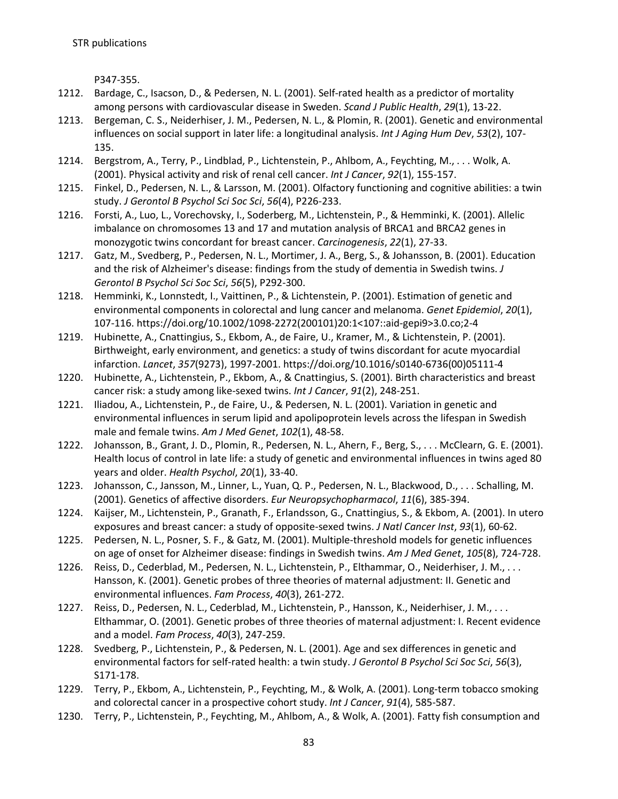P347-355.

- 1212. Bardage, C., Isacson, D., & Pedersen, N. L. (2001). Self-rated health as a predictor of mortality among persons with cardiovascular disease in Sweden. *Scand J Public Health*, *29*(1), 13-22.
- 1213. Bergeman, C. S., Neiderhiser, J. M., Pedersen, N. L., & Plomin, R. (2001). Genetic and environmental influences on social support in later life: a longitudinal analysis. *Int J Aging Hum Dev*, *53*(2), 107- 135.
- 1214. Bergstrom, A., Terry, P., Lindblad, P., Lichtenstein, P., Ahlbom, A., Feychting, M., . . . Wolk, A. (2001). Physical activity and risk of renal cell cancer. *Int J Cancer*, *92*(1), 155-157.
- 1215. Finkel, D., Pedersen, N. L., & Larsson, M. (2001). Olfactory functioning and cognitive abilities: a twin study. *J Gerontol B Psychol Sci Soc Sci*, *56*(4), P226-233.
- 1216. Forsti, A., Luo, L., Vorechovsky, I., Soderberg, M., Lichtenstein, P., & Hemminki, K. (2001). Allelic imbalance on chromosomes 13 and 17 and mutation analysis of BRCA1 and BRCA2 genes in monozygotic twins concordant for breast cancer. *Carcinogenesis*, *22*(1), 27-33.
- 1217. Gatz, M., Svedberg, P., Pedersen, N. L., Mortimer, J. A., Berg, S., & Johansson, B. (2001). Education and the risk of Alzheimer's disease: findings from the study of dementia in Swedish twins. *J Gerontol B Psychol Sci Soc Sci*, *56*(5), P292-300.
- 1218. Hemminki, K., Lonnstedt, I., Vaittinen, P., & Lichtenstein, P. (2001). Estimation of genetic and environmental components in colorectal and lung cancer and melanoma. *Genet Epidemiol*, *20*(1), 107-116. https://doi.org/10.1002/1098-2272(200101)20:1<107::aid-gepi9>3.0.co;2-4
- 1219. Hubinette, A., Cnattingius, S., Ekbom, A., de Faire, U., Kramer, M., & Lichtenstein, P. (2001). Birthweight, early environment, and genetics: a study of twins discordant for acute myocardial infarction. *Lancet*, *357*(9273), 1997-2001. https://doi.org/10.1016/s0140-6736(00)05111-4
- 1220. Hubinette, A., Lichtenstein, P., Ekbom, A., & Cnattingius, S. (2001). Birth characteristics and breast cancer risk: a study among like-sexed twins. *Int J Cancer*, *91*(2), 248-251.
- 1221. Iliadou, A., Lichtenstein, P., de Faire, U., & Pedersen, N. L. (2001). Variation in genetic and environmental influences in serum lipid and apolipoprotein levels across the lifespan in Swedish male and female twins. *Am J Med Genet*, *102*(1), 48-58.
- 1222. Johansson, B., Grant, J. D., Plomin, R., Pedersen, N. L., Ahern, F., Berg, S., . . . McClearn, G. E. (2001). Health locus of control in late life: a study of genetic and environmental influences in twins aged 80 years and older. *Health Psychol*, *20*(1), 33-40.
- 1223. Johansson, C., Jansson, M., Linner, L., Yuan, Q. P., Pedersen, N. L., Blackwood, D., . . . Schalling, M. (2001). Genetics of affective disorders. *Eur Neuropsychopharmacol*, *11*(6), 385-394.
- 1224. Kaijser, M., Lichtenstein, P., Granath, F., Erlandsson, G., Cnattingius, S., & Ekbom, A. (2001). In utero exposures and breast cancer: a study of opposite-sexed twins. *J Natl Cancer Inst*, *93*(1), 60-62.
- 1225. Pedersen, N. L., Posner, S. F., & Gatz, M. (2001). Multiple-threshold models for genetic influences on age of onset for Alzheimer disease: findings in Swedish twins. *Am J Med Genet*, *105*(8), 724-728.
- 1226. Reiss, D., Cederblad, M., Pedersen, N. L., Lichtenstein, P., Elthammar, O., Neiderhiser, J. M., . . . Hansson, K. (2001). Genetic probes of three theories of maternal adjustment: II. Genetic and environmental influences. *Fam Process*, *40*(3), 261-272.
- 1227. Reiss, D., Pedersen, N. L., Cederblad, M., Lichtenstein, P., Hansson, K., Neiderhiser, J. M., . . . Elthammar, O. (2001). Genetic probes of three theories of maternal adjustment: I. Recent evidence and a model. *Fam Process*, *40*(3), 247-259.
- 1228. Svedberg, P., Lichtenstein, P., & Pedersen, N. L. (2001). Age and sex differences in genetic and environmental factors for self-rated health: a twin study. *J Gerontol B Psychol Sci Soc Sci*, *56*(3), S171-178.
- 1229. Terry, P., Ekbom, A., Lichtenstein, P., Feychting, M., & Wolk, A. (2001). Long-term tobacco smoking and colorectal cancer in a prospective cohort study. *Int J Cancer*, *91*(4), 585-587.
- 1230. Terry, P., Lichtenstein, P., Feychting, M., Ahlbom, A., & Wolk, A. (2001). Fatty fish consumption and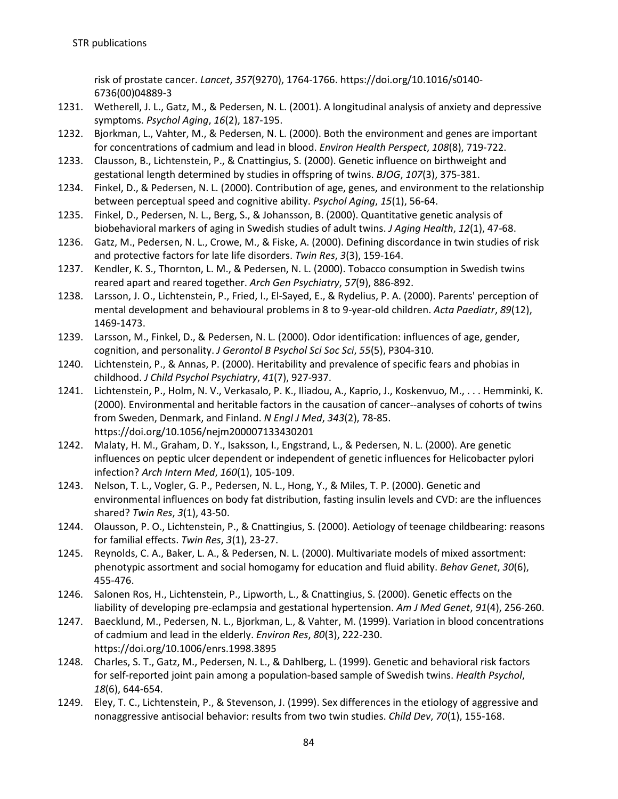risk of prostate cancer. *Lancet*, *357*(9270), 1764-1766. https://doi.org/10.1016/s0140- 6736(00)04889-3

- 1231. Wetherell, J. L., Gatz, M., & Pedersen, N. L. (2001). A longitudinal analysis of anxiety and depressive symptoms. *Psychol Aging*, *16*(2), 187-195.
- 1232. Bjorkman, L., Vahter, M., & Pedersen, N. L. (2000). Both the environment and genes are important for concentrations of cadmium and lead in blood. *Environ Health Perspect*, *108*(8), 719-722.
- 1233. Clausson, B., Lichtenstein, P., & Cnattingius, S. (2000). Genetic influence on birthweight and gestational length determined by studies in offspring of twins. *BJOG*, *107*(3), 375-381.
- 1234. Finkel, D., & Pedersen, N. L. (2000). Contribution of age, genes, and environment to the relationship between perceptual speed and cognitive ability. *Psychol Aging*, *15*(1), 56-64.
- 1235. Finkel, D., Pedersen, N. L., Berg, S., & Johansson, B. (2000). Quantitative genetic analysis of biobehavioral markers of aging in Swedish studies of adult twins. *J Aging Health*, *12*(1), 47-68.
- 1236. Gatz, M., Pedersen, N. L., Crowe, M., & Fiske, A. (2000). Defining discordance in twin studies of risk and protective factors for late life disorders. *Twin Res*, *3*(3), 159-164.
- 1237. Kendler, K. S., Thornton, L. M., & Pedersen, N. L. (2000). Tobacco consumption in Swedish twins reared apart and reared together. *Arch Gen Psychiatry*, *57*(9), 886-892.
- 1238. Larsson, J. O., Lichtenstein, P., Fried, I., El-Sayed, E., & Rydelius, P. A. (2000). Parents' perception of mental development and behavioural problems in 8 to 9-year-old children. *Acta Paediatr*, *89*(12), 1469-1473.
- 1239. Larsson, M., Finkel, D., & Pedersen, N. L. (2000). Odor identification: influences of age, gender, cognition, and personality. *J Gerontol B Psychol Sci Soc Sci*, *55*(5), P304-310.
- 1240. Lichtenstein, P., & Annas, P. (2000). Heritability and prevalence of specific fears and phobias in childhood. *J Child Psychol Psychiatry*, *41*(7), 927-937.
- 1241. Lichtenstein, P., Holm, N. V., Verkasalo, P. K., Iliadou, A., Kaprio, J., Koskenvuo, M., . . . Hemminki, K. (2000). Environmental and heritable factors in the causation of cancer--analyses of cohorts of twins from Sweden, Denmark, and Finland. *N Engl J Med*, *343*(2), 78-85. https://doi.org/10.1056/nejm200007133430201
- 1242. Malaty, H. M., Graham, D. Y., Isaksson, I., Engstrand, L., & Pedersen, N. L. (2000). Are genetic influences on peptic ulcer dependent or independent of genetic influences for Helicobacter pylori infection? *Arch Intern Med*, *160*(1), 105-109.
- 1243. Nelson, T. L., Vogler, G. P., Pedersen, N. L., Hong, Y., & Miles, T. P. (2000). Genetic and environmental influences on body fat distribution, fasting insulin levels and CVD: are the influences shared? *Twin Res*, *3*(1), 43-50.
- 1244. Olausson, P. O., Lichtenstein, P., & Cnattingius, S. (2000). Aetiology of teenage childbearing: reasons for familial effects. *Twin Res*, *3*(1), 23-27.
- 1245. Reynolds, C. A., Baker, L. A., & Pedersen, N. L. (2000). Multivariate models of mixed assortment: phenotypic assortment and social homogamy for education and fluid ability. *Behav Genet*, *30*(6), 455-476.
- 1246. Salonen Ros, H., Lichtenstein, P., Lipworth, L., & Cnattingius, S. (2000). Genetic effects on the liability of developing pre-eclampsia and gestational hypertension. *Am J Med Genet*, *91*(4), 256-260.
- 1247. Baecklund, M., Pedersen, N. L., Bjorkman, L., & Vahter, M. (1999). Variation in blood concentrations of cadmium and lead in the elderly. *Environ Res*, *80*(3), 222-230. https://doi.org/10.1006/enrs.1998.3895
- 1248. Charles, S. T., Gatz, M., Pedersen, N. L., & Dahlberg, L. (1999). Genetic and behavioral risk factors for self-reported joint pain among a population-based sample of Swedish twins. *Health Psychol*, *18*(6), 644-654.
- 1249. Eley, T. C., Lichtenstein, P., & Stevenson, J. (1999). Sex differences in the etiology of aggressive and nonaggressive antisocial behavior: results from two twin studies. *Child Dev*, *70*(1), 155-168.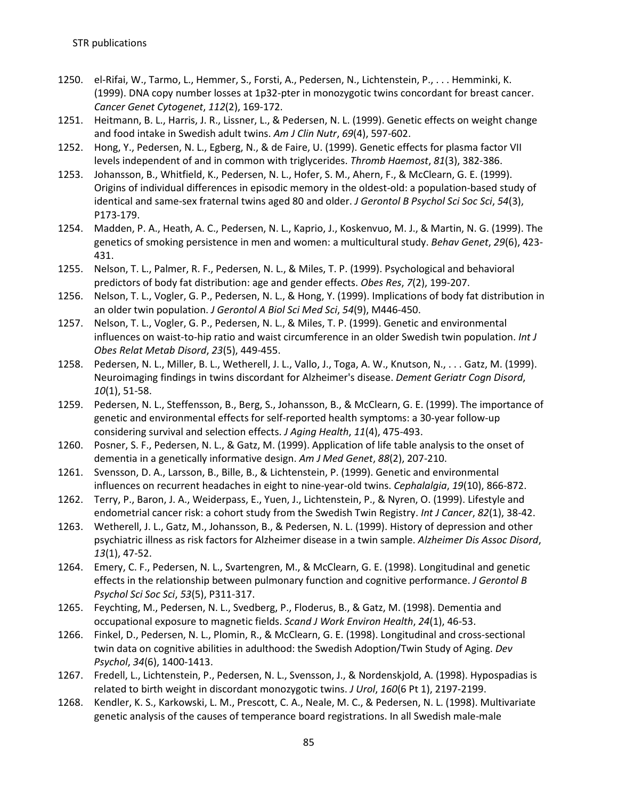- 1250. el-Rifai, W., Tarmo, L., Hemmer, S., Forsti, A., Pedersen, N., Lichtenstein, P., . . . Hemminki, K. (1999). DNA copy number losses at 1p32-pter in monozygotic twins concordant for breast cancer. *Cancer Genet Cytogenet*, *112*(2), 169-172.
- 1251. Heitmann, B. L., Harris, J. R., Lissner, L., & Pedersen, N. L. (1999). Genetic effects on weight change and food intake in Swedish adult twins. *Am J Clin Nutr*, *69*(4), 597-602.
- 1252. Hong, Y., Pedersen, N. L., Egberg, N., & de Faire, U. (1999). Genetic effects for plasma factor VII levels independent of and in common with triglycerides. *Thromb Haemost*, *81*(3), 382-386.
- 1253. Johansson, B., Whitfield, K., Pedersen, N. L., Hofer, S. M., Ahern, F., & McClearn, G. E. (1999). Origins of individual differences in episodic memory in the oldest-old: a population-based study of identical and same-sex fraternal twins aged 80 and older. *J Gerontol B Psychol Sci Soc Sci*, *54*(3), P173-179.
- 1254. Madden, P. A., Heath, A. C., Pedersen, N. L., Kaprio, J., Koskenvuo, M. J., & Martin, N. G. (1999). The genetics of smoking persistence in men and women: a multicultural study. *Behav Genet*, *29*(6), 423- 431.
- 1255. Nelson, T. L., Palmer, R. F., Pedersen, N. L., & Miles, T. P. (1999). Psychological and behavioral predictors of body fat distribution: age and gender effects. *Obes Res*, *7*(2), 199-207.
- 1256. Nelson, T. L., Vogler, G. P., Pedersen, N. L., & Hong, Y. (1999). Implications of body fat distribution in an older twin population. *J Gerontol A Biol Sci Med Sci*, *54*(9), M446-450.
- 1257. Nelson, T. L., Vogler, G. P., Pedersen, N. L., & Miles, T. P. (1999). Genetic and environmental influences on waist-to-hip ratio and waist circumference in an older Swedish twin population. *Int J Obes Relat Metab Disord*, *23*(5), 449-455.
- 1258. Pedersen, N. L., Miller, B. L., Wetherell, J. L., Vallo, J., Toga, A. W., Knutson, N., . . . Gatz, M. (1999). Neuroimaging findings in twins discordant for Alzheimer's disease. *Dement Geriatr Cogn Disord*, *10*(1), 51-58.
- 1259. Pedersen, N. L., Steffensson, B., Berg, S., Johansson, B., & McClearn, G. E. (1999). The importance of genetic and environmental effects for self-reported health symptoms: a 30-year follow-up considering survival and selection effects. *J Aging Health*, *11*(4), 475-493.
- 1260. Posner, S. F., Pedersen, N. L., & Gatz, M. (1999). Application of life table analysis to the onset of dementia in a genetically informative design. *Am J Med Genet*, *88*(2), 207-210.
- 1261. Svensson, D. A., Larsson, B., Bille, B., & Lichtenstein, P. (1999). Genetic and environmental influences on recurrent headaches in eight to nine-year-old twins. *Cephalalgia*, *19*(10), 866-872.
- 1262. Terry, P., Baron, J. A., Weiderpass, E., Yuen, J., Lichtenstein, P., & Nyren, O. (1999). Lifestyle and endometrial cancer risk: a cohort study from the Swedish Twin Registry. *Int J Cancer*, *82*(1), 38-42.
- 1263. Wetherell, J. L., Gatz, M., Johansson, B., & Pedersen, N. L. (1999). History of depression and other psychiatric illness as risk factors for Alzheimer disease in a twin sample. *Alzheimer Dis Assoc Disord*, *13*(1), 47-52.
- 1264. Emery, C. F., Pedersen, N. L., Svartengren, M., & McClearn, G. E. (1998). Longitudinal and genetic effects in the relationship between pulmonary function and cognitive performance. *J Gerontol B Psychol Sci Soc Sci*, *53*(5), P311-317.
- 1265. Feychting, M., Pedersen, N. L., Svedberg, P., Floderus, B., & Gatz, M. (1998). Dementia and occupational exposure to magnetic fields. *Scand J Work Environ Health*, *24*(1), 46-53.
- 1266. Finkel, D., Pedersen, N. L., Plomin, R., & McClearn, G. E. (1998). Longitudinal and cross-sectional twin data on cognitive abilities in adulthood: the Swedish Adoption/Twin Study of Aging. *Dev Psychol*, *34*(6), 1400-1413.
- 1267. Fredell, L., Lichtenstein, P., Pedersen, N. L., Svensson, J., & Nordenskjold, A. (1998). Hypospadias is related to birth weight in discordant monozygotic twins. *J Urol*, *160*(6 Pt 1), 2197-2199.
- 1268. Kendler, K. S., Karkowski, L. M., Prescott, C. A., Neale, M. C., & Pedersen, N. L. (1998). Multivariate genetic analysis of the causes of temperance board registrations. In all Swedish male-male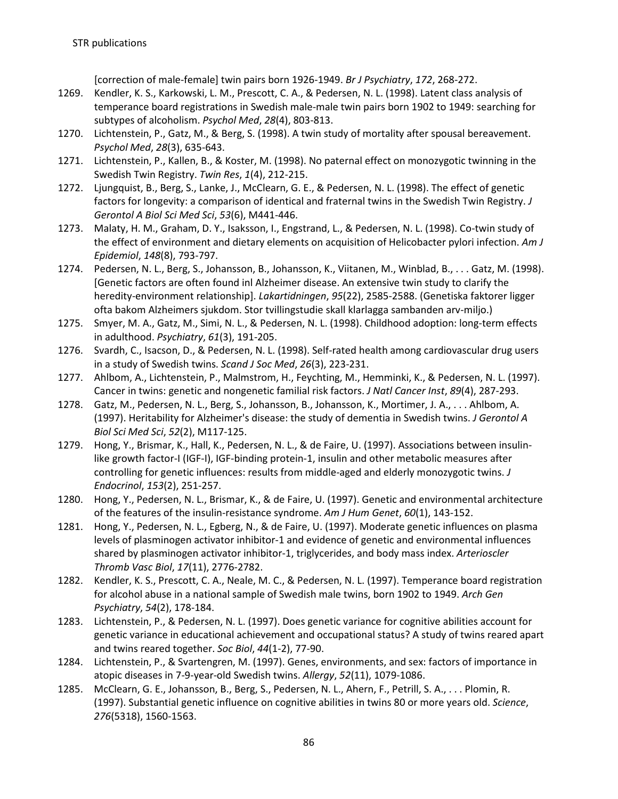[correction of male-female] twin pairs born 1926-1949. *Br J Psychiatry*, *172*, 268-272.

- 1269. Kendler, K. S., Karkowski, L. M., Prescott, C. A., & Pedersen, N. L. (1998). Latent class analysis of temperance board registrations in Swedish male-male twin pairs born 1902 to 1949: searching for subtypes of alcoholism. *Psychol Med*, *28*(4), 803-813.
- 1270. Lichtenstein, P., Gatz, M., & Berg, S. (1998). A twin study of mortality after spousal bereavement. *Psychol Med*, *28*(3), 635-643.
- 1271. Lichtenstein, P., Kallen, B., & Koster, M. (1998). No paternal effect on monozygotic twinning in the Swedish Twin Registry. *Twin Res*, *1*(4), 212-215.
- 1272. Ljungquist, B., Berg, S., Lanke, J., McClearn, G. E., & Pedersen, N. L. (1998). The effect of genetic factors for longevity: a comparison of identical and fraternal twins in the Swedish Twin Registry. *J Gerontol A Biol Sci Med Sci*, *53*(6), M441-446.
- 1273. Malaty, H. M., Graham, D. Y., Isaksson, I., Engstrand, L., & Pedersen, N. L. (1998). Co-twin study of the effect of environment and dietary elements on acquisition of Helicobacter pylori infection. *Am J Epidemiol*, *148*(8), 793-797.
- 1274. Pedersen, N. L., Berg, S., Johansson, B., Johansson, K., Viitanen, M., Winblad, B., . . . Gatz, M. (1998). [Genetic factors are often found inl Alzheimer disease. An extensive twin study to clarify the heredity-environment relationship]. *Lakartidningen*, *95*(22), 2585-2588. (Genetiska faktorer ligger ofta bakom Alzheimers sjukdom. Stor tvillingstudie skall klarlagga sambanden arv-miljo.)
- 1275. Smyer, M. A., Gatz, M., Simi, N. L., & Pedersen, N. L. (1998). Childhood adoption: long-term effects in adulthood. *Psychiatry*, *61*(3), 191-205.
- 1276. Svardh, C., Isacson, D., & Pedersen, N. L. (1998). Self-rated health among cardiovascular drug users in a study of Swedish twins. *Scand J Soc Med*, *26*(3), 223-231.
- 1277. Ahlbom, A., Lichtenstein, P., Malmstrom, H., Feychting, M., Hemminki, K., & Pedersen, N. L. (1997). Cancer in twins: genetic and nongenetic familial risk factors. *J Natl Cancer Inst*, *89*(4), 287-293.
- 1278. Gatz, M., Pedersen, N. L., Berg, S., Johansson, B., Johansson, K., Mortimer, J. A., . . . Ahlbom, A. (1997). Heritability for Alzheimer's disease: the study of dementia in Swedish twins. *J Gerontol A Biol Sci Med Sci*, *52*(2), M117-125.
- 1279. Hong, Y., Brismar, K., Hall, K., Pedersen, N. L., & de Faire, U. (1997). Associations between insulinlike growth factor-I (IGF-I), IGF-binding protein-1, insulin and other metabolic measures after controlling for genetic influences: results from middle-aged and elderly monozygotic twins. *J Endocrinol*, *153*(2), 251-257.
- 1280. Hong, Y., Pedersen, N. L., Brismar, K., & de Faire, U. (1997). Genetic and environmental architecture of the features of the insulin-resistance syndrome. *Am J Hum Genet*, *60*(1), 143-152.
- 1281. Hong, Y., Pedersen, N. L., Egberg, N., & de Faire, U. (1997). Moderate genetic influences on plasma levels of plasminogen activator inhibitor-1 and evidence of genetic and environmental influences shared by plasminogen activator inhibitor-1, triglycerides, and body mass index. *Arterioscler Thromb Vasc Biol*, *17*(11), 2776-2782.
- 1282. Kendler, K. S., Prescott, C. A., Neale, M. C., & Pedersen, N. L. (1997). Temperance board registration for alcohol abuse in a national sample of Swedish male twins, born 1902 to 1949. *Arch Gen Psychiatry*, *54*(2), 178-184.
- 1283. Lichtenstein, P., & Pedersen, N. L. (1997). Does genetic variance for cognitive abilities account for genetic variance in educational achievement and occupational status? A study of twins reared apart and twins reared together. *Soc Biol*, *44*(1-2), 77-90.
- 1284. Lichtenstein, P., & Svartengren, M. (1997). Genes, environments, and sex: factors of importance in atopic diseases in 7-9-year-old Swedish twins. *Allergy*, *52*(11), 1079-1086.
- 1285. McClearn, G. E., Johansson, B., Berg, S., Pedersen, N. L., Ahern, F., Petrill, S. A., . . . Plomin, R. (1997). Substantial genetic influence on cognitive abilities in twins 80 or more years old. *Science*, *276*(5318), 1560-1563.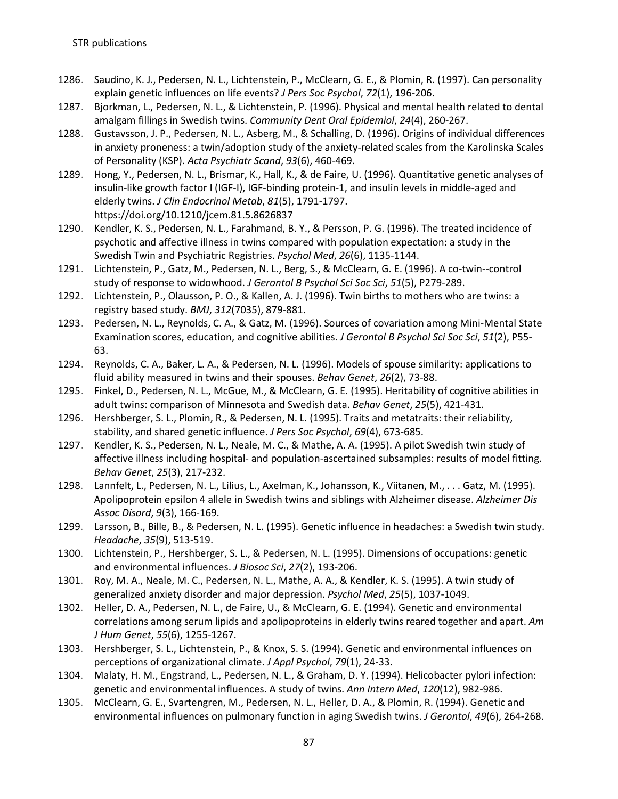- 1286. Saudino, K. J., Pedersen, N. L., Lichtenstein, P., McClearn, G. E., & Plomin, R. (1997). Can personality explain genetic influences on life events? *J Pers Soc Psychol*, *72*(1), 196-206.
- 1287. Bjorkman, L., Pedersen, N. L., & Lichtenstein, P. (1996). Physical and mental health related to dental amalgam fillings in Swedish twins. *Community Dent Oral Epidemiol*, *24*(4), 260-267.
- 1288. Gustavsson, J. P., Pedersen, N. L., Asberg, M., & Schalling, D. (1996). Origins of individual differences in anxiety proneness: a twin/adoption study of the anxiety-related scales from the Karolinska Scales of Personality (KSP). *Acta Psychiatr Scand*, *93*(6), 460-469.
- 1289. Hong, Y., Pedersen, N. L., Brismar, K., Hall, K., & de Faire, U. (1996). Quantitative genetic analyses of insulin-like growth factor I (IGF-I), IGF-binding protein-1, and insulin levels in middle-aged and elderly twins. *J Clin Endocrinol Metab*, *81*(5), 1791-1797. https://doi.org/10.1210/jcem.81.5.8626837
- 1290. Kendler, K. S., Pedersen, N. L., Farahmand, B. Y., & Persson, P. G. (1996). The treated incidence of psychotic and affective illness in twins compared with population expectation: a study in the Swedish Twin and Psychiatric Registries. *Psychol Med*, *26*(6), 1135-1144.
- 1291. Lichtenstein, P., Gatz, M., Pedersen, N. L., Berg, S., & McClearn, G. E. (1996). A co-twin--control study of response to widowhood. *J Gerontol B Psychol Sci Soc Sci*, *51*(5), P279-289.
- 1292. Lichtenstein, P., Olausson, P. O., & Kallen, A. J. (1996). Twin births to mothers who are twins: a registry based study. *BMJ*, *312*(7035), 879-881.
- 1293. Pedersen, N. L., Reynolds, C. A., & Gatz, M. (1996). Sources of covariation among Mini-Mental State Examination scores, education, and cognitive abilities. *J Gerontol B Psychol Sci Soc Sci*, *51*(2), P55- 63.
- 1294. Reynolds, C. A., Baker, L. A., & Pedersen, N. L. (1996). Models of spouse similarity: applications to fluid ability measured in twins and their spouses. *Behav Genet*, *26*(2), 73-88.
- 1295. Finkel, D., Pedersen, N. L., McGue, M., & McClearn, G. E. (1995). Heritability of cognitive abilities in adult twins: comparison of Minnesota and Swedish data. *Behav Genet*, *25*(5), 421-431.
- 1296. Hershberger, S. L., Plomin, R., & Pedersen, N. L. (1995). Traits and metatraits: their reliability, stability, and shared genetic influence. *J Pers Soc Psychol*, *69*(4), 673-685.
- 1297. Kendler, K. S., Pedersen, N. L., Neale, M. C., & Mathe, A. A. (1995). A pilot Swedish twin study of affective illness including hospital- and population-ascertained subsamples: results of model fitting. *Behav Genet*, *25*(3), 217-232.
- 1298. Lannfelt, L., Pedersen, N. L., Lilius, L., Axelman, K., Johansson, K., Viitanen, M., . . . Gatz, M. (1995). Apolipoprotein epsilon 4 allele in Swedish twins and siblings with Alzheimer disease. *Alzheimer Dis Assoc Disord*, *9*(3), 166-169.
- 1299. Larsson, B., Bille, B., & Pedersen, N. L. (1995). Genetic influence in headaches: a Swedish twin study. *Headache*, *35*(9), 513-519.
- 1300. Lichtenstein, P., Hershberger, S. L., & Pedersen, N. L. (1995). Dimensions of occupations: genetic and environmental influences. *J Biosoc Sci*, *27*(2), 193-206.
- 1301. Roy, M. A., Neale, M. C., Pedersen, N. L., Mathe, A. A., & Kendler, K. S. (1995). A twin study of generalized anxiety disorder and major depression. *Psychol Med*, *25*(5), 1037-1049.
- 1302. Heller, D. A., Pedersen, N. L., de Faire, U., & McClearn, G. E. (1994). Genetic and environmental correlations among serum lipids and apolipoproteins in elderly twins reared together and apart. *Am J Hum Genet*, *55*(6), 1255-1267.
- 1303. Hershberger, S. L., Lichtenstein, P., & Knox, S. S. (1994). Genetic and environmental influences on perceptions of organizational climate. *J Appl Psychol*, *79*(1), 24-33.
- 1304. Malaty, H. M., Engstrand, L., Pedersen, N. L., & Graham, D. Y. (1994). Helicobacter pylori infection: genetic and environmental influences. A study of twins. *Ann Intern Med*, *120*(12), 982-986.
- 1305. McClearn, G. E., Svartengren, M., Pedersen, N. L., Heller, D. A., & Plomin, R. (1994). Genetic and environmental influences on pulmonary function in aging Swedish twins. *J Gerontol*, *49*(6), 264-268.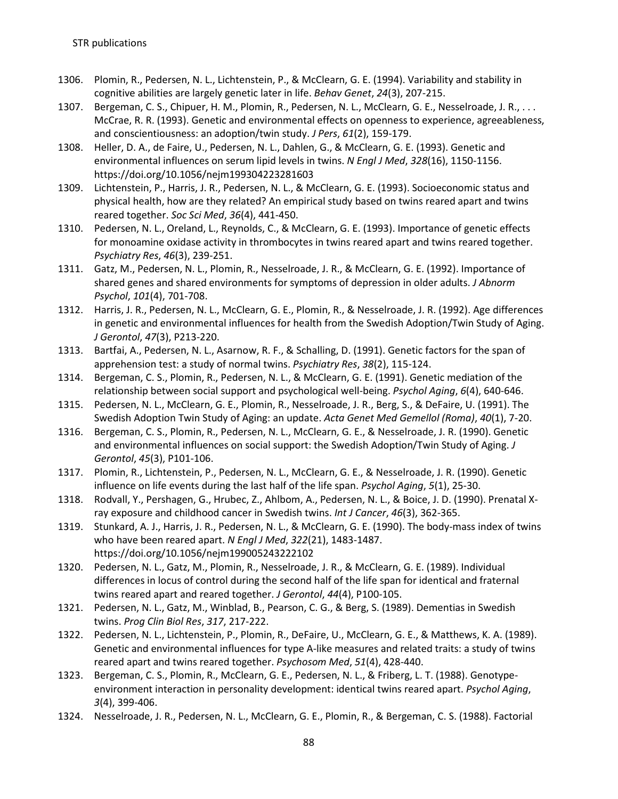- 1306. Plomin, R., Pedersen, N. L., Lichtenstein, P., & McClearn, G. E. (1994). Variability and stability in cognitive abilities are largely genetic later in life. *Behav Genet*, *24*(3), 207-215.
- 1307. Bergeman, C. S., Chipuer, H. M., Plomin, R., Pedersen, N. L., McClearn, G. E., Nesselroade, J. R., . . . McCrae, R. R. (1993). Genetic and environmental effects on openness to experience, agreeableness, and conscientiousness: an adoption/twin study. *J Pers*, *61*(2), 159-179.
- 1308. Heller, D. A., de Faire, U., Pedersen, N. L., Dahlen, G., & McClearn, G. E. (1993). Genetic and environmental influences on serum lipid levels in twins. *N Engl J Med*, *328*(16), 1150-1156. https://doi.org/10.1056/nejm199304223281603
- 1309. Lichtenstein, P., Harris, J. R., Pedersen, N. L., & McClearn, G. E. (1993). Socioeconomic status and physical health, how are they related? An empirical study based on twins reared apart and twins reared together. *Soc Sci Med*, *36*(4), 441-450.
- 1310. Pedersen, N. L., Oreland, L., Reynolds, C., & McClearn, G. E. (1993). Importance of genetic effects for monoamine oxidase activity in thrombocytes in twins reared apart and twins reared together. *Psychiatry Res*, *46*(3), 239-251.
- 1311. Gatz, M., Pedersen, N. L., Plomin, R., Nesselroade, J. R., & McClearn, G. E. (1992). Importance of shared genes and shared environments for symptoms of depression in older adults. *J Abnorm Psychol*, *101*(4), 701-708.
- 1312. Harris, J. R., Pedersen, N. L., McClearn, G. E., Plomin, R., & Nesselroade, J. R. (1992). Age differences in genetic and environmental influences for health from the Swedish Adoption/Twin Study of Aging. *J Gerontol*, *47*(3), P213-220.
- 1313. Bartfai, A., Pedersen, N. L., Asarnow, R. F., & Schalling, D. (1991). Genetic factors for the span of apprehension test: a study of normal twins. *Psychiatry Res*, *38*(2), 115-124.
- 1314. Bergeman, C. S., Plomin, R., Pedersen, N. L., & McClearn, G. E. (1991). Genetic mediation of the relationship between social support and psychological well-being. *Psychol Aging*, *6*(4), 640-646.
- 1315. Pedersen, N. L., McClearn, G. E., Plomin, R., Nesselroade, J. R., Berg, S., & DeFaire, U. (1991). The Swedish Adoption Twin Study of Aging: an update. *Acta Genet Med Gemellol (Roma)*, *40*(1), 7-20.
- 1316. Bergeman, C. S., Plomin, R., Pedersen, N. L., McClearn, G. E., & Nesselroade, J. R. (1990). Genetic and environmental influences on social support: the Swedish Adoption/Twin Study of Aging. *J Gerontol*, *45*(3), P101-106.
- 1317. Plomin, R., Lichtenstein, P., Pedersen, N. L., McClearn, G. E., & Nesselroade, J. R. (1990). Genetic influence on life events during the last half of the life span. *Psychol Aging*, *5*(1), 25-30.
- 1318. Rodvall, Y., Pershagen, G., Hrubec, Z., Ahlbom, A., Pedersen, N. L., & Boice, J. D. (1990). Prenatal Xray exposure and childhood cancer in Swedish twins. *Int J Cancer*, *46*(3), 362-365.
- 1319. Stunkard, A. J., Harris, J. R., Pedersen, N. L., & McClearn, G. E. (1990). The body-mass index of twins who have been reared apart. *N Engl J Med*, *322*(21), 1483-1487. https://doi.org/10.1056/nejm199005243222102
- 1320. Pedersen, N. L., Gatz, M., Plomin, R., Nesselroade, J. R., & McClearn, G. E. (1989). Individual differences in locus of control during the second half of the life span for identical and fraternal twins reared apart and reared together. *J Gerontol*, *44*(4), P100-105.
- 1321. Pedersen, N. L., Gatz, M., Winblad, B., Pearson, C. G., & Berg, S. (1989). Dementias in Swedish twins. *Prog Clin Biol Res*, *317*, 217-222.
- 1322. Pedersen, N. L., Lichtenstein, P., Plomin, R., DeFaire, U., McClearn, G. E., & Matthews, K. A. (1989). Genetic and environmental influences for type A-like measures and related traits: a study of twins reared apart and twins reared together. *Psychosom Med*, *51*(4), 428-440.
- 1323. Bergeman, C. S., Plomin, R., McClearn, G. E., Pedersen, N. L., & Friberg, L. T. (1988). Genotypeenvironment interaction in personality development: identical twins reared apart. *Psychol Aging*, *3*(4), 399-406.
- 1324. Nesselroade, J. R., Pedersen, N. L., McClearn, G. E., Plomin, R., & Bergeman, C. S. (1988). Factorial